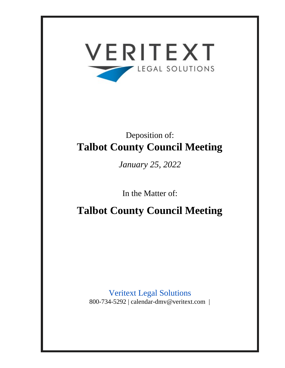

# Deposition of: **Talbot County Council Meeting**

*January 25, 2022*

In the Matter of:

**Talbot County Council Meeting**

Veritext Legal Solutions 800-734-5292 | calendar-dmv@veritext.com |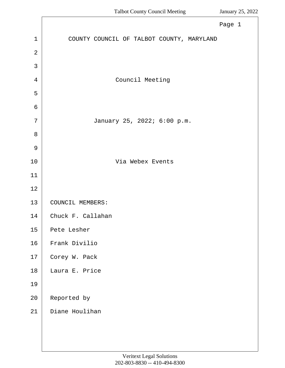|                | Page 1                                    |
|----------------|-------------------------------------------|
| $\mathbf{1}$   | COUNTY COUNCIL OF TALBOT COUNTY, MARYLAND |
| $\overline{2}$ |                                           |
| 3              |                                           |
| 4              | Council Meeting                           |
| 5              |                                           |
| $\sigma$       |                                           |
| 7              | January 25, 2022; 6:00 p.m.               |
| 8              |                                           |
| $\mathcal{G}$  |                                           |
| 10             | Via Webex Events                          |
| 11             |                                           |
| 12             |                                           |
| 13             | COUNCIL MEMBERS:                          |
| 14             | Chuck F. Callahan                         |
| 15             | Pete Lesher                               |
| 16             | Frank Divilio                             |
| $17\,$         | Corey W. Pack                             |
| 18             | Laura E. Price                            |
| 19             |                                           |
| 20             | Reported by                               |
| 21             | Diane Houlihan                            |
|                |                                           |
|                |                                           |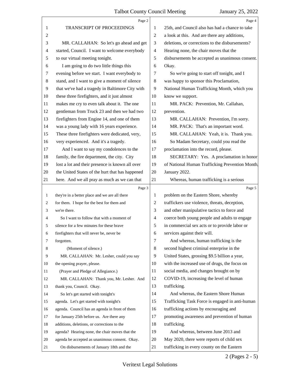|                | Page 2                                          |                | Page 4                                          |
|----------------|-------------------------------------------------|----------------|-------------------------------------------------|
| 1              | TRANSCRIPT OF PROCEEDINGS                       | 1              | 25th, and Council also has had a chance to take |
| $\overline{c}$ |                                                 | 2              | a look at this. And are there any additions,    |
| 3              | MR. CALLAHAN: So let's go ahead and get         | 3              | deletions, or corrections to the disbursements? |
| 4              | started, Council. I want to welcome everybody   | $\overline{4}$ | Hearing none, the chair moves that the          |
| 5              | to our virtual meeting tonight.                 | 5              | disbursements be accepted as unanimous consent. |
| 6              | I am going to do two little things this         | 6              | Okay.                                           |
| 7              | evening before we start. I want everybody to    | 7              | So we're going to start off tonight, and I      |
| 8              | stand, and I want to give a moment of silence   | 8              | was happy to sponsor this Proclamation,         |
| $\overline{9}$ | that we've had a tragedy in Baltimore City with | 9              | National Human Trafficking Month, which you     |
| 10             | these three firefighters, and it just almost    | 10             | know we support.                                |
| 11             | makes me cry to even talk about it. The one     | 11             | MR. PACK: Prevention, Mr. Callahan,             |
| 12             | gentleman from Truck 23 and then we had two     | 12             | prevention.                                     |
| 13             | firefighters from Engine 14, and one of them    | 13             | MR. CALLAHAN: Prevention, I'm sorry.            |
| 14             | was a young lady with 16 years experience.      | 14             | MR. PACK: That's an important word.             |
| 15             | These three firefighters were dedicated, very,  | 15             | MR. CALLAHAN: Yeah, it is. Thank you.           |
| 16             | very experienced. And it's a tragedy.           | 16             | So Madam Secretary, could you read the          |
| 17             | And I want to say my condolences to the         | 17             | proclamation into the record, please.           |
| 18             | family, the fire department, the city. City     | 18             | SECRETARY: Yes. A proclamation in honor         |
| 19             | lost a lot and their presence is known all over | 19             | of National Human Trafficking Prevention Month. |
| 20             | the United States of the hurt that has happened | 20             | January 2022.                                   |
| 21             | here. And we all pray as much as we can that    | 21             | Whereas, human trafficking is a serious         |
|                |                                                 |                |                                                 |
|                | Page 3                                          |                | Page 5                                          |
| $\mathbf{1}$   | they're in a better place and we are all there  | 1              | problem on the Eastern Shore, whereby           |
| 2              | for them. I hope for the best for them and      | 2              | traffickers use violence, threats, deception,   |
| 3              | we're there.                                    | 3              | and other manipulative tactics to force and     |
| 4              | So I want to follow that with a moment of       | $\overline{4}$ | coerce both young people and adults to engage   |
|                | silence for a few minutes for these brave       | 5              | in commercial sex acts or to provide labor or   |
| 6              | firefighters that will never be, never be       | 6              | services against their will.                    |
| 7              | forgotten.                                      | 7              | And whereas, human trafficking is the           |
| 8              | (Moment of silence.)                            | 8              | second highest criminal enterprise in the       |
| 9              | MR. CALLAHAN: Mr. Lesher, could you say         | 9              | United States, grossing \$9.5 billion a year,   |
| 10             | the opening prayer, please.                     | 10             | with the increased use of drugs, the focus on   |
| 11             | (Prayer and Pledge of Allegiance.)              | 11             | social media, and changes brought on by         |
| 12             | MR. CALLAHAN: Thank you, Mr. Lesher. And        | 12             | COVID-19, increasing the level of human         |
| 13             | thank you, Council. Okay.                       | 13             | trafficking.                                    |
| 14             | So let's get started with tonight's             | 14             | And whereas, the Eastern Shore Human            |
| 15             | agenda. Let's get started with tonight's        | 15             | Trafficking Task Force is engaged in anti-human |
| 16             | agenda. Council has an agenda in front of them  | 16             | trafficking actions by encouraging and          |
| 17             | for January 25th before us. Are there any       | 17             | promoting awareness and prevention of human     |
| 18             | additions, deletions, or corrections to the     | 18             | trafficking.                                    |
| 19             | agenda? Hearing none, the chair moves that the  | 19             | And whereas, between June 2013 and              |
| 20             | agenda be accepted as unanimous consent. Okay.  | 20             | May 2020, there were reports of child sex       |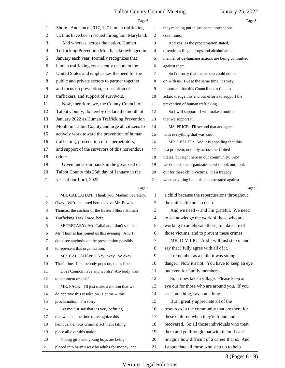|    | Page 6                                          |                          | Page 8                                          |
|----|-------------------------------------------------|--------------------------|-------------------------------------------------|
| 1  | Shore. And since 2017, 127 human trafficking    | 1                        | they're being put in just some horrendous       |
| 2  | victims have been rescued throughout Maryland.  | 2                        | conditions.                                     |
| 3  | And whereas, across the nation, Human           | 3                        | And yes, as the proclamation stated,            |
| 4  | Trafficking Prevention Month, acknowledged in   | 4                        | oftentimes illegal drugs and alcohol are a      |
| 5  | January each year, formally recognizes that     | 5                        | manner of de-humane actions are being committed |
| 6  | human trafficking consistently occurs in the    | 6                        | against them.                                   |
| 7  | United States and emphasizes the need for the   | 7                        | So I'm sorry that the person could not be       |
| 8  | public and private sectors to partner together  | 8                        | on with us. But at the same time, it's very     |
| 9  | and focus on prevention, prosecution of         | 9                        | important that this Council takes time to       |
| 10 | traffickers, and support of survivors.          | 10                       | acknowledge this and our efforts to support the |
| 11 | Now, therefore, we, the County Council of       | 11                       | prevention of human trafficking.                |
| 12 | Talbot County, do hereby declare the month of   | 12                       | So I will support. I will make a motion         |
| 13 | January 2022 as Human Trafficking Prevention    | 13                       | that we support it.                             |
| 14 | Month in Talbot County and urge all citizens to | 14                       | MS. PRICE: I'll second that and agree           |
| 15 | actively work toward the prevention of human    | 15                       | with everything that was said.                  |
| 16 | trafficking, prosecution of its perpetrators,   | 16                       | MR. LESHER: And it is appalling that this       |
| 17 | and support of the survivors of this horrendous | 17                       | is a problem, not only across the United        |
| 18 | crime.                                          | 18                       | States, but right here in our community. And    |
| 19 | Given under our hands in the great seal of      | 19                       | we do need the organizations who look out, look |
| 20 | Talbot County this 25th day of January in the   | 20                       | out for these child victims. It's a tragedy     |
| 21 | year of our Lord, 2022.                         | 21                       | when anything like this is perpetrated against  |
|    |                                                 |                          |                                                 |
|    | Page 7                                          |                          | Page 9                                          |
| 1  | MR. CALLAHAN: Thank you, Madam Secretary.       | 1                        | a child because the repercussions throughout    |
| 2  | Okay. We're honored here to have Mr. Edwin      | $\overline{c}$           | the child's life are so deep.                   |
| 3  | Thomas, the cochair of the Eastern Shore Human  | 3                        | And we need -- and I'm grateful. We need        |
| 4  | Trafficking Task Force, here.                   | $\overline{\mathcal{A}}$ | to acknowledge the work of those who are        |
| 5  | SECRETARY: Mr. Callahan, I don't see that       | 5                        | working to ameliorate these, to take care of    |
| 6  | Mr. Thomas has joined us this evening. And I    | 6                        | those victims, and to prevent these crimes.     |
| 7  | don't see anybody on the presentation possibly  | 7                        | MR. DIVILIO: And I will just step in and        |
| 8  | to represent this organization.                 | 8                        | say that I fully agree with all of it.          |
| 9  | MR. CALLAHAN: Okay, okay. So okay.              | 9                        | I remember as a child it was stranger           |
| 10 | That's fine. If somebody pops on, that's fine.  | 10                       | danger. Now it's not. You have to keep an eye   |
| 11 | Does Council have any words? Anybody want       | 11                       | out even for family members.                    |
| 12 | to comment on this?                             | 12                       | So it does take a village. Please keep an       |
| 13 | MR. PACK: I'll just make a motion that we       | 13                       | eye out for those who are around you. If you    |
| 14 | do approve this resolution. Let me -- this      | 14                       | see something, say something.                   |
| 15 | proclamation. I'm sorry.                        | 15                       | But I greatly appreciate all of the             |
| 16 | Let me just say that it's very befitting        | 16                       | resources in the community that are there for   |
| 17 | that we take the time to recognize this         | 17                       | these children when they're found and           |
| 18 | heinous, heinous criminal act that's taking     | 18                       | recovered. So all those individuals who treat   |
| 19 | place all over this nation.                     | 19                       | them and go through that with them, I can't     |
| 20 | Young girls and young boys are being            | 20                       | imagine how difficult of a career that is. And  |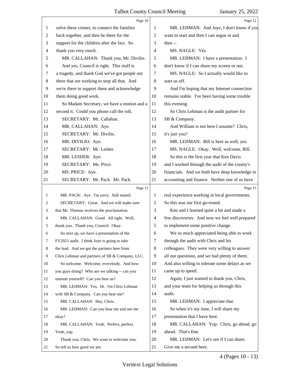|       | Page 10                                         |                | Page 12                                        |
|-------|-------------------------------------------------|----------------|------------------------------------------------|
| 1     | solve these crimes, to connect the families     | 1              | MR. LEHMAN: And Joye, I don't know if you      |
| 2     | back together, and then be there for the        | $\overline{2}$ | want to start and then I can segue in and      |
| 3     | support for the children after the fact. So     | 3              | then $-$                                       |
| 4     | thank you very much.                            | $\overline{4}$ | MS. NAGLE: Yes.                                |
| 5     | MR. CALLAHAN: Thank you, Mr. Divilio.           | 5              | MR. LEHMAN: I have a presentation. I           |
| 6     | And yes, Council is right. This stuff is        | 6              | don't know if I can share my screen or not.    |
| 7     | a tragedy, and thank God we've got people out   | 7              | MS. NAGLE: So I actually would like to         |
| $\,8$ | there that are working to stop all that. And    | 8              | start us off.                                  |
| 9     | we're there to support them and acknowledge     | 9              | And I'm hoping that my Internet connection     |
| 10    | them doing good work.                           | 10             | remains stable. I've been having some trouble  |
| 11    | So Madam Secretary, we have a motion and a      | 11             | this evening.                                  |
| 12    | second it. Could you please call the roll.      | 12             | So Chris Lehman is the audit partner for       |
| 13    | SECRETARY: Mr. Callahan.                        | 13             | SB & Company.                                  |
| 14    | MR. CALLAHAN: Aye.                              | 14             | And William is not here I assume? Chris,       |
| 15    | SECRETARY: Mr. Divilio.                         | 15             | it's just you?                                 |
| 16    | MR. DIVILIO: Aye.                               | 16             | MR. LEHMAN: Bill is here as well, yes.         |
| 17    | SECRETARY: Mr. Lesher.                          | 17             | MS. NAGLE: Okay. Well, welcome, Bill.          |
| 18    | MR. LESHER: Aye.                                | 18             | So this is the first year that Ken Davis       |
| 19    | SECRETARY: Ms. Price.                           | 19             | and I worked through the audit of the county's |
| 20    | MS. PRICE: Aye.                                 | 20             | financials. And we both have deep knowledge in |
| 21    | SECRETARY: Mr. Pack. Mr. Pack.                  | 21             | accounting and finance. Neither one of us have |
|       |                                                 |                |                                                |
|       | Page 11                                         |                | Page 13                                        |
| 1     | MR. PACK: Aye. I'm sorry. Still muted.          | 1              | real experience working in local governments.  |
| 2     | SECRETARY: Great. And we will make sure         | 2              | So this was our first go-round.                |
| 3     | that Mr. Thomas receives the proclamation.      | 3              | Ken and I learned quite a bit and made a       |
| 4     | MR. CALLAHAN: Good. All right. Well,            | $\overline{4}$ | few discoveries. And now we feel well prepared |
|       | thank you. Thank you, Council. Okay.            | 5              | to implement some positive change.             |
| 6     | So next up, we have a presentation of the       | 6              | We so much appreciated being able to work      |
| 7     | FY2021 audit. I think Joye is going to take     | 7              | through the audit with Chris and his           |
| 8     | the lead. And we got the partners here from     | 8              | colleagues. They were very willing to answer   |
| 9     | Chris Lehman and partners of SB & Company, LLC. | 9              | all our questions, and we had plenty of them.  |
| 10    | So welcome. Welcome, everybody. And how         | 10             | And also willing to tolerate some delays as we |
| 11    | you guys doing? Who are we talking -- can you   | 11             | came up to speed.                              |
| 12    | unmute yourself? Can you hear us?               | 12             | Again, I just wanted to thank you, Chris,      |
| 13    | MR. LEHMAN: Yes. Hi. I'm Chris Lehman           | 13             | and your team for helping us through this      |
| 14    | with SB & Company. Can you hear me?             | 14             | audit.                                         |
| 15    | MR. CALLAHAN: Hey, Chris.                       | 15             | MR. LEHMAN: I appreciate that.                 |
| 16    | MR. LEHMAN: Can you hear me and see me          | 16             | So when it's my time, I will share my          |
| 17    | okay?                                           | 17             | presentation that I have here.                 |
| 18    | MR. CALLAHAN: Yeah. Perfect, perfect.           | 18             | MR. CALLAHAN: Yup. Chris, go ahead, go         |
| 19    | Yeah, yup.                                      | 19             | ahead. That's fine.                            |
| 20    | Thank you, Chris. We want to welcome you.       | 20             | MR. LEHMAN: Let's see if I can share.          |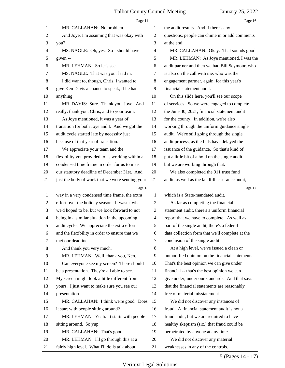|              | Page 14                                         |                | Page 16                                         |
|--------------|-------------------------------------------------|----------------|-------------------------------------------------|
| 1            | MR. CALLAHAN: No problem.                       | 1              | the audit results. And if there's any           |
| 2            | And Joye, I'm assuming that was okay with       | $\overline{2}$ | questions, people can chime in or add comments  |
| 3            | you?                                            | 3              | at the end.                                     |
| 4            | MS. NAGLE: Oh, yes. So I should have            | $\overline{4}$ | MR. CALLAHAN: Okay. That sounds good.           |
| 5            | given --                                        | 5              | MR. LEHMAN: As Joye mentioned, I was the        |
| 6            | MR. LEHMAN: So let's see.                       | 6              | audit partner and then we had Bill Seymour, who |
| 7            | MS. NAGLE: That was your lead in.               | 7              | is also on the call with me, who was the        |
| 8            | I did want to, though, Chris, I wanted to       | $\,8\,$        | engagement partner, again, for this year's      |
| 9            | give Ken Davis a chance to speak, if he had     | 9              | financial statement audit.                      |
| 10           | anything.                                       | 10             | On this slide here, you'll see our scope        |
| 11           | MR. DAVIS: Sure. Thank you, Joye. And           | 11             | of services. So we were engaged to complete     |
| 12           | really, thank you, Chris, and to your team.     | 12             | the June 30, 2021, financial statement audit    |
| 13           | As Joye mentioned, it was a year of             | 13             | for the county. In addition, we're also         |
| 14           | transition for both Joye and I. And we got the  | 14             | working through the uniform guidance single     |
| 15           | audit cycle started late by necessity just      | 15             | audit. We're still going through the single     |
| 16           | because of that year of transition.             | 16             | audit process, as the feds have delayed the     |
| 17           | We appreciate your team and the                 | 17             | issuance of the guidance. So that's kind of     |
| 18           | flexibility you provided to us working within a | 18             | put a little bit of a hold on the single audit, |
| 19           | condensed time frame in order for us to meet    | 19             | but we are working through that.                |
| 20           | our statutory deadline of December 31st. And    | 20             | We also completed the 911 trust fund            |
| 21           | just the body of work that we were sending your | 21             | audit, as well as the landfill assurance audit, |
|              | Page 15                                         |                | Page 17                                         |
| $\mathbf{1}$ | way in a very condensed time frame, the extra   | 1              | which is a State-mandated audit.                |
| 2            | effort over the holiday season. It wasn't what  | $\overline{c}$ | As far as completing the financial              |
| 3            | we'd hoped to be, but we look forward to not    | 3              | statement audit, there's a uniform financial    |
| 4            | being in a similar situation in the upcoming    | $\overline{4}$ | report that we have to complete. As well as     |
| 5            | audit cycle. We appreciate the extra effort     | 5              | part of the single audit, there's a federal     |
| 6            | and the flexibility in order to ensure that we  | 6              | data collection form that we'll complete at the |
| 7            | met our deadline.                               | 7              | conclusion of the single audit.                 |
| 8            | And thank you very much.                        | $\,8\,$        | At a high level, we've issued a clean or        |
| 9            |                                                 |                |                                                 |
| 10           | MR. LEHMAN: Well, thank you, Ken.               | 9              | unmodified opinion on the financial statements. |
| 11           | Can everyone see my screen? There should        | 10             | That's the best opinion we can give under       |
|              | be a presentation. They're all able to see.     | 11             | financial -- that's the best opinion we can     |
| 12           | My screen might look a little different from    | 12             | give under, under our standards. And that says  |
| 13           | yours. I just want to make sure you see our     | 13             | that the financial statements are reasonably    |
| 14           | presentation.                                   | 14             | free of material misstatement.                  |
| 15           | MR. CALLAHAN: I think we're good. Does          | 15             | We did not discover any instances of            |
| 16           | it start with people sitting around?            | 16             | fraud. A financial statement audit is not a     |
| 17           | MR. LEHMAN: Yeah. It starts with people         | 17             | fraud audit, but we are required to have        |
| 18           | sitting around. So yup.                         | 18             | healthy skeptism (sic.) that fraud could be     |
| 19           | MR. CALLAHAN: That's good.                      | 19             | perpetrated by anyone at any time.              |
| 20           | MR. LEHMAN: I'll go through this at a           | 20             | We did not discover any material                |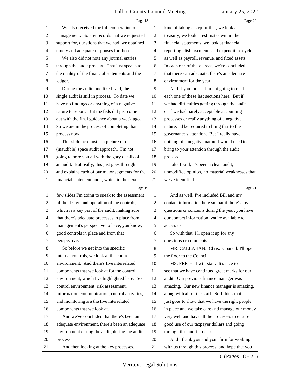|                | Page 18                                         |                | Page 20                                         |
|----------------|-------------------------------------------------|----------------|-------------------------------------------------|
| 1              | We also received the full cooperation of        | 1              | kind of taking a step further, we look at       |
| $\overline{c}$ | management. So any records that we requested    | 2              | treasury, we look at estimates within the       |
| 3              | support for, questions that we had, we obtained | 3              | financial statements, we look at financial      |
| 4              | timely and adequate responses for those.        | 4              | reporting, disbursements and expenditure cycle, |
| 5              | We also did not note any journal entries        | 5              | as well as payroll, revenue, and fixed assets.  |
| 6              | through the audit process. That just speaks to  | 6              | In each one of these areas, we've concluded     |
| 7              | the quality of the financial statements and the | 7              | that there's an adequate, there's an adequate   |
| 8              | ledger.                                         | 8              | environment for the year.                       |
| 9              | During the audit, and like I said, the          | 9              | And if you look -- I'm not going to read        |
| 10             | single audit is still in process. To date we    | 10             | each one of these last sections here. But if    |
| 11             | have no findings or anything of a negative      | 11             | we had difficulties getting through the audit   |
| 12             | nature to report. But the feds did just come    | 12             | or if we had barely acceptable accounting       |
| 13             | out with the final guidance about a week ago.   | 13             | processes or really anything of a negative      |
| 14             | So we are in the process of completing that     | 14             | nature, I'd be required to bring that to the    |
| 15             | process now.                                    | 15             | governance's attention. But I really have       |
| 16             | This slide here just is a picture of our        | 16             | nothing of a negative nature I would need to    |
| 17             | (inaudible) space audit approach. I'm not       | 17             | bring to your attention through the audit       |
| 18             | going to bore you all with the gory details of  | 18             | process.                                        |
| 19             | an audit. But really, this just goes through    | 19             | Like I said, it's been a clean audit,           |
| 20             | and explains each of our major segments for the | 20             | unmodified opinion, no material weaknesses that |
| 21             | financial statement audit, which in the next    | 21             | we've identified.                               |
|                |                                                 |                |                                                 |
|                | Page 19                                         |                | Page 21                                         |
| 1              | few slides I'm going to speak to the assessment | 1              | And as well, I've included Bill and my          |
| $\overline{c}$ | of the design and operation of the controls,    | $\overline{2}$ | contact information here so that if there's any |
| 3              | which is a key part of the audit, making sure   | 3              | questions or concerns during the year, you have |
| 4              | that there's adequate processes in place from   | $\overline{4}$ | our contact information, you're available to    |
| 5              | management's perspective to have, you know,     | 5              | access us.                                      |
| 6              | good controls in place and from that            | 6              | So with that, I'll open it up for any           |
| 7              | perspective.                                    | 7              | questions or comments.                          |
| 8              | So before we get into the specific              | 8              | MR. CALLAHAN: Chris. Council, I'll open         |
| 9              | internal controls, we look at the control       | 9              | the floor to the Council.                       |
| 10             | environment. And there's five interrelated      | 10             | MS. PRICE: I will start. It's nice to           |
| 11             | components that we look at for the control      | 11             | see that we have continued great marks for our  |
| 12             | environment, which I've highlighted here. So    | 12             | audit. Our previous finance manager was         |
| 13             | control environment, risk assessment,           | 13             | amazing. Our new finance manager is amazing,    |
| 14             | information communication, control activities,  | 14             | along with all of the staff. So I think that    |
| 15             | and monitoring are the five interrelated        | 15             | just goes to show that we have the right people |
| 16             | components that we look at.                     | 16             | in place and we take care and manage our money  |
| 17             | And we've concluded that there's been an        | 17             | very well and have all the processes to ensure  |
| 18             | adequate environment, there's been an adequate  | 18             | good use of our taxpayer dollars and going      |
| 19             | environment during the audit, during the audit  | 19             | through this audit process.                     |
| 20             | process.                                        | 20             | And I thank you and your firm for working       |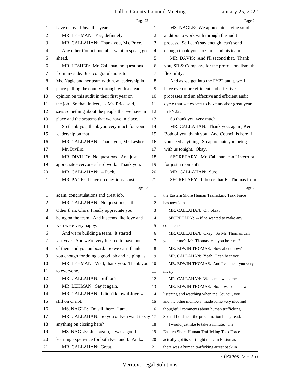|                | Page 22                                         |                | Page 24                                         |
|----------------|-------------------------------------------------|----------------|-------------------------------------------------|
| 1              | have enjoyed Joye this year.                    | 1              | MS. NAGLE: We appreciate having solid           |
| $\overline{c}$ | MR. LEHMAN: Yes, definitely.                    | 2              | auditors to work with through the audit         |
| 3              | MR. CALLAHAN: Thank you, Ms. Price.             | 3              | process. So I can't say enough, can't send      |
| 4              | Any other Council member want to speak, go      | $\overline{4}$ | enough thank yous to Chris and his team.        |
| 5              | ahead.                                          | 5              | MR. DAVIS: And I'll second that. Thank          |
| 6              | MR. LESHER: Mr. Callahan, no questions          | 6              | you, SB & Company, for the professionalism, the |
| 7              | from my side. Just congratulations to           | 7              | flexibility.                                    |
| 8              | Ms. Nagle and her team with new leadership in   | 8              | And as we get into the FY22 audit, we'll        |
| $\overline{9}$ | place pulling the county through with a clean   | 9              | have even more efficient and effective          |
| 10             | opinion on this audit in their first year on    | 10             | processes and an effective and efficient audit  |
| 11             | the job. So that, indeed, as Ms. Price said,    | 11             | cycle that we expect to have another great year |
| 12             | says something about the people that we have in | 12             | in FY22.                                        |
| 13             | place and the systems that we have in place.    | 13             | So thank you very much.                         |
| 14             | So thank you, thank you very much for your      | 14             | MR. CALLAHAN: Thank you, again, Ken.            |
| 15             | leadership on that.                             | 15             | Both of you, thank you. And Council is here if  |
| 16             | MR. CALLAHAN: Thank you, Mr. Lesher.            | 16             | you need anything. So appreciate you being      |
| 17             | Mr. Divilio.                                    | 17             | with us tonight. Okay.                          |
| 18             | MR. DIVILIO: No questions. And just             | 18             | SECRETARY: Mr. Callahan, can I interrupt        |
| 19             | appreciate everyone's hard work. Thank you.     | 19             | for just a moment?                              |
| 20             | MR. CALLAHAN: -- Pack.                          | 20             | MR. CALLAHAN: Sure.                             |
| 21             | MR. PACK: I have no questions. Just             | 21             | SECRETARY: I do see that Ed Thomas from         |
|                |                                                 |                |                                                 |
|                | Page 23                                         |                | Page 25                                         |
| 1              | again, congratulations and great job.           | $\mathbf{1}$   | the Eastern Shore Human Trafficking Task Force  |
| 2              | MR. CALLAHAN: No questions, either.             | $\overline{2}$ | has now joined.                                 |
| 3              | Other than, Chris, I really appreciate you      | 3              | MR. CALLAHAN: Oh, okay.                         |
| $\overline{4}$ | being on the team. And it seems like Joye and   | $\overline{4}$ | SECRETARY: -- if he wanted to make any          |
| 5              | Ken were very happy.                            | 5              | comments.                                       |
| 6              | And we're building a team. It started           | 6              | MR. CALLAHAN: Okay. So Mr. Thomas, can          |
| 7              | last year. And we're very blessed to have both  | $\overline{7}$ | you hear me? Mr. Thomas, can you hear me?       |
| 8              | of them and you on board. So we can't thank     | 8              | MR. EDWIN THOMAS: How about now?                |
| 9              | you enough for doing a good job and helping us. | 9              | MR. CALLAHAN: Yeah. I can hear you.             |
| 10             | MR. LEHMAN: Well, thank you. Thank you          | 10             | MR. EDWIN THOMAS: And I can hear you very       |
| 11             | to everyone.                                    | 11             | nicely.                                         |
| 12             | MR. CALLAHAN: Still on?                         | 12             | MR. CALLAHAN: Welcome, welcome.                 |
| 13             | MR. LEHMAN: Say it again.                       | 13             | MR. EDWIN THOMAS: No. I was on and was          |
| 14             | MR. CALLAHAN: I didn't know if Joye was         | 14             | listening and watching when the Council, you    |
| 15             | still on or not.                                | 15             | and the other members, made some very nice and  |
| 16             | MS. NAGLE: I'm still here. I am.                | 16             | thoughtful comments about human trafficking.    |
| 17             | MR. CALLAHAN: So you or Ken want to say         | 17             | So and I did hear the proclamation being read.  |
| 18             | anything on closing here?                       | 18             | I would just like to take a minute. The         |
| 19             | MS. NAGLE: Just again, it was a good            | 19             | Eastern Shore Human Trafficking Task Force      |
| 20             | learning experience for both Ken and I. And     | 20             | actually got its start right there in Easton as |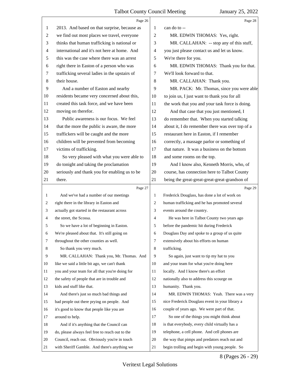|                | Page 26                                         |                | Page 28                                         |
|----------------|-------------------------------------------------|----------------|-------------------------------------------------|
| 1              | 2013. And based on that surprise, because as    | 1              | can do to --                                    |
| $\overline{c}$ | we find out most places we travel, everyone     | $\overline{2}$ | MR. EDWIN THOMAS: Yes, right.                   |
| 3              | thinks that human trafficking is national or    | 3              | MR. CALLAHAN: -- stop any of this stuff,        |
| $\overline{4}$ | international and it's not here at home. And    | $\overline{4}$ | you just please contact us and let us know.     |
| 5              | this was the case where there was an arrest     | 5              | We're there for you.                            |
| 6              | right there in Easton of a person who was       | 6              | MR. EDWIN THOMAS: Thank you for that.           |
| 7              | trafficking several ladies in the upstairs of   | 7              | We'll look forward to that.                     |
| 8              | their house.                                    | 8              | MR. CALLAHAN: Thank you.                        |
| 9              | And a number of Easton and nearby               | 9              | MR. PACK: Mr. Thomas, since you were able       |
| 10             | residents became very concerned about this,     | 10             | to join us, I just want to thank you for all    |
| 11             | created this task force, and we have been       | 11             | the work that you and your task force is doing. |
| 12             | moving on therefor.                             | 12             | And that case that you just mentioned, I        |
| 13             | Public awareness is our focus. We feel          | 13             | do remember that. When you started talking      |
| 14             | that the more the public is aware, the more     | 14             | about it, I do remember there was over top of a |
| 15             | traffickers will be caught and the more         | 15             | restaurant here in Easton, if I remember        |
| 16             | children will be prevented from becoming        | 16             | correctly, a massage parlor or something of     |
| 17             | victims of trafficking.                         | 17             | that nature. It was a business on the bottom    |
| 18             | So very pleased with what you were able to      | 18             | and some rooms on the top.                      |
| 19             | do tonight and taking the proclamation          | 19             | And I know also, Kenneth Morris, who, of        |
| 20             | seriously and thank you for enabling us to be   | 20             | course, has connection here to Talbot County    |
| 21             | there.                                          | 21             | being the great-great-great-great-grandson of   |
|                | Page 27                                         |                | Page 29                                         |
| 1              | And we've had a number of our meetings          | 1              | Frederick Douglass, has done a lot of work on   |
| 2              | right there in the library in Easton and        | 2              | human trafficking and he has promoted several   |
| 3              | actually got started in the restaurant across   | 3              | events around the country.                      |
| 4              | the street, the Scossa.                         | $\overline{4}$ | He was here in Talbot County two years ago      |
| 5              | So we have a lot of beginning in Easton.        | 5              | before the pandemic hit during Frederick        |
| 6              | We're pleased about that. It's still going on   | 6              | Douglass Day and spoke to a group of us quite   |
| 7              | throughout the other counties as well.          | $\tau$         | extensively about his efforts on human          |
| 8              | So thank you very much.                         | 8              | trafficking.                                    |
| 9              | MR. CALLAHAN: Thank you, Mr. Thomas. And        | 9              | So again, just want to tip my hat to you        |
| 10             | like we said a little bit ago, we can't thank   | 10             | and your team for what you're doing here        |
| 11             | you and your team for all that you're doing for | 11             | locally. And I know there's an effort           |
| 12             | the safety of people that are in trouble and    | 12             | nationally also to address this scourge on      |
| 13             |                                                 |                |                                                 |
| 14             | kids and stuff like that.                       | 13             | humanity. Thank you.                            |
|                | And there's just so much bad things and         | 14             | MR. EDWIN THOMAS: Yeah. There was a very        |
| 15             | bad people out there prying on people. And      | 15             | nice Frederick Douglass event in your library a |
| 16             | it's good to know that people like you are      | 16             | couple of years ago. We were part of that.      |
| 17             | around to help.                                 | 17             | So one of the things you might think about      |
| 18             | And if it's anything that the Council can       | 18             | is that everybody, every child virtually has a  |
| 19             | do, please always feel free to reach out to the | 19             | telephone, a cell phone. And cell phones are    |
| 20             | Council, reach out. Obviously you're in touch   | 20             | the way that pimps and predators reach out and  |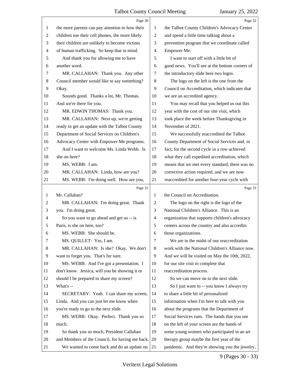|                | Page 30                                         |                | Page 32                                         |
|----------------|-------------------------------------------------|----------------|-------------------------------------------------|
| $\mathbf{1}$   | the more parents can pay attention to how their | 1              | the Talbot County Children's Advocacy Center    |
| $\overline{c}$ | children use their cell phones, the more likely | $\overline{2}$ | and spend a little time talking about a         |
| 3              | their children are unlikely to become victims   | 3              | prevention program that we coordinate called    |
| 4              | of human trafficking. So keep that in mind.     | 4              | Empower Me.                                     |
| 5              | And thank you for allowing me to have           | 5              | I want to start off with a little bit of        |
| 6              | another word.                                   | 6              | good news. You'll see at the bottom corners of  |
| 7              | MR. CALLAHAN: Thank you. Any other              | 7              | the introductory slide here two logos.          |
| 8              | Council member would like to say something?     | 8              | The logo on the left is the one from the        |
| 9              | Okay.                                           | 9              | Council on Accreditation, which indicates that  |
| 10             | Sounds good. Thanks a lot, Mr. Thomas.          | 10             | we are an accredited agency.                    |
| 11             | And we're there for you.                        | 11             | You may recall that you helped us out this      |
| 12             | MR. EDWIN THOMAS: Thank you.                    | 12             | year with the cost of our site visit, which     |
| 13             | MR. CALLAHAN: Next up, we're getting            | 13             | took place the week before Thanksgiving in      |
| 14             | ready to get an update with the Talbot County   | 14             | November of 2021.                               |
| 15             | Department of Social Services on Children's     | 15             | We successfully reaccredited the Talbot         |
| 16             | Advocacy Center with Empower Me programs.       | 16             | County Department of Social Services and, in    |
| 17             | And I want to welcome Ms. Linda Webb. Is        | 17             | fact, for the second cycle in a row achieved    |
| 18             | she on here?                                    | 18             | what they call expedited accreditation, which   |
| 19             | MS. WEBB: I am.                                 | 19             | means that we met every standard, there was no  |
| 20             | MR. CALLAHAN: Linda, how are you?               | 20             | corrective action required, and we are now      |
| 21             | MS. WEBB: I'm doing well. How are you,          | 21             | reaccredited for another four-year cycle with   |
|                |                                                 |                |                                                 |
|                | Page 31                                         |                | Page 33                                         |
| 1              | Mr. Callahan?                                   | 1              | the Council on Accreditation.                   |
| 2              | MR. CALLAHAN: I'm doing great. Thank            | 2              | The logo on the right is the logo of the        |
| 3              | you. I'm doing great.                           | 3              | National Children's Alliance. This is an        |
| 4              | So you want to go ahead and get us -- is        | $\overline{4}$ | organization that supports children's advocacy  |
| 5              | Paris, is she on here, too?                     | 5              | centers across the country and also accredits   |
| 6              | MS. WEBB: She should be.                        | 6              | those organizations.                            |
| 7              | MS. QUILLET: Yes, I am.                         | 7              | We are in the midst of our reaccreditation      |
| 8              | MR. CALLAHAN: Is she? Okay. We don't            | 8              | work with the National Children's Alliance now. |
| 9              | want to forget you. That's for sure.            | 9              | And we will be visited on May the 10th, 2022,   |
| 10             | MS. WEBB: And I've got a presentation. I        | 10             | for our site visit to complete that             |
| 11             | don't know. Jessica, will you be showing it or  | 11             | reaccreditation process.                        |
| 12             | should I be prepared to share my screen?        | 12             | So we can move on to the next slide.            |
| 13             | What's --                                       | 13             | So I just want to -- you know I always try      |
| 14             | SECRETARY: Yeah. I can share my screen,         | 14             | to share a little bit of personalized           |
| 15             | Linda. And you can just let me know when        | 15             | information when I'm here to talk with you      |
| 16             | you're ready to go to the next slide.           | 16             | about the programs that the Department of       |
| 17             | MS. WEBB: Okay. Perfect. Thank you so           | 17             | Social Services runs. The hands that you see    |
| 18             | much.                                           | 18             | on the left of your screen are the hands of     |
| 19             | So thank you so much, President Callahan        | 19             | some young women who participated in an art     |
| 20             | and Members of the Council, for having me back. | 20             | therapy group maybe the first year of the       |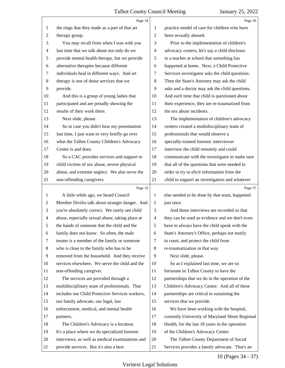|                | Page 34                                         |                | Page 36                                         |
|----------------|-------------------------------------------------|----------------|-------------------------------------------------|
| 1              | the rings that they made as a part of that art  | 1              | practice model of care for children who have    |
| 2              | therapy group.                                  | $\overline{2}$ | been sexually abused.                           |
| 3              | You may recall from when I was with you         | 3              | Prior to the implementation of children's       |
| 4              | last time that we talk about not only do we     | $\overline{4}$ | advocacy centers, let's say a child discloses   |
| 5              | provide mental health therapy, but we provide   | 5              | to a teacher at school that something has       |
| 6              | alternative therapies because different         | 6              | happened at home. Next, a Child Protective      |
| 7              | individuals heal in different ways. And art     | 7              | Services investigator asks the child questions. |
| 8              | therapy is one of those services that we        | 8              | Then the State's Attorney may ask the child     |
| 9              | provide.                                        | 9              | asks and a doctor may ask the child questions.  |
| 10             | And this is a group of young ladies that        | 10             | And each time that child is questioned about    |
| 11             | participated and are proudly showing the        | 11             | their experience, they are re-traumatized from  |
| 12             | results of their work there.                    | 12             | the sex abuse incidents.                        |
| 13             | Next slide, please.                             | 13             | The implementation of children's advocacy       |
| 14             | So in case you didn't hear my presentation      | 14             | centers created a multidisciplinary team of     |
| 15             | last time, I just want to very briefly go over  | 15             | professionals that would observe a              |
| 16             | what the Talbot County Children's Advocacy      | 16             | specially-trained forensic interviewer          |
| 17             | Center is and does.                             | 17             | interview the child remotely and could          |
| 18             | So a CAC provides services and support to       | 18             | communicate with the investigator to make sure  |
| 19             | child victims of sex abuse, severe physical     | 19             | that all of the questions that were needed in   |
| 20             | abuse, and extreme neglect. We also serve the   | 20             | order to try to elicit information from the     |
| 21             | non-offending caregivers.                       | 21             | child to support an investigation and whatever  |
|                |                                                 |                |                                                 |
|                | Page 35                                         |                | Page 37                                         |
| 1              | A little while ago, we heard Council            | 1              | else needed to be done by that team, happened   |
| $\overline{c}$ | Member Divilio talk about stranger danger. And  | $\mathbf{2}$   | just once.                                      |
| 3              | you're absolutely correct. We rarely see child  | 3              | And those interviews are recorded so that       |
| 4              | abuse, especially sexual abuse, taking place at | 4              | they can be used as evidence and we don't even  |
| 5              | the hands of someone that the child and the     | 5              | have to always have the child speak with the    |
| 6              | family does not know. So often, the male        | 6              | State's Attorney's Office, perhaps not testify  |
| 7              | treater is a member of the family or someone    | 7              | in court, and protect the child from            |
| 8              | who is close to the family who has to be        | 8              | re-traumatization in that way.                  |
| 9              | removed from the household. And they receive    | 9              | Next slide, please.                             |
| 10             | services elsewhere. We serve the child and the  | 10             | So as I explained last time, we are so          |
| 11             | non-offending caregiver.                        | 11             | fortunate in Talbot County to have the          |
| 12             | The services are provided through a             | 12             | partnerships that we do in the operation of the |
| 13             | multidisciplinary team of professionals. That   | 13             | Children's Advocacy Center. And all of these    |
| 14             | includes our Child Protective Services workers, | 14             | partnerships are critical in sustaining the     |
| 15             | our family advocate, our legal, law             | 15             | services that we provide.                       |
| 16             | enforcement, medical, and mental health         | 16             | We have been working with the hospital,         |
| 17             | partners.                                       | 17             | currently University of Maryland Shore Regional |
| 18             | The Children's Advocacy is a location.          | 18             | Health, for the last 18 years in the operation  |
| 19             | It's a place where we do specialized forensic   | 19             | of the Children's Advocacy Center.              |
| 20             | interviews, as well as medical examinations and | 20             | The Talbot County Department of Social          |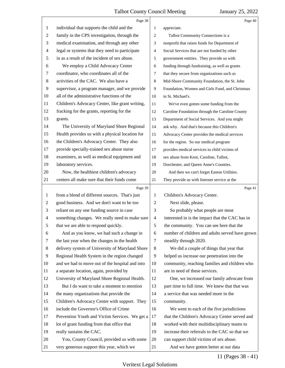|              | Page 38                                         |                | Page 40                                         |
|--------------|-------------------------------------------------|----------------|-------------------------------------------------|
| 1            | individual that supports the child and the      | $\mathbf{1}$   | appreciate.                                     |
| 2            | family in the CPS investigation, through the    | 2              | Talbot Community Connections is a               |
| 3            | medical examination, and through any other      | 3              | nonprofit that raises funds for Department of   |
| 4            | legal or systems that they need to participate  | $\overline{4}$ | Social Services that are not funded by other    |
| 5            | in as a result of the incident of sex abuse.    | 5              | government entities. They provide us with       |
| 6            | We employ a Child Advocacy Center               | 6              | funding through fundraising, as well as grants  |
| 7            | coordinator, who coordinates all of the         | 7              | that they secure from organizations such as     |
| 8            | activities of the CAC. We also have a           | 8              | Mid-Shore Community Foundation, the St. John    |
| 9            | supervisor, a program manager, and we provide   | 9              | Foundation, Women and Girls Fund, and Christmas |
| 10           | all of the administrative functions of the      | 10             | in St. Michael's.                               |
| 11           | Children's Advocacy Center, like grant writing, | 11             | We've even gotten some funding from the         |
| 12           | fracking for the grants, reporting for the      | 12             | Caroline Foundation through the Caroline County |
| 13           | grants.                                         | 13             | Department of Social Services. And you might    |
| 14           | The University of Maryland Shore Regional       | 14             | ask why. And that's because this Children's     |
| 15           | Health provides us with a physical location for | 15             | Advocacy Center provides the medical services   |
| 16           | the Children's Advocacy Center. They also       | 16             | for the region. So our medical program          |
| 17           | provide specially-trained sex abuse nurse       | 17             | provides medical services to child victims of   |
| 18           | examiners, as well as medical equipment and     | 18             | sex abuse from Kent, Caroline, Talbot,          |
| 19           | laboratory services.                            | 19             | Dorchester, and Queen Anne's Counties.          |
| 20           | Now, the healthiest children's advocacy         | $20\,$         | And then we can't forget Easton Utilities.      |
| 21           | centers all make sure that their funds come     | 21             | They provide us with Internet service at the    |
|              | Page 39                                         |                | Page 41                                         |
| $\mathbf{1}$ | from a blend of different sources. That's just  | 1              | Children's Advocacy Center.                     |
| 2            | good business. And we don't want to be too      | 2              | Next slide, please.                             |
| 3            | reliant on any one funding source in case       | 3              | So probably what people are most                |
| 4            | something changes. We really need to make sure  | $\overline{4}$ | interested in is the impact that the CAC has in |
| 5            | that we are able to respond quickly.            | 5              | the community. You can see here that the        |
| 6            | And as you know, we had such a change in        | 6              | number of children and adults served have grown |
| 7            | the last year when the changes in the health    | 7              | steadily through 2020.                          |
| 8            | delivery system of University of Maryland Shore | 8              | We did a couple of things that year that        |
| 9            | Regional Health System in the region changed    | 9              | helped us increase our penetration into the     |
| 10           | and we had to move out of the hospital and into | 10             | community, reaching families and children who   |
| 11           | a separate location, again, provided by         | 11             | are in need of these services.                  |
| 12           | University of Maryland Shore Regional Health.   | 12             | One, we increased our family advocate from      |
| 13           | But I do want to take a moment to mention       | 13             | part time to full time. We knew that that was   |
| 14           | the many organizations that provide the         | 14             | a service that was needed more in the           |
| 15           | Children's Advocacy Center with support. They   | 15             | community.                                      |
| 16           | include the Governor's Office of Crime          | 16             | We went to each of the five jurisdictions       |
| 17           | Prevention Youth and Victim Services. We get a  | 17             | that the Children's Advocacy Center served and  |
| 18           | lot of grant funding from that office that      | 18             | worked with their multidisciplinary teams to    |
| 19           | really sustains the CAC.                        | 19             | increase their referrals to the CAC so that we  |
| 20           | You, County Council, provided us with some      | 20             | can support child victims of sex abuse.         |
| 21           | very generous support this year, which we       | 21             | And we have gotten better at our data           |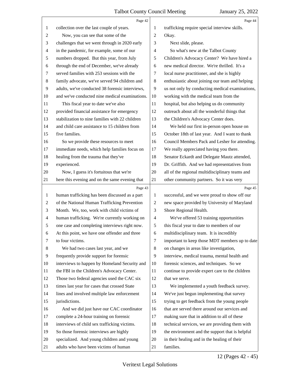|                | Page 42                                         |                | Page 44                                         |
|----------------|-------------------------------------------------|----------------|-------------------------------------------------|
| 1              | collection over the last couple of years.       | 1              | trafficking require special interview skills.   |
| $\overline{c}$ | Now, you can see that some of the               | $\overline{2}$ | Okay.                                           |
| 3              | challenges that we went through in 2020 early   | 3              | Next slide, please.                             |
| 4              | in the pandemic, for example, some of our       | 4              | So what's new at the Talbot County              |
| 5              | numbers dropped. But this year, from July       | 5              | Children's Advocacy Center? We have hired a     |
| 6              | through the end of December, we've already      | 6              | new medical director. We're thrilled. It's a    |
| 7              | served families with 253 sessions with the      | 7              | local nurse practitioner, and she is highly     |
| $8\,$          | family advocate, we've served 94 children and   | 8              | enthusiastic about joining our team and helping |
| 9              | adults, we've conducted 38 forensic interviews, | 9              | us not only by conducting medical examinations, |
| 10             | and we've conducted nine medical examinations.  | 10             | working with the medical team from the          |
| 11             | This fiscal year to date we've also             | 11             | hospital, but also helping us do community      |
| 12             | provided financial assistance for emergency     | 12             | outreach about all the wonderful things that    |
| 13             | stabilization to nine families with 22 children | 13             | the Children's Advocacy Center does.            |
| 14             | and child care assistance to 15 children from   | 14             | We held our first in-person open house on       |
| 15             | five families.                                  | 15             | October 18th of last year. And I want to thank  |
| 16             | So we provide these resources to meet           | 16             | Council Members Pack and Lesher for attending.  |
| 17             | immediate needs, which help families focus on   | 17             | We really appreciated having you there.         |
| 18             | healing from the trauma that they've            | 18             | Senator Eckardt and Delegate Mautz attended,    |
| 19             | experienced.                                    | 19             | Dr. Griffith. And we had representatives from   |
| 20             | Now, I guess it's fortuitous that we're         | 20             | all of the regional multidisciplinary teams and |
| 21             | here this evening and on the same evening that  | 21             | other community partners. So it was very        |
|                | Page 43                                         |                | Page 45                                         |
| $\mathbf{1}$   | human trafficking has been discussed as a part  | 1              | successful, and we were proud to show off our   |
| $\overline{c}$ | of the National Human Trafficking Prevention    | $\overline{2}$ | new space provided by University of Maryland    |
| 3              | Month. We, too, work with child victims of      | 3              | Shore Regional Health.                          |
| $\overline{4}$ | human trafficking. We're currently working on   | $\overline{4}$ |                                                 |
| 5              |                                                 |                | We've offered 53 training opportunities         |
|                | one case and completing interviews right now.   | 5              | this fiscal year to date to members of our      |
| 6              | At this point, we have one offender and three   | 6              | multidisciplinary team. It is incredibly        |
| 7              | to four victims.                                | 7              | important to keep those MDT members up to date  |
| 8              | We had two cases last year, and we              | 8              | on changes in areas like investigation,         |
| 9              | frequently provide support for forensic         | 9              | interview, medical trauma, mental health and    |
| 10             | interviews to happen by Homeland Security and   | 10             | forensic sciences, and techniques. So we        |
| 11             | the FBI in the Children's Advocacy Center.      | 11             | continue to provide expert care to the children |
| 12             | Those two federal agencies used the CAC six     | 12             | that we serve.                                  |
| 13             | times last year for cases that crossed State    | 13             | We implemented a youth feedback survey.         |
| 14             | lines and involved multiple law enforcement     | 14             | We've just begun implementing that survey       |
| 15             | jurisdictions.                                  | 15             | trying to get feedback from the young people    |
| 16             | And we did just have our CAC coordinator        | 16             | that are served there around our services and   |
| 17             | complete a 24-hour training on forensic         | 17             | making sure that in addition to all of these    |
| 18             | interviews of child sex trafficking victims.    | 18             | technical services, we are providing them with  |
| 19             | So those forensic interviews are highly         | 19             | the environment and the support that is helpful |
| 20             | specialized. And young children and young       | 20             | in their healing and in the healing of their    |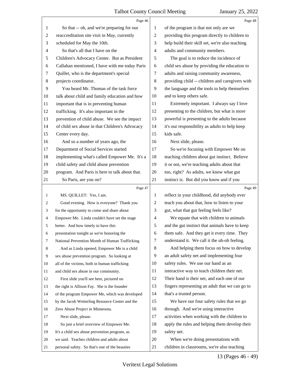|    | Page 46                                         |    | Page 48                                         |
|----|-------------------------------------------------|----|-------------------------------------------------|
| 1  | So that -- oh, and we're preparing for our      | 1  | of the program is that not only are we          |
| 2  | reaccreditation site visit in May, currently    | 2  | providing this program directly to children to  |
| 3  | scheduled for May the 10th.                     | 3  | help build their skill set, we're also teaching |
| 4  | So that's all that I have on the                | 4  | adults and community members.                   |
| 5  | Children's Advocacy Center. But as President    | 5  | The goal is to reduce the incidence of          |
| 6  | Callahan mentioned, I have with me today Paris  | 6  | child sex abuse by providing the education to   |
| 7  | Quillet, who is the department's special        | 7  | adults and raising community awareness,         |
| 8  | projects coordinator.                           | 8  | providing child -- children and caregivers with |
| 9  | You heard Mr. Thomas of the task force          | 9  | the language and the tools to help themselves   |
| 10 | talk about child and family education and how   | 10 | and to keep others safe.                        |
| 11 | important that is in preventing human           | 11 | Extremely important. I always say I love        |
| 12 | trafficking. It's also important in the         | 12 | presenting to the children, but what is more    |
| 13 | prevention of child abuse. We see the impact    | 13 | powerful is presenting to the adults because    |
| 14 | of child sex abuse in that Children's Advocacy  | 14 | it's our responsibility as adults to help keep  |
| 15 | Center every day.                               | 15 | kids safe.                                      |
| 16 | And so a number of years ago, the               | 16 | Next slide, please.                             |
| 17 | Department of Social Services started           | 17 | So we're focusing with Empower Me on            |
| 18 | implementing what's called Empower Me. It's a   | 18 | teaching children about gut instinct. Believe   |
| 19 | child safety and child abuse prevention         | 19 | it or not, we're teaching adults about that     |
| 20 | program. And Paris is here to talk about that.  | 20 | too, right? As adults, we know what gut         |
| 21 | So Paris, are you on?                           | 21 | instinct is. But did you know and if you        |
|    |                                                 |    |                                                 |
|    | Page 47                                         |    | Page 49                                         |
| 1  | MS. QUILLET: Yes, I am.                         | 1  | reflect in your childhood, did anybody ever     |
| 2  | Good evening. How is everyone? Thank you        | 2  | teach you about that, how to listen to your     |
| 3  | for the opportunity to come and share about     | 3  | gut, what that gut feeling feels like?          |
| 4  | Empower Me. Linda couldn't have set the stage   | 4  | We equate that with children to animals         |
| 5  | better. And how timely to have this             | 5  | and the gut instinct that animals have to keep  |
| 6  | presentation tonight as we're honoring the      | 6  | them safe. And they get it every time. They     |
| 7  | National Prevention Month of Human Trafficking. | 7  | understand it. We call it the uh-oh feeling.    |
| 8  | And as Linda opened, Empower Me is a child      | 8  | And helping them focus on how to develop        |
| 9  | sex abuse prevention program. So looking at     | 9  | an adult safety net and implementing four       |
| 10 | all of the victims, both in human trafficking   | 10 | safety rules. We use our hand as an             |
| 11 | and child sex abuse in our community.           | 11 | interactive way to teach children their net.    |
| 12 | First slide you'll see here, pictured on        | 12 | Their hand is their net, and each one of our    |
| 13 | the right is Allison Fay. She is the founder    | 13 | fingers representing an adult that we can go to |
| 14 | of the program Empower Me, which was developed  | 14 | that's a trusted person.                        |
| 15 | by the Jacob Wetterling Resource Center and the | 15 | We have our four safety rules that we go        |
| 16 | Zero Abuse Project in Minnesota.                | 16 | through. And we're using interactive            |
| 17 | Next slide, please.                             | 17 | activities when working with the children to    |
| 18 | So just a brief overview of Empower Me.         | 18 | apply the rules and helping them develop their  |
| 19 | It's a child sex abuse prevention program, as   | 19 | safety net.                                     |
| 20 | we said. Teaches children and adults about      | 20 | When we're doing presentations with             |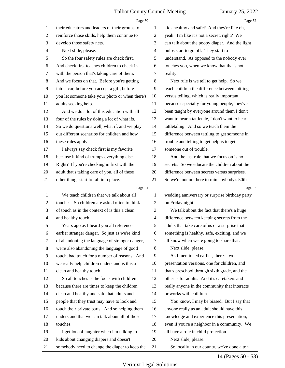|                | Page 50                                         |                | Page 52                                         |
|----------------|-------------------------------------------------|----------------|-------------------------------------------------|
| 1              | their educators and leaders of their groups to  | 1              | kids healthy and safe? And they're like oh,     |
| $\overline{c}$ | reinforce those skills, help them continue to   | $\overline{2}$ | yeah. I'm like it's not a secret, right? We     |
| 3              | develop those safety nets.                      | 3              | can talk about the poopy diaper. And the light  |
| 4              | Next slide, please.                             | 4              | bulbs start to go off. They start to            |
| 5              | So the four safety rules are check first.       | 5              | understand. As opposed to the nobody ever       |
| 6              | And check first teaches children to check in    | 6              | touches you, when we know that that's not       |
| 7              | with the person that's taking care of them.     | 7              | reality.                                        |
| 8              | And we focus on that. Before you're getting     | 8              | Next rule is we tell to get help. So we         |
| $\overline{9}$ | into a car, before you accept a gift, before    | 9              | teach children the difference between tattling  |
| 10             | you let someone take your photo or when there's | 10             | versus telling, which is really important       |
| 11             | adults seeking help.                            | 11             | because especially for young people, they've    |
| 12             | And we do a lot of this education with all      | 12             | been taught by everyone around them I don't     |
| 13             | four of the rules by doing a lot of what ifs.   | 13             | want to hear a tattletale, I don't want to hear |
| 14             | So we do questions well, what if, and we play   | 14             | tattletaling. And so we teach them the          |
| 15             | out different scenarios for children and how    | 15             | difference between tattling to get someone in   |
| 16             | these rules apply.                              | 16             | trouble and telling to get help is to get       |
| 17             | I always say check first is my favorite         | 17             | someone out of trouble.                         |
| 18             | because it kind of trumps everything else.      | 18             | And the last rule that we focus on is no        |
| 19             | Right? If you're checking in first with the     | 19             | secrets. So we educate the children about the   |
| 20             | adult that's taking care of you, all of these   | 20             | difference between secrets versus surprises.    |
| 21             | other things start to fall into place.          | 21             | So we're not out here to ruin anybody's 50th    |
|                | Page 51                                         |                | Page 53                                         |
|                |                                                 |                |                                                 |
| 1              | We teach children that we talk about all        | 1              | wedding anniversary or surprise birthday party  |
| 2              | touches. So children are asked often to think   | 2              | on Friday night.                                |
| 3              | of touch as in the context of is this a clean   | 3              | We talk about the fact that there's a huge      |
| $\overline{4}$ | and healthy touch.                              | 4              | difference between keeping secrets from the     |
| 5              | Years ago as I heard you all reference          | 5              | adults that take care of us or a surprise that  |
| 6              | earlier stranger danger. So just as we're kind  | 6              | something is healthy, safe, exciting, and we    |
| 7              | of abandoning the language of stranger danger,  | 7              | all know when we're going to share that.        |
| 8              | we're also abandoning the language of good      | 8              | Next slide, please.                             |
| 9              | touch, bad touch for a number of reasons. And   | 9              | As I mentioned earlier, there's two             |
| 10             | we really help children understand is this a    | 10             | presentation versions, one for children, and    |
| 11             | clean and healthy touch.                        | 11             | that's preschool through sixth grade, and the   |
| 12             | So all touches is the focus with children       | 12             | other is for adults. And it's caretakers and    |
| 13             | because there are times to keep the children    | 13             | really anyone in the community that interacts   |
| 14             | clean and healthy and safe that adults and      | 14             | or works with children.                         |
| 15             | people that they trust may have to look and     | 15             | You know, I may be biased. But I say that       |
| 16             | touch their private parts. And so helping them  | 16             | anyone really as an adult should have this      |
| 17             | understand that we can talk about all of those  | 17             | knowledge and experience this presentation,     |
| 18             | touches.                                        | 18             | even if you're a neighbor in a community. We    |
| 19             | I get lots of laughter when I'm talking to      | 19             | all have a role in child protection.            |
| 20             | kids about changing diapers and doesn't         | 20             | Next slide, please.                             |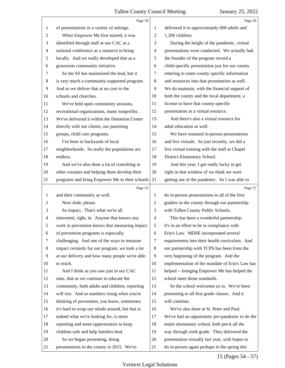|                | Page 54                                         |                | Page 56                                         |
|----------------|-------------------------------------------------|----------------|-------------------------------------------------|
| 1              | of presentations in a variety of settings.      | 1              | delivered it to approximately 600 adults and    |
| $\overline{c}$ | When Empower Me first started, it was           | 2              | 1,200 children.                                 |
| 3              | identified through staff at our CAC at a        | 3              | During the height of the pandemic, virtual      |
| 4              | national conference as a resource to bring      | 4              | presentations were conducted. We actually had   |
| 5              | locally. And we really developed that as a      | 5              | the founder of the program record a             |
| 6              | grassroots community initiative.                | 6              | child-specific presentation just for our county |
| 7              | So the SS has maintained the lead, but it       | 7              | entering in some county specific information    |
| 8              | is very much a community-supported program.     | 8              | and resources into that presentation as well.   |
| 9              | And so we deliver that at no cost to the        | 9              | We do maintain, with the financial support of   |
| 10             | schools and churches.                           | 10             | both the county and the local department, a     |
| 11             | We've held open community sessions,             | 11             | license to have that county-specific            |
| 12             | recreational organizations, many nonprofits.    | 12             | presentation as a virtual resource.             |
| 13             | We've delivered it within the Detention Center  | 13             | And there's also a virtual resource for         |
| 14             | directly with our clients, our parenting        | 14             | adult education as well.                        |
| 15             | groups, child care programs.                    | 15             | We have resumed in-person presentations         |
| 16             | I've been in backyards of local                 | 16             | and live virtuals. So just recently, we did a   |
| 17             | neighborhoods. So really the populations are    | 17             | live virtual training with the staff at Chapel  |
| 18             | endless.                                        | 18             | District Elementary School.                     |
| 19             | And we've also done a lot of consulting in      | 19             | And this year, I got really lucky to get        |
| 20             | other counties and helping them develop their   | 20             | right in that window of we think we were        |
| 21             | programs and bring Empower Me to their schools  | 21             | getting out of the pandemic. So I was able to   |
|                |                                                 |                |                                                 |
|                | Page 55                                         |                | Page 57                                         |
| 1              | and their community as well.                    | 1              | do in-person presentations to all of the first  |
| $\overline{c}$ | Next slide, please.                             | 2              | graders in the county through our partnership   |
| 3              | So impact. That's what we're all                | 3              | with Talbot County Public Schools.              |
| 4              | interested, right, in. Anyone that knows any    | $\overline{4}$ | This has been a wonderful partnership.          |
| 5              | work in prevention knows that measuring impact  | 5              | It's in an effort to be in compliance with      |
| 6              | of prevention programs is especially            | 6              | Erin's Law. MDSE incorporated several           |
| 7              | challenging. And one of the ways to measure     | 7              | requirements into their health curriculum. And  |
| 8              | impact certainly for our program, we look a lot | 8              | our partnership with TCPS has been from the     |
| 9              | at our delivery and how many people we're able  | 9              | very beginning of the program. And the          |
| 10             | to reach.                                       | 10             | implementation of the mandate of Erin's Law has |
| 11             | And I think as you saw just in our CAC          | 11             | helped -- bringing Empower Me has helped the    |
| 12             | stats, that as we continue to educate the       | 12             | school meet those standards.                    |
| 13             | community, both adults and children, reporting  | 13             | So the school welcomes us in. We've been        |
| 14             | will rise. And so numbers rising when you're    | 14             | presenting to all first grade classes. And it   |
| 15             | thinking of prevention, you know, sometimes     | 15             | will continue.                                  |
| 16             | it's hard to wrap our minds around, but that is | 16             | We've also done at St. Peter and Paul.          |
| 17             | indeed what we're looking for, is more          | 17             | We've had an opportunity pre-pandemic to do the |
| 18             | reporting and more opportunities to keep        | 18             | entire elementary school, both pre-k all the    |
| 19             | children safe and help families heal.           | 19             | way through sixth grade. They delivered the     |
| 20             | So we began presenting, doing                   | 20             | presentation virtually last year, with hopes to |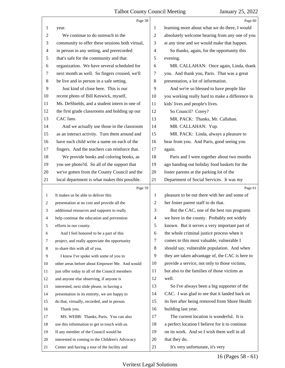|                | Page 58                                         |                | Page 60                                         |
|----------------|-------------------------------------------------|----------------|-------------------------------------------------|
| 1              | year.                                           | 1              | learning more about what we do there, I would   |
| $\sqrt{2}$     | We continue to do outreach in the               | $\overline{2}$ | absolutely welcome hearing from any one of you  |
| 3              | community to offer these sessions both virtual, | 3              | at any time and we would make that happen.      |
| $\overline{4}$ | in person in any setting, and prerecorded       | $\overline{4}$ | So thanks, again, for the opportunity this      |
| $\mathfrak s$  | that's safe for the community and that          | 5              | evening.                                        |
| 6              | organization. We have several scheduled for     | 6              | MR. CALLAHAN: Once again, Linda, thank          |
| $\tau$         | next month as well. So fingers crossed, we'll   | 7              | you. And thank you, Paris. That was a great     |
| $8\phantom{1}$ | be live and in person in a safe setting.        | 8              | presentation, a lot of information.             |
| 9              | Just kind of close here. This is our            | 9              | And we're so blessed to have people like        |
| 10             | recent photo of Bill Keswick, myself,           | 10             | you working really hard to make a difference in |
| 11             | Ms. DeShields, and a student intern in one of   | 11             | kids' lives and people's lives.                 |
| 12             | the first grade classrooms and holding up our   | 12             | So Council? Corey?                              |
| 13             | CAC fans.                                       | 13             | MR. PACK: Thanks, Mr. Callahan.                 |
| 14             | And we actually use those in the classroom      | 14             | MR. CALLAHAN: Yup.                              |
| 15             | as an interact activity. Turn them around and   | 15             | MR. PACK: Linda, always a pleasure to           |
| 16             | have each child write a name on each of the     | 16             | hear from you. And Paris, good seeing you       |
| 17             | fingers. And the teachers can reinforce that.   | 17             | again.                                          |
| 18             | We provide books and coloring books, as         | 18             | Paris and I were together about two months      |
| 19             | you see photo?d. So all of the support that     | 19             | ago handing out holiday food baskets for the    |
| 20             | we've gotten from the County Council and the    | 20             | foster parents at the parking lot of the        |
| 21             | local department is what makes this possible.   | 21             | Department of Social Services. It was my        |
|                |                                                 |                |                                                 |
|                | Page 59                                         |                | Page 61                                         |
| $\mathbf{1}$   | It makes us be able to deliver this             | 1              | pleasure to be out there with her and some of   |
| 2              | presentation at no cost and provide all the     | $\overline{2}$ | her foster parent staff to do that.             |
| 3              | additional resources and supports to really     | 3              | But the CAC, one of the best run programs       |
| 4              | help continue the education and prevention      | $\overline{4}$ | we have in the county. Probably not widely      |
| 5              | efforts in our county.                          | 5              | known. But it serves a very important part of   |
| 6              | And I feel honored to be a part of this         | 6              | the whole criminal justice process when it      |
| $\tau$         | project, and really appreciate the opportunity  | 7              | comes to this most valuable, vulnerable I       |
| 8              | to share this with all of you.                  | 8              | should say, vulnerable population. And when     |
| 9              | I know I've spoke with some of you in           | 9              | they are taken advantage of, the CAC is here to |
| 10             | other areas before about Empower Me. And would  | 10             | provide a service, not only to those victims,   |
| 11             | just offer today to all of the Council members  | 11             | but also to the families of those victims as    |
| 12             | and anyone else observing, if anyone is         | 12             | well.                                           |
| 13             | interested, next slide please, in having a      | 13             | So I've always been a big supporter of the      |
| 14             | presentation in its entirety, we are happy to   | 14             | CAC. I was glad to see that it landed back on   |
| 15             | do that, virtually, recorded, and in person.    | 15             | its feet after being removed from Shore Health  |
| 16             | Thank you.                                      | 16             | building last year.                             |
| 17             | MS. WEBB: Thanks, Paris. You can also           | 17             | The current location is wonderful. It is        |
| 18             | use this information to get in touch with us.   | 18             | a perfect location I believe for it to continue |
| 19             | If any member of the Council would be           | 19             | on its work. And so I wish them well in all     |
| 20             | interested in coming to the Children's Advocacy | 20             | that they do.                                   |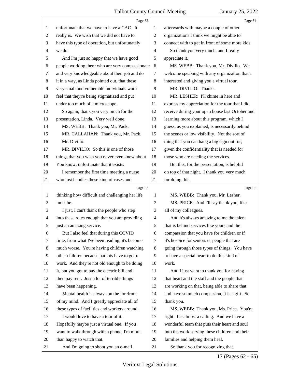|                | Page 62                                         |                | Page 64                                         |
|----------------|-------------------------------------------------|----------------|-------------------------------------------------|
| 1              | unfortunate that we have to have a CAC. It      | 1              | afterwards with maybe a couple of other         |
| $\overline{c}$ | really is. We wish that we did not have to      | $\overline{c}$ | organizations I think we might be able to       |
| 3              | have this type of operation, but unfortunately  | 3              | connect with to get in front of some more kids. |
| 4              | we do.                                          | $\overline{4}$ | So thank you very much, and I really            |
| 5              | And I'm just so happy that we have good         | 5              | appreciate it.                                  |
| 6              | people working there who are very compassionate | 6              | MS. WEBB: Thank you, Mr. Divilio. We            |
| 7              | and very knowledgeable about their job and do   | 7              | welcome speaking with any organization that's   |
| $\,8$          | it in a way, as Linda pointed out, that these   | 8              | interested and giving you a virtual tour.       |
| 9              | very small and vulnerable individuals won't     | 9              | MR. DIVILIO: Thanks.                            |
| 10             | feel that they're being stigmatized and put     | 10             | MR. LESHER: I'll chime in here and              |
| 11             | under too much of a microscope.                 | 11             | express my appreciation for the tour that I did |
| 12             | So again, thank you very much for the           | 12             | receive during your open house last October and |
| 13             | presentation, Linda. Very well done.            | 13             | learning more about this program, which I       |
| 14             | MS. WEBB: Thank you, Mr. Pack.                  | 14             | guess, as you explained, is necessarily behind  |
| 15             | MR. CALLAHAN: Thank you, Mr. Pack.              | 15             | the scenes or low visibility. Not the sort of   |
| 16             | Mr. Divilio.                                    | 16             | thing that you can hang a big sign out for,     |
| 17             | MR. DIVILIO: So this is one of those            | 17             | given the confidentiality that is needed for    |
| 18             | things that you wish you never even knew about. | 18             | those who are needing the services.             |
| 19             | You know, unfortunate that it exists.           | 19             | But this, for the presentation, is helpful      |
| 20             | I remember the first time meeting a nurse       | 20             | on top of that night. I thank you very much     |
| 21             | who just handles these kind of cases and        | 21             | for doing this.                                 |
|                |                                                 |                |                                                 |
|                | Page 63                                         |                | Page 65                                         |
| 1              | thinking how difficult and challenging her life | 1              | MS. WEBB: Thank you, Mr. Lesher.                |
| $\overline{2}$ | must be.                                        | 2              | MS. PRICE: And I'll say thank you, like         |
| 3              | I just, I can't thank the people who step       | 3              | all of my colleagues.                           |
| 4              | into these roles enough that you are providing  | $\overline{4}$ | And it's always amazing to me the talent        |
| 5              | just an amazing service.                        | 5              | that is behind services like yours and the      |
| 6              | But I also feel that during this COVID          | 6              | compassion that you have for children or if     |
| 7              | time, from what I've been reading, it's become  | 7              | it's hospice for seniors or people that are     |
| 8              | much worse. You're having children watching     | 8              | going through those types of things. You have   |
| 9              | other children because parents have to go to    | 9              | to have a special heart to do this kind of      |
| 10             | work. And they're not old enough to be doing    | 10             | work.                                           |
| 11             | it, but you got to pay the electric bill and    | 11             | And I just want to thank you for having         |
| 12             | then pay rent. Just a lot of terrible things    | 12             | that heart and the staff and the people that    |
| 13             | have been happening.                            | 13             | are working on that, being able to share that   |
| 14             | Mental health is always on the forefront        | 14             | and have so much compassion, it is a gift. So   |
| 15             | of my mind. And I greatly appreciate all of     | 15             | thank you.                                      |
| 16             | these types of facilities and workers around.   | 16             | MS. WEBB: Thank you, Ms. Price. You're          |
| 17             | I would love to have a tour of it.              | 17             | right. It's almost a calling. And we have a     |
| 18             | Hopefully maybe just a virtual one. If you      | 18             | wonderful team that puts their heart and soul   |
| 19             | want to walk through with a phone, I'm more     | 19             | into the work serving these children and their  |
| 20             | than happy to watch that.                       | 20             | families and helping them heal.                 |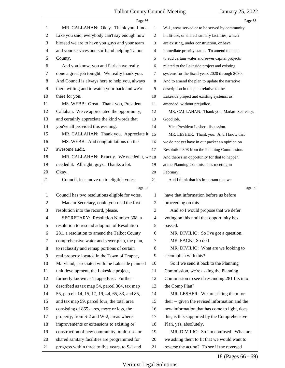|                | Page 66                                         |                          | Page 68                                         |
|----------------|-------------------------------------------------|--------------------------|-------------------------------------------------|
| 1              | MR. CALLAHAN: Okay. Thank you, Linda.           | $\mathbf{1}$             | W-1, areas served or to be served by community  |
| 2              | Like you said, everybody can't say enough how   | 2                        | multi-use, or shared sanitary facilities, which |
| 3              | blessed we are to have you guys and your team   | 3                        | are existing, under construction, or have       |
| 4              | and your services and stuff and helping Talbot  | 4                        | immediate priority status. To amend the plan    |
| 5              | County.                                         | 5                        | to add certain water and sewer capital projects |
| 6              | And you know, you and Paris have really         | 6                        | related to the Lakeside project and existing    |
| 7              | done a great job tonight. We really thank you.  | $\tau$                   | systems for the fiscal years 2020 through 2030. |
| 8              | And Council is always here to help you, always  | 8                        | And to amend the plan to update the narrative   |
| 9              | there willing and to watch your back and we're  | 9                        | description in the plan relative to the         |
| 10             | there for you.                                  | 10                       | Lakeside project and existing systems, as       |
| 11             | MS. WEBB: Great. Thank you, President           | 11                       | amended, without prejudice.                     |
| 12             | Callahan. We've appreciated the opportunity,    | 12                       | MR. CALLAHAN: Thank you, Madam Secretary.       |
| 13             | and certainly appreciate the kind words that    | 13                       | Good job.                                       |
| 14             | you've all provided this evening.               | 14                       | Vice President Lesher, discussion.              |
| 15             | MR. CALLAHAN: Thank you. Appreciate it.         | 15                       | MR. LESHER: Thank you. And I know that          |
| 16             | MS. WEBB: And congratulations on the            | 16                       | we do not yet have in our packet an opinion on  |
| 17             | awesome audit.                                  | 17                       | Resolution 308 from the Planning Commission.    |
| 18             | MR. CALLAHAN: Exactly. We needed it, $w\phi$ 18 |                          | And there's an opportunity for that to happen   |
| 19             | needed it. All right, guys. Thanks a lot.       | 19                       | at the Planning Commission's meeting in         |
| 20             | Okay.                                           | 20                       | February.                                       |
| 21             | Council, let's move on to eligible votes.       | 21                       | And I think that it's important that we         |
|                | Page 67                                         |                          | Page 69                                         |
| 1              | Council has two resolutions eligible for votes. | 1                        | have that information before us before          |
|                |                                                 |                          |                                                 |
| $\overline{2}$ | Madam Secretary, could you read the first       | $\overline{2}$           | proceeding on this.                             |
| 3              | resolution into the record, please.             | 3                        | And so I would propose that we defer            |
| 4              | SECRETARY: Resolution Number 308, a             | $\overline{\mathcal{A}}$ | voting on this until that opportunity has       |
|                | resolution to rescind adoption of Resolution    | 5                        | passed.                                         |
| 6              | 281, a resolution to amend the Talbot County    | 6                        | MR. DIVILIO: So I've got a question.            |
| 7              | comprehensive water and sewer plan, the plan,   | 7                        | MR. PACK: So do I.                              |
| 8              | to reclassify and remap portions of certain     | 8                        | MR. DIVILIO: What are we looking to             |
| 9              | real property located in the Town of Trappe,    | 9                        | accomplish with this?                           |
| 10             | Maryland, associated with the Lakeside planned  | 10                       | So if we send it back to the Planning           |
| 11             | unit development, the Lakeside project,         | 11                       | Commission, we're asking the Planning           |
| 12             | formerly known as Trappe East. Further          | 12                       | Commission to see if rescinding 281 fits into   |
| 13             | described as tax map 54, parcel 304, tax map    | 13                       | the Comp Plan?                                  |
| 14             | 55, parcels 14, 15, 17, 19, 44, 65, 83, and 85, | 14                       | MR. LESHER: We are asking them for              |
| 15             | and tax map 59, parcel four, the total area     | 15                       | their -- given the revised information and the  |
| 16             | consisting of 865 acres, more or less, the      | 16                       | new information that has come to light, does    |
| 17             | property, from S-2 and W-2, areas where         | 17                       | this, is this supported by the Comprehensive    |
| 18             | improvements or extensions to existing or       | 18                       | Plan, yes, absolutely.                          |
| 19             | construction of new community, multi-use, or    | 19                       | MR. DIVILIO: So I'm confused. What are          |
| 20             | shared sanitary facilities are programmed for   | 20                       | we asking them to fit that we would want to     |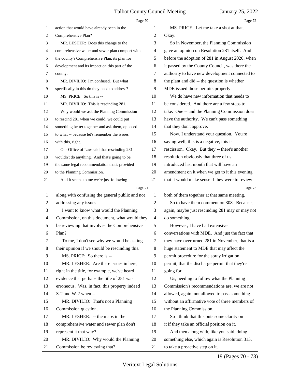|                | Page 70                                         |                | Page 72                                         |
|----------------|-------------------------------------------------|----------------|-------------------------------------------------|
| $\mathbf{1}$   | action that would have already been in the      | 1              | MS. PRICE: Let me take a shot at that.          |
| 2              | Comprehensive Plan?                             | 2              | Okay.                                           |
| 3              | MR. LESHER: Does this change to the             | 3              | So in November, the Planning Commission         |
| 4              | comprehensive water and sewer plan comport with | 4              | gave an opinion on Resolution 281 itself. And   |
| 5              | the county's Comprehensive Plan, its plan for   | 5              | before the adoption of 281 in August 2020, when |
| 6              | development and its impact on this part of the  | 6              | it passed by the County Council, was there the  |
| 7              | county.                                         | 7              | authority to have new development connected to  |
| 8              | MR. DIVILIO: I'm confused. But what             | 8              | the plant and did -- the question is whether    |
| 9              | specifically in this do they need to address?   | 9              | MDE issued those permits properly.              |
| 10             | MS. PRICE: So this is --                        | 10             | We do have new information that needs to        |
| 11             | MR. DIVILIO: This is rescinding 281.            | 11             | be considered. And there are a few steps to     |
| 12             | Why would we ask the Planning Commission        | 12             | take. One -- and the Planning Commission does   |
| 13             | to rescind 281 when we could, we could put      | 13             | have the authority. We can't pass something     |
| 14             | something better together and ask them, opposed | 14             | that they don't approve.                        |
| 15             | to what -- because let's remember the issues    | 15             | Now, I understand your question. You're         |
| 16             | with this, right.                               | 16             | saying well, this is a negative, this is        |
| 17             | Our Office of Law said that rescinding 281      | 17             | rescission. Okay. But they -- there's another   |
| 18             | wouldn't do anything. And that's going to be    | 18             | resolution obviously that three of us           |
| 19             | the same legal recommendation that's provided   | 19             | introduced last month that will have an         |
| 20             | to the Planning Commission.                     | 20             | amendment on it when we get to it this evening  |
| 21             | And it seems to me we're just following         | 21             | that it would make sense if they were to review |
|                |                                                 |                |                                                 |
|                | Page 71                                         |                | Page 73                                         |
| 1              | along with confusing the general public and not | 1              | both of them together at that same meeting.     |
| $\overline{c}$ | addressing any issues.                          | 2              | So to have them comment on 308. Because,        |
| 3              | I want to know what would the Planning          | 3              | again, maybe just rescinding 281 may or may not |
| 4              | Commission, on this document, what would they   | $\overline{4}$ | do something.                                   |
| 5              | be reviewing that involves the Comprehensive    | 5              | However, I have had extensive                   |
| 6              | Plan?                                           | 6              | conversations with MDE. And just the fact that  |
| 7              | To me, I don't see why we would be asking       | 7              | they have overturned 281 in November, that is a |
| 8              | their opinion if we should be rescinding this.  | 8              | huge statement to MDE that may affect the       |
| 9              | MS. PRICE: So there is --                       | 9              | permit procedure for the spray irrigation       |
| 10             | MR. LESHER: Are there issues in here,           | 10             | permit, that the discharge permit that they're  |
| 11             | right in the title, for example, we've heard    | 11             | going for.                                      |
| 12             | evidence that perhaps the title of 281 was      | 12             | Us, needing to follow what the Planning         |
| 13             | erroneous. Was, in fact, this property indeed   | 13             | Commission's recommendations are, we are not    |
| 14             | S-2 and W-2 when --                             | 14             | allowed, again, not allowed to pass something   |
| 15             | MR. DIVILIO: That's not a Planning              | 15             | without an affirmative vote of three members of |
| 16             | Commission question.                            | 16             | the Planning Commission.                        |
| 17             | MR. LESHER: -- the maps in the                  | 17             | So I think that this puts some clarity on       |
| 18             | comprehensive water and sewer plan don't        | 18             | it if they take an official position on it.     |
| 19             | represent it that way?                          | 19             | And then along with, like you said, doing       |
| 20             | MR. DIVILIO: Why would the Planning             | 20             | something else, which again is Resolution 313,  |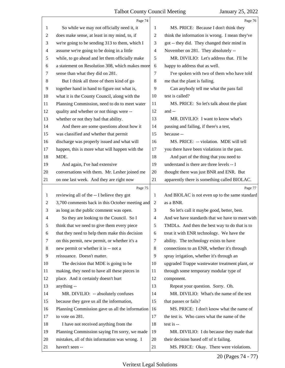|                | Page 74                                         |                | Page 76                                         |
|----------------|-------------------------------------------------|----------------|-------------------------------------------------|
| 1              | So while we may not officially need it, it      | 1              | MS. PRICE: Because I don't think they           |
| 2              | does make sense, at least in my mind, to, if    | $\overline{c}$ | think the information is wrong. I mean they've  |
| 3              | we're going to be sending 313 to them, which I  | 3              | got -- they did. They changed their mind in     |
| 4              | assume we're going to be doing in a little      | $\overline{4}$ | November on 281. They absolutely --             |
| 5              | while, to go ahead and let them officially make | 5              | MR. DIVILIO: Let's address that. I'll be        |
| 6              | a statement on Resolution 308, which makes more | 6              | happy to address that as well.                  |
| 7              | sense than what they did on 281.                | 7              | I've spoken with two of them who have told      |
| 8              | But I think all three of them kind of go        | 8              | me that the plant is failing.                   |
| 9              | together hand in hand to figure out what is,    | 9              | Can anybody tell me what the pass fail          |
| 10             | what it is the County Council, along with the   | 10             | test is called?                                 |
| 11             | Planning Commission, need to do to meet water   | 11             | MS. PRICE: So let's talk about the plant        |
| 12             | quality and whether or not things were --       | 12             | and $-$                                         |
| 13             | whether or not they had that ability.           | 13             | MR. DIVILIO: I want to know what's              |
| 14             | And there are some questions about how it       | 14             | passing and failing, if there's a test,         |
| 15             | was classified and whether that permit          | 15             | because --                                      |
| 16             | discharge was properly issued and what will     | 16             | MS. PRICE: -- violation. MDE will tell          |
| 17             | happen, this is more what will happen with the  | 17             | you there have been violations in the past.     |
| 18             | MDE.                                            | 18             | And part of the thing that you need to          |
| 19             | And again, I've had extensive                   | 19             | understand is there are three levels -- I       |
| 20             | conversations with them. Mr. Lesher joined me   | 20             | thought there was just BNR and ENR. But         |
| 21             | on one last week. And they are right now        | 21             | apparently there is something called BIOLAC.    |
|                |                                                 |                |                                                 |
|                | Page 75                                         |                | Page 77                                         |
| 1              | reviewing all of the -- I believe they got      | 1              | And BIOLAC is not even up to the same standard  |
| 2              | 3,700 comments back in this October meeting and | $\overline{2}$ | as a BNR.                                       |
| 3              | as long as the public comment was open.         | 3              | So let's call it maybe good, better, best.      |
| 4              | So they are looking to the Council. So I        | 4              | And we have standards that we have to meet with |
| 5              | think that we need to give them every piece     | 5              | TMDLs. And then the best way to do that is to   |
| 6              | that they need to help them make this decision  | 6              | treat it with ENR technology. We have the       |
| 7              | on this permit, new permit, or whether it's a   | 7              | ability. The technology exists to have          |
| 8              | new permit or whether it is -- not a            | 8              | connections to an ENR, whether it's through     |
| $\overline{9}$ | reissuance. Doesn't matter.                     | 9              | spray irrigation, whether it's through an       |
| 10             | The decision that MDE is going to be            | 10             | upgraded Trappe wastewater treatment plant, or  |
| 11             | making, they need to have all these pieces in   | 11             | through some temporary modular type of          |
| 12             | place. And it certainly doesn't hurt            | 12             | component.                                      |
| 13             | anything --                                     | 13             | Repeat your question. Sorry. Oh.                |
| 14             | MR. DIVILIO: -- absolutely confuses             | 14             | MR. DIVILIO: What's the name of the test        |
| 15             | because they gave us all the information,       | 15             | that passes or fails?                           |
| 16             | Planning Commission gave us all the information | 16             | MS. PRICE: I don't know what the name of        |
| 17             | to vote on 281.                                 | 17             | the test is. Who cares what the name of the     |
| 18             | I have not received anything from the           | 18             | test is --                                      |
| 19             | Planning Commission saying I'm sorry, we made   | 19             | MR. DIVILIO: I do because they made that        |
| 20             | mistakes, all of this information was wrong. I  | 20             | their decision based off of it failing.         |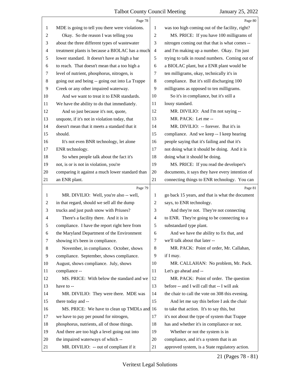|                | Page 78                                         |                | Page 80                                         |
|----------------|-------------------------------------------------|----------------|-------------------------------------------------|
| 1              | MDE is going to tell you there were violations. | 1              | was too high coming out of the facility, right? |
| $\overline{c}$ | Okay. So the reason I was telling you           | $\mathfrak{2}$ | MS. PRICE: If you have 100 milligrams of        |
| 3              | about the three different types of wastewater   | 3              | nitrogen coming out that that is what comes --  |
| $\overline{4}$ | treatment plants is because a BIOLAC has a much | $\overline{4}$ | and I'm making up a number. Okay. I'm just      |
| 5              | lower standard. It doesn't have as high a bar   | 5              | trying to talk in round numbers. Coming out of  |
| 6              | to reach. That doesn't mean that a too high a   | 6              | a BIOLAC plant, but a ENR plant would be        |
| 7              | level of nutrient, phosphorus, nitrogen, is     | 7              | ten milligrams, okay, technically it's in       |
| 8              | going out and being -- going out into La Trappe | $\,8\,$        | compliance. But it's still discharging 100      |
| 9              | Creek or any other impaired waterway.           | 9              | milligrams as opposed to ten milligrams.        |
| 10             | And we want to treat it to ENR standards.       | 10             | So it's in compliance, but it's still a         |
| 11             | We have the ability to do that immediately.     | 11             | lousy standard.                                 |
| 12             | And so just because it's not, quote,            | 12             | MR. DIVILIO: And I'm not saying --              |
| 13             | unquote, if it's not in violation today, that   | 13             | MR. PACK: Let me --                             |
| 14             | doesn't mean that it meets a standard that it   | 14             | MR. DIVILIO: -- forever. But it's in            |
| 15             | should.                                         | 15             | compliance. And we keep -- I keep hearing       |
| 16             | It's not even BNR technology, let alone         | 16             | people saying that it's failing and that it's   |
| 17             | ENR technology.                                 | 17             | not doing what it should be doing. And it is    |
| 18             | So when people talk about the fact it's         | 18             | doing what it should be doing.                  |
| 19             | not, is or is not in violation, you're          | 19             | MS. PRICE: If you read the developer's          |
| 20             | comparing it against a much lower standard than | 20             | documents, it says they have every intention of |
| 21             | an ENR plant.                                   | 21             | connecting things to ENR technology. You can    |
|                | Page 79                                         |                | Page 81                                         |
| 1              | MR. DIVILIO: Well, you're also -- well,         | 1              | go back 15 years, and that is what the document |
| 2              | in that regard, should we sell all the dump     | 2              | says, to ENR technology.                        |
| 3              | trucks and just push snow with Priuses?         | 3              | And they're not. They're not connecting         |
| 4              | There's a facility there. And it is in          | 4              | to ENR. They're going to be connecting to a     |
|                | compliance. I have the report right here from   | 5              | substandard type plant.                         |
| 6              | the Maryland Department of the Environment      | 6              | And we have the ability to fix that, and        |
| 7              | showing it's been in compliance.                | 7              | we'll talk about that later --                  |
| 8              | November, in compliance. October, shows         | 8              | MR. PACK: Point of order, Mr. Callahan,         |
| 9              | compliance. September, shows compliance.        | 9              | if I may.                                       |
| 10             | August, shows compliance. July, shows           | 10             | MR. CALLAHAN: No problem, Mr. Pack.             |
| 11             | compliance --                                   | 11             | Let's go ahead and --                           |
| 12             | MS. PRICE: With below the standard and we       | 12             | MR. PACK: Point of order. The question          |
| 13             | have to --                                      | 13             | before -- and I will call that -- I will ask    |
| 14             | MR. DIVILIO: They were there. MDE was           | 14             | the chair to call the vote on 308 this evening. |
| 15             | there today and --                              | 15             | And let me say this before I ask the chair      |
|                | MS. PRICE: We have to clean up TMDLs and 16     |                | to take that action. It's to say this, but      |
| 16             |                                                 |                |                                                 |
| 17             | we have to pay per pound for nitrogen,          | 17             | it's not about the type of system that Trappe   |
| 18             | phosphorus, nutrients, all of those things.     | 18             | has and whether it's in compliance or not.      |
| 19             | And there are too high a level going out into   | 19             | Whether or not the system is in                 |
| 20             | the impaired waterways of which --              | 20             | compliance, and it's a system that is an        |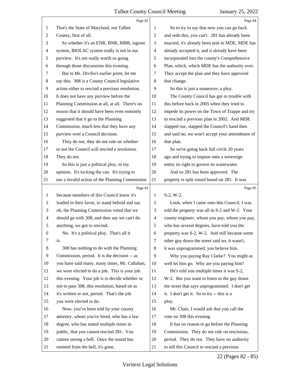|                          | Page 82                                         |                | Page 84                                         |
|--------------------------|-------------------------------------------------|----------------|-------------------------------------------------|
| 1                        | That's the State of Maryland, not Talbot        | 1              | So to try to say that now you can go back       |
| $\overline{c}$           | County, first of all.                           | $\overline{c}$ | and redo this, you can't. 281 has already been  |
| 3                        | So whether it's an ENR, BNR, MBR, lagoon        | 3              | enacted, it's already been sent to MDE, MDE has |
| 4                        | system, BIOLAC system really is not in our      | $\overline{4}$ | already accepted it, and it already have been   |
| 5                        | purview. It's not really worth us going         | 5              | incorporated into the county's Comprehensive    |
| 6                        | through those discussions this evening.         | 6              | Plan, which, which MDE has the authority over.  |
| 7                        | But to Mr. Divilio's earlier point, let me      | 7              | They accept the plan and they have approved     |
| 8                        | say this. 308 is a County Council legislative   | $\,8\,$        | that change.                                    |
| 9                        | action either to rescind a previous resolution. | 9              | So this is just a maneuver, a ploy.             |
| 10                       | It does not have any purview before the         | 10             | The County Council has got in trouble with      |
| 11                       | Planning Commission at all, at all. There's no  | 11             | this before back in 2005 when they tried to     |
| 12                       | reason that it should have been even remotely   | 12             | impede its power on the Town of Trappe and try  |
| 13                       | suggested that it go to the Planning            | 13             | to rescind a previous plan in 2002. And MDE     |
| 14                       | Commission, much less that they have any        | 14             | slapped our, slapped the Council's hand then    |
| 15                       | purview over a Council decision.                | 15             | and said no, we won't accept your amendment of  |
| 16                       | They do not, they do not rule on whether        | 16             | that plan.                                      |
| 17                       | or not the Council will rescind a resolution.   | 17             | So we're going back full circle 20 years        |
| 18                       | They do not.                                    | 18             | ago and trying to impose onto a sovereign       |
| 19                       | So this is just a political ploy, in my         | 19             | entity its right to govern its wastewater.      |
| 20                       | opinion. It's kicking the can. It's trying to   | 20             | And so 281 has been approved. The               |
| 21                       | use a invalid action of the Planning Commission | 21             | property is split zoned based on 281. It was    |
|                          | Page 83                                         |                | Page 85                                         |
| $\mathbf{1}$             | because members of this Council know it's       | 1              | S-2, W-2.                                       |
| $\overline{c}$           | loaded in their favor, to stand behind and say  | 2              | Look, when I came onto this Council, I was      |
|                          |                                                 |                |                                                 |
| 3                        | oh, the Planning Commission voted that we       | 3              | told the property was all in S-2 and W-2. Your  |
| $\overline{\mathcal{A}}$ | should go with 308, and then say we can't do    | $\overline{4}$ | county engineer, whom you pay, whom you pay,    |
| 5                        | anything, we got to rescind.                    | 5              | who has several degrees, have told you the      |
| 6                        | No. It's a political ploy. That's all it        | 6              | property was S-2, W-2. And still because some   |
| 7                        | is.                                             | 7              | other guy down the street said no, it wasn't,   |
| 8                        | 308 has nothing to do with the Planning         | 8              | it was unprogrammed, you believe him.           |
| 9                        | Commission, period. It is the decision -- as    | 9              | Why you paying Ray Clarke? You might as         |
| 10                       | you have said many, many times, Mr. Callahan,   | 10             | well let him go. Why are you paying him?        |
| 11                       | we were elected to do a job. This is your job   | 11             | He's told you multiple times it was S-2,        |
| 12                       | this evening. Your job is to decide whether or  | 12             | W-2. But you want to listen to the guy down     |
| 13                       | not to pass 308, this resolution, based on as   | 13             | the street that says unprogrammed. I don't get  |
| 14                       | it's written or not, period. That's the job     | 14             | it. I don't get it. So to try -- this is a      |
| 15                       | you were elected to do.                         | 15             | ploy.                                           |
| 16                       | Now, you've been told by your county            | 16             | Mr. Chair, I would ask that you call the        |
| 17                       | attorney, whom you've hired, who has a law      | 17             | vote on 308 this evening.                       |
| 18                       | degree, who has stated multiple times in        | 18             | It has no reason to go before the Planning      |
| 19                       | public, that you cannot rescind 281. You        | 19             | Commission. They do not rule on rescission,     |
| 20                       | cannot unring a bell. Once the sound has        | 20             | period. They do not. They have no authority     |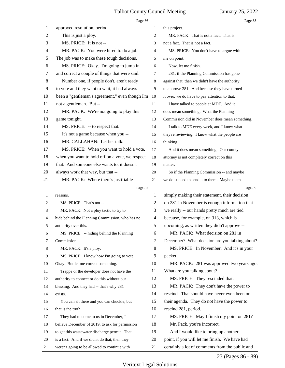|    | Page 86                                         |                | Page 88                                         |
|----|-------------------------------------------------|----------------|-------------------------------------------------|
| 1  | approved resolution, period.                    | 1              | this project.                                   |
| 2  | This is just a ploy.                            | 2              | MR. PACK: That is not a fact. That is           |
| 3  | MS. PRICE: It is not --                         | 3              | not a fact. That is not a fact.                 |
| 4  | MR. PACK: You were hired to do a job.           | $\overline{4}$ | MS. PRICE: You don't have to argue with         |
| 5  | The job was to make these tough decisions.      | 5              | me on point.                                    |
| 6  | MS. PRICE: Okay. I'm going to jump in           | 6              | Now, let me finish.                             |
| 7  | and correct a couple of things that were said.  | 7              | 281, if the Planning Commission has gone        |
| 8  | Number one, if people don't, aren't ready       | 8              | against that, then we didn't have the authority |
| 9  | to vote and they want to wait, it had always    | 9              | to approve 281. And because they have turned    |
| 10 | been a "gentleman's agreement," even though I'm | 10             | it over, we do have to pay attention to that.   |
| 11 | not a gentleman. But --                         | 11             | I have talked to people at MDE. And it          |
| 12 | MR. PACK: We're not going to play this          | 12             | does mean something. What the Planning          |
| 13 | game tonight.                                   | 13             | Commission did in November does mean something. |
| 14 | MS. PRICE: -- to respect that.                  | 14             | I talk to MDE every week, and I know what       |
| 15 | It's not a game because when you --             | 15             | they're reviewing. I know what the people are   |
| 16 | MR. CALLAHAN: Let her talk.                     | 16             | thinking.                                       |
| 17 | MS. PRICE: When you want to hold a vote,        | 17             | And it does mean something. Our county          |
| 18 | when you want to hold off on a vote, we respect | 18             | attorney is not completely correct on this      |
| 19 | that. And someone else wants to, it doesn't     | 19             | matter.                                         |
| 20 | always work that way, but that --               | 20             | So if the Planning Commission -- and maybe      |
| 21 | MR. PACK: Where there's justifiable             | 21             | we don't need to send it to them. Maybe them    |
|    |                                                 |                |                                                 |
|    | Page 87                                         |                | Page 89                                         |
| 1  | reasons.                                        | 1              | simply making their statement, their decision   |
| 2  | MS. PRICE: That's not --                        | 2              | on 281 in November is enough information that   |
| 3  | MR. PACK: Not a ploy tactic to try to           | 3              | we really -- our hands pretty much are tied     |
| 4  | hide behind the Planning Commission, who has no | $\overline{4}$ | because, for example, on 313, which is          |
| 5  | authority over this.                            | 5              | upcoming, as written they didn't approve --     |
| 6  | MS. PRICE: -- hiding behind the Planning        | 6              | MR. PACK: What decision on 281 in               |
| 7  | Commission.                                     | 7              | December? What decision are you talking about?  |
| 8  | MR. PACK: It's a ploy.                          | 8              | MS. PRICE: In November. And it's in your        |
| 9  | MS. PRICE: I know how I'm going to vote.        | 9              | packet.                                         |
| 10 | Okay. But let me correct something.             | 10             | MR. PACK: 281 was approved two years ago.       |
| 11 | Trappe or the developer does not have the       | 11             | What are you talking about?                     |
| 12 | authority to connect or do this without our     | 12             | MS. PRICE: They rescinded that.                 |
| 13 | blessing. And they had -- that's why 281        | 13             | MR. PACK: They don't have the power to          |
| 14 | exists.                                         | 14             | rescind. That should have never even been on    |
| 15 | You can sit there and you can chuckle, but      | 15             | their agenda. They do not have the power to     |
| 16 | that is the truth.                              | 16             | rescind 281, period.                            |
| 17 | They had to come to us in December, I           | 17             | MS. PRICE: May I finish my point on 281?        |
| 18 | believe December of 2019, to ask for permission | 18             | Mr. Pack, you're incorrect.                     |
| 19 | to get this wastewater discharge permit. That   | 19             | And I would like to bring up another            |
| 20 | is a fact. And if we didn't do that, then they  | 20             | point, if you will let me finish. We have had   |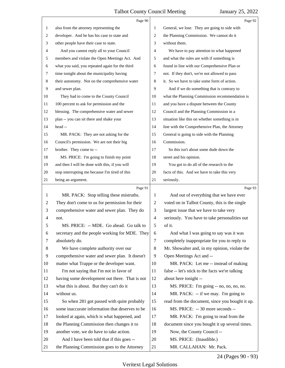|    | Page 90                                         |                | Page 92                                         |
|----|-------------------------------------------------|----------------|-------------------------------------------------|
| 1  | also from the attorney representing the         | 1              | General, we lose. They are going to side with   |
| 2  | developer. And he has his case to state and     | 2              | the Planning Commission. We cannot do it        |
| 3  | other people have their case to state.          | 3              | without them.                                   |
| 4  | And you cannot reply all to your Council        | 4              | We have to pay attention to what happened       |
| 5  | members and violate the Open Meetings Act. And  | 5              | and what the rules are with if something is     |
| 6  | what you said, you repeated again for the third | 6              | found in line with our Comprehensive Plan or    |
| 7  | time tonight about the municipality having      | 7              | not. If they don't, we're not allowed to pass   |
| 8  | their autonomy. Not on the comprehensive water  | 8              | it. So we have to take some form of action.     |
| 9  | and sewer plan.                                 | 9              | And if we do something that is contrary to      |
| 10 | They had to come to the County Council          | 10             | what the Planning Commission recommendation is  |
| 11 | 100 percent to ask for permission and the       | 11             | and you have a dispute between the County       |
| 12 | blessing. The comprehensive water and sewer     | 12             | Council and the Planning Commission in a        |
| 13 | plan -- you can sit there and shake your        | 13             | situation like this on whether something is in  |
| 14 | head --                                         | 14             | line with the Comprehensive Plan, the Attorney  |
| 15 | MR. PACK: They are not asking for the           | 15             | General is going to side with the Planning      |
| 16 | Council's permission. We are not their big      | 16             | Commission.                                     |
| 17 | brother. They come to --                        | 17             | So this isn't about some dude down the          |
| 18 | MS. PRICE: I'm going to finish my point         | 18             | street and his opinion.                         |
| 19 | and then I will be done with this, if you will  | 19             | You got to do all of the research to the        |
| 20 | stop interrupting me because I'm tired of this  | 20             | facts of this. And we have to take this very    |
| 21 | being an argument.                              | 21             | seriously.                                      |
|    |                                                 |                |                                                 |
|    | Page 91                                         |                | Page 93                                         |
| 1  | MR. PACK: Stop telling these mistruths.         | 1              | And out of everything that we have ever         |
| 2  | They don't come to us for permission for their  | $\overline{c}$ | voted on in Talbot County, this is the single   |
| 3  | comprehensive water and sewer plan. They do     | 3              | largest issue that we have to take very         |
| 4  | not.                                            | $\overline{4}$ | seriously. You have to take personalities out   |
| C  | MS. PRICE: -- MDE. Go ahead. Go talk to         | 5              | of it.                                          |
| 6  | secretary and the people working for MDE. They  | 6              | And what I was going to say was it was          |
| 7  | absolutely do.                                  | 7              | completely inappropriate for you to reply to    |
| 8  | We have complete authority over our             | 8              | Mr. Showalter and, in my opinion, violate the   |
| 9  | comprehensive water and sewer plan. It doesn't  | 9              | Open Meetings Act and --                        |
| 10 | matter what Trappe or the developer want.       | 10             | MR. PACK: Let me -- instead of making           |
| 11 | I'm not saying that I'm not in favor of         | 11             | false -- let's stick to the facts we're talking |
| 12 | having some development out there. That is not  | 12             | about here tonight --                           |
| 13 | what this is about. But they can't do it        | 13             | MS. PRICE: I'm going -- no, no, no, no.         |
| 14 | without us.                                     | 14             | MR. PACK: -- if we may. I'm going to            |
| 15 | So when 281 got passed with quite probably      | 15             | read from the document, since you bought it up. |
| 16 | some inaccurate information that deserves to be | 16             | MS. PRICE: -- 30 more seconds --                |
| 17 | looked at again, which is what happened, and    | 17             | MR. PACK: I'm going to read from the            |
| 18 | the Planning Commission then changes it to      | 18             | document since you bought it up several times.  |
| 19 | another vote, we do have to take action.        | 19             | Now, the County Council --                      |
| 20 | And I have been told that if this goes --       | 20             | MS. PRICE: (Inaudible.)                         |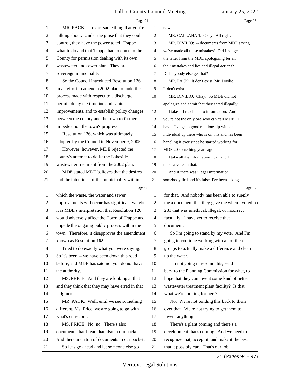|                | Page 94                                         |                | Page 96                                         |
|----------------|-------------------------------------------------|----------------|-------------------------------------------------|
| 1              | MR. PACK: -- exact same thing that you're       | 1              | now.                                            |
| 2              | talking about. Under the guise that they could  | $\overline{2}$ | MR. CALLAHAN: Okay. All right.                  |
| 3              | control, they have the power to tell Trappe     | 3              | MR. DIVILIO: -- documents from MDE saying       |
| 4              | what to do and that Trappe had to come to the   | $\overline{4}$ | we've made all these mistakes? Did I not get    |
| 5              | County for permission dealing with its own      | 5              | the letter from the MDE apologizing for all     |
| 6              | wastewater and sewer plan. They are a           | 6              | their mistakes and lies and illegal actions?    |
| 7              | sovereign municipality.                         | 7              | Did anybody else get that?                      |
| 8              | So the Council introduced Resolution 126        | 8              | MR. PACK: It don't exist, Mr. Divilio.          |
| 9              | in an effort to amend a 2002 plan to undo the   | 9              | It don't exist.                                 |
| 10             | process made with respect to a discharge        | 10             | MR. DIVILIO: Okay. So MDE did not               |
| 11             | permit, delay the timeline and capital          | 11             | apologize and admit that they acted illegally.  |
| 12             | improvements, and to establish policy changes   | 12             | I take -- I reach out to information. And       |
| 13             | between the county and the town to further      | 13             | you're not the only one who can call MDE. I     |
| 14             | impede upon the town's progress.                | 14             | have. I've got a good relationship with an      |
| 15             | Resolution 126, which was ultimately            | 15             | individual up there who is on this and has been |
| 16             | adopted by the Council in November 9, 2005.     | 16             | handling it ever since he started working for   |
| 17             | However, however, MDE rejected the              | 17             | MDE 20 something years ago.                     |
| 18             | county's attempt to delist the Lakeside         | 18             | I take all the information I can and I          |
| 19             | wastewater treatment from the 2002 plan.        | 19             | make a vote on that.                            |
| 20             | MDE stated MDE believes that the desires        | 20             | And if there was illegal information,           |
| 21             | and the intentions of the municipality within   | 21             | somebody lied and it's false, I've been asking  |
|                | Page 95                                         |                | Page 97                                         |
| 1              | which the waste, the water and sewer            | 1              | for that. And nobody has been able to supply    |
| $\overline{c}$ | improvements will occur has significant weight. | $\overline{c}$ | me a document that they gave me when I voted on |
| 3              | It is MDE's interpretation that Resolution 126  | 3              | 281 that was unethical, illegal, or incorrect   |
| $\overline{4}$ | would adversely affect the Town of Trappe and   | $\overline{4}$ | factually. I have yet to receive that           |
| 5              | impede the ongoing public process within the    | 5              | document.                                       |
| 6              | town. Therefore, it disapproves the amendment   | 6              | So I'm going to stand by my vote. And I'm       |
| 7              | known as Resolution 162.                        | $\tau$         | going to continue working with all of these     |
| 8              | Tried to do exactly what you were saying.       | 8              | groups to actually make a difference and clean  |
| 9              | So it's been -- we have been down this road     | 9              | up the water.                                   |
| 10             | before, and MDE has said no, you do not have    | 10             | I'm not going to rescind this, send it          |
| 11             | the authority.                                  | 11             | back to the Planning Commission for what, to    |
| 12             | MS. PRICE: And they are looking at that         | 12             | hope that they can invent some kind of better   |
| 13             | and they think that they may have erred in that | 13             | wastewater treatment plant facility? Is that    |
| 14             | judgment --                                     | 14             | what we're looking for here?                    |
| 15             | MR. PACK: Well, until we see something          | 15             | No. We're not sending this back to them         |
| 16             | different, Ms. Price, we are going to go with   | 16             | over that. We're not trying to get them to      |
| 17             | what's on record.                               | 17             | invent anything.                                |
| 18             | MS. PRICE: No, no. There's also                 | 18             | There's a plant coming and there's a            |
| 19             | documents that I read that also in our packet.  | 19             | development that's coming. And we need to       |
| 20             | And there are a ton of documents in our packet. | 20             | recognize that, accept it, and make it the best |
| 21             | So let's go ahead and let someone else go       | 21             | that it possibly can. That's our job.           |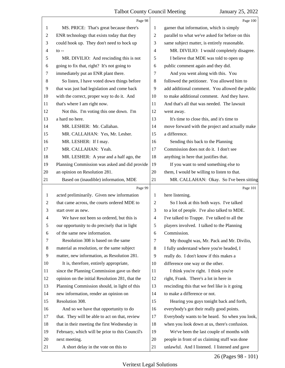|                | Page 98                                         |                | Page 100                                        |
|----------------|-------------------------------------------------|----------------|-------------------------------------------------|
| 1              | MS. PRICE: That's great because there's         | 1              | garner that information, which is simply        |
| $\overline{c}$ | ENR technology that exists today that they      | $\overline{c}$ | parallel to what we've asked for before on this |
| 3              | could hook up. They don't need to hock up       | 3              | same subject matter, is entirely reasonable.    |
| 4              | $\mathfrak{g}$ --                               | $\overline{4}$ | MR. DIVILIO: I would completely disagree.       |
| 5              | MR. DIVILIO: And rescinding this is not         | 5              | I believe that MDE was told to open up          |
| 6              | going to fix that, right? It's not going to     | 6              | public comment again and they did.              |
| 7              | immediately put an ENR plant there.             | 7              | And you went along with this. You               |
| 8              | So listen, I have voted down things before      | 8              | followed the petitioner. You allowed him to     |
| 9              | that was just bad legislation and come back     | 9              | add additional comment. You allowed the public  |
| 10             | with the correct, proper way to do it. And      | 10             | to make additional comment. And they have.      |
| 11             | that's where I am right now.                    | 11             | And that's all that was needed. The lawsuit     |
| 12             | Not this. I'm voting this one down. I'm         | 12             | went away.                                      |
| 13             | a hard no here.                                 | 13             | It's time to close this, and it's time to       |
| 14             | MR. LESHER: Mr. Callahan.                       | 14             | move forward with the project and actually make |
| 15             | MR. CALLAHAN: Yes, Mr. Lesher.                  | 15             | a difference.                                   |
| 16             | MR. LESHER: If I may.                           | 16             | Sending this back to the Planning               |
| 17             | MR. CALLAHAN: Yeah.                             | 17             | Commission does not do it. I don't see          |
| 18             | MR. LESHER: A year and a half ago, the          | 18             | anything in here that justifies that.           |
| 19             | Planning Commission was asked and did provide   | 19             | If you want to send something else to           |
| 20             | an opinion on Resolution 281.                   | 20             | them, I would be willing to listen to that.     |
| 21             | Based on (inaudible) information, MDE           | 21             | MR. CALLAHAN: Okay. So I've been sitting        |
|                | Page 99                                         |                | Page 101                                        |
|                |                                                 |                |                                                 |
| 1              | acted preliminarily. Given new information      | 1              | here listening.                                 |
| $\overline{2}$ | that came across, the courts ordered MDE to     | 2              | So I look at this both ways. I've talked        |
| 3              | start over as new.                              | 3              | to a lot of people. I've also talked to MDE.    |
| 4              | We have not been so ordered, but this is        | $\overline{4}$ | I've talked to Trappe. I've talked to all the   |
| 5              | our opportunity to do precisely that in light   | 5              | players involved. I talked to the Planning      |
| 6              | of the same new information.                    | 6              | Commission.                                     |
| 7              | Resolution 308 is based on the same             | 7              | My thought was, Mr. Pack and Mr. Divilio,       |
| 8              | material as resolution, or the same subject     | 8              | I fully understand where you're headed, I       |
| 9              | matter, new information, as Resolution 281.     | 9              | really do. I don't know if this makes a         |
| 10             | It is, therefore, entirely appropriate,         | 10             | difference one way or the other.                |
| 11             | since the Planning Commission gave us their     | 11             | I think you're right. I think you're            |
| 12             | opinion on the initial Resolution 281, that the | 12             | right, Frank. There's a lot in here in          |
| 13             | Planning Commission should, in light of this    | 13             | rescinding this that we feel like is it going   |
| 14             | new information, render an opinion on           | 14             | to make a difference or not.                    |
| 15             | Resolution 308.                                 | 15             | Hearing you guys tonight back and forth,        |
| 16             | And so we have that opportunity to do           | 16             | everybody's got their really good points.       |
| 17             | that. They will be able to act on that, review  | 17             | Everybody wants to be heard. So when you look,  |
| 18             | that in their meeting the first Wednesday in    | 18             | when you look down at us, there's confusion.    |
| 19             | February, which will be prior to this Council's | 19             | We've been the last couple of months with       |
| 20             | next meeting.                                   | 20             | people in front of us claiming stuff was done   |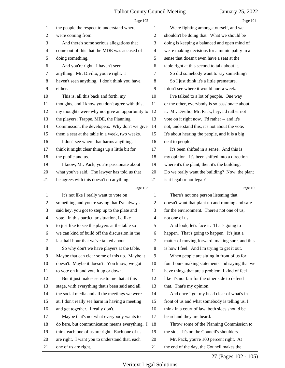|                | Page 102                                        |                          | Page 104                                        |
|----------------|-------------------------------------------------|--------------------------|-------------------------------------------------|
| 1              | the people the respect to understand where      | 1                        | We're fighting amongst ourself, and we          |
| 2              | we're coming from.                              | $\overline{2}$           | shouldn't be doing that. What we should be      |
| 3              | And there's some serious allegations that       | 3                        | doing is keeping a balanced and open mind of    |
| 4              | come out of this that the MDE was accused of    | $\overline{\mathcal{A}}$ | we're making decisions for a municipality in a  |
| 5              | doing something.                                | 5                        | sense that doesn't even have a seat at the      |
| 6              | And you're right. I haven't seen                | 6                        | table right at this second to talk about it.    |
| 7              | anything. Mr. Divilio, you're right. I          | 7                        | So did somebody want to say something?          |
| $\,8\,$        | haven't seen anything. I don't think you have,  | $\,8\,$                  | So I just think it's a little premature.        |
| 9              | either.                                         | 9                        | I don't see where it would hurt a week.         |
| 10             | This is, all this back and forth, my            | 10                       | I've talked to a lot of people. One way         |
| 11             | thoughts, and I know you don't agree with this, | 11                       | or the other, everybody is so passionate about  |
| 12             | my thoughts were why not give an opportunity to | 12                       | it. Mr. Divilio, Mr. Pack, hey, I'd rather not  |
| 13             | the players; Trappe, MDE, the Planning          | 13                       | vote on it right now. I'd rather -- and it's    |
| 14             | Commission, the developers. Why don't we give   | 14                       | not, understand this, it's not about the vote.  |
| 15             | them a seat at the table in a week, two weeks.  | 15                       | It's about hearing the people, and it is a big  |
| 16             | I don't see where that harms anything. I        | 16                       | deal to people.                                 |
| 17             | think it might clear things up a little bit for | 17                       | It's been shifted in a sense. And this is       |
| 18             | the public and us.                              | 18                       | my opinion. It's been shifted into a direction  |
| 19             | I know, Mr. Pack, you're passionate about       | 19                       | where it's the plant, then it's the building.   |
| 20             | what you've said. The lawyer has told us that   | 20                       | Do we really want the building? Now, the plant  |
| 21             | he agrees with this doesn't do anything.        | 21                       | is it legal or not legal?                       |
|                |                                                 |                          |                                                 |
|                | Page 103                                        |                          | Page 105                                        |
| 1              | It's not like I really want to vote on          | 1                        | There's not one person listening that           |
| 2              | something and you're saying that I've always    | 2                        | doesn't want that plant up and running and safe |
| 3              | said hey, you got to step up to the plate and   | 3                        | for the environment. There's not one of us,     |
| $\overline{4}$ | vote. In this particular situation, I'd like    | $\overline{4}$           | not one of us.                                  |
| 5              | to just like to see the players at the table so | 5                        | And look, let's face it. That's going to        |
| 6              | we can kind of build off the discussion in the  | 6                        | happen. That's going to happen. It's just a     |
| 7              | last half hour that we've talked about.         | 7                        | matter of moving forward, making sure, and this |
| 8              | So why don't we have players at the table.      | 8                        | is how I feel. And I'm trying to get it out.    |
| 9              | Maybe that can clear some of this up. Maybe it  | 9                        | When people are sitting in front of us for      |
| 10             | doesn't. Maybe it doesn't. You know, we got     | 10                       | four hours making statements and saying that we |
| 11             | to vote on it and vote it up or down.           | 11                       | have things that are a problem, I kind of feel  |
| 12             | But it just makes sense to me that at this      | 12                       | like it's not fair for the other side to defend |
| 13             | stage, with everything that's been said and all | 13                       | that. That's my opinion.                        |
| 14             | the social media and all the meetings we were   | 14                       | And once I got my head clear of what's in       |
| 15             | at, I don't really see harm in having a meeting | 15                       | front of us and what somebody is telling us, I  |
| 16             | and get together. I really don't.               | 16                       | think in a court of law, both sides should be   |
| 17             | Maybe that's not what everybody wants to        | 17                       | heard and they are heard.                       |
| 18             | do here, but communication means everything. I  | 18                       | Throw some of the Planning Commission to        |
| 19             | think each one of us are right. Each one of us  | 19                       | the side. It's on the Council's shoulders.      |
| 20             | are right. I want you to understand that, each  | 20                       | Mr. Pack, you're 100 percent right. At          |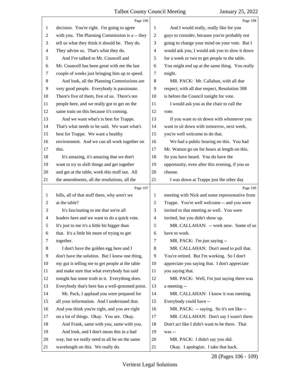|    | Page 106                                        |                          | Page 108                                        |
|----|-------------------------------------------------|--------------------------|-------------------------------------------------|
| 1  | decision. You're right. I'm going to agree      | 1                        | And I would really, really like for you         |
| 2  | with you. The Planning Commission is a -- they  | $\sqrt{2}$               | guys to consider, because you're probably not   |
| 3  | tell us what they think it should be. They do.  | 3                        | going to change your mind on your vote. But I   |
| 4  | They advise us. That's what they do.            | $\overline{\mathcal{A}}$ | would ask you, I would ask you to slow it down  |
| 5  | And I've talked to Mr. Councell and             | 5                        | for a week or two to get people to the table.   |
| 6  | Mr. Councell has been great with me the last    | 6                        | You might end up at the same thing. You really  |
| 7  | couple of weeks just bringing him up to speed.  | 7                        | might.                                          |
| 8  | And look, all the Planning Commissions are      | 8                        | MR. PACK: Mr. Callahan, with all due            |
| 9  | very good people. Everybody is passionate.      | 9                        | respect, with all due respect, Resolution 308   |
| 10 | There's five of them, five of us. There's ten   | 10                       | is before the Council tonight for vote.         |
| 11 | people here, and we really got to get on the    | 11                       | I would ask you as the chair to call the        |
| 12 | same train on this because it's coming.         | 12                       | vote.                                           |
| 13 | And we want what's is best for Trappe.          | 13                       | If you want to sit down with whomever you       |
| 14 | That's what needs to be said. We want what's    | 14                       | want to sit down with tomorrow, next week,      |
| 15 | best for Trappe. We want a healthy              | 15                       | you're well welcome to do that.                 |
| 16 | environment. And we can all work together on    | 16                       | We had a public hearing on this. You had        |
| 17 | this.                                           | 17                       | Mr. Watson go on for hours at length on this.   |
| 18 | It's amazing, it's amazing that we don't        | 18                       | So you have heard. You do have the              |
| 19 | want to try to shift things and get together    | 19                       | opportunity, even after this evening, if you so |
| 20 | and get at the table, work this stuff out. All  | 20                       | choose.                                         |
| 21 | the amendments, all the resolutions, all the    | 21                       | I was down at Trappe just the other day         |
|    |                                                 |                          |                                                 |
|    | Page 107                                        |                          | Page 109                                        |
| 1  | bills, all of that stuff there, why aren't we   | 1                        | meeting with Nick and some representative from  |
| 2  | at the table?                                   | $\overline{c}$           | Trappe. You're well welcome -- and you were     |
| 3  | It's fascinating to me that we're all           | 3                        | invited to that meeting as well. You were       |
| 4  | leaders here and we want to do a quick vote.    | $\overline{\mathcal{A}}$ | invited, but you didn't show up.                |
| 5  | It's just to me it's a little bit bigger than   | 5                        | MR. CALLAHAN: -- work now. Some of us           |
| 6  | that. It's a little bit more of trying to get   | 6                        | have to work.                                   |
| 7  | together.                                       | 7                        | MR. PACK: I'm just saying --                    |
| 8  | I don't have the golden egg here and I          | 8                        | MR. CALLAHAN: Don't need to pull that.          |
| 9  | don't have the solution. But I know one thing,  | 9                        | You're retired. But I'm working. So I don't     |
| 10 | my gut is telling me to get people at the table | 10                       | appreciate you saying that. I don't appreciate  |
| 11 | and make sure that what everybody has said      | 11                       | you saying that.                                |
| 12 | tonight has some truth to it. Everything does.  | 12                       | MR. PACK: Well, I'm just saying there was       |
| 13 | Everybody that's here has a well-groomed point. | 13                       | a meeting --                                    |
| 14 | Mr. Pack, I applaud you were prepared for       | 14                       | MR. CALLAHAN: I know it was meeting.            |
| 15 | all your information. And I understand that.    | 15                       | Everybody could have --                         |
| 16 | And you think you're right, and you are right   | 16                       | MR. PACK: -- saying. So it's not like --        |
| 17 | on a lot of things. Okay. You are. Okay.        | 17                       | MR. CALLAHAN: Don't say I wasn't there.         |
| 18 | And Frank, same with you, same with you.        | 18                       | Don't act like I didn't want to be there. That  |
| 19 | And look, and I don't mean this in a bad        | 19                       | was --                                          |
| 20 | way, but we really need to all be on the same   | 20                       | MR. PACK: I didn't say you did.                 |

28 (Pages 106 - 109)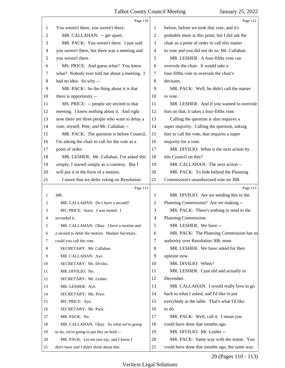|                | Page 110                                       |    | Page 112                                       |
|----------------|------------------------------------------------|----|------------------------------------------------|
| 1              | You weren't there, you weren't there.          | 1  | before, before we took that vote, and it's     |
| $\overline{2}$ | MR. CALLAHAN: -- get upset.                    | 2  | probably mute at this point, but I did ask the |
| 3              | MR. PACK: You weren't there. I just said       | 3  | chair as a point of order to call this matter  |
| 4              | you weren't there, but there was a meeting and | 4  | to vote and you did not do so, Mr. Callahan.   |
| 5              | you weren't there.                             | 5  | MR. LESHER: A four-fifths vote can             |
| 6              | MS. PRICE: And guess what? You know            | 6  | overrule the chair. It would take a            |
| 7              | what? Nobody ever told me about a meeting. I   | 7  | four-fifths vote to overrule the chair's       |
| 8              | had no idea. So why --                         | 8  | decision.                                      |
| 9              | MR. PACK: So the thing about it is that        | 9  | MR. PACK: Well, he didn't call the matter      |
| 10             | there is opportunity --                        | 10 | to vote.                                       |
| 11             | MS. PRICE: -- people are invited to that       | 11 | MR. LESHER: And if you wanted to overrule      |
| 12             | meeting. I knew nothing about it. And right    | 12 | him on that, it takes a four-fifths vote.      |
| 13             | now there are three people who want to delay a | 13 | Calling the question is also requires a        |
| 14             | vote; myself, Pete, and Mr. Callahan --        | 14 | super majority. Calling the question, asking   |
| 15             | MR. PACK: The question is before Council,      | 15 | him to call the vote, that requires a super    |
| 16             | I'm asking the chair to call for the vote as a | 16 | majority for a vote.                           |
| 17             | point of order.                                | 17 | MR. DIVILIO: What is the next action by        |
| 18             | MR. LESHER: Mr. Callahan, I've asked this      | 18 | this Council on this?                          |
| 19             | simply, I started simply as a courtesy. But I  | 19 | MR. CALLAHAN: The next action --               |
| 20             | will put it in the form of a motion.           | 20 | MR. PACK: To hide behind the Planning          |
| 21             | I move that we defer voting on Resolution      | 21 | Commission's unauthorized vote on 308.         |
|                |                                                |    |                                                |
|                | Page 111                                       |    | Page 113                                       |
| 1              | 308.                                           | 1  | MR. DIVILIO: Are we sending this to the        |
| 2              | MR. CALLAHAN: Do I have a second?              | 2  | Planning Commission? Are we making --          |
| 3              | MS. PRICE: Sorry. I was muted. I               | 3  | MR. PACK: There's nothing to send to the       |
| 4              | seconded it.                                   | 4  | Planning Commission.                           |
| 5              | MR. CALLAHAN: Okay. I have a motion and        | 5  | MR. LESHER: We have --                         |
| 6              | a second to defer the motion. Madam Secretary, | 6  | MR. PACK: The Planning Commission has no       |
| 7              | could you call the vote.                       | 7  | authority over Resolution 308, none.           |
| 8              | SECRETARY: Mr. Callahan.                       | 8  | MR. LESHER: We have asked for their            |
| 9              | MR. CALLAHAN: Aye.                             | 9  | opinion now.                                   |
| 10             | SECRETARY: Mr. Divilio.                        | 10 | MR. DIVILIO: When?                             |
| 11             | MR. DIVILIO: No.                               | 11 | MR. LESHER: I just did and actually in         |
| 12             | SECRETARY: Mr. Lesher.                         | 12 | December.                                      |
| 13             | MR. LESHER: Aye.                               | 13 | MR. CALLAHAN: I would really love to go        |
| 14             | SECRETARY: Ms. Price.                          | 14 | back to what I asked, and I'd like to put      |
| 15             | MS. PRICE: Aye.                                | 15 | everybody at the table. That's what I'd like   |
| 16             | SECRETARY: Mr. Pack.                           | 16 | to do.                                         |
| 17             | MR. PACK: No.                                  | 17 | MR. PACK: Well, call it. I mean you            |
| 18             | MR. CALLAHAN: Okay. So what we're going        | 18 | could have done that months ago.               |
| 19             | to do, we're going to put this on hold --      | 19 | MR. DIVILIO: Mr. Lesher --                     |
| 20             | MR. PACK: Let me just say, and I know I        | 20 | MR. PACK: Same way with the statue. You        |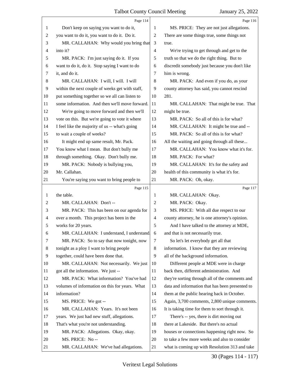|                | Page 114                                        |                          | Page 116                                        |
|----------------|-------------------------------------------------|--------------------------|-------------------------------------------------|
| 1              | Don't keep on saying you want to do it,         | 1                        | MS. PRICE: They are not just allegations.       |
| $\overline{c}$ | you want to do it, you want to do it. Do it.    | $\overline{c}$           | There are some things true, some things not     |
| 3              | MR. CALLAHAN: Why would you bring that          | 3                        | true.                                           |
| $\overline{4}$ | into it?                                        | 4                        | We're trying to get through and get to the      |
| 5              | MR. PACK: I'm just saying do it. If you         | 5                        | truth so that we do the right thing. But to     |
| 6              | want to do it, do it. Stop saying I want to do  | 6                        | discredit somebody just because you don't like  |
| 7              | it, and do it.                                  | 7                        | him is wrong.                                   |
| 8              | MR. CALLAHAN: I will, I will. I will            | 8                        | MR. PACK: And even if you do, as your           |
| 9              | within the next couple of weeks get with staff, | 9                        | county attorney has said, you cannot rescind    |
| 10             | put something together so we all can listen to  | 10                       | 281.                                            |
| 11             | some information. And then we'll move forward.  | 11                       | MR. CALLAHAN: That might be true. That          |
| 12             | We're going to move forward and then we'll      | 12                       | might be true.                                  |
| 13             | vote on this. But we're going to vote it where  | 13                       | MR. PACK: So all of this is for what?           |
| 14             | I feel like the majority of us -- what's going  | 14                       | MR. CALLAHAN: It might be true and --           |
| 15             | to wait a couple of weeks?                      | 15                       | MR. PACK: So all of this is for what?           |
| 16             | It might end up same result, Mr. Pack.          | 16                       | All the waiting and going through all these     |
| 17             | You know what I mean. But don't bully me        | 17                       | MR. CALLAHAN: You know what it's for.           |
| 18             | through something. Okay. Don't bully me.        | 18                       | MR. PACK: For what?                             |
| 19             | MR. PACK: Nobody is bullying you,               | 19                       | MR. CALLAHAN: It's for the safety and           |
| 20             | Mr. Callahan.                                   | 20                       | health of this community is what it's for.      |
| 21             | You're saying you want to bring people to       | 21                       | MR. PACK: Oh, okay.                             |
|                |                                                 |                          |                                                 |
|                | Page 115                                        |                          | Page 117                                        |
| 1              | the table.                                      | 1                        | MR. CALLAHAN: Okay.                             |
| $\overline{c}$ | MR. CALLAHAN: Don't --                          | 2                        | MR. PACK: Okay.                                 |
| 3              | MR. PACK: This has been on our agenda for       | 3                        | MS. PRICE: With all due respect to our          |
| $\overline{4}$ | over a month. This project has been in the      | $\overline{\mathcal{A}}$ | county attorney, he is one attorney's opinion.  |
| 5              | works for 20 years.                             | 5                        | And I have talked to the attorney at MDE,       |
| 6              | MR. CALLAHAN: I understand, I understand        | 6                        | and that is not necessarily true.               |
| 7              | MR. PACK: So to say that now tonight, now       | 7                        | So let's let everybody get all that             |
| 8              | tonight as a ploy I want to bring people        | 8                        | information. I know that they are reviewing     |
| 9              | together, could have been done that.            | 9                        | all of the background information.              |
| 10             | MR. CALLAHAN: Not necessarily. We just          | 10                       | Different people at MDE were in charge          |
| 11             | got all the information. We just --             | 11                       | back then, different administration. And        |
| 12             | MR. PACK: What information? You've had          | 12                       | they're sorting through all of the comments and |
| 13             | volumes of information on this for years. What  | 13                       | data and information that has been presented to |
| 14             | information?                                    | 14                       | them at the public hearing back in October.     |
| 15             | MS. PRICE: We got --                            | 15                       | Again, 3,700 comments, 2,800 unique comments.   |
| 16             | MR. CALLAHAN: Years. It's not been              | 16                       | It is taking time for them to sort through it.  |
| 17             | years. We just had new stuff, allegations.      | 17                       | There's -- yes, there is dirt moving out        |
| 18             | That's what you're not understanding.           | 18                       | there at Lakeside. But there's no actual        |
| 19             | MR. PACK: Allegations. Okay, okay.              | 19                       | houses or connections happening right now. So   |
| 20             | MS. PRICE: No--                                 | 20                       | to take a few more weeks and also to consider   |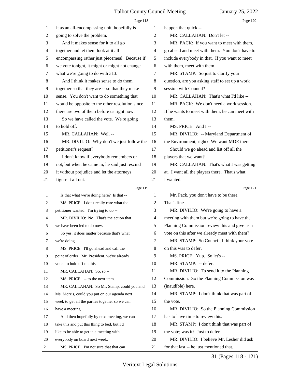|                | Page 118                                        |    | Page 120                                        |
|----------------|-------------------------------------------------|----|-------------------------------------------------|
| 1              | it as an all-encompassing unit, hopefully is    | 1  | happen that quick --                            |
| $\overline{2}$ | going to solve the problem.                     | 2  | MR. CALLAHAN: Don't let --                      |
| 3              | And it makes sense for it to all go             | 3  | MR. PACK: If you want to meet with them,        |
| $\overline{4}$ | together and let them look at it all            | 4  | go ahead and meet with them. You don't have to  |
| 5              | encompassing rather just piecemeal. Because if  | 5  | include everybody in that. If you want to meet  |
| 6              | we vote tonight, it might or might not change   | 6  | with them, meet with them.                      |
| 7              | what we're going to do with 313.                | 7  | MR. STAMP: So just to clarify your              |
| 8              | And I think it makes sense to do them           | 8  | question, are you asking staff to set up a work |
| 9              | together so that they are -- so that they make  | 9  | session with Council?                           |
| 10             | sense. You don't want to do something that      | 10 | MR. CALLAHAN: That's what I'd like --           |
| 11             | would be opposite to the other resolution since | 11 | MR. PACK: We don't need a work session.         |
| 12             | there are two of them before us right now.      | 12 | If he wants to meet with them, he can meet with |
| 13             | So we have called the vote. We're going         | 13 | them.                                           |
| 14             | to hold off.                                    | 14 | MS. PRICE: And I --                             |
| 15             | MR. CALLAHAN: Well-                             | 15 | MR. DIVILIO: -- Maryland Department of          |
| 16             | MR. DIVILIO: Why don't we just follow the       | 16 | the Environment, right? We want MDE there.      |
| 17             | petitioner's request?                           | 17 | Should we go ahead and list off all the         |
| 18             | I don't know if everybody remembers or          | 18 | players that we want?                           |
| 19             | not, but when he came in, he said just rescind  | 19 | MR. CALLAHAN: That's what I was getting         |
| 20             | it without prejudice and let the attorneys      | 20 | at. I want all the players there. That's what   |
| 21             | figure it all out.                              | 21 | I wanted.                                       |
|                |                                                 |    |                                                 |
|                | Page 119                                        |    | Page 121                                        |
| 1              | Is that what we're doing here? Is that --       | 1  | Mr. Pack, you don't have to be there.           |
| 2              | MS. PRICE: I don't really care what the         | 2  | That's fine.                                    |
| 3              | petitioner wanted. I'm trying to do --          | 3  | MR. DIVILIO: We're going to have a              |
| 4              | MR. DIVILIO: No. That's the action that         | 4  | meeting with them but we're going to have the   |
| 5              | we have been led to do now.                     | 5  | Planning Commission review this and give us a   |
| 6              | So yes, it does matter because that's what      | 6  | vote on this after we already meet with them?   |
| 7              | we're doing.                                    | 7  | MR. STAMP: So Council, I think your vote        |
| 8              | MS. PRICE: I'll go ahead and call the           | 8  | on this was to defer.                           |
| 9              | point of order. Mr. President, we've already    | 9  | MS. PRICE: Yup. So let's --                     |
| 10             | voted to hold off on this.                      | 10 | MR. STAMP: -- defer.                            |
| 11             | MR. CALLAHAN: So, so --                         | 11 | MR. DIVILIO: To send it to the Planning         |
| 12             | MS. PRICE: -- to the next item.                 | 12 | Commission. So the Planning Commission was      |
| 13             | MR. CALLAHAN: So Mr. Stamp, could you and       | 13 | (inaudible) here.                               |
| 14             | Ms. Morris, could you put on our agenda next    | 14 | MR. STAMP: I don't think that was part of       |
| 15             | week to get all the parties together so we can  | 15 | the vote.                                       |
| 16             | have a meeting.                                 | 16 | MR. DIVILIO: So the Planning Commission         |
| 17             | And then hopefully by next meeting, we can      | 17 | has to have time to review this.                |
| 18             | take this and put this thing to bed, but I'd    | 18 | MR. STAMP: I don't think that was part of       |
| 19             | like to be able to get in a meeting with        | 19 | the vote; was it? Just to defer.                |
| 20             | everybody on board next week.                   | 20 | MR. DIVILIO: I believe Mr. Lesher did ask       |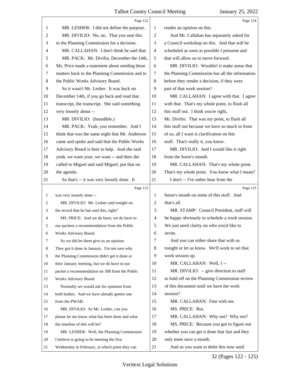|                | Page 122                                                                                     |                | Page 124                                                           |
|----------------|----------------------------------------------------------------------------------------------|----------------|--------------------------------------------------------------------|
| 1              | MR. LESHER: I did not define the purpose.                                                    | 1              | render an opinion on this.                                         |
| $\overline{c}$ | MR. DIVILIO: No, no. That you sent this                                                      | $\mathfrak{2}$ | And Mr. Callahan has separately asked for                          |
| 3              | to the Planning Commission for a decision.                                                   | 3              | a Council workshop on this. And that will be                       |
| $\overline{4}$ | MR. CALLAHAN: I don't think he said that.                                                    | $\overline{4}$ | scheduled as soon as possible I presume and                        |
| 5              | MR. PACK: Mr. Divilio, December the 14th,                                                    | 5              | that will allow us to move forward.                                |
| 6              | Ms. Price made a statement about sending these                                               | 6              | MR. DIVILIO: Wouldn't it make sense that                           |
| $\tau$         | matters back to the Planning Commission and to                                               | $\tau$         | the Planning Commission has all the information                    |
| 8              | the Public Works Advisory Board.                                                             | $\,8\,$        | before they render a decision, if they were                        |
| 9              | So it wasn't Mr. Lesher. It was back on                                                      | 9              | part of that work session?                                         |
| 10             | December 14th, if you go back and read that                                                  | 10             | MR. CALLAHAN: I agree with that. I agree                           |
| 11             | transcript, the transcript. She said something                                               | 11             | with that. That's my whole point, to flush all                     |
| 12             | very loosely about --                                                                        | 12             | this stuff out. I think you're right,                              |
| 13             | MR. DIVILIO: (Inaudible.)                                                                    | 13             | Mr. Divilio. That was my point, to flush all                       |
| 14             | MR. PACK: Yeah, you remember. And I                                                          | 14             | this stuff out because we have so much in front                    |
| 15             | think that was the same night that Mr. Anderson                                              | 15             | of us, all I want is clarification on this                         |
| 16             | came and spoke and said that the Public Works                                                | 16             | stuff. That's really it, you know.                                 |
| 17             | Advisory Board is here to help. And she said                                                 | 17             | MR. DIVILIO: And I would like it right                             |
| 18             | yeah, we want your, we want -- and then she                                                  | 18             | from the horse's mouth.                                            |
| 19             | called to Miguel and said Miguel, put that on                                                | 19             | MR. CALLAHAN: That's my whole point.                               |
| 20             | the agenda.                                                                                  | 20             | That's my whole point. You know what I mean?                       |
| 21             | So that's -- it was very loosely done. It                                                    | 21             | I don't -- I've rather hear from the                               |
|                |                                                                                              |                |                                                                    |
|                | Page 123                                                                                     |                | Page 125                                                           |
| 1              | was very loosely done --                                                                     | 1              | horse's mouth on some of this stuff. And                           |
| 2              | MR. DIVILIO: Mr. Lesher said tonight on                                                      | 2              | that's all.                                                        |
| 3              | the record that he has said this, right?                                                     | 3              | MR. STAMP: Council President, staff will                           |
| 4              | MS. PRICE: And we do have, we do have in                                                     | $\overline{4}$ | be happy obviously to schedule a work session.                     |
|                | our packets a recommendation from the Public                                                 | 5              | We just need clarity on who you'd like to                          |
| 6              | Works Advisory Board.                                                                        | 6              | invite.                                                            |
| 7              | So we did let them give us an opinion.                                                       | 7              | And you can either share that with us                              |
| 8              | They got it done in January. I'm not sure why                                                | 8              | tonight or let us know. We'll work to set that                     |
| 9              | the Planning Commission didn't get it done at                                                | 9              | work session up.                                                   |
| 10             | their January meeting, but we do have in our                                                 | 10             | MR. CALLAHAN: Well, I --                                           |
| 11             | packet a recommendation on 308 from the Public                                               | 11             | MR. DIVILIO: -- give direction to staff                            |
| 12             | Works Advisory Board.                                                                        | 12             | to hold off on the Planning Commission review                      |
| 13             | Normally we would ask for opinions from                                                      | 13             | of this document until we have the work                            |
| 14             | both bodies. And we have already gotten one                                                  | 14             | session?                                                           |
| 15             | from the PWAB.                                                                               | 15             | MR. CALLAHAN: Fine with me.                                        |
| 16             | MR. DIVILIO: So Mr. Lesher, can you                                                          | 16             | MS. PRICE: But.                                                    |
| 17             | please let me know what has been done and what                                               | 17             | MR. CALLAHAN: Why not? Why not?                                    |
| 18             | the timeline of this will be?                                                                | 18             | MS. PRICE: Because you got to figure out                           |
| 19             | MR. LESHER: Well, the Planning Commission                                                    | 19             | whether you can get it done that fast and they                     |
| 20             | I believe is going to be meeting the first<br>Wednesday in February, at which point they can | 20<br>21       | only meet once a month.<br>And so you want to defer this now until |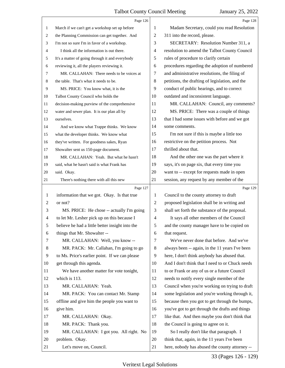|                | Page 126                                        |                | Page 128                                        |
|----------------|-------------------------------------------------|----------------|-------------------------------------------------|
| $\mathbf{1}$   | March if we can't get a workshop set up before  | 1              | Madam Secretary, could you read Resolution      |
| 2              | the Planning Commission can get together. And   | 2              | 311 into the record, please.                    |
| 3              | I'm not so sure I'm in favor of a workshop.     | 3              | SECRETARY: Resolution Number 311, a             |
| 4              | I think all the information is out there.       | 4              | resolution to amend the Talbot County Council   |
| 5              | It's a matter of going through it and everybody | 5              | rules of procedure to clarify certain           |
| 6              | reviewing it, all the players reviewing it.     | 6              | procedures regarding the adoption of numbered   |
| 7              | MR. CALLAHAN: There needs to be voices at       | 7              | and administrative resolutions, the filing of   |
| 8              | the table. That's what it needs to be.          | 8              | petitions, the drafting of legislation, and the |
| 9              | MS. PRICE: You know what, it is the             | 9              | conduct of public hearings, and to correct      |
| 10             | Talbot County Council who holds the             | 10             | outdated and inconsistent language.             |
| 11             | decision-making purview of the comprehensive    | 11             | MR. CALLAHAN: Council, any comments?            |
| 12             | water and sewer plan. It is our plan all by     | 12             | MS. PRICE: There was a couple of things         |
| 13             | ourselves.                                      | 13             | that I had some issues with before and we got   |
| 14             | And we know what Trappe thinks. We know         | 14             | some comments.                                  |
| 15             | what the developer thinks. We know what         | 15             | I'm not sure if this is maybe a little too      |
| 16             | they've written. For goodness sakes, Ryan       | 16             | restrictive on the petition process. Not        |
| 17             | Showalter sent us 150-page document.            | 17             | thrilled about that.                            |
| 18             | MR. CALLAHAN: Yeah. But what he hasn't          | 18             | And the other one was the part where it         |
| 19             | said, what he hasn't said is what Frank has     | 19             | says, it's on page six, that every time you     |
| 20             | said. Okay.                                     | 20             | want to -- except for requests made in open     |
| 21             | There's nothing there with all this new         | 21             | session, any request by any member of the       |
|                |                                                 |                |                                                 |
|                | Page 127                                        |                | Page 129                                        |
| 1              | information that we got. Okay. Is that true     | 1              | Council to the county attorney to draft         |
| $\overline{c}$ | or not?                                         | $\overline{c}$ | proposed legislation shall be in writing and    |
| 3              | MS. PRICE: He chose -- actually I'm going       | 3              | shall set forth the substance of the proposal.  |
| 4              | to let Mr. Lesher pick up on this because I     | 4              | It says all other members of the Council        |
| 5              | believe he had a little better insight into the | 5              | and the county manager have to be copied on     |
| 6              | things that Mr. Showalter --                    | 6              | that request.                                   |
| 7              | MR. CALLAHAN: Well, you know --                 | 7              | We've never done that before. And we've         |
| 8              | MR. PACK: Mr. Callahan, I'm going to go         | 8              | always been -- again, in the 11 years I've been |
| 9              | to Ms. Price's earlier point. If we can please  | 9              | here, I don't think anybody has abused that.    |
| 10             | get through this agenda.                        | 10             | And I don't think that I need to or Chuck needs |
| 11             | We have another matter for vote tonight,        | 11             | to or Frank or any of us or a future Council    |
| 12             | which is 113.                                   | 12             | needs to notify every single member of the      |
| 13             | MR. CALLAHAN: Yeah.                             | 13             | Council when you're working on trying to draft  |
| 14             | MR. PACK: You can contact Mr. Stamp             | 14             | some legislation and you're working through it, |
| 15             | offline and give him the people you want to     | 15             | because then you got to get through the bumps,  |
| 16             | give him.                                       | 16             | you've got to get through the drafts and things |
| 17             | MR. CALLAHAN: Okay.                             | 17             | like that. And then maybe you don't think that  |
| 18             | MR. PACK: Thank you.                            | 18             | the Council is going to agree on it.            |
| 19             | MR. CALLAHAN: I got you. All right. No          | 19             | So I really don't like that paragraph. I        |
| 20             | problem. Okay.                                  | 20             | think that, again, in the 11 years I've been    |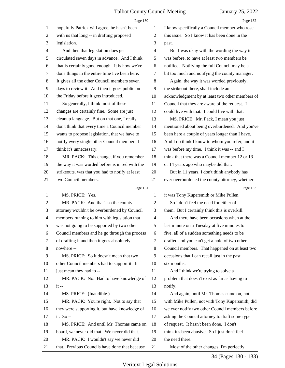|                | Page 130                                        |                          | Page 132                                        |
|----------------|-------------------------------------------------|--------------------------|-------------------------------------------------|
| 1              | hopefully Patrick will agree, he hasn't been    | 1                        | I know specifically a Council member who rose   |
| 2              | with us that long -- in drafting proposed       | $\overline{c}$           | this issue. So I know it has been done in the   |
| 3              | legislation.                                    | 3                        | past.                                           |
| 4              | And then that legislation does get              | 4                        | But I was okay with the wording the way it      |
| 5              | circulated seven days in advance. And I think   | 5                        | was before, to have at least two members be     |
| 6              | that is certainly good enough. It is how we've  | 6                        | notified. Notifying the full Council may be a   |
| 7              | done things in the entire time I've been here.  | 7                        | bit too much and notifying the county manager.  |
| 8              | It gives all the other Council members seven    | 8                        | Again, the way it was worded previously,        |
| 9              | days to review it. And then it goes public on   | 9                        | the strikeout there, shall include an           |
| 10             | the Friday before it gets introduced.           | 10                       | acknowledgment by at least two other members of |
| 11             | So generally, I think most of these             | 11                       | Council that they are aware of the request. I   |
| 12             | changes are certainly fine. Some are just       | 12                       | could live with that. I could live with that.   |
| 13             | cleanup language. But on that one, I really     | 13                       | MS. PRICE: Mr. Pack, I mean you just            |
| 14             | don't think that every time a Council member    | 14                       | mentioned about being overburdened. And you've  |
| 15             | wants to propose legislation, that we have to   | 15                       | been here a couple of years longer than I have. |
| 16             | notify every single other Council member. I     | 16                       | And I do think I know to whom you refer, and it |
| 17             | think it's unnecessary.                         | 17                       | was before my time. I think it was -- and I     |
| 18             | MR. PACK: This change, if you remember          | 18                       | think that there was a Council member 12 or 13  |
| 19             | the way it was worded before is in red with the | 19                       | or 14 years ago who maybe did that.             |
| 20             | strikeouts, was that you had to notify at least | 20                       | But in 11 years, I don't think anybody has      |
| 21             | two Council members.                            | 21                       | ever overburdened the county attorney, whether  |
|                | Page 131                                        |                          | Page 133                                        |
| 1              | MS. PRICE: Yes.                                 | 1                        | it was Tony Kupersmith or Mike Pullen.          |
|                |                                                 |                          |                                                 |
| $\overline{2}$ | MR. PACK: And that's so the county              | $\overline{c}$           | So I don't feel the need for either of          |
| 3              | attorney wouldn't be overburdened by Council    | 3                        | them. But I certainly think this is overkill.   |
| $\overline{4}$ | members running to him with legislation that    | $\overline{\mathcal{A}}$ | And there have been occasions when at the       |
| 5              | was not going to be supported by two other      | 5                        | last minute on a Tuesday at five minutes to     |
| 6              | Council members and he go through the process   | 6                        | five, all of a sudden something needs to be     |
| 7              | of drafting it and then it goes absolutely      | 7                        | drafted and you can't get a hold of two other   |
| 8              | nowhere --                                      | 8                        | Council members. That happened on at least two  |
| 9              | MS. PRICE: So it doesn't mean that two          | 9                        | occasions that I can recall just in the past    |
| 10             | other Council members had to support it. It     | 10                       | six months.                                     |
| 11             | just mean they had to --                        | 11                       | And I think we're trying to solve a             |
| 12             | MR. PACK: No. Had to have knowledge of          | 12                       | problem that doesn't exist as far as having to  |
| 13             | $it -$                                          | 13                       | notify.                                         |
| 14             | MS. PRICE: (Inaudible.)                         | 14                       | And again, until Mr. Thomas came on, not        |
| 15             | MR. PACK: You're right. Not to say that         | 15                       | with Mike Pullen, not with Tony Kupersmith, did |
| 16             | they were supporting it, but have knowledge of  | 16                       | we ever notify two other Council members before |
| 17             | it. So --                                       | 17                       | asking the Council attorney to draft some type  |
| 18             | MS. PRICE: And until Mr. Thomas came on         | 18                       | of request. It hasn't been done. I don't        |
| 19             | board, we never did that. We never did that.    | 19                       | think it's been abusive. So I just don't feel   |
| 20             | MR. PACK: I wouldn't say we never did           | 20                       | the need there.                                 |

34 (Pages 130 - 133)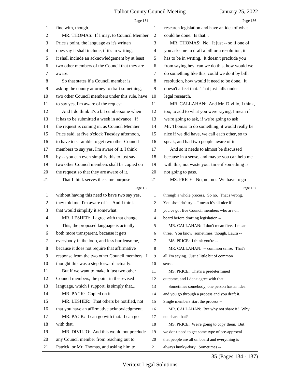|                | Page 134                                        |                          | Page 136                                        |
|----------------|-------------------------------------------------|--------------------------|-------------------------------------------------|
| 1              | fine with, though.                              | 1                        | research legislation and have an idea of what   |
| $\overline{c}$ | MR. THOMAS: If I may, to Council Member         | $\overline{2}$           | could be done. Is that                          |
| 3              | Price's point, the language as it's written     | 3                        | MR. THOMAS: No. It just -- so if one of         |
| $\overline{4}$ | does say it shall include, if it's in writing,  | $\overline{\mathcal{A}}$ | you asks me to draft a bill or a resolution, it |
| $\sqrt{5}$     | it shall include an acknowledgement by at least | 5                        | has to be in writing. It doesn't preclude you   |
| 6              | two other members of the Council that they are  | 6                        | from saying hey, can we do this, how would we   |
| 7              | aware.                                          | 7                        | do something like this, could we do it by bill, |
| $\,8\,$        | So that states if a Council member is           | $\,8\,$                  | resolution, how would it need to be done. It    |
| 9              | asking the county attorney to draft something,  | 9                        | doesn't affect that. That just falls under      |
| 10             | two other Council members under this rule, have | 10                       | legal research.                                 |
| 11             | to say yes, I'm aware of the request.           | 11                       | MR. CALLAHAN: And Mr. Divilio, I think,         |
| 12             | And I do think it's a bit cumbersome when       | 12                       | too, to add to what you were saying, I mean if  |
| 13             | it has to be submitted a week in advance. If    | 13                       | we're going to ask, if we're going to ask       |
| 14             | the request is coming in, as Council Member     | 14                       | Mr. Thomas to do something, it would really be  |
| 15             | Price said, at five o'clock Tuesday afternoon,  | 15                       | nice if we did have, we call each other, so to  |
| 16             | to have to scramble to get two other Council    | 16                       | speak, and had two people aware of it.          |
| 17             | members to say yes, I'm aware of it, I think    | 17                       | And so it needs to almost be discussed          |
| 18             | by -- you can even simplify this to just say    | 18                       | because in a sense, and maybe you can help me   |
| 19             | two other Council members shall be copied on    | 19                       | with this, not waste your time if something is  |
| 20             | the request so that they are aware of it.       | 20                       | not going to pass.                              |
| 21             | That I think serves the same purpose            | 21                       | MS. PRICE: No, no, no. We have to go            |
|                |                                                 |                          |                                                 |
|                | Page 135                                        |                          | Page 137                                        |
| $\mathbf{1}$   | without having this need to have two say yes,   | $\mathbf{1}$             | through a whole process. So no. That's wrong.   |
| $\overline{c}$ | they told me, I'm aware of it. And I think      | 2                        | You shouldn't try -- I mean it's all nice if    |
| 3              | that would simplify it somewhat.                | 3                        | you've got five Council members who are on      |
| 4              | MR. LESHER: I agree with that change.           | 4                        | board before drafting legislation --            |
| 5              | This, the proposed language is actually         | 5                        | MR. CALLAHAN: I don't mean five. I mean         |
| 6              | both more transparent, because it gets          | 6                        | three. You know, sometimes, though, Laura --    |
| 7              | everybody in the loop, and less burdensome,     | 7                        | MS. PRICE: I think you're --                    |
| 8              | because it does not require that affirmative    | 8                        | MR. CALLAHAN: -- common sense. That's           |
| 9              | response from the two other Council members. I  | 9                        | all I'm saying. Just a little bit of common     |
| 10             | thought this was a step forward actually.       | 10                       | sense.                                          |
| 11             | But if we want to make it just two other        | 11                       | MS. PRICE: That's a predetermined               |
| 12             | Council members, the point in the revised       | 12                       | outcome, and I don't agree with that.           |
| 13             | language, which I support, is simply that       | 13                       | Sometimes somebody, one person has an idea      |
| 14             | MR. PACK: Copied on it.                         | 14                       | and you go through a process and you draft it.  |
| 15             | MR. LESHER: That others be notified, not        | 15                       | Single members start the process --             |
| 16             | that you have an affirmative acknowledgment.    | 16                       | MR. CALLAHAN: But why not share it? Why         |
| 17             | MR. PACK: I can go with that. I can go          | 17                       | not share that?                                 |
| 18             | with that.                                      | 18                       | MS. PRICE: We're going to copy them. But        |
| 19             | MR. DIVILIO: And this would not preclude        | 19                       | we don't need to get some type of pre-approval  |
| 20             | any Council member from reaching out to         | 20                       | that people are all on board and everything is  |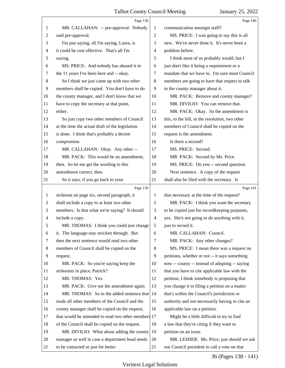<span id="page-36-0"></span>

|                | Page 138                                           |                | Page 140                                        |
|----------------|----------------------------------------------------|----------------|-------------------------------------------------|
| 1              | MR. CALLAHAN: -- pre-approval. Nobody              | 1              | communication amongst staff?                    |
| $\overline{c}$ | said pre-approval.                                 | $\overline{2}$ | MS. PRICE: I was going to say this is all       |
| 3              | I'm just saying, all I'm saying, Laura, is         | 3              | new. We've never done it. It's never been a     |
| 4              | it could be cost effective. That's all I'm         | 4              | problem before.                                 |
| 5              | saying.                                            | 5              | I think most of us probably would, but I        |
| 6              | MS. PRICE: And nobody has abused it in             | 6              | just don't like it being a requirement or a     |
| 7              | the 11 years I've been here and -- okay.           | 7              | mandate that we have to. I'm sure most Council  |
| $\,8\,$        | So I think we just came up with two other          | 8              | members are going to have that respect to talk  |
| 9              | members shall be copied. You don't have to do      | 9              | to the county manager about it.                 |
| 10             | the county manager, and I don't know that we       | 10             | MR. PACK: Remove and county manager?            |
| 11             | have to copy the secretary at that point,          | 11             | MR. DIVILIO: You can remove that.               |
| 12             | either.                                            | 12             | MR. PACK: Okay. So the amendment is             |
| 13             | So just copy two other members of Council          | 13             | this, to the bill, to the resolution, two other |
| 14             | at the time the actual draft of the legislation    | 14             | members of Council shall be copied on the       |
| 15             | is done. I think that's probably a decent          | 15             | request is the amendment.                       |
| 16             | compromise.                                        | 16             | Is there a second?                              |
| 17             | MR. CALLAHAN: Okay. Any other --                   | 17             | MS. PRICE: Second.                              |
| 18             | MR. PACK: This would be an amendment,              | 18             | MR. PACK: Second by Ms. Price.                  |
| 19             | then. So let me get the wording to this            | 19             | MS. PRICE: Do you -- second question.           |
| 20             | amendment correct, then.                           | 20             | Next sentence. A copy of the request            |
| 21             | So it says, if you go back to your                 | 21             | shall also be filed with the secretary. Is      |
|                |                                                    |                |                                                 |
|                | Page 139                                           |                | Page 141                                        |
| $\mathbf{1}$   | strikeout on page six, second paragraph, it        | 1              | that necessary at the time of the request?      |
| $\overline{c}$ | shall include a copy to at least two other         | $\overline{2}$ | MR. PACK: I think you want the secretary        |
| 3              | members. Is that what we're saying? It should      | 3              | to be copied just for recordkeeping purposes,   |
| 4              | include a copy.                                    | $\overline{4}$ | yes. She's not going to do anything with it,    |
| 5              | MR. THOMAS: I think you could just change          | $\mathfrak{S}$ | just to record it.                              |
| 6              | it. The language stay stricken through. But        | 6              | MR. CALLAHAN: Council.                          |
| 7              | then the next sentence would read two other        | 7              | MR. PACK: Any other changes?                    |
| 8              | members of Council shall be copied on the          | 8              | MS. PRICE: I mean there was a request on        |
| 9              | request.                                           | 9              | petitions, whether or not -- it says something  |
| 10             | MR. PACK: So you're saying keep the                | 10             | now -- county -- instead of adopting -- saying  |
| 11             | strikeouts in place, Patrick?                      | 11             | that you have to cite applicable law with the   |
| 12             | MR. THOMAS: Yes.                                   | 12             | petition, I think somebody is proposing that    |
| 13             | MR. PACK: Give me the amendment again.             | 13             | you change it to filing a petition on a matter  |
| 14             | MR. THOMAS: So in the added sentence that          | 14             | that's within the Council's jurisdiction or     |
| 15             | reads all other members of the Council and the     | 15             | authority and not necessarily having to cite an |
| 16             | county manager shall be copied on the request,     | 16             | applicable law on a petition.                   |
| 17             | that would be amended to read two other members 17 |                | Might be a little difficult to try to find      |
| 18             | of the Council shall be copied on the request.     | 18             | a law that they're citing if they want to       |
| 19             | MR. DIVILIO: What about adding the county          | 19             | petition on an issue.                           |
| 20             | manager as well in case a department head needs    | 20             | MR. LESHER: Ms. Price, just should we ask       |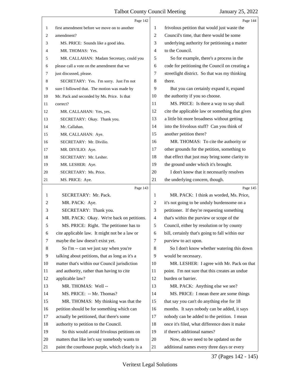<span id="page-37-0"></span>

|    | Page 142                                        |                | Page 144                                        |
|----|-------------------------------------------------|----------------|-------------------------------------------------|
| 1  | first amendment before we move on to another    | 1              | frivolous petition that would just waste the    |
| 2  | amendment?                                      | $\overline{2}$ | Council's time, that there would be some        |
| 3  | MS. PRICE: Sounds like a good idea.             | 3              | underlying authority for petitioning a matter   |
| 4  | MR. THOMAS: Yes.                                | $\overline{4}$ | to the Council.                                 |
| 5  | MR. CALLAHAN: Madam Secretary, could you        | 5              | So for example, there's a process in the        |
| 6  | please call a vote on the amendment that we     | 6              | code for petitioning the Council on creating a  |
| 7  | just discussed, please.                         | 7              | streetlight district. So that was my thinking   |
| 8  | SECRETARY: Yes. I'm sorry. Just I'm not         | 8              | there.                                          |
| 9  | sure I followed that. The motion was made by    | 9              | But you can certainly expand it, expand         |
| 10 | Mr. Pack and seconded by Ms. Price. Is that     | 10             | the authority if you so choose.                 |
| 11 | correct?                                        | 11             | MS. PRICE: Is there a way to say shall          |
| 12 | MR. CALLAHAN: Yes, yes.                         | 12             | cite the applicable law or something that gives |
| 13 | SECRETARY: Okay. Thank you.                     | 13             | a little bit more broadness without getting     |
| 14 | Mr. Callahan.                                   | 14             | into the frivolous stuff? Can you think of      |
| 15 | MR. CALLAHAN: Aye.                              | 15             | another petition there?                         |
| 16 | SECRETARY: Mr. Divilio.                         | 16             | MR. THOMAS: To cite the authority or            |
| 17 | MR. DIVILIO: Aye.                               | 17             | other grounds for the petition, something to    |
| 18 | SECRETARY: Mr. Lesher.                          | 18             | that effect that just may bring some clarity to |
| 19 | MR. LESHER: Aye.                                | 19             | the ground under which it's brought.            |
| 20 | SECRETARY: Ms. Price.                           | 20             | I don't know that it necessarily resolves       |
| 21 | MS. PRICE: Aye.                                 | 21             | the underlying concern, though.                 |
|    |                                                 |                |                                                 |
|    | Page 143                                        |                | Page 145                                        |
| 1  | SECRETARY: Mr. Pack.                            | 1              | MR. PACK: I think as worded, Ms. Price,         |
| 2  | MR. PACK: Aye.                                  | 2              | it's not going to be unduly burdensome on a     |
| 3  | SECRETARY: Thank you.                           | 3              | petitioner. If they're requesting something     |
| 4  | MR. PACK: Okay. We're back on petitions.        | 4              | that's within the purview or scope of the       |
| 5  | MS. PRICE: Right. The petitioner has to         | 5              | Council, either by resolution or by county      |
| 6  | cite applicable law. It might not be a law or   | 6              | bill, certainly that's going to fall within our |
| 7  | maybe the law doesn't exist yet.                | 7              | purview to act upon.                            |
| 8  | So I'm -- can we just say when you're           | 8              | So I don't know whether watering this down      |
| 9  | talking about petitions, that as long as it's a | 9              | would be necessary.                             |
| 10 | matter that's within our Council jurisdiction   | 10             | MR. LESHER: I agree with Mr. Pack on that       |
| 11 | and authority, rather than having to cite       | 11             | point. I'm not sure that this creates an undue  |
| 12 | applicable law?                                 | 12             | burden or barrier.                              |
| 13 | MR. THOMAS: Well --                             | 13             | MR. PACK: Anything else we see?                 |
| 14 | MS. PRICE: -- Mr. Thomas?                       | 14             | MS. PRICE: I mean there are some things         |
| 15 | MR. THOMAS: My thinking was that the            | 15             | that say you can't do anything else for 18      |
| 16 | petition should be for something which can      | 16             | months. It says nobody can be added, it says    |
| 17 | actually be petitioned, that there's some       | 17             | nobody can be added to the petition. I mean     |
| 18 | authority to petition to the Council.           | 18             | once it's filed, what difference does it make   |
| 19 | So this would avoid frivolous petitions on      | 19             | if there's additional names?                    |
| 20 | matters that like let's say somebody wants to   | 20             | Now, do we need to be updated on the            |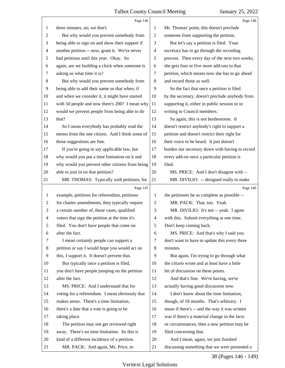<span id="page-38-0"></span>

|                          | Page 146                                        |                | Page 148                                        |
|--------------------------|-------------------------------------------------|----------------|-------------------------------------------------|
| 1                        | three minutes, no, we don't.                    | 1              | Mr. Thomas' point, this doesn't preclude        |
| 2                        | But why would you prevent somebody from         | 2              | someone from supporting the petition.           |
| 3                        | being able to sign on and show their support if | 3              | But let's say a petition is filed. Your         |
| 4                        | another petition -- now, grant it. We've never  | 4              | secretary has to go through the recording       |
| 5                        | had petitions until this year. Okay. So         | 5              | process. Then every day of the next two weeks,  |
| 6                        | again, are we building a clock when someone is  | 6              | she gets four or five more add-ons to that      |
| 7                        | asking us what time it is?                      | 7              | petition, which means now she has to go ahead   |
| 8                        | But why would you prevent somebody from         | 8              | and record those as well.                       |
| 9                        | being able to add their name so that when, if   | 9              | So the fact that once a petition is filed       |
| 10                       | and when we consider it, it might have started  | 10             | by the secretary, doesn't preclude anybody from |
| 11                       | with 50 people and now there's 200? I mean why  | 11             | supporting it, either in public session or in   |
| 12                       | would we prevent people from being able to do   | 12             | writing to Council members.                     |
| 13                       | that?                                           | 13             | So again, this is not burdensome. It            |
| 14                       | So I mean everybody has probably read the       | 14             | doesn't restrict anybody's right to support a   |
| 15                       | memo from the one citizen. And I think some of  | 15             | petition and doesn't restrict their right for   |
| 16                       | those suggestions are fine.                     | 16             | their voice to be heard. It just doesn't        |
| 17                       | If you're going to say applicable law, but      | 17             | burden our secretary down with having to record |
| 18                       | why would you put a time limitation on it and   | 18             | every add-on once a particular petition is      |
| 19                       | why would you prevent other citizens from being | 19             | filed.                                          |
| 20                       | able to join in on that petition?               | 20             | MS. PRICE: And I don't disagree with --         |
| 21                       | MR. THOMAS: Typically with petitions, for       | 21             | MR. DIVILIO: -- designed really to make         |
|                          | Page 147                                        |                | Page 149                                        |
| 1                        | example, petitions for referendum, petitions    | 1              | the petitioner be as complete as possible --    |
| $\overline{c}$           | for charter amendments, they typically require  | $\overline{c}$ | MR. PACK: That, too. Yeah.                      |
| 3                        | a certain number of, those cases, qualified     | 3              | MR. DIVILIO: It's not -- yeah. I agree          |
| $\overline{\mathcal{A}}$ | voters that sign the petition at the time it's  |                |                                                 |
| 5                        |                                                 | $\overline{4}$ | with this. Submit everything at one time.       |
|                          | filed. You don't have people that come on       | 5              | Don't keep coming back.                         |
| 6                        | after the fact.                                 | 6              | MS. PRICE: And that's why I said you            |
| 7                        | I mean certainly people can support a           | 7              | don't want to have to update this every three   |
| 8                        | petition or say I would hope you would act on   | 8              | minutes.                                        |
| 9                        | this, I support it. It doesn't prevent that.    | 9              | But again, I'm trying to go through what        |
| 10                       | But typically once a petition is filed,         | 10             | the citizen wrote and at least have a little    |
| 11                       | you don't have people jumping on the petition   | 11             | bit of discussion on these points.              |
| 12                       | after the fact.                                 | 12             | And that's fine. We're having, we're            |
| 13                       | MS. PRICE: And I understand that for            | 13             | actually having good discussion now.            |
| 14                       | voting for a referendum. I mean obviously that  | 14             | I don't know about the time limitation,         |
| 15                       | makes sense. There's a time limitation,         | 15             | though, of 18 months. That's arbitrary. I       |
| 16                       | there's a date that a vote is going to be       | 16             | mean if there's -- and the way it was written   |
| 17                       | taking place.                                   | 17             | was if there's a material change in the facts   |
| 18                       | The petition may not get reviewed right         | 18             | or circumstances, then a new petition may be    |
| 19                       | away. There's no time limitation. So this is    | 19             | filed concerning that.                          |
| 20                       | kind of a different incidence of a petition.    | 20             | And I mean, again, we just finished             |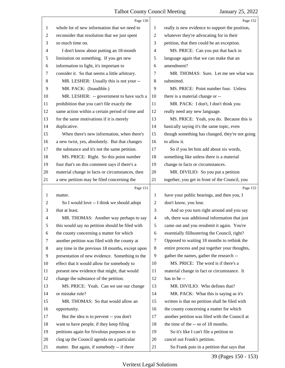<span id="page-39-0"></span>

|                | Page 150                                        |                | Page 152                                        |
|----------------|-------------------------------------------------|----------------|-------------------------------------------------|
| 1              | whole lot of new information that we need to    | 1              | really is new evidence to support the position, |
| $\overline{c}$ | reconsider that resolution that we just spent   | $\overline{c}$ | whatever they're advocating for in their        |
| 3              | so much time on.                                | 3              | petition, that then could be an exception.      |
| 4              | I don't know about putting an 18-month          | 4              | MS. PRICE: Can you put that back in             |
| 5              | limitation on something. If you get new         | 5              | language again that we can make that an         |
| 6              | information to light, it's important to         | 6              | amendment?                                      |
| 7              | consider it. So that seems a little arbitrary.  | 7              | MR. THOMAS: Sure. Let me see what was           |
| 8              | MR. LESHER: Usually this is not your --         | $\,8\,$        | submitted.                                      |
| 9              | MR. PACK: (Inaudible.)                          | 9              | MS. PRICE: Point number four. Unless            |
| 10             | MR. LESHER: -- government to have such a        | 10             | there is a material change or --                |
| 11             | prohibition that you can't file exactly the     | 11             | MR. PACK: I don't, I don't think you            |
| 12             | same action within a certain period of time and | 12             | really need any new language.                   |
| 13             | for the same motivations if it is merely        | 13             | MS. PRICE: Yeah, you do. Because this is        |
| 14             | duplicative.                                    | 14             | basically saying it's the same topic, even      |
| 15             | When there's new information, when there's      | 15             | though something has changed, they're not going |
| 16             | a new twist, yes, absolutely. But that changes  | 16             | to allow it.                                    |
| 17             | the substance and it's not the same petition.   | 17             | So if you let him add about six words,          |
| 18             | MS. PRICE: Right. So this point number          | 18             | something like unless there is a material       |
| 19             | four that's on this comment says if there's a   | 19             | change in facts or circumstances.               |
| 20             | material change in facts or circumstances, then | 20             | MR. DIVILIO: So you put a petition              |
| 21             | a new petition may be filed concerning the      | 21             | together, you get in front of the Council, you  |
|                |                                                 |                |                                                 |
|                | Page 151                                        |                | Page 153                                        |
| 1              | matter.                                         | 1              | have your public hearings, and then you, I      |
| $\overline{c}$ | So I would love -- I think we should adopt      | 2              | don't know, you lose.                           |
| 3              | that at least.                                  | 3              | And so you turn right around and you say        |
| 4              | MR. THOMAS: Another way perhaps to say          | 4              | oh, there was additional information that just  |
| 5              | this would say no petition should be filed with | 5              | came out and you resubmit it again. You're      |
| 6              | the county concerning a matter for which        | 6              | essentially filibustering the Council, right?   |
| 7              | another petition was filed with the county at   | 7              | Opposed to waiting 18 months to rethink the     |
| 8              | any time in the previous 18 months, except upon | 8              | entire process and put together your thoughts,  |
| 9              | presentation of new evidence. Something to the  | 9              | gather the names, gather the research --        |
| 10             | effect that it would allow for somebody to      | 10             | MS. PRICE: The word is if there's a             |
| 11             | present new evidence that might, that would     | 11             | material change in fact or circumstance. It     |
| 12             | change the substance of the petition.           | 12             | has to be --                                    |
| 13             | MS. PRICE: Yeah. Can we use our change          | 13             | MR. DIVILIO: Who defines that?                  |
| 14             | or mistake rule?                                | 14             | MR. PACK: What this is saying as it's           |
| 15             | MR. THOMAS: So that would allow an              | 15             | written is that no petition shall be filed with |
| 16             | opportunity.                                    | 16             | the county concerning a matter for which        |
| 17             | But the idea is to prevent -- you don't         | 17             | another petition was filed with the Council at  |
| 18             | want to have people, if they keep filing        | 18             | the time of the -- so of 18 months.             |
| 19             | petitions again for frivolous purposes or to    | 19             | So it's like I can't file a petition to         |
| 20             | clog up the Council agenda on a particular      | 20             | cancel out Frank's petition.                    |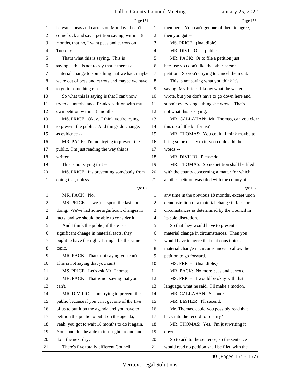<span id="page-40-0"></span>

|                | Page 154                                        |                          | Page 156                                                                      |
|----------------|-------------------------------------------------|--------------------------|-------------------------------------------------------------------------------|
| 1              | he wants peas and carrots on Monday. I can't    | 1                        | members. You can't get one of them to agree,                                  |
| $\overline{c}$ | come back and say a petition saying, within 18  | $\overline{c}$           | then you got --                                                               |
| 3              | months, that no, I want peas and carrots on     | 3                        | MS. PRICE: (Inaudible).                                                       |
| 4              | Tuesday.                                        | 4                        | MR. DIVILIO: -- public.                                                       |
| 5              | That's what this is saying. This is             | 5                        | MR. PACK: Or to file a petition just                                          |
| 6              | saying -- this is not to say that if there's a  | 6                        | because you don't like the other person's                                     |
| 7              | material change to something that we had, maybe | 7                        | petition. So you're trying to cancel them out.                                |
| 8              | we're out of peas and carrots and maybe we have | 8                        | This is not saying what you think it's                                        |
| 9              | to go to something else.                        | 9                        | saying, Ms. Price. I know what the writer                                     |
| 10             | So what this is saying is that I can't now      | 10                       | wrote, but you don't have to go down here and                                 |
| 11             | try to counterbalance Frank's petition with my  | 11                       | submit every single thing she wrote. That's                                   |
| 12             | own petition within 18 months.                  | 12                       | not what this is saying.                                                      |
| 13             | MS. PRICE: Okay. I think you're trying          | 13                       | MR. CALLAHAN: Mr. Thomas, can you clear                                       |
| 14             | to prevent the public. And things do change,    | 14                       | this up a little bit for us?                                                  |
| 15             | as evidence --                                  | 15                       | MR. THOMAS: You could, I think maybe to                                       |
| 16             | MR. PACK: I'm not trying to prevent the         | 16                       | bring some clarity to it, you could add the                                   |
| 17             | public. I'm just reading the way this is        | 17                       | words --                                                                      |
| 18             | written.                                        | 18                       | MR. DIVILIO: Please do.                                                       |
| 19             | This is not saying that --                      | 19                       | MR. THOMAS: So no petition shall be filed                                     |
| 20             | MS. PRICE: It's preventing somebody from        | 20                       | with the county concerning a matter for which                                 |
| 21             | doing that, unless --                           | 21                       | another petition was filed with the county at                                 |
|                | Page 155                                        |                          | Page 157                                                                      |
|                |                                                 |                          |                                                                               |
| $\mathbf{1}$   | MR. PACK: No.                                   | 1                        | any time in the previous 18 months, except upon                               |
| 2              | MS. PRICE: -- we just spent the last hour       | 2                        | demonstration of a material change in facts or                                |
| 3              | doing. We've had some significant changes in    | 3                        | circumstances as determined by the Council in                                 |
| 4              | facts, and we should be able to consider it.    | $\overline{\mathcal{A}}$ | its sole discretion.                                                          |
| 5              | And I think the public, if there is a           | 5                        | So that they would have to present a                                          |
| 6              | significant change in material facts, they      | 6                        | material change in circumstances. Then you                                    |
| 7              | ought to have the right. It might be the same   | 7                        | would have to agree that that constitutes a                                   |
| 8              | topic.                                          | 8                        | material change in circumstances to allow the                                 |
| 9              | MR. PACK: That's not saying you can't.          | 9                        | petition to go forward.                                                       |
| 10             | This is not saying that you can't.              | 10                       | MS. PRICE: (Inaudible.)                                                       |
| 11             | MS. PRICE: Let's ask Mr. Thomas.                | 11                       | MR. PACK: No more peas and carrots.                                           |
| 12             | MR. PACK: That is not saying that you           | 12                       | MS. PRICE: I would be okay with that                                          |
| 13             | can't.                                          | 13                       | language, what he said. I'll make a motion.                                   |
| 14             | MR. DIVILIO: I am trying to prevent the         | 14                       | MR. CALLAHAN: Second?                                                         |
| 15             | public because if you can't get one of the five | 15                       | MR. LESHER: I'll second.                                                      |
| 16             | of us to put it on the agenda and you have to   | 16                       |                                                                               |
| 17             | petition the public to put it on the agenda,    | 17                       | Mr. Thomas, could you possibly read that<br>back into the record for clarity? |
| 18             | yeah, you got to wait 18 months to do it again. | 18                       |                                                                               |
| 19             | You shouldn't be able to turn right around and  | 19                       | MR. THOMAS: Yes. I'm just writing it<br>down.                                 |
| 20             | do it the next day.                             | 20                       | So to add to the sentence, so the sentence                                    |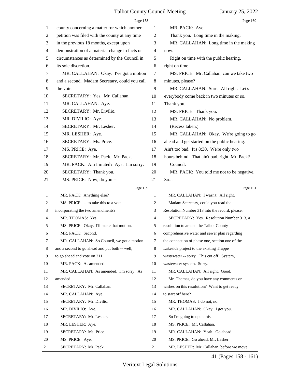<span id="page-41-0"></span>

|                | Page 158                                       |                | Page 160                                        |
|----------------|------------------------------------------------|----------------|-------------------------------------------------|
| 1              | county concerning a matter for which another   | 1              | MR. PACK: Aye.                                  |
| 2              | petition was filed with the county at any time | $\overline{c}$ | Thank you. Long time in the making.             |
| 3              | in the previous 18 months, except upon         | 3              | MR. CALLAHAN: Long time in the making           |
| $\overline{4}$ | demonstration of a material change in facts or | $\overline{4}$ | now.                                            |
| 5              | circumstances as determined by the Council in  | 5              | Right on time with the public hearing,          |
| 6              | its sole discretion.                           | 6              | right on time.                                  |
| 7              | MR. CALLAHAN: Okay. I've got a motion          | 7              | MS. PRICE: Mr. Callahan, can we take two        |
| 8              | and a second. Madam Secretary, could you call  | $\,8\,$        | minutes, please?                                |
| 9              | the vote.                                      | 9              | MR. CALLAHAN: Sure. All right. Let's            |
| 10             | SECRETARY: Yes. Mr. Callahan.                  | 10             | everybody come back in two minutes or so.       |
| 11             | MR. CALLAHAN: Aye.                             | 11             | Thank you.                                      |
| 12             | SECRETARY: Mr. Divilio.                        | 12             | MS. PRICE: Thank you.                           |
| 13             | MR. DIVILIO: Aye.                              | 13             | MR. CALLAHAN: No problem.                       |
| 14             | SECRETARY: Mr. Lesher.                         | 14             | (Recess taken.)                                 |
| 15             | MR. LESHER: Aye.                               | 15             | MR. CALLAHAN: Okay. We're going to go           |
| 16             | SECRETARY: Ms. Price.                          | 16             | ahead and get started on the public hearing.    |
| 17             | MS. PRICE: Aye.                                | 17             | Ain't too bad. It's 8:30. We're only two        |
| 18             | SECRETARY: Mr. Pack. Mr. Pack.                 | 18             | hours behind. That ain't bad, right, Mr. Pack?  |
| 19             | MR. PACK: Am I muted? Aye. I'm sorry.          | 19             | Council.                                        |
| 20             | SECRETARY: Thank you.                          | 20             | MR. PACK: You told me not to be negative.       |
| 21             | MS. PRICE: Now, do you --                      | 21             | So                                              |
|                | Page 159                                       |                | Page 161                                        |
|                |                                                |                |                                                 |
| $\mathbf{1}$   | MR. PACK: Anything else?                       | 1              | MR. CALLAHAN: I wasn't. All right.              |
| 2              | MS. PRICE: -- to take this to a vote           | 2              | Madam Secretary, could you read the             |
| 3              | incorporating the two amendments?              | 3              | Resolution Number 313 into the record, please.  |
| 4              | MR. THOMAS: Yes.                               | 4              | SECRETARY: Yes. Resolution Number 313, a        |
| 5              | MS. PRICE: Okay. I'll make that motion.        | 5              | resolution to amend the Talbot County           |
| 6              | MR. PACK: Second.                              | 6              | comprehensive water and sewer plan regarding    |
| 7              | MR. CALLAHAN: So Council, we got a motion      | 7              | the connection of phase one, section one of the |
| 8              | and a second to go ahead and put both -- well, | 8              | Lakeside project to the existing Trappe         |
| 9              | to go ahead and vote on 311.                   | 9              | wastewater -- sorry. This cut off. System,      |
| 10             | MR. PACK: As amended.                          | 10             | wastewater system. Sorry.                       |
| 11             | MR. CALLAHAN: As amended. I'm sorry. As        | 11             | MR. CALLAHAN: All right. Good.                  |
| 12             | amended.                                       | 12             | Mr. Thomas, do you have any comments or         |
| 13             | SECRETARY: Mr. Callahan.                       | 13             | wishes on this resolution? Want to get ready    |
| 14             | MR. CALLAHAN: Aye.                             | 14             | to start off here?                              |
| 15             | SECRETARY: Mr. Divilio.                        | 15             | MR. THOMAS: I do not, no.                       |
| 16             | MR. DIVILIO: Aye.                              | 16             | MR. CALLAHAN: Okay. I got you.                  |
| 17             | SECRETARY: Mr. Lesher.                         | 17             | So I'm going to open this --                    |
| 18             | MR. LESHER: Aye.                               | 18             | MS. PRICE: Mr. Callahan.                        |
| 19             | SECRETARY: Ms. Price.                          | 19             | MR. CALLAHAN: Yeah. Go ahead.                   |
| 20             | MS. PRICE: Aye.                                | 20             | MS. PRICE: Go ahead, Mr. Lesher.                |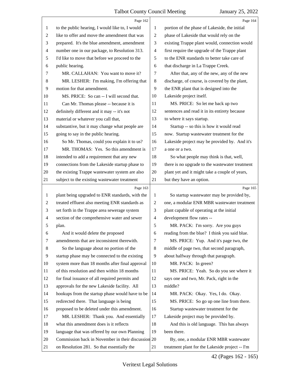<span id="page-42-0"></span>

|                | Page 162                                           |                | Page 164                                        |
|----------------|----------------------------------------------------|----------------|-------------------------------------------------|
| 1              | to the public hearing, I would like to, I would    | 1              | portion of the phase of Lakeside, the initial   |
| 2              | like to offer and move the amendment that was      | $\overline{2}$ | phase of Lakeside that would rely on the        |
| 3              | prepared. It's the blue amendment, amendment       | 3              | existing Trappe plant would, connection would   |
| 4              | number one in our package, to Resolution 313.      | 4              | first require the upgrade of the Trappe plant   |
| 5              | I'd like to move that before we proceed to the     | 5              | to the ENR standards to better take care of     |
| 6              | public hearing.                                    | 6              | that discharge in La Trappe Creek.              |
| 7              | MR. CALLAHAN: You want to move it?                 | 7              | After that, any of the new, any of the new      |
| 8              | MR. LESHER: I'm making, I'm offering that          | $\,8\,$        | discharge, of course, is covered by the plant,  |
| 9              | motion for that amendment.                         | 9              | the ENR plant that is designed into the         |
| 10             | MS. PRICE: So can -- I will second that.           | 10             | Lakeside project itself.                        |
| 11             | Can Mr. Thomas please -- because it is             | 11             | MS. PRICE: So let me back up two                |
| 12             | definitely different and it may -- it's not        | 12             | sentences and read it in its entirety because   |
| 13             | material or whatever you call that,                | 13             | to where it says startup.                       |
| 14             | substantive, but it may change what people are     | 14             | Startup -- so this is how it would read         |
| 15             | going to say in the public hearing.                | 15             | now. Startup wastewater treatment for the       |
| 16             | So Mr. Thomas, could you explain it to us?         | 16             | Lakeside project may be provided by. And it's   |
| 17             | MR. THOMAS: Yes. So this amendment is              | 17             | a one or a two.                                 |
| 18             | intended to add a requirement that any new         | 18             | So what people may think is that, well,         |
| 19             | connections from the Lakeside startup phase to     | 19             | there is no upgrade to the wastewater treatment |
| 20             | the existing Trappe wastewater system are also     | $20\,$         | plant yet and it might take a couple of years,  |
| 21             | subject to the existing wastewater treatment       | 21             | but they have an option.                        |
|                |                                                    |                |                                                 |
|                | Page 163                                           |                | Page 165                                        |
| 1              | plant being upgraded to ENR standards, with the    | 1              | So startup wastewater may be provided by,       |
| $\overline{c}$ | treated effluent also meeting ENR standards as     | $\overline{2}$ | one, a modular ENR MBR wastewater treatment     |
| 3              | set forth in the Trappe area sewerage system       | 3              | plant capable of operating at the initial       |
| 4              | section of the comprehensive water and sewer       | $\overline{4}$ | development flow rates --                       |
| 5              | plan.                                              | 5              | MR. PACK: I'm sorry. Are you guys               |
| 6              | And it would delete the proposed                   | 6              | reading from the blue? I think you said blue.   |
| 7              | amendments that are inconsistent therewith.        | 7              | MS. PRICE: Yup. And it's page two, the          |
| 8              | So the language about no portion of the            | 8              | middle of page two, that second paragraph,      |
| 9              | startup phase may be connected to the existing     | 9              | about halfway through that paragraph.           |
| 10             | system more than 18 months after final approval    | 10             | MR. PACK: In green?                             |
| 11             | of this resolution and then within 18 months       | 11             | MS. PRICE: Yeah. So do you see where it         |
| 12             | for final issuance of all required permits and     | 12             | says one and two, Mr. Pack, right in the        |
| 13             | approvals for the new Lakeside facility. All       | 13             | middle?                                         |
| 14             | hookups from the startup phase would have to be    | 14             | MR. PACK: Okay. Yes, I do. Okay.                |
| 15             | redirected there. That language is being           | 15             | MS. PRICE: So go up one line from there.        |
| 16             | proposed to be deleted under this amendment.       | 16             | Startup wastewater treatment for the            |
| 17             | MR. LESHER: Thank you. And essentially             | 17             | Lakeside project may be provided by.            |
| 18             | what this amendment does is it reflects            | 18             | And this is old language. This has always       |
| 19             | language that was offered by our own Planning      | 19             | been there.                                     |
| 20             | Commission back in November in their discussion 20 |                | By, one, a modular ENR MBR wastewater           |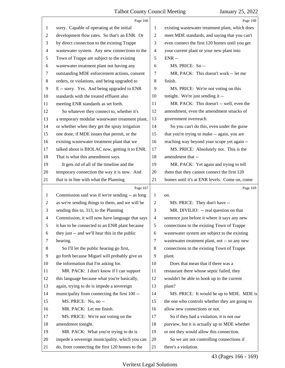<span id="page-43-0"></span>

|                | Page 166                                        |                          | Page 168                                        |
|----------------|-------------------------------------------------|--------------------------|-------------------------------------------------|
| 1              | sorry. Capable of operating at the initial      | 1                        | existing wastewater treatment plant, which does |
| 2              | development flow rates. So that's an ENR. Or    | $\overline{2}$           | meet MDE standards, and saying that you can't   |
| 3              | by direct connection to the existing Trappe     | 3                        | even connect the first 120 homes until you get  |
| $\overline{4}$ | wastewater system. Any new connections to the   | $\overline{\mathcal{A}}$ | your current plant or your new plant into       |
| 5              | Town of Trappe are subject to the existing      | 5                        | $ENR -$                                         |
| 6              | wastewater treatment plant not having any       | 6                        | MS. PRICE: So--                                 |
| $\tau$         | outstanding MDE enforcement actions, consent    | 7                        | MR. PACK: This doesn't work -- let me           |
| $\,8\,$        | orders, or violations, and being upgraded to    | 8                        | finish.                                         |
| 9              | E -- sorry. Yes. And being upgraded to ENR      | 9                        | MS. PRICE: We're not voting on this             |
| 10             | standards with the treated effluent also        | 10                       | tonight. We're just sending it --               |
| 11             | meeting ENR standards as set forth.             | 11                       | MR. PACK: This doesn't -- well, even the        |
| 12             | So whatever they connect to, whether it's       | 12                       | amendment, even the amendment smacks of         |
| 13             | a temporary modular wastewater treatment plant, | 13                       | government overreach.                           |
| 14             | or whether when they get the spray irrigation   | 14                       | So you can't do this, even under the guise      |
| 15             | one done, if MDE issues that permit, or the     | 15                       | that you're trying to make -- again, you are    |
| 16             | existing wastewater treatment plant that we     | 16                       | reaching way beyond your scope yet again --     |
| 17             | talked about is BIOLAC now, getting it to ENR.  | 17                       | MS. PRICE: Absolutely not. This is the          |
| 18             | That is what this amendment says.               | 18                       | amendment that --                               |
| 19             | It gets rid of all of the timeline and the      | 19                       | MR. PACK: Yet again and trying to tell          |
| 20             | temporary connection the way it is now. And     | 20                       | them that they cannot connect the first 120     |
| 21             | that is in line with what the Planning          | 21                       | homes until it's at ENR levels. Come on, come   |
|                |                                                 |                          |                                                 |
|                | Page 167                                        |                          | Page 169                                        |
| 1              | Commission said was if we're sending -- as long | 1                        | on.                                             |
| $\overline{2}$ | as we're sending things to them, and we will be | 2                        | MS. PRICE: They don't have --                   |
| 3              | sending this to, 313, to the Planning           | 3                        | MR. DIVILIO: -- real question on that           |
| $\overline{4}$ | Commission, it will now have language that says | $\overline{4}$           | sentence just before it where it says any new   |
| 5              | it has to be connected to an ENR plant because  | 5                        | connections to the existing Town of Trappe      |
| 6              | they just -- and we'll hear this in the public  | 6                        | wastewater system are subject to the existing   |
| 7              | hearing.                                        | 7                        | wastewater treatment plant, not -- so any new   |
| 8              | So I'll let the public hearing go first,        | 8                        | connections to the existing Town of Trappe      |
| 9              | go forth because Miguel will probably give us   | 9                        | plant.                                          |
| 10             | the information that I'm asking for.            | 10                       | Does that mean that if there was a              |
| 11             | MR. PACK: I don't know if I can support         | 11                       | restaurant there whose septic failed, they      |
| 12             | this language because what you're basically,    | 12                       | wouldn't be able to hook up to the current      |
| 13             | again, trying to do is impede a sovereign       | 13                       | plant?                                          |
| 14             | municipality from connecting the first 100 --   | 14                       | MS. PRICE: It would be up to MDE. MDE is        |
| 15             | MS. PRICE: No, no --                            | 15                       | the one who controls whether they are going to  |
| 16             | MR. PACK: Let me finish.                        | 16                       | allow new connections or not.                   |
| 17             | MS. PRICE: We're not voting on the              | 17                       | So if they had a violation, it is not our       |
| 18             | amendment tonight.                              | 18                       | purview, but it is actually up to MDE whether   |
| 19             | MR. PACK: What you're trying to do is           | 19                       | or not they would allow this connection.        |
| 20             | impede a sovereign municipality, which you can  | 20                       | So we are not controlling connections if        |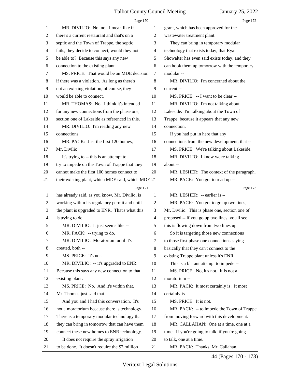<span id="page-44-0"></span>

|                | Page 170                                           |    | Page 172                                       |
|----------------|----------------------------------------------------|----|------------------------------------------------|
| 1              | MR. DIVILIO: No, no. I mean like if                | 1  | grant, which has been approved for the         |
| 2              | there's a current restaurant and that's on a       | 2  | wastewater treatment plant.                    |
| 3              | septic and the Town of Trappe, the septic          | 3  | They can bring in temporary modular            |
| 4              | fails, they decide to connect, would they not      | 4  | technology that exists today, that Ryan        |
| 5              | be able to? Because this says any new              | 5  | Showalter has even said exists today, and they |
| 6              | connection to the existing plant.                  | 6  | can hook them up tomorrow with the temporary   |
| 7              | MS. PRICE: That would be an MDE decision           | 7  | modular-                                       |
| 8              | if there was a violation. As long as there's       | 8  | MR. DIVILIO: I'm concerned about the           |
| 9              | not an existing violation, of course, they         | 9  | current --                                     |
| 10             | would be able to connect.                          | 10 | MS. PRICE: -- I want to be clear --            |
| 11             | MR. THOMAS: No. I think it's intended              | 11 | MR. DIVILIO: I'm not talking about             |
| 12             | for any new connections from the phase one,        | 12 | Lakeside. I'm talking about the Town of        |
| 13             | section one of Lakeside as referenced in this.     | 13 | Trappe, because it appears that any new        |
| 14             | MR. DIVILIO: I'm reading any new                   | 14 | connection.                                    |
| 15             | connections.                                       | 15 | If you had put in here that any                |
| 16             | MR. PACK: Just the first 120 homes,                | 16 | connections from the new development, that --  |
| 17             | Mr. Divilio.                                       | 17 | MS. PRICE: We're talking about Lakeside.       |
| 18             | It's trying to -- this is an attempt to            | 18 | MR. DIVILIO: I know we're talking              |
| 19             | try to impede on the Town of Trappe that they      | 19 | about --                                       |
| 20             | cannot make the first 100 homes connect to         | 20 | MR. LESHER: The context of the paragraph.      |
| 21             | their existing plant, which MDE said, which MDE 21 |    | MR. PACK: You got to read up --                |
|                | Page 171                                           |    | Page 173                                       |
| 1              | has already said, as you know, Mr. Divilio, is     | 1  | MR. LESHER: -- earlier is --                   |
| $\overline{c}$ | working within its regulatory permit and until     | 2  | MR. PACK: You got to go up two lines,          |
| 3              | the plant is upgraded to ENR. That's what this     | 3  | Mr. Divilio. This is phase one, section one of |
|                |                                                    |    |                                                |
| 4              | is trying to do.                                   | 4  | proposed -- if you go up two lines, you'll see |
| 5              | MR. DIVILIO: It just seems like --                 | 5  | this is flowing down from two lines up.        |
| 6              | MR. PACK: -- trying to do.                         | 6  | So it is targeting those new connections       |
| 7              | MR. DIVILIO: Moratorium until it's                 | 7  | to those first phase one connections saying    |
| 8              | created, both --                                   | 8  | basically that they can't connect to the       |
| 9              | MS. PRICE: It's not.                               | 9  | existing Trappe plant unless it's ENR.         |
| 10             | MR. DIVILIO: -- it's upgraded to ENR.              | 10 | This is a blatant attempt to impede --         |
| 11             | Because this says any new connection to that       | 11 | MS. PRICE: No, it's not. It is not a           |
| 12             | existing plant.                                    | 12 | moratorium --                                  |
| 13             | MS. PRICE: No. And it's within that.               | 13 | MR. PACK: It most certainly is. It most        |
| 14             | Mr. Thomas just said that.                         | 14 | certainly is.                                  |
| 15             | And you and I had this conversation. It's          | 15 | MS. PRICE: It is not.                          |
| 16             | not a moratorium because there is technology.      | 16 | MR. PACK: -- to impede the Town of Trappe      |
| 17             | There is a temporary modular technology that       | 17 | from moving forward with this development.     |
| 18             | they can bring in tomorrow that can have them      | 18 | MR. CALLAHAN: One at a time, one at a          |
| 19             | connect these new homes to ENR technology.         | 19 | time. If you're going to talk, if you're going |
| 20             | It does not require the spray irrigation           | 20 | to talk, one at a time.                        |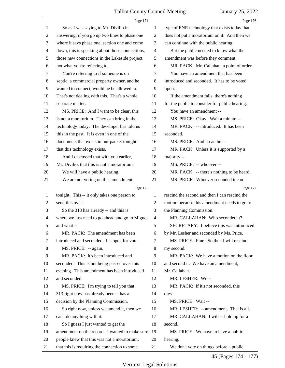<span id="page-45-0"></span>

|                | Page 174                                        |                | Page 176                                       |
|----------------|-------------------------------------------------|----------------|------------------------------------------------|
| 1              | So as I was saying to Mr. Divilio in            | 1              | type of ENR technology that exists today that  |
| 2              | answering, if you go up two lines to phase one  | $\overline{2}$ | does not put a moratorium on it. And then we   |
| 3              | where it says phase one, section one and come   | 3              | can continue with the public hearing.          |
| $\overline{4}$ | down, this is speaking about those connections, | $\overline{4}$ | But the public needed to know what the         |
| 5              | those new connections in the Lakeside project,  | 5              | amendment was before they comment.             |
| 6              | not what you're referring to.                   | 6              | MR. PACK: Mr. Callahan, a point of order.      |
| 7              | You're referring to if someone is on            | 7              | You have an amendment that has been            |
| $\,8\,$        | septic, a commercial property owner, and he     | 8              | introduced and seconded. It has to be voted    |
| 9              | wanted to connect, would he be allowed to.      | 9              | upon.                                          |
| 10             | That's not dealing with this. That's a whole    | 10             | If the amendment fails, there's nothing        |
| 11             | separate matter.                                | 11             | for the public to consider for public hearing. |
| 12             | MS. PRICE: And I want to be clear, this         | 12             | You have an amendment --                       |
| 13             | is not a moratorium. They can bring in the      | 13             | MS. PRICE: Okay. Wait a minute --              |
| 14             | technology today. The developer has told us     | 14             | MR. PACK: -- introduced. It has been           |
| 15             | this in the past. It is even in one of the      | 15             | seconded.                                      |
| 16             | documents that exists in our packet tonight     | 16             | MS. PRICE: And it can be --                    |
| 17             | that this technology exists.                    | 17             | MR. PACK: Unless it is supported by a          |
| 18             | And I discussed that with you earlier,          | 18             | majority --                                    |
| 19             | Mr. Divilio, that this is not a moratorium.     | 19             | MS. PRICE: -- whoever --                       |
| 20             | We will have a public hearing.                  | 20             | MR. PACK: -- there's nothing to be heard.      |
| 21             | We are not voting on this amendment             | 21             | MS. PRICE: Whoever seconded it can             |
|                |                                                 |                |                                                |
|                | Page 175                                        |                | Page 177                                       |
| $\mathbf{1}$   | tonight. This -- it only takes one person to    | 1              | rescind the second and then I can rescind the  |
| 2              | send this over.                                 | $\overline{c}$ | motion because this amendment needs to go to   |
| 3              | So the 313 has already -- and this is           | 3              | the Planning Commission.                       |
| 4              | where we just need to go ahead and go to Miguel | $\overline{4}$ | MR. CALLAHAN: Who seconded it?                 |
| 5              | and what --                                     | 5              | SECRETARY: I believe this was introduced       |
| 6              | MR. PACK: The amendment has been                | 6              | by Mr. Lesher and seconded by Ms. Price.       |
| 7              | introduced and seconded. It's open for vote.    | 7              | MS. PRICE: Fine. So then I will rescind        |
| 8              | MS. PRICE: -- again.                            | 8              | my second.                                     |
| 9              | MR. PACK: It's been introduced and              | 9              | MR. PACK: We have a motion on the floor        |
| 10             | seconded. This is not being passed over this    | 10             | and second it. We have an amendment,           |
| 11             | evening. This amendment has been introduced     | 11             | Mr. Callahan.                                  |
| 12             | and seconded.                                   | 12             | MR. LESHER: We--                               |
| 13             | MS. PRICE: I'm trying to tell you that          | 13             | MR. PACK: If it's not seconded, this           |
| 14             | 313 right now has already been -- has a         | 14             | dies.                                          |
| 15             | decision by the Planning Commission.            | 15             | MS. PRICE: Wait --                             |
| 16             | So right now, unless we amend it, then we       | 16             | MR. LESHER: -- amendment. That is all.         |
| 17             | can't do anything with it.                      | 17             | MR. CALLAHAN: I will -- hold up for a          |
| 18             | So I guess I just wanted to get the             | 18             | second.                                        |
| 19             | amendment on the record. I wanted to make sure  | 19             | MS. PRICE: We have to have a public            |
| 20             | people knew that this was not a moratorium,     | 20             | hearing.                                       |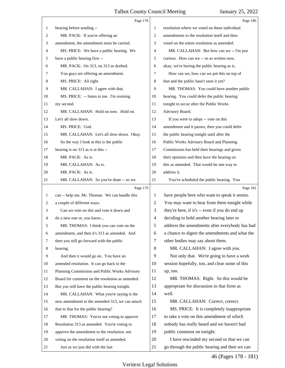<span id="page-46-0"></span>

|              | Page 178                                        |                | Page 180                                       |
|--------------|-------------------------------------------------|----------------|------------------------------------------------|
| 1            | hearing before sending --                       | 1              | resolution where we voted on these individual  |
| 2            | MR. PACK: If you're offering an                 | 2              | amendments to the resolution itself and then   |
| 3            | amendment, the amendment must be carried.       | 3              | voted on the entire resolution as amended.     |
| 4            | MS. PRICE: We have a public hearing. We         | 4              | MR. CALLAHAN: But how can we -- I'm just       |
| 5            | have a public hearing first --                  | 5              | curious. How can we -- so as written now,      |
| 6            | MR. PACK: On 313, on 313 as drafted.            | 6              | okay, we're having the public hearing as is.   |
| 7            | You guys are offering an amendment.             | 7              | How can we, how can we put this on top of      |
| 8            | MS. PRICE: All right.                           | 8              | that and the public hasn't seen it yet?        |
| 9            | MR. CALLAHAN: I agree with that.                | 9              | MR. THOMAS: You could have another public      |
| 10           | MS. PRICE: -- listen to me. I'm resining        | 10             | hearing. You could defer the public hearing    |
| 11           | my second.                                      | 11             | tonight to occur after the Public Works        |
| 12           | MR. CALLAHAN: Hold on now. Hold on.             | 12             | Advisory Board.                                |
| 13           | Let's all slow down.                            | 13             | If you were to adopt -- vote on this           |
| 14           | MS. PRICE: God.                                 | 14             | amendment and it passes, then you could defer  |
| 15           | MR. CALLAHAN: Let's all slow down. Okay.        | 15             | the public hearing tonight until after the     |
| 16           | So the way I look at this is the public         | 16             | Public Works Advisory Board and Planning       |
| 17           | hearing is on 313 as is at this --              | 17             | Commission has held their hearings and given   |
| 18           | MR. PACK: As is.                                | 18             | their opinions and then have the hearing on    |
| 19           | MR. CALLAHAN: As is.                            | 19             | this as amended. That would be one way to      |
| 20           | MR. PACK: As is.                                | 20             | address it.                                    |
| 21           | MR. CALLAHAN: So you've done -- so we           | 21             | You've scheduled the public hearing. You       |
|              |                                                 |                |                                                |
|              | Page 179                                        |                | Page 181                                       |
| $\mathbf{1}$ | can -- help me, Mr. Thomas. We can handle this  | 1              | have people here who want to speak it seems.   |
| 2            | a couple of different ways.                     | 2              | You may want to hear from them tonight while   |
| 3            | Can we vote on this and vote it down and        | 3              | they're here, if it's -- even if you do end up |
| 4            | do a new one or, you know                       | $\overline{4}$ | deciding to hold another hearing later to      |
| 5            | MR. THOMAS: I think you can vote on the         | 5              | address the amendments after everybody has had |
| 6            | amendment, and then it's 313 as amended. And    | 6              | a chance to digest the amendments and what the |
| 7            | then you still go forward with the public       | 7              | other bodies may say about them.               |
| 8            | hearing.                                        | 8              | MR. CALLAHAN: I agree with you.                |
| 9            | And then it would go on. You have an            | 9              | Not only that. We're going to have a work      |
| 10           | amended resolution. It can go back to the       | 10             | session hopefully, too, and clear some of this |
| 11           | Planning Commission and Public Works Advisory   | 11             | up, too.                                       |
| 12           | Board for comment on the resolution as amended. | 12             | MR. THOMAS: Right. So this would be            |
| 13           | But you still have the public hearing tonight.  | 13             | appropriate for discussion in that form as     |
| 14           | MR. CALLAHAN: What you're saying is the         | 14             | well.                                          |
| 15           | new amendment to the amended 313, we can attach | 15             | MR. CALLAHAN: Correct, correct.                |
| 16           | that to that for the public hearing?            | 16             | MS. PRICE: It is completely inappropriate      |
| 17           | MR. THOMAS: You're not voting to approve        | 17             | to take a vote on this amendment of which      |
| 18           | Resolution 313 as amended. You're voting to     | 18             | nobody has really heard and we haven't had     |
| 19           | approve the amendment to the resolution, not    | 19             | public comment on tonight.                     |
| 20           | voting on the resolution itself as amended.     | 20             | I have rescinded my second so that we can      |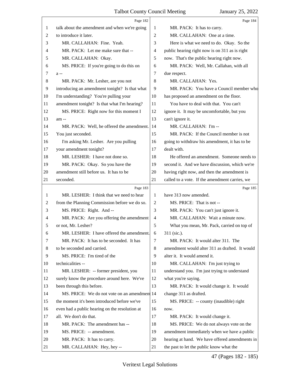<span id="page-47-0"></span>

|    | Page 182                                       |                | Page 184                                       |
|----|------------------------------------------------|----------------|------------------------------------------------|
| 1  | talk about the amendment and when we're going  | 1              | MR. PACK: It has to carry.                     |
| 2  | to introduce it later.                         | $\overline{2}$ | MR. CALLAHAN: One at a time.                   |
| 3  | MR. CALLAHAN: Fine. Yeah.                      | 3              | Here is what we need to do. Okay. So the       |
| 4  | MR. PACK: Let me make sure that --             | 4              | public hearing right now is on 311 as is right |
| 5  | MR. CALLAHAN: Okay.                            | 5              | now. That's the public hearing right now.      |
| 6  | MS. PRICE: If you're going to do this on       | 6              | MR. PACK: Well, Mr. Callahan, with all         |
| 7  | $a -$                                          | 7              | due respect.                                   |
| 8  | MR. PACK: Mr. Lesher, are you not              | 8              | MR. CALLAHAN: Yes.                             |
| 9  | introducing an amendment tonight? Is that what | 9              | MR. PACK: You have a Council member who        |
| 10 | I'm understanding? You're pulling your         | 10             | has proposed an amendment on the floor.        |
| 11 | amendment tonight? Is that what I'm hearing?   | 11             | You have to deal with that. You can't          |
| 12 | MS. PRICE: Right now for this moment I         | 12             | ignore it. It may be uncomfortable, but you    |
| 13 | am --                                          | 13             | can't ignore it.                               |
| 14 | MR. PACK: Well, he offered the amendment.      | 14             | MR. CALLAHAN: I'm --                           |
| 15 | You just seconded.                             | 15             | MR. PACK: If the Council member is not         |
| 16 | I'm asking Mr. Lesher. Are you pulling         | 16             | going to withdraw his amendment, it has to be  |
| 17 | your amendment tonight?                        | 17             | dealt with.                                    |
| 18 | MR. LESHER: I have not done so.                | 18             | He offered an amendment. Someone needs to      |
| 19 | MR. PACK: Okay. So you have the                | 19             | second it. And we have discussion, which we're |
| 20 | amendment still before us. It has to be        | 20             | having right now, and then the amendment is    |
| 21 | seconded.                                      | 21             | called to a vote. If the amendment carries, we |
|    | Page 183                                       |                | Page 185                                       |
| 1  | MR. LESHER: I think that we need to hear       | 1              | have 313 now amended.                          |
| 2  | from the Planning Commission before we do so.  | $\overline{2}$ | MS. PRICE: That is not --                      |
| 3  | MS. PRICE: Right. And --                       | 3              | MR. PACK: You can't just ignore it.            |
| 4  | MR. PACK: Are you offering the amendment       | $\overline{4}$ | MR. CALLAHAN: Wait a minute now.               |
|    | or not, Mr. Lesher?                            | 5              | What you mean, Mr. Pack, carried on top of     |
| 6  | MR. LESHER: I have offered the amendment.      | 6              | 311 (sic.).                                    |
| 7  | MR. PACK: It has to be seconded. It has        | 7              |                                                |
| 8  |                                                |                | MR. PACK: It would alter 311. The              |
| 9  | to be seconded and carried.                    | 8              | amendment would alter 311 as drafted. It would |
|    | MS. PRICE: I'm tired of the                    | 9              | alter it. It would amend it.                   |
| 10 | technicalities --                              | 10             | MR. CALLAHAN: I'm just trying to               |
| 11 | MR. LESHER: -- former president, you           | 11             | understand you. I'm just trying to understand  |
| 12 | surely know the procedure around here. We've   | 12             | what you're saying.                            |
| 13 | been through this before.                      | 13             | MR. PACK: It would change it. It would         |
| 14 | MS. PRICE: We do not vote on an amendment 14   |                | change 311 as drafted.                         |
| 15 | the moment it's been introduced before we've   | 15             | MS. PRICE: -- county (inaudible) right         |
| 16 | even had a public hearing on the resolution at | 16             | now.                                           |
| 17 | all. We don't do that.                         | 17             | MR. PACK: It would change it.                  |
| 18 | MR. PACK: The amendment has --                 | 18             | MS. PRICE: We do not always vote on the        |
| 19 | MS. PRICE: -- amendment.                       | 19             | amendment immediately when we have a public    |
| 20 | MR. PACK: It has to carry.                     | 20             | hearing at hand. We have offered amendments in |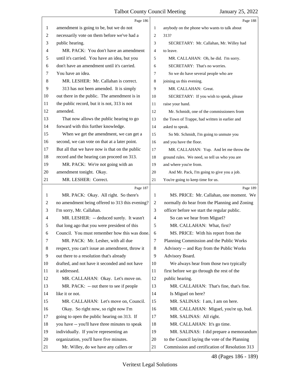<span id="page-48-0"></span>

|                | Page 186                                        |                | Page 188                                       |
|----------------|-------------------------------------------------|----------------|------------------------------------------------|
| 1              | amendment is going to be, but we do not         | 1              | anybody on the phone who wants to talk about   |
| 2              | necessarily vote on them before we've had a     | 2              | 313?                                           |
| 3              | public hearing.                                 | 3              | SECRETARY: Mr. Callahan, Mr. Willey had        |
| $\overline{4}$ | MR. PACK: You don't have an amendment           | 4              | to leave.                                      |
| 5              | until it's carried. You have an idea, but you   | 5              | MR. CALLAHAN: Oh, he did. I'm sorry.           |
| 6              | don't have an amendment until it's carried.     | 6              | SECRETARY: That's no worries.                  |
| 7              | You have an idea.                               | 7              | So we do have several people who are           |
| 8              | MR. LESHER: Mr. Callahan is correct.            | 8              | joining us this evening.                       |
| 9              | 313 has not been amended. It is simply          | 9              | MR. CALLAHAN: Great.                           |
| 10             | out there in the public. The amendment is in    | 10             | SECRETARY: If you wish to speak, please        |
| 11             | the public record, but it is not, 313 is not    | 11             | raise your hand.                               |
| 12             | amended.                                        | 12             | Mr. Schmidt, one of the commissioners from     |
| 13             | That now allows the public hearing to go        | 13             | the Town of Trappe, had written in earlier and |
| 14             | forward with this further knowledge.            | 14             | asked to speak.                                |
| 15             | When we get the amendment, we can get a         | 15             | So Mr. Schmidt, I'm going to unmute you        |
| 16             | second, we can vote on that at a later point.   | 16             | and you have the floor.                        |
| 17             | But all that we have now is that on the public  | 17             | MR. CALLAHAN: Yup. And let me throw the        |
| 18             | record and the hearing can proceed on 313.      | 18             | ground rules. We need, so tell us who you are  |
| 19             | MR. PACK: We're not going with an               | 19             | and where you're from.                         |
| 20             | amendment tonight. Okay.                        | 20             | And Mr. Pack, I'm going to give you a job.     |
| 21             | MR. LESHER: Correct.                            | 21             | You're going to keep time for us.              |
|                | Page 187                                        |                | Page 189                                       |
| 1              | MR. PACK: Okay. All right. So there's           | 1              | MS. PRICE: Mr. Callahan, one moment. We        |
| 2              | no amendment being offered to 313 this evening? | 2              | normally do hear from the Planning and Zoning  |
| 3              | I'm sorry, Mr. Callahan.                        | 3              |                                                |
| $\overline{4}$ |                                                 |                | officer before we start the regular public.    |
|                | MR. LESHER: -- deduced surely. It wasn't        | $\overline{4}$ | So can we hear from Miguel?                    |
| 5              | that long ago that you were president of this   | 5              | MR. CALLAHAN: What, first?                     |
| 6              | Council. You must remember how this was done.   | 6              | MS. PRICE: With his report from the            |
| 7              | MR. PACK: Mr. Lesher, with all due              | 7              | Planning Commission and the Public Works       |
| 8              | respect, you can't issue an amendment, throw it | 8              | Advisory -- and Ray from the Public Works      |
| 9              | out there to a resolution that's already        | 9              | Advisory Board.                                |
| 10             | drafted, and not have it seconded and not have  | 10             | We always hear from those two typically        |
| 11             | it addressed.                                   | 11             | first before we go through the rest of the     |
| 12             | MR. CALLAHAN: Okay. Let's move on.              | 12             | public hearing.                                |
| 13             | MR. PACK: -- out there to see if people         | 13             | MR. CALLAHAN: That's fine, that's fine.        |
| 14             | like it or not.                                 | 14             | Is Miguel on here?                             |
| 15             | MR. CALLAHAN: Let's move on, Council.           | 15             | MR. SALINAS: I am, I am on here.               |
| 16             | Okay. So right now, so right now I'm            | 16             | MR. CALLAHAN: Miguel, you're up, bud.          |
| 17             | going to open the public hearing on 313. If     | 17             | MR. SALINAS: All right.                        |
| 18             | you have -- you'll have three minutes to speak  | 18             | MR. CALLAHAN: It's go time.                    |
| 19             | individually. If you're representing an         | 19             | MR. SALINAS: I did prepare a memorandum        |
| 20             | organization, you'll have five minutes.         | 20             | to the Council laying the vote of the Planning |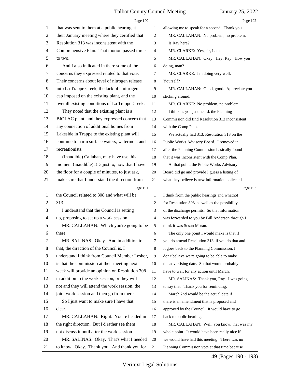<span id="page-49-0"></span>

|    | Page 190                                        |                | Page 192                                        |
|----|-------------------------------------------------|----------------|-------------------------------------------------|
| 1  | that was sent to them at a public hearing at    | 1              | allowing me to speak for a second. Thank you.   |
| 2  | their January meeting where they certified that | 2              | MR. CALLAHAN: No problem, no problem.           |
| 3  | Resolution 313 was inconsistent with the        | 3              | Is Ray here?                                    |
| 4  | Comprehensive Plan. That motion passed three    | 4              | MR. CLARKE: Yes, sir, I am.                     |
| 5  | to two.                                         | 5              | MR. CALLAHAN: Okay. Hey, Ray. How you           |
| 6  | And I also indicated in there some of the       | 6              | doing, man?                                     |
| 7  | concerns they expressed related to that vote.   | 7              | MR. CLARKE: I'm doing very well.                |
| 8  | Their concerns about level of nitrogen release  | 8              | Yourself?                                       |
| 9  | into La Trappe Creek, the lack of a nitrogen    | 9              | MR. CALLAHAN: Good, good. Appreciate you        |
| 10 | cap imposed on the existing plant, and the      | 10             | sticking around.                                |
| 11 | overall existing conditions of La Trappe Creek. | 11             | MR. CLARKE: No problem, no problem.             |
| 12 | They noted that the existing plant is a         | 12             | I think as you just heard, the Planning         |
| 13 | BIOLAC plant, and they expressed concern that   | 13             | Commission did find Resolution 313 inconsistent |
| 14 | any connection of additional homes from         | 14             | with the Comp Plan.                             |
| 15 | Lakeside in Trappe to the existing plant will   | 15             | We actually had 313, Resolution 313 on the      |
| 16 | continue to harm surface waters, watermen, and  | 16             | Public Works Advisory Board. I removed it       |
| 17 | recreationists.                                 | 17             | after the Planning Commission basically found   |
| 18 | (Inaudible) Callahan, may have use this         | 18             | that it was inconsistent with the Comp Plan.    |
| 19 | moment (inaudible) 313 just to, now that I have | 19             | At that point, the Public Works Advisory        |
| 20 | the floor for a couple of minutes, to just ask, | 20             | Board did go and provide I guess a listing of   |
| 21 | make sure that I understand the direction from  | 21             | what they believe is new information collected  |
|    |                                                 |                |                                                 |
|    | Page 191                                        |                | Page 193                                        |
| 1  | the Council related to 308 and what will be     | 1              | I think from the public hearings and whatnot    |
| 2  | 313.                                            | $\overline{2}$ | for Resolution 308, as well as the possibility  |
| 3  | I understand that the Council is setting        | 3              | of the discharge permits. So that information   |
| 4  | up, proposing to set up a work session.         | $\overline{4}$ | was forwarded to you by Bill Anderson through I |
| 5  | MR. CALLAHAN: Which you're going to be          | 5              | think it was Susan Moran.                       |
| 6  | there.                                          | 6              | The only one point I would make is that if      |
| 7  | MR. SALINAS: Okay. And in addition to           | 7              | you do amend Resolution 313, if you do that and |
| 8  | that, the direction of the Council is, I        | 8              | it goes back to the Planning Commission, I      |
| 9  | understand I think from Council Member Lesher,  | 9              | don't believe we're going to be able to make    |
| 10 | is that the commission at their meeting next    | 10             | the advertising date. So that would probably    |
| 11 | week will provide an opinion on Resolution 308  | 11             | have to wait for any action until March.        |
| 12 | in addition to the work session, or they will   | 12             | MR. SALINAS: Thank you, Ray. I was going        |
| 13 | not and they will attend the work session, the  | 13             | to say that. Thank you for reminding.           |
| 14 | joint work session and then go from there.      | 14             | March 2nd would be the actual date if           |
| 15 | So I just want to make sure I have that         | 15             | there is an amendment that is proposed and      |
| 16 | clear.                                          | 16             | approved by the Council. It would have to go    |
| 17 | MR. CALLAHAN: Right. You're headed in           | 17             | back to public hearing.                         |
| 18 | the right direction. But I'd rather see them    | 18             | MR. CALLAHAN: Well, you know, that was my       |
| 19 | not discuss it until after the work session.    | 19             | whole point. It would have been really nice if  |
| 20 | MR. SALINAS: Okay. That's what I needed         | 20             | we would have had this meeting. There was no    |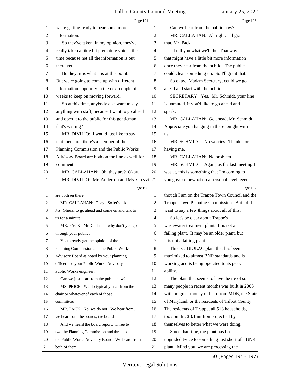<span id="page-50-0"></span>

|                | Page 194                                        |                | Page 196                                        |
|----------------|-------------------------------------------------|----------------|-------------------------------------------------|
| 1              | we're getting ready to hear some more           | 1              | Can we hear from the public now?                |
| $\overline{c}$ | information.                                    | 2              | MR. CALLAHAN: All right. I'll grant             |
| 3              | So they've taken, in my opinion, they've        | 3              | that, Mr. Pack.                                 |
| 4              | really taken a little bit premature vote at the | 4              | I'll tell you what we'll do. That way           |
| 5              | time because not all the information is out     | 5              | that might have a little bit more information   |
| 6              | there yet.                                      | 6              | once they hear from the public. The public      |
| 7              | But hey, it is what it is at this point.        | 7              | could clean something up. So I'll grant that.   |
| 8              | But we're going to come up with different       | 8              | So okay. Madam Secretary, could we go           |
| 9              | information hopefully in the next couple of     | 9              | ahead and start with the public.                |
| 10             | weeks to keep on moving forward.                | 10             | SECRETARY: Yes. Mr. Schmidt, your line          |
| 11             | So at this time, anybody else want to say       | 11             | is unmuted, if you'd like to go ahead and       |
| 12             | anything with staff, because I want to go ahead | 12             | speak.                                          |
| 13             | and open it to the public for this gentleman    | 13             | MR. CALLAHAN: Go ahead, Mr. Schmidt.            |
| 14             | that's waiting?                                 | 14             | Appreciate you hanging in there tonight with    |
| 15             | MR. DIVILIO: I would just like to say           | 15             | us.                                             |
| 16             | that there are, there's a member of the         | 16             | MR. SCHMIDT: No worries. Thanks for             |
| 17             | Planning Commission and the Public Works        | 17             | having me.                                      |
| 18             | Advisory Board are both on the line as well for | 18             | MR. CALLAHAN: No problem.                       |
| 19             | comment.                                        | 19             | MR. SCHMIDT: Again, as the last meeting I       |
| 20             | MR. CALLAHAN: Oh, they are? Okay.               | 20             | was at, this is something that I'm coming to    |
| 21             | MR. DIVILIO: Mr. Anderson and Ms. Ghezzi        | 21             | you guys somewhat on a personal level, even     |
|                |                                                 |                |                                                 |
|                | Page 195                                        |                | Page 197                                        |
| 1              | are both on there.                              | 1              | though I am on the Trappe Town Council and the  |
| 2              | MR. CALLAHAN: Okay. So let's ask                | 2              | Trappe Town Planning Commission. But I did      |
| 3              | Ms. Ghezzi to go ahead and come on and talk to  | 3              | want to say a few things about all of this.     |
| 4              | us for a minute.                                | $\overline{4}$ | So let's be clear about Trappe's                |
| 5              | MR. PACK: Mr. Callahan, why don't you go        | 5              | wastewater treatment plant. It is not a         |
| 6              | through your public?                            | 6              | failing plant. It may be an older plant, but    |
| 7              | You already got the opinion of the              | $\tau$         | it is not a failing plant.                      |
| 8              | Planning Commission and the Public Works        | 8              | This is a BIOLAC plant that has been            |
| 9              | Advisory Board as noted by your planning        | 9              | maximized to almost BNR standards and is        |
| 10             | officer and your Public Works Advisory --       | 10             | working and is being operated to its peak       |
| 11             | Public Works engineer.                          | 11             | ability.                                        |
| 12             | Can we just hear from the public now?           | 12             | The plant that seems to have the ire of so      |
| 13             | MS. PRICE: We do typically hear from the        | 13             | many people in recent months was built in 2003  |
| 14             | chair or whatever of each of those              | 14             | with no grant money or help from MDE, the State |
| 15             | committees --                                   | 15             | of Maryland, or the residents of Talbot County. |
| 16             | MR. PACK: No, we do not. We hear from,          | 16             | The residents of Trappe, all 513 households,    |
| 17             | we hear from the boards, the board.             | 17             | took on this \$3.1 million project all by       |
| 18             | And we heard the board report. Three to         | 18             | themselves to better what we were doing.        |
| 19             | two the Planning Commission and three to -- and | 19             | Since that time, the plant has been             |
| 20             | the Public Works Advisory Board. We heard from  | 20             | upgraded twice to something just short of a BNR |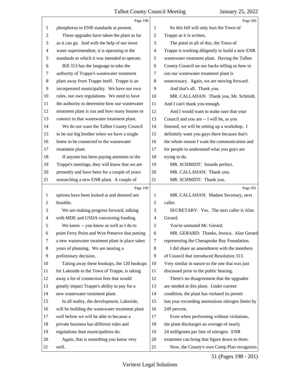<span id="page-51-0"></span>

|                | Page 198                                        |                          | Page 200                                        |
|----------------|-------------------------------------------------|--------------------------|-------------------------------------------------|
| 1              | phosphorus to ENR standards at present.         | 1                        | So this bill will only hurt the Town of         |
| $\overline{2}$ | These upgrades have taken the plant as far      | $\overline{c}$           | Trappe as it is written.                        |
| 3              | as it can go. And with the help of our town     | 3                        | The point in all of this, the Town of           |
| $\overline{4}$ | water superintendent, it is operating to the    | $\overline{\mathcal{A}}$ | Trappe is working diligently to build a new ENR |
| 5              | standards to which it was intended to operate.  | 5                        | wastewater treatment plant. Having the Talbot   |
| 6              | Bill 313 has the language to take the           | 6                        | County Council on our backs telling us how to   |
| 7              | authority of Trappe's wastewater treatment      | 7                        | run our wastewater treatment plant is           |
| $\,8\,$        | plant away from Trappe itself. Trappe is an     | $\,8$                    | unnecessary. Again, we are moving forward.      |
| 9              | incorporated municipality. We have our own      | 9                        | And that's all. Thank you.                      |
| 10             | rules, our own regulations. We need to have     | 10                       | MR. CALLAHAN: Thank you, Mr. Schmidt.           |
| 11             | the authority to determine how our wastewater   | 11                       | And I can't thank you enough.                   |
| 12             | treatment plant is run and how many houses to   | 12                       | And I would want to make sure that your         |
| 13             | connect to that wastewater treatment plant.     | 13                       | Council and you are -- I will be, as you        |
| 14             | We do not want the Talbot County Council        | 14                       | listened, we will be setting up a workshop. I   |
| 15             | to be our big brother when we have a single     | 15                       | definitely want you guys there because that's   |
| 16             | home to be connected to the wastewater          | 16                       | the whole reason I want the communication and   |
| 17             | treatment plant.                                | 17                       | for people to understand what you guys are      |
| 18             | If anyone has been paying attention to the      | 18                       | trying to do.                                   |
| 19             | Trappe's meetings, they will know that we are   | 19                       | MR. SCHMIDT: Sounds perfect.                    |
| 20             | presently and have been for a couple of years   | 20                       | MR. CALLAHAN: Thank you.                        |
| 21             | researching a new ENR plant. A couple of        | 21                       | MR. SCHMIDT: Thank you.                         |
|                |                                                 |                          |                                                 |
|                | Page 199                                        |                          | Page 201                                        |
| 1              | options have been looked at and deemed not      | 1                        | MR. CALLAHAN: Madam Secretary, next             |
| $\overline{c}$ | feasible.                                       | $\overline{c}$           | caller.                                         |
| 3              | We are making progress forward, talking         | 3                        | SECRETARY: Yes. The next caller is Alan         |
| 4              | with MDE and USDA concerning funding.           | $\overline{\mathcal{A}}$ | Gerard.                                         |
| 5              | We know -- you know as well as I do to          | 5                        | You're unmuted Mr. Gerard.                      |
| 6              | point Ferry Point and Wye Preserve that putting | 6                        | MR. GERARD: Thanks, Jessica. Alan Gerard        |
| 7              | a new wastewater treatment plant in place takes | 7                        | representing the Chesapeake Bay Foundation.     |
| 8              | years of planning. We are nearing a             | 8                        | I did share an amendment with the members       |
| 9              | preliminary decision.                           | 9                        | of Council that introduced Resolution 313.      |
| 10             | Taking away these hookups, the 120 hookups      | 10                       | Very similar in nature to the one that was just |
| 11             | for Lakeside to the Town of Trappe, is taking   | 11                       | discussed prior to the public hearing.          |
| 12             | away a lot of connection fees that would        | 12                       | There's no disagreement that the upgrades       |
| 13             | greatly impact Trappe's ability to pay for a    | 13                       | are needed at this plant. Under current         |
| 14             | new wastewater treatment plant.                 | 14                       | condition, the plant has violated its permit    |
| 15             | In all reality, the development, Lakeside,      | 15                       | last year exceeding ammonium nitrogen limits by |
| 16             | will be building the wastewater treatment plant | 16                       | 249 percent.                                    |
| 17             | well before we will be able to because a        | 17                       | Even when performing without violations,        |
| 18             | private business has different rules and        | 18                       | the plant discharges an average of nearly       |
| 19             | regulations than municipalities do.             | 19                       | 24 milligrams per liter of nitrogen. ENR        |
| 20             | Again, that is something you know very          | 20                       | treatment can bring that figure down to three.  |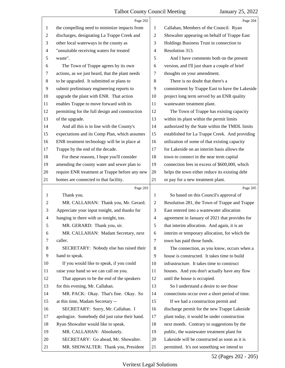<span id="page-52-0"></span>

|                          | Page 202                                        |                | Page 204                                       |
|--------------------------|-------------------------------------------------|----------------|------------------------------------------------|
| 1                        | the compelling need to minimize impacts from    | 1              | Callahan, Members of the Council. Ryan         |
| $\overline{c}$           | discharges, designating La Trappe Creek and     | $\overline{c}$ | Showalter appearing on behalf of Trappe East   |
| 3                        | other local waterways in the county as          | 3              | Holdings Business Trust in connection to       |
| $\overline{\mathcal{A}}$ | "unsuitable receiving waters for treated        | 4              | Resolution 313.                                |
| 5                        | waste".                                         | 5              | And I have comments both on the present        |
| 6                        | The Town of Trappe agrees by its own            | 6              | version, and I'll just share a couple of brief |
| 7                        | actions, as we just heard, that the plant needs | 7              | thoughts on your amendment.                    |
| 8                        | to be upgraded. It submitted or plans to        | 8              | There is no doubt that there's a               |
| 9                        | submit preliminary engineering reports to       | 9              | commitment by Trappe East to have the Lakeside |
| 10                       | upgrade the plant with ENR. That action         | 10             | project long term served by an ENR quality     |
| 11                       | enables Trappe to move forward with its         | 11             | wastewater treatment plant.                    |
| 12                       | permitting for the full design and construction | 12             | The Town of Trappe has existing capacity       |
| 13                       | of the upgrade.                                 | 13             | within its plant within the permit limits      |
| 14                       | And all this is in line with the County's       | 14             | authorized by the State within the TMDL limits |
| 15                       | expectations and its Comp Plan, which assumes   | 15             | established for La Trappe Creek. And providing |
| 16                       | ENR treatment technology will be in place at    | 16             | utilization of some of that existing capacity  |
| 17                       | Trappe by the end of the decade.                | 17             | for Lakeside on an interim basis allows the    |
| 18                       | For these reasons, I hope you'll consider       | 18             | town to connect in the near term capital       |
| 19                       | amending the county water and sewer plan to     | 19             | connection fees in excess of \$600,000, which  |
| 20                       | require ENR treatment at Trappe before any new  | 20             | helps the town either reduce its existing debt |
| 21                       | homes are connected to that facility.           | 21             | or pay for a new treatment plant.              |
|                          |                                                 |                |                                                |
|                          | Page 203                                        |                | Page 205                                       |
| $\mathbf{1}$             | Thank you.                                      | 1              | So based on this Council's approval of         |
| 2                        | MR. CALLAHAN: Thank you, Mr. Gerard.            | 2              | Resolution 281, the Town of Trappe and Trappe  |
| 3                        | Appreciate your input tonight, and thanks for   | 3              | East entered into a wastewater allocation      |
| 4                        | hanging in there with us tonight, too.          | $\overline{4}$ | agreement in January of 2021 that provides for |
| 5                        | MR. GERARD: Thank you, sir.                     | 5              | that interim allocation. And again, it is an   |
| 6                        | MR. CALLAHAN: Madam Secretary, next             | 6              | interim or temporary allocation, for which the |
| 7                        | caller.                                         | $\tau$         | town has paid those funds.                     |
| 8                        | SECRETARY: Nobody else has raised their         | 8              | The connection, as you know, occurs when a     |
| 9                        | hand to speak.                                  | 9              | house is constructed. It takes time to build   |
| 10                       | If you would like to speak, if you could        | 10             | infrastructure. It takes time to construct     |
| 11                       | raise your hand so we can call on you.          | 11             | houses. And you don't actually have any flow   |
| 12                       | That appears to be the end of the speakers      | 12             | until the house is occupied.                   |
| 13                       | for this evening, Mr. Callahan.                 | 13             | So I understand a desire to see those          |
| 14                       | MR. PACK: Okay. That's fine. Okay. So           | 14             | connections occur over a short period of time. |
| 15                       | at this time, Madam Secretary --                | 15             | If we had a construction permit and            |
| 16                       | SECRETARY: Sorry, Mr. Callahan. I               | 16             | discharge permit for the new Trappe Lakeside   |
| 17                       | apologize. Somebody did just raise their hand.  | 17             | plant today, it would be under construction    |
| 18                       | Ryan Showalter would like to speak.             | 18             | next month. Contrary to suggestions by the     |
| 19                       | MR. CALLAHAN: Absolutely.                       | 19             | public, the wastewater treatment plant for     |
| 20                       | SECRETARY: Go ahead, Mr. Showalter.             | 20             | Lakeside will be constructed as soon as it is  |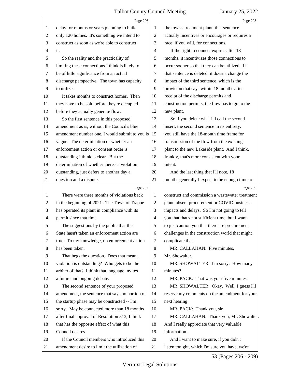<span id="page-53-0"></span>

|                | Page 206                                        |                | Page 208                                        |
|----------------|-------------------------------------------------|----------------|-------------------------------------------------|
| 1              | delay for months or years planning to build     | 1              | the town's treatment plant, that sentence       |
| $\overline{2}$ | only 120 homes. It's something we intend to     | 2              | actually incentives or encourages or requires a |
| 3              | construct as soon as we're able to construct    | 3              | race, if you will, for connections.             |
| $\overline{4}$ | it.                                             | 4              | If the right to connect expires after 18        |
| 5              | So the reality and the practicality of          | 5              | months, it incentivizes those connections to    |
| 6              | limiting these connections I think is likely to | 6              | occur sooner so that they can be utilized. If   |
| 7              | be of little significance from an actual        | 7              | that sentence is deleted, it doesn't change the |
| 8              | discharge perspective. The town has capacity    | 8              | impact of the third sentence, which is the      |
| 9              | to utilize.                                     | 9              | provision that says within 18 months after      |
| 10             | It takes months to construct homes. Then        | 10             | receipt of the discharge permits and            |
| 11             | they have to be sold before they're occupied    | 11             | construction permits, the flow has to go to the |
| 12             | before they actually generate flow.             | 12             | new plant.                                      |
| 13             | So the first sentence in this proposed          | 13             | So if you delete what I'll call the second      |
| 14             | amendment as is, without the Council's blue     | 14             | insert, the second sentence in its entirety,    |
| 15             | amendment number one, I would submit to you is  | 15             | you still have the 18-month time frame for      |
| 16             | vague. The determination of whether an          | 16             | transmission of the flow from the existing      |
| 17             | enforcement action or consent order is          | 17             | plant to the new Lakeside plant. And I think,   |
| 18             | outstanding I think is clear. But the           | 18             | frankly, that's more consistent with your       |
| 19             | determination of whether there's a violation    | 19             | intent.                                         |
| 20             | outstanding, just defers to another day a       | 20             | And the last thing that I'll note, 18           |
| 21             | question and a dispute.                         | 21             | months generally I expect to be enough time to  |
|                | Page 207                                        |                | Page 209                                        |
| 1              | There were three months of violations back      | 1              | construct and commission a wastewater treatment |
| 2              | in the beginning of 2021. The Town of Trappe    | $\overline{2}$ | plant, absent procurement or COVID business     |
| 3              | has operated its plant in compliance with its   | 3              | impacts and delays. So I'm not going to tell    |
| 4              | permit since that time.                         | $\overline{4}$ | you that that's not sufficient time, but I want |
| 5              | The suggestions by the public that the          | 5              | to just caution you that there are procurement  |
| 6              | State hasn't taken an enforcement action are    | 6              | challenges in the construction world that might |
| 7              | true. To my knowledge, no enforcement action    | 7              | complicate that.                                |
| 8              | has been taken.                                 | 8              | MR. CALLAHAN: Five minutes,                     |
| 9              | That begs the question. Does that mean a        | 9              | Mr. Showalter.                                  |
| 10             | violation is outstanding? Who gets to be the    | 10             | MR. SHOWALTER: I'm sorry. How many              |
| 11             | arbiter of that? I think that language invites  | 11             | minutes?                                        |
| 12             | a future and ongoing debate.                    | 12             | MR. PACK: That was your five minutes.           |
| 13             | The second sentence of your proposed            | 13             | MR. SHOWALTER: Okay. Well, I guess I'll         |
| 14             | amendment, the sentence that says no portion of | 14             | reserve my comments on the amendment for your   |
| 15             | the startup phase may be constructed -- I'm     | 15             | next hearing.                                   |
| 16             | sorry. May be connected more than 18 months     | 16             | MR. PACK: Thank you, sir.                       |
| 17             | after final approval of Resolution 313, I think | 17             | MR. CALLAHAN: Thank you, Mr. Showalter.         |
| 18             | that has the opposite effect of what this       | 18             | And I really appreciate that very valuable      |
| 19             |                                                 |                |                                                 |
|                | Council desires.                                | 19             | information.                                    |
| 20             | If the Council members who introduced this      | 20             | And I want to make sure, if you didn't          |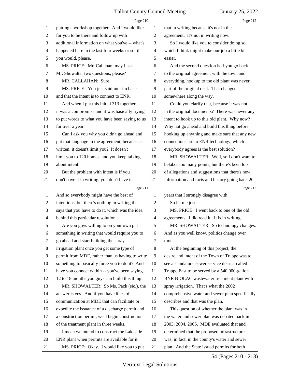<span id="page-54-0"></span>

|                | Page 210                                        |                | Page 212                                        |
|----------------|-------------------------------------------------|----------------|-------------------------------------------------|
| 1              | putting a workshop together. And I would like   | 1              | that in writing because it's not in the         |
| $\overline{c}$ | for you to be there and follow up with          | $\overline{2}$ | agreement. It's not in writing now.             |
| 3              | additional information on what you've -- what's | 3              | So I would like you to consider doing so,       |
| 4              | happened here in the last four weeks or so, if  | $\overline{4}$ | which I think might make our job a little bit   |
| 5              | you would, please.                              | 5              | easier.                                         |
| 6              | MS. PRICE: Mr. Callahan, may I ask              | 6              | And the second question is if you go back       |
| 7              | Mr. Showalter two questions, please?            | 7              | to the original agreement with the town and     |
| 8              | MR. CALLAHAN: Sure.                             | 8              | everything, hookup to the old plant was never   |
| 9              | MS. PRICE: You just said interim basis          | 9              | part of the original deal. That changed         |
| 10             | and that the intent is to connect to ENR.       | 10             | somewhere along the way.                        |
| 11             | And when I put this initial 313 together,       | 11             | Could you clarify that, because it was not      |
| 12             | it was a compromise and it was basically trying | 12             | in the original documents? There was never any  |
| 13             | to put words to what you have been saying to us | 13             | intent to hook up to this old plant. Why now?   |
| 14             | for over a year.                                | 14             | Why not go ahead and build this thing before    |
| 15             | Can I ask you why you didn't go ahead and       | 15             | hooking up anything and make sure that any new  |
| 16             | put that language in the agreement, because as  | 16             | connections are to ENR technology, which        |
| 17             | written, it doesn't limit you? It doesn't       | 17             | everybody agrees is the best solution?          |
| 18             | limit you to 120 homes, and you keep talking    | 18             | MR. SHOWALTER: Well, so I don't want to         |
| 19             | about intent.                                   | 19             | belabor too many points, but there's been lots  |
| 20             | But the problem with intent is if you           | 20             | of allegations and suggestions that there's new |
| 21             | don't have it in writing, you don't have it.    | 21             | information and facts and history going back 20 |
|                |                                                 |                |                                                 |
|                | Page 211                                        |                | Page 213                                        |
| $\mathbf{1}$   | And so everybody might have the best of         | 1              | years that I strongly disagree with.            |
| $\overline{c}$ | intentions, but there's nothing in writing that | $\overline{2}$ | So let me just --                               |
| 3              | says that you have to do it, which was the idea | 3              | MS. PRICE: I went back to one of the old        |
| 4              | behind this particular resolution.              | $\overline{4}$ | agreements. I did read it. It is in writing.    |
| 5              | Are you guys willing to on your own put         | 5              | MR. SHOWALTER: So technology changes.           |
| 6              | something in writing that would require you to  | 6              | And as you well know, politics change over      |
| 7              | go ahead and start building the spray           | 7              | time.                                           |
| 8              | irrigation plant once you get some type of      | 8              | At the beginning of this project, the           |
| $\overline{9}$ | permit from MDE, rather than us having to write | 9              | desire and intent of the Town of Trappe was to  |
| 10             | something to basically force you to do it? And  | 10             | see a standalone sewer service district called  |
| 11             | have you connect within -- you've been saying   | 11             | Trappe East to be served by a 540,000-gallon    |
| 12             | 12 to 18 months you guys can build this thing.  | 12             | BNR BIOLAC wastewater treatment plant with      |
| 13             | MR. SHOWALTER: So Ms. Pack (sic.), the          | 13             | spray irrigation. That's what the 2002          |
| 14             | answer is yes. And if you have lines of         | 14             | comprehensive water and sewer plan specifically |
| 15             | communication at MDE that can facilitate or     | 15             | describes and that was the plan.                |
| 16             | expedite the issuance of a discharge permit and | 16             | This question of whether the plant was in       |
| 17             | a construction permit, we'll begin construction | 17             | the water and sewer plan was debated back in    |
| 18             | of the treatment plant in three weeks.          | 18             | 2003, 2004, 2005. MDE evaluated that and        |
| 19             | I mean we intend to construct the Lakeside      | 19             | determined that the proposed infrastructure     |
| 20             | ENR plant when permits are available for it.    | 20             | was, in fact, in the county's water and sewer   |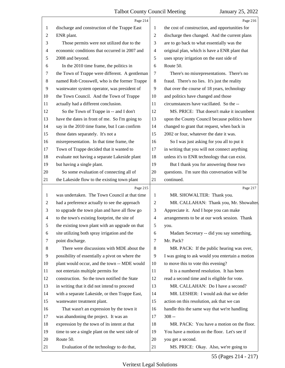<span id="page-55-0"></span>

|                | Page 214                                        |                          | Page 216                                        |
|----------------|-------------------------------------------------|--------------------------|-------------------------------------------------|
| 1              | discharge and construction of the Trappe East   | 1                        | the cost of construction, and opportunities for |
| 2              | ENR plant.                                      | 2                        | discharge then changed. And the current plans   |
| 3              | Those permits were not utilized due to the      | 3                        | are to go back to what essentially was the      |
| $\overline{4}$ | economic conditions that occurred in 2007 and   | $\overline{\mathcal{A}}$ | original plan, which is have a ENR plant that   |
| 5              | 2008 and beyond.                                | 5                        | uses spray irrigation on the east side of       |
| 6              | In the 2010 time frame, the politics in         | 6                        | Route 50.                                       |
| 7              | the Town of Trappe were different. A gentleman  | 7                        | There's no misrepresentations. There's no       |
| $\,8\,$        | named Rob Crosswell, who is the former Trappe   | $\,8\,$                  | fraud. There's no lies. It's just the reality   |
| 9              | wastewater system operator, was president of    | 9                        | that over the course of 18 years, technology    |
| 10             | the Town Council. And the Town of Trappe        | 10                       | and politics have changed and those             |
| 11             | actually had a different conclusion.            | 11                       | circumstances have vacillated. So the --        |
| 12             | So the Town of Trappe in -- and I don't         | 12                       | MS. PRICE: That doesn't make it incumbent       |
| 13             | have the dates in front of me. So I'm going to  | 13                       | upon the County Council because politics have   |
| 14             | say in the 2010 time frame, but I can confirm   | 14                       | changed to grant that request, when back in     |
| 15             | those dates separately. It's not a              | 15                       | 2002 or four, whatever the date it was.         |
| 16             | misrepresentation. In that time frame, the      | 16                       | So I was just asking for you all to put it      |
| 17             | Town of Trappe decided that it wanted to        | 17                       | in writing that you will not connect anything   |
| 18             | evaluate not having a separate Lakeside plant   | 18                       | unless it's to ENR technology that can exist.   |
| 19             | but having a single plant.                      | 19                       | But I thank you for answering those two         |
| 20             | So some evaluation of connecting all of         | 20                       | questions. I'm sure this conversation will be   |
| 21             | the Lakeside flow to the existing town plant    | 21                       | continued.                                      |
|                | Page 215                                        |                          | Page 217                                        |
| $\mathbf{1}$   | was undertaken. The Town Council at that time   | $\mathbf{1}$             | MR. SHOWALTER: Thank you.                       |
| 2              | had a preference actually to see the approach   | 2                        | MR. CALLAHAN: Thank you, Mr. Showalter.         |
| 3              | to upgrade the town plan and have all flow go   | 3                        | Appreciate it. And I hope you can make          |
| $\overline{4}$ | to the town's existing footprint, the site of   | 4                        | arrangements to be at our work session. Thank   |
| 5              | the existing town plant with an upgrade on that | 5                        | you.                                            |
| 6              | site utilizing both spray irrigation and the    | 6                        | Madam Secretary -- did you say something,       |
| 7              | point discharge.                                | 7                        | Mr. Pack?                                       |
| 8              | There were discussions with MDE about the       | $\,8\,$                  | MR. PACK: If the public hearing was over,       |
| 9              | possibility of essentially a pivot on where the | 9                        | I was going to ask would you entertain a motion |
| 10             | plant would occur, and the town -- MDE would    | 10                       | to move this to vote this evening?              |
| 11             | not entertain multiple permits for              | 11                       | It is a numbered resolution. It has been        |
| 12             | construction. So the town notified the State    | 12                       | read a second time and is eligible for vote.    |
| 13             | in writing that it did not intend to proceed    | 13                       | MR. CALLAHAN: Do I have a second?               |
| 14             | with a separate Lakeside, or then Trappe East,  | 14                       | MR. LESHER: I would ask that we defer           |
| 15             | wastewater treatment plant.                     | 15                       | action on this resolution, ask that we can      |
| 16             | That wasn't an expression by the town it        | 16                       | handle this the same way that we're handling    |
| 17             | was abandoning the project. It was an           | 17                       | $308 -$                                         |
| 18             | expression by the town of its intent at that    | 18                       | MR. PACK: You have a motion on the floor.       |
| 19             | time to see a single plant on the west side of  | 19                       | You have a motion on the floor. Let's see if    |
| 20             | Route 50.                                       | 20                       | you get a second.                               |
|                |                                                 |                          |                                                 |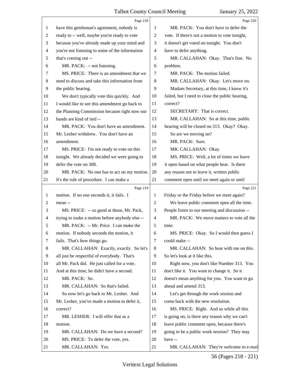<span id="page-56-0"></span>

|                | Page 218                                        |                          | Page 220                                        |
|----------------|-------------------------------------------------|--------------------------|-------------------------------------------------|
| 1              | have this gentleman's agreement, nobody is      | 1                        | MR. PACK: You don't have to defer the           |
| $\overline{c}$ | ready to -- well, maybe you're ready to vote    | $\overline{c}$           | vote. If there's not a motion to vote tonight,  |
| 3              | because you've already made up your mind and    | 3                        | it doesn't get voted on tonight. You don't      |
| $\overline{4}$ | you're not listening to some of the information | $\overline{\mathcal{A}}$ | have to defer anything.                         |
| 5              | that's coming out --                            | 5                        | MR. CALLAHAN: Okay. That's fine. No             |
| 6              | MR. PACK: -- not listening.                     | 6                        | problem.                                        |
| 7              | MS. PRICE: There is an amendment that we        | 7                        | MR. PACK: The motion failed.                    |
| 8              | need to discuss and take this information from  | $\,8\,$                  | MR. CALLAHAN: Okay. Let's move on.              |
| 9              | the public hearing.                             | 9                        | Madam Secretary, at this time, I know it's      |
| 10             | We don't typically vote this quickly. And       | 10                       | failed, but I need to close the public hearing, |
| 11             | I would like to see this amendment go back to   | 11                       | correct?                                        |
| 12             | the Planning Commission because right now our   | 12                       | SECRETARY: That is correct.                     |
| 13             | hands are kind of tied --                       | 13                       | MR. CALLAHAN: So at this time, public           |
| 14             | MR. PACK: You don't have an amendment.          | 14                       | hearing will be closed on 313. Okay? Okay.      |
| 15             | Mr. Lesher withdrew. You don't have an          | 15                       | So are we moving on?                            |
| 16             | amendment.                                      | 16                       | MR. PACK: Sure.                                 |
| 17             | MS. PRICE: I'm not ready to vote on this        | 17                       | MR. CALLAHAN: Okay.                             |
| 18             | tonight. We already decided we were going to    | 18                       | MS. PRICE: Well, a lot of times we leave        |
| 19             | defer the vote on 308.                          | 19                       | it open based on what people hear. Is there     |
| 20             | MR. PACK: No one has to act on my motion.       | 20                       | any reason not to leave it, written public      |
| 21             | It's the rule of procedure. I can make a        | 21                       | comment open until we meet again or until       |
|                |                                                 |                          |                                                 |
|                | Page 219                                        |                          | Page 221                                        |
| 1              | motion. If no one seconds it, it fails. I       | 1                        | Friday or the Friday before we meet again?      |
| 2              | mean --                                         | $\overline{c}$           | We leave public comment open all the time.      |
| 3              | MS. PRICE: -- so good at those, Mr. Pack,       | 3                        | People listen to our meeting and discussion --  |
| $\overline{4}$ | trying to make a motion before anybody else --  | $\overline{4}$           | MR. PACK: We move matters to vote all the       |
| 5              | MR. PACK: -- Mr. Price. I can make the          | 5                        | time.                                           |
| 6              | motion. If nobody seconds the motion, it        | 6                        | MS. PRICE: Okay. So I would then guess I        |
| 7              | fails. That's how things go.                    | 7                        | could make --                                   |
| 8              | MR. CALLAHAN: Exactly, exactly. So let's        | 8                        | MR. CALLAHAN: So bear with me on this.          |
| 9              | all just be respectful of everybody. That's     | 9                        | So let's look at it like this.                  |
| 10             | all Mr. Pack did. He just called for a vote.    | 10                       | Right now, you don't like Number 313. You       |
| 11             | And at this time, he didn't have a second.      | 11                       | don't like it. You want to change it. So it     |
| 12             | MR. PACK: So.                                   | 12                       | doesn't mean anything for you. You want to go   |
| 13             | MR. CALLAHAN: So that's failed.                 | 13                       | ahead and amend 313.                            |
| 14             | So now let's go back to Mr. Lesher. And         | 14                       | Let's get through the work session and          |
| 15             | Mr. Lesher, you've made a motion to defer it,   | 15                       | come back with the new resolution.              |
| 16             | correct?                                        | 16                       | MS. PRICE: Right. And so while all this         |
| 17             | MR. LESHER: I will offer that as a              | 17                       | is going on, is there any reason why we can't   |
| 18             | motion.                                         | 18                       | leave public comment open, because there's      |
| 19             | MR. CALLAHAN: Do we have a second?              | 19                       | going to be a public work session? They may     |
| 20             | MS. PRICE: To defer the vote, yes.              | 20                       | have --                                         |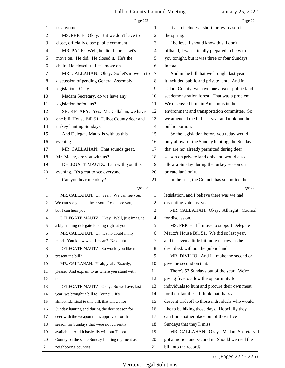<span id="page-57-0"></span>

|                | Page 222                                        |         | Page 224                                        |
|----------------|-------------------------------------------------|---------|-------------------------------------------------|
| 1              | us anytime.                                     | 1       | It also includes a short turkey season in       |
| $\overline{c}$ | MS. PRICE: Okay. But we don't have to           | 2       | the spring.                                     |
| 3              | close, officially close public comment.         | 3       | I believe, I should know this, I don't          |
| 4              | MR. PACK: Well, he did, Laura. Let's            | 4       | offhand, I wasn't totally prepared to be with   |
| 5              | move on. He did. He closed it. He's the         | 5       | you tonight, but it was three or four Sundays   |
| 6              | chair. He closed it. Let's move on.             | 6       | in total.                                       |
| 7              | MR. CALLAHAN: Okay. So let's move on to         | 7       | And in the bill that we brought last year,      |
| 8              | discussion of pending General Assembly          | $\,8\,$ | it included public and private land. And in     |
| $\overline{9}$ | legislation. Okay.                              | 9       | Talbot County, we have one area of public land  |
| 10             | Madam Secretary, do we have any                 | 10      | set demonstration forest. That was a problem.   |
| 11             | legislation before us?                          | 11      | We discussed it up in Annapolis in the          |
| 12             | SECRETARY: Yes. Mr. Callahan, we have           | 12      | environment and transportation committee. So    |
| 13             | one bill, House Bill 51, Talbot County deer and | 13      | we amended the bill last year and took out the  |
| 14             | turkey hunting Sundays.                         | 14      | public portion.                                 |
| 15             | And Delegate Mautz is with us this              | 15      | So the legislation before you today would       |
| 16             | evening.                                        | 16      | only allow for the Sunday hunting, the Sundays  |
| 17             | MR. CALLAHAN: That sounds great.                | 17      | that are not already permitted during deer      |
| 18             | Mr. Mautz, are you with us?                     | 18      | season on private land only and would also      |
| 19             | DELEGATE MAUTZ: I am with you this              | 19      | allow a Sunday during the turkey season on      |
| 20             | evening. It's great to see everyone.            | 20      | private land only.                              |
| 21             | Can you hear me okay?                           | 21      | In the past, the Council has supported the      |
|                |                                                 |         |                                                 |
|                | Page 223                                        |         | Page 225                                        |
| 1              | MR. CALLAHAN: Oh, yeah. We can see you.         | 1       | legislation, and I believe there was we had     |
| 2              | We can see you and hear you. I can't see you,   | 2       | dissenting vote last year.                      |
| 3              | but I can hear you.                             | 3       | MR. CALLAHAN: Okay. All right. Council,         |
| 4              | DELEGATE MAUTZ: Okay. Well, just imagine        | 4       | for discussion.                                 |
| 5              | a big smiling delegate looking right at you.    | 5       | MS. PRICE: I'll move to support Delegate        |
| 6              | MR. CALLAHAN: Oh, it's no doubt in my           | 6       | Mautz's House Bill 51. We did so last year,     |
| 7              | mind. You know what I mean? No doubt.           | 7       | and it's even a little bit more narrow, as he   |
| 8              | DELEGATE MAUTZ: So would you like me to         | 8       | described, without the public land.             |
| 9              | present the bill?                               | 9       | MR. DIVILIO: And I'll make the second or        |
| 10             | MR. CALLAHAN: Yeah, yeah. Exactly,              | 10      | give the second on that.                        |
| 11             | please. And explain to us where you stand with  | 11      | There's 52 Sundays out of the year. We're       |
| 12             | this.                                           | 12      | giving five to allow the opportunity for        |
| 13             | DELEGATE MAUTZ: Okay. So we have, last          | 13      | individuals to hunt and procure their own meat  |
| 14             | year, we brought a bill to Council. It's        | 14      | for their families. I think that that's a       |
| 15             | almost identical to this bill, that allows for  | 15      | descent tradeoff to those individuals who would |
| 16             | Sunday hunting and during the deer season for   | 16      | like to be hiking those days. Hopefully they    |
| 17             | deer with the weapon that's approved for that   | 17      | can find another place out of those five        |
| 18             | season for Sundays that were not currently      | 18      | Sundays that they'll miss.                      |
| 19             | available. And it basically will put Talbot     | 19      | MR. CALLAHAN: Okay. Madam Secretary,            |
| 20             | County on the same Sunday hunting regiment as   | 20      | got a motion and second it. Should we read the  |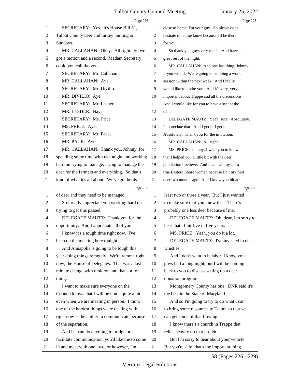<span id="page-58-0"></span>

|                | Page 226                                        |                | Page 228                                        |
|----------------|-------------------------------------------------|----------------|-------------------------------------------------|
| 1              | SECRETARY: Yes. It's House Bill 51,             | 1              | close to home, I'm your guy. So please don't    |
| $\overline{c}$ | Talbot County deer and turkey hunting on        | $\overline{2}$ | hesitate to let me know because I'll be there   |
| 3              | Sundays.                                        | 3              | for you.                                        |
| 4              | MR. CALLAHAN: Okay. All right. So we            | 4              | So thank you guys very much. And have a         |
| 5              | got a motion and a second. Madam Secretary,     | 5              | great rest of the night.                        |
| 6              | could you call the vote.                        | 6              | MR. CALLAHAN: And one last thing, Johnny,       |
| 7              | SECRETARY: Mr. Callahan.                        | 7              | if you would. We're going to be doing a work    |
| 8              | MR. CALLAHAN: Aye.                              | 8              | session within the next week. And I really      |
| 9              | SECRETARY: Mr. Divilio.                         | 9              | would like to invite you. And it's very, very   |
| 10             | MR. DIVILIO: Aye.                               | 10             | important about Trappe and all the discussions. |
| 11             | SECRETARY: Mr. Lesher.                          | 11             | And I would like for you to have a seat at the  |
| 12             | MR. LESHER: Nay.                                | 12             | table.                                          |
| 13             | SECRETARY: Ms. Price.                           | 13             | DELEGATE MAUTZ: Yeah, sure. Absolutely.         |
| 14             | MS. PRICE: Aye.                                 | 14             | I appreciate that. And I get it, I get it.      |
| 15             | SECRETARY: Mr. Pack.                            | 15             | Absolutely. Thank you for the invitation.       |
| 16             | MR. PACK: Aye.                                  | 16             | MR. CALLAHAN: All right.                        |
| 17             | MR. CALLAHAN: Thank you, Johnny, for            | 17             | MS. PRICE: Johnny, I want you to know           |
| 18             | spending some time with us tonight and working  | 18             | that I helped you a little bit with the deer    |
| 19             | hard on trying to manage, trying to manage the  | 19             | population I believe. And I can call myself a   |
| 20             | deer for the farmers and everything. So that's  | 20             | true Eastern Shore woman because I hit my first |
| 21             | kind of what it's all about. We've got herds    | 21             | deer two months ago. And I know you hit at      |
|                | Page 227                                        |                | Page 229                                        |
| 1              | of deer and they need to be managed.            | 1              | least two or three a year. But I just wanted    |
| 2              | So I really appreciate you working hard on      | 2              | to make sure that you know that. There's        |
| 3              | trying to get this passed.                      | 3              | probably one less deer because of me.           |
| 4              | DELEGATE MAUTZ: Thank you for the               | 4              | DELEGATE MAUTZ: Oh, dear, I'm sorry to          |
| 5              |                                                 |                |                                                 |
| 6              | opportunity. And I appreciate all of you.       | 5              | hear that. I hit five in five years.            |
|                | I know it's a tough time right now. I've        | 6              | MS. PRICE: Yeah, you do it a lot.               |
| 7              | been on the meeting here tonight.               | 7              | DELEGATE MAUTZ: I've invested in deer           |
| 8              | And Annapolis is going to be tough this         | 8              | whistles.                                       |
| 9              | year doing things remotely. We're remote right  | 9              | And I don't want to belabor, I know you         |
| 10             | now, the House of Delegates. That was a last    | 10             | guys had a long night, but I will be coming     |
| 11             | minute change with omicron and that sort of     | 11             | back to you to discuss setting up a deer        |
| 12             | thing.                                          | 12             | donation program.                               |
| 13             | I want to make sure everyone on the             | 13             | Montgomery County has one. DNR said it's        |
| 14             | Council knows that I will be home quite a bit,  | 14             | the best in the State of Maryland.              |
| 15             | even when we are meeting in person. I think     | 15             | And so I'm going to try to do what I can        |
| 16             | one of the hardest things we're dealing with    | 16             | to bring some resources to Talbot so that we    |
| 17             | right now is the ability to communicate because | 17             | can get some of that flowing.                   |
| 18             | of the separation.                              | 18             | I know there's a church in Trappe that          |
| 19             | And if I can do anything to bridge or           | 19             | relies heavily on that protein.                 |
| 20             | facilitate communication, you'd like me to come | 20             | But I'm sorry to hear about your vehicle.       |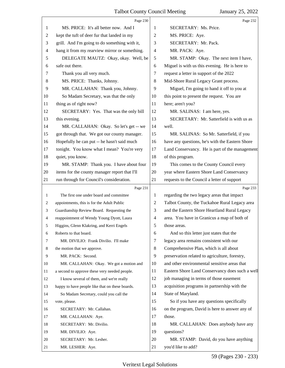<span id="page-59-0"></span>

|    | Page 230                                        |                | Page 232                                                 |
|----|-------------------------------------------------|----------------|----------------------------------------------------------|
| 1  | MS. PRICE: It's all better now. And I           | 1              | SECRETARY: Ms. Price.                                    |
| 2  | kept the tuft of deer fur that landed in my     | 2              | MS. PRICE: Aye.                                          |
| 3  | grill. And I'm going to do something with it,   | 3              | SECRETARY: Mr. Pack.                                     |
| 4  | hang it from my rearview mirror or something.   | $\overline{4}$ | MR. PACK: Aye.                                           |
| 5  | DELEGATE MAUTZ: Okay, okay. Well, be            | 5              | MR. STAMP: Okay. The next item I have,                   |
| 6  | safe out there.                                 | 6              | Miguel is with us this evening. He is here to            |
| 7  | Thank you all very much.                        | 7              | request a letter in support of the 2022                  |
| 8  | MS. PRICE: Thanks, Johnny.                      | 8              | Mid-Shore Rural Legacy Grant process.                    |
| 9  | MR. CALLAHAN: Thank you, Johnny.                | 9              | Miguel, I'm going to hand it off to you at               |
| 10 | So Madam Secretary, was that the only           | 10             | this point to present the request. You are               |
| 11 | thing as of right now?                          | 11             | here; aren't you?                                        |
| 12 | SECRETARY: Yes. That was the only bill          | 12             | MR. SALINAS: I am here, yes.                             |
| 13 | this evening.                                   | 13             | SECRETARY: Mr. Satterfield is with us as                 |
| 14 | MR. CALLAHAN: Okay. So let's get -- we          | 14             | well.                                                    |
| 15 | got through that. We got our county manager.    | 15             | MR. SALINAS: So Mr. Satterfield, if you                  |
| 16 | Hopefully he can put -- he hasn't said much     | 16             | have any questions, he's with the Eastern Shore          |
| 17 | tonight. You know what I mean? You're very      | 17             | Land Conservancy. He is part of the management           |
| 18 | quiet, you know.                                | 18             | of this program.                                         |
| 19 | MR. STAMP: Thank you. I have about four         | 19             | This comes to the County Council every                   |
| 20 | items for the county manager report that I'll   | 20             | year where Eastern Shore Land Conservancy                |
| 21 | run through for Council's consideration.        | 21             | requests to the Council a letter of support              |
|    |                                                 |                |                                                          |
|    | Page 231                                        |                | Page 233                                                 |
| 1  | The first one under board and committee         | 1              | regarding the two legacy areas that impact               |
| 2  | appointments, this is for the Adult Public      | 2              | Talbot County, the Tuckahoe Rural Legacy area            |
| 3  | Guardianship Review Board. Requesting the       | 3              | and the Eastern Shore Heartland Rural Legacy             |
| 4  | reappointment of Wendy Young Dyott, Laura       | $\overline{4}$ | area. You have in Granicus a map of both of              |
|    | Higgins, Glenn Klakring, and Kerri Engels       | 5              | those areas.                                             |
| 6  | Roberts to that board.                          | 6              | And so this letter just states that the                  |
| 7  | MR. DIVILIO: Frank Divilio. I'll make           | 7              | legacy area remains consistent with our                  |
| 8  | the motion that we approve.                     | 8              | Comprehensive Plan, which is all about                   |
| 9  | MR. PACK: Second.                               | 9              | preservation related to agriculture, forestry,           |
| 10 | MR. CALLAHAN: Okay. We got a motion and         | 10             | and other environmental sensitive areas that             |
| 11 | a second to approve these very needed people.   | 11             | Eastern Shore Land Conservancy does such a well          |
| 12 | I know several of them, and we're really        | 12             | job managing in terms of those easement                  |
| 13 | happy to have people like that on these boards. | 13             | acquisition programs in partnership with the             |
| 14 | So Madam Secretary, could you call the          | 14             | State of Maryland.                                       |
| 15 | vote, please.                                   | 15             | So if you have any questions specifically                |
| 16 |                                                 | 16             |                                                          |
| 17 | SECRETARY: Mr. Callahan.<br>MR. CALLAHAN: Aye.  | 17             | on the program, David is here to answer any of<br>those. |
| 18 | SECRETARY: Mr. Divilio.                         | 18             | MR. CALLAHAN: Does anybody have any                      |
| 19 | MR. DIVILIO: Aye.                               | 19             | questions?                                               |
| 20 | SECRETARY: Mr. Lesher.                          | 20             | MR. STAMP: David, do you have anything                   |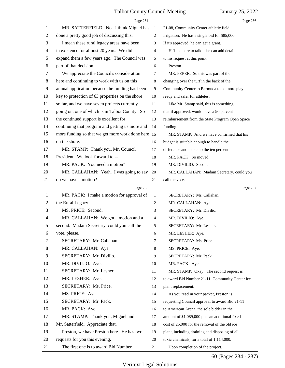<span id="page-60-0"></span>

|    | Page 234                                        |                                             | Page 236                                        |
|----|-------------------------------------------------|---------------------------------------------|-------------------------------------------------|
| 1  | MR. SATTERFIELD: No. I think Miguel has         | 21-08, Community Center athletic field<br>1 |                                                 |
| 2  | done a pretty good job of discussing this.      | $\overline{c}$                              | irrigation. He has a single bid for \$85,000.   |
| 3  | I mean these rural legacy areas have been       | 3                                           | If it's approved, he can get a grant.           |
| 4  | in existence for almost 20 years. We did        | $\overline{4}$                              | He'll be here to talk -- he can add detail      |
| 5  | expand them a few years ago. The Council was    | 5                                           | to his request at this point.                   |
| 6  | part of that decision.                          | 6                                           | Preston.                                        |
| 7  | We appreciate the Council's consideration       | $\overline{7}$                              | MR. PEPER: So this was part of the              |
| 8  | here and continuing to work with us on this     | 8                                           | changing over the turf in the back of the       |
| 9  | annual application because the funding has been | 9                                           | Community Center to Bermuda to be more play     |
| 10 | key to protection of 63 properties on the shore | 10                                          | ready and safer for athletes.                   |
| 11 | so far, and we have seven projects currently    | 11                                          | Like Mr. Stamp said, this is something          |
| 12 | going on, one of which is in Talbot County. So  | 12                                          | that if approved, would have a 90 percent       |
| 13 | the continued support is excellent for          | 13                                          | reimbursement from the State Program Open Space |
| 14 | continuing that program and getting us more and | 14                                          | funding.                                        |
| 15 | more funding so that we get more work done here | 15                                          | MR. STAMP: And we have confirmed that his       |
| 16 | on the shore.                                   | 16                                          | budget is suitable enough to handle the         |
| 17 | MR. STAMP: Thank you, Mr. Council               | 17                                          | difference and make up the ten percent.         |
| 18 | President. We look forward to --                | 18                                          | MR. PACK: So moved.                             |
| 19 | MR. PACK: You need a motion?                    | 19                                          | MR. DIVILIO: Second.                            |
| 20 | MR. CALLAHAN: Yeah. I was going to say          | 20                                          | MR. CALLAHAN: Madam Secretary, could you        |
| 21 | do we have a motion?                            | 21                                          | call the vote.                                  |
|    | Page 235                                        |                                             | Page 237                                        |
| 1  | MR. PACK: I make a motion for approval of       | 1                                           | SECRETARY: Mr. Callahan.                        |
| 2  | the Rural Legacy.                               | $\overline{2}$                              | MR. CALLAHAN: Aye.                              |
| 3  | MS. PRICE: Second.                              |                                             |                                                 |
|    |                                                 | 3                                           | SECRETARY: Mr. Divilio.                         |
| 4  | MR. CALLAHAN: We got a motion and a             | 4                                           | MR. DIVILIO: Aye.                               |
| 5  | second. Madam Secretary, could you call the     | 5                                           | SECRETARY: Mr. Lesher.                          |
| 6  | vote, please.                                   | 6                                           | MR. LESHER: Aye.                                |
| 7  | SECRETARY: Mr. Callahan.                        | $\overline{7}$                              | SECRETARY: Ms. Price.                           |
| 8  | MR. CALLAHAN: Aye.                              | 8                                           | MS. PRICE: Aye.                                 |
| 9  | SECRETARY: Mr. Divilio.                         | 9                                           | SECRETARY: Mr. Pack.                            |
| 10 | MR. DIVILIO: Aye.                               | 10                                          | MR. PACK: Aye.                                  |
| 11 | SECRETARY: Mr. Lesher.                          | 11                                          | MR. STAMP: Okay. The second request is          |
| 12 | MR. LESHER: Aye.                                | 12                                          | to award Bid Number 21-11, Community Center ice |
| 13 | SECRETARY: Ms. Price.                           | 13                                          | plant replacement.                              |
| 14 | MS. PRICE: Aye.                                 | 14                                          | As you read in your packet, Preston is          |
| 15 | SECRETARY: Mr. Pack.                            | 15                                          | requesting Council approval to award Bid 21-11  |
| 16 | MR. PACK: Aye.                                  | 16                                          | to American Arena, the sole bidder in the       |
| 17 | MR. STAMP: Thank you, Miguel and                | 17                                          | amount of \$1,089,000 plus an additional fixed  |
| 18 | Mr. Satterfield. Appreciate that.               | 18                                          | cost of 25,000 for the removal of the old ice   |
| 19 | Preston, we have Preston here. He has two       | 19                                          | plant, including draining and disposing of all  |
| 20 | requests for you this evening.                  | 20                                          | toxic chemicals, for a total of 1,114,000.      |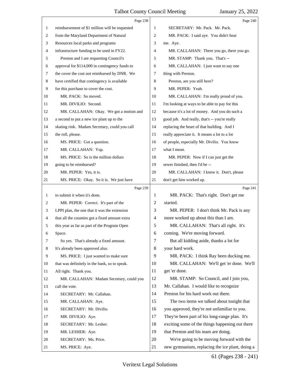<span id="page-61-0"></span>

|    | Page 238                                       |                | Page 240                                        |
|----|------------------------------------------------|----------------|-------------------------------------------------|
| 1  | reimbursement of \$1 million will be requested | 1              | SECRETARY: Mr. Pack. Mr. Pack.                  |
| 2  | from the Maryland Department of Natural        | 2              | MR. PACK: I said aye. You didn't hear           |
| 3  | Resources local parks and programs             | 3              | me. Aye.                                        |
| 4  | infrastructure funding to be used in FY22.     | 4              | MR. CALLAHAN: There you go, there you go.       |
| 5  | Preston and I are requesting Council's         | 5              | MR. STAMP: Thank you. That's --                 |
| 6  | approval for \$114,000 in contingency funds to | 6              | MR. CALLAHAN: I just want to say one            |
| 7  | the cover the cost not reimbursed by DNR. We   | 7              | thing with Preston.                             |
| 8  | have certified that contingency is available   | 8              | Preston, are you still here?                    |
| 9  | for this purchase to cover the cost.           | 9              | MR. PEPER: Yeah.                                |
| 10 | MR. PACK: So moved.                            | 10             | MR. CALLAHAN: I'm really proud of you.          |
| 11 | MR. DIVILIO: Second.                           | 11             | I'm looking at ways to be able to pay for this  |
| 12 | MR. CALLAHAN: Okay. We got a motion and        | 12             | because it's a lot of money. And you do such a  |
| 13 | a second to put a new ice plant up to the      | 13             | good job. And really, that's -- you're really   |
| 14 | skating rink. Madam Secretary, could you call  | 14             | replacing the heart of that building. And I     |
| 15 | the roll, please.                              | 15             | really appreciate it. It means a lot to a lot   |
| 16 | MS. PRICE: Got a question.                     | 16             | of people, especially Mr. Divilio. You know     |
| 17 | MR. CALLAHAN: Yup.                             | 17             | what I mean.                                    |
| 18 | MS. PRICE: So is the million dollars           | 18             | MR. PEPER: Now if I can just get the            |
| 19 | going to be reimbursed?                        | 19             | sewer finished, then I'd be --                  |
| 20 | MR. PEPER: Yes, it is.                         | 20             | MR. CALLAHAN: I know it. Don't, please          |
| 21 | MS. PRICE: Okay. So it is. We just have        | 21             | don't get him worked up.                        |
|    | Page 239                                       |                | Page 241                                        |
|    | to submit it when it's done.                   |                |                                                 |
| 1  |                                                | 1              | MR. PACK: That's right. Don't get me            |
| 2  | MR. PEPER: Correct. It's part of the           | 2              | started.                                        |
| 3  | LPPI plan, the one that it was the extension   | 3              | MR. PEPER: I don't think Mr. Pack is any        |
| 4  | that all the counties got a fixed amount extra | $\overline{4}$ | more worked up about this than I am.            |
|    | this year as far as part of the Program Open   | 5              | MR. CALLAHAN: That's all right. It's            |
| 6  | Space.                                         | 6              | coming. We're moving forward.                   |
| 7  | So yes. That's already a fixed amount.         | 7              | But all kidding aside, thanks a lot for         |
| 8  | It's already been approved also.               | 8              | your hard work.                                 |
| 9  | MS. PRICE: I just wanted to make sure          | 9              | MR. PACK: I think Ray been ducking me.          |
| 10 | that was definitely in the bank, so to speak.  | 10             | MR. CALLAHAN: We'll get 'er done. We'll         |
| 11 | All right. Thank you.                          | 11             | get 'er done.                                   |
| 12 | MR. CALLAHAN: Madam Secretary, could you       | 12             | MR. STAMP: So Council, and I join you,          |
| 13 | call the vote.                                 | 13             | Mr. Callahan. I would like to recognize         |
| 14 | SECRETARY: Mr. Callahan.                       | 14             | Preston for his hard work out there.            |
| 15 | MR. CALLAHAN: Aye.                             | 15             | The two items we talked about tonight that      |
| 16 | SECRETARY: Mr. Divilio.                        | 16             | you approved, they're not unfamiliar to you.    |
| 17 | MR. DIVILIO: Aye.                              | 17             | They're been part of his long-range plan. It's  |
| 18 | SECRETARY: Mr. Lesher.                         | 18             | exciting some of the things happening out there |
| 19 | MR. LESHER: Aye.                               | 19             | that Preston and his team are doing.            |
| 20 | SECRETARY: Ms. Price.                          | 20             | We're going to be moving forward with the       |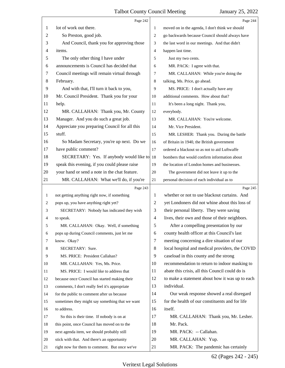<span id="page-62-0"></span>

|    | Page 242                                        |                                                     | Page 244                                        |
|----|-------------------------------------------------|-----------------------------------------------------|-------------------------------------------------|
| 1  | lot of work out there.                          | 1                                                   | moved on in the agenda, I don't think we should |
| 2  | So Preston, good job.                           | $\overline{2}$                                      | go backwards because Council should always have |
| 3  | And Council, thank you for approving those      | the last word in our meetings. And that didn't<br>3 |                                                 |
| 4  | items.                                          | 4                                                   | happen last time.                               |
| 5  | The only other thing I have under               | 5                                                   | Just my two cents.                              |
| 6  | announcements is Council has decided that       | 6                                                   | MR. PACK: I agree with that.                    |
| 7  | Council meetings will remain virtual through    | 7                                                   | MR. CALLAHAN: While you're doing the            |
| 8  | February.                                       | 8                                                   | talking, Ms. Price, go ahead.                   |
| 9  | And with that, I'll turn it back to you,        | 9                                                   | MS. PRICE: I don't actually have any            |
| 10 | Mr. Council President. Thank you for your       | 10                                                  | additional comments. How about that?            |
| 11 | help.                                           | 11                                                  | It's been a long night. Thank you,              |
| 12 | MR. CALLAHAN: Thank you, Mr. County             | 12                                                  | everybody.                                      |
| 13 | Manager. And you do such a great job.           | 13                                                  | MR. CALLAHAN: You're welcome.                   |
| 14 | Appreciate you preparing Council for all this   | 14                                                  | Mr. Vice President.                             |
| 15 | stuff.                                          | 15                                                  | MR. LESHER: Thank you. During the battle        |
| 16 | So Madam Secretary, you're up next. Do we       | 16                                                  | of Britain in 1940, the British government      |
| 17 | have public comment?                            | 17                                                  | ordered a blackout so as not to aid Luftwaffe   |
| 18 | SECRETARY: Yes. If anybody would like to        | 18                                                  | bombers that would confirm information about    |
| 19 | speak this evening, if you could please raise   | 19                                                  | the location of London homes and businesses.    |
| 20 | your hand or send a note in the chat feature.   | 20                                                  | The government did not leave it up to the       |
| 21 | MR. CALLAHAN: What we'll do, if you're          | 21                                                  | personal decision of each individual as to      |
|    | Page 243                                        |                                                     |                                                 |
|    |                                                 |                                                     | Page 245                                        |
| 1  | not getting anything right now, if something    | 1                                                   | whether or not to use blackout curtains. And    |
| 2  | pops up, you have anything right yet?           | $\overline{2}$                                      | yet Londoners did not whine about this loss of  |
| 3  | SECRETARY: Nobody has indicated they wish       | 3                                                   | their personal liberty. They were saving        |
| 4  | to speak.                                       | $\overline{4}$                                      | lives, their own and those of their neighbors.  |
| 5  | MR. CALLAHAN: Okay. Well, if something          | 5                                                   | After a compelling presentation by our          |
| 6  | pops up during Council comments, just let me    | 6                                                   | county health officer at this Council's last    |
| 7  | know. Okay?                                     | 7                                                   | meeting concerning a dire situation of our      |
| 8  | SECRETARY: Sure.                                | $\,8\,$                                             | local hospital and medical providers, the COVID |
| 9  | MS. PRICE: President Callahan?                  | 9                                                   | caseload in this county and the strong          |
| 10 | MR. CALLAHAN: Yes, Ms. Price.                   | 10                                                  | recommendation to return to indoor masking to   |
| 11 | MS. PRICE: I would like to address that         | 11                                                  | abate this crisis, all this Council could do is |
| 12 | because once Council has started making their   | 12                                                  | to make a statement about how it was up to each |
| 13 | comments, I don't really feel it's appropriate  | 13                                                  | individual.                                     |
| 14 | for the public to comment after us because      | 14                                                  | Our weak response showed a real disregard       |
| 15 | sometimes they might say something that we want | 15                                                  | for the health of our constituents and for life |
| 16 | to address.                                     | 16                                                  | itself.                                         |
| 17 | So this is their time. If nobody is on at       | 17                                                  | MR. CALLAHAN: Thank you, Mr. Lesher.            |
| 18 | this point, once Council has moved on to the    | 18                                                  | Mr. Pack.                                       |
| 19 | next agenda item, we should probably still      | 19                                                  | MR. PACK: -- Callahan.                          |
| 20 | stick with that. And there's an opportunity     | 20                                                  | MR. CALLAHAN: Yup.                              |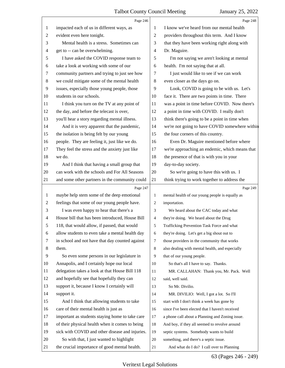<span id="page-63-0"></span>

|                | Page 246                                        |                | Page 248                                        |
|----------------|-------------------------------------------------|----------------|-------------------------------------------------|
| 1              | impacted each of us in different ways, as       | 1              | I know we've heard from our mental health       |
| $\overline{c}$ | evident even here tonight.                      | $\overline{2}$ | providers throughout this term. And I know      |
| 3              | Mental health is a stress. Sometimes can        | 3              | that they have been working right along with    |
| 4              | get to -- can be overwhelming.                  | 4              | Dr. Maguire.                                    |
| 5              | I have asked the COVID response team to         | 5              | I'm not saying we aren't looking at mental      |
| 6              | take a look at working with some of our         | 6              | health. I'm not saying that at all.             |
| 7              | community partners and trying to just see how   | 7              | I just would like to see if we can work         |
| $\,8$          | we could mitigate some of the mental health     | 8              | even closer as the days go on.                  |
| 9              | issues, especially those young people, those    | 9              | Look, COVID is going to be with us. Let's       |
| 10             | students in our schools.                        | 10             | face it. There are two points in time. There    |
| 11             | I think you turn on the TV at any point of      | 11             | was a point in time before COVID. Now there's   |
| 12             | the day, and before the telecast is over,       | 12             | a point in time with COVID. I really don't      |
| 13             | you'll hear a story regarding mental illness.   | 13             | think there's going to be a point in time when  |
| 14             | And it is very apparent that the pandemic,      | 14             | we're not going to have COVID somewhere within  |
| 15             | the isolation is being felt by our young        | 15             | the four corners of this country.               |
| 16             | people. They are feeling it, just like we do.   | 16             | Even Dr. Maguire mentioned before where         |
| 17             | They feel the stress and the anxiety just like  | 17             | we're approaching an endemic, which means that  |
| 18             | we do.                                          | 18             | the presence of that is with you in your        |
| 19             | And I think that having a small group that      | 19             | day-to-day society.                             |
| 20             | can work with the schools and For All Seasons   | 20             | So we're going to have this with us. I          |
| 21             | and some other partners in the community could  | 21             | think trying to work together to address the    |
|                |                                                 |                |                                                 |
|                | Page 247                                        |                | Page 249                                        |
| $\mathbf{1}$   | maybe help stem some of the deep emotional      | 1              | mental health of our young people is equally as |
| $\overline{c}$ | feelings that some of our young people have.    | 2              | importation.                                    |
| 3              | I was even happy to hear that there's a         | 3              | We heard about the CAC today and what           |
| $\overline{4}$ | House bill that has been introduced, House Bill | 4              | they're doing. We heard about the Drug          |
| 5              | 118, that would allow, if passed, that would    | 5              | Trafficking Prevention Task Force and what      |
| 6              | allow students to even take a mental health day | 6              | they're doing. Let's get a big shout out to     |
| 7              | in school and not have that day counted against | 7              | those providers in the community that works     |
| 8              | them.                                           | 8              | also dealing with mental health, and especially |
| 9              | So even some persons in our legislature in      | 9              | that of our young people.                       |
| 10             | Annapolis, and I certainly hope our local       | 10             | So that's all I have to say. Thanks.            |
| 11             | delegation takes a look at that House Bill 118  | 11             | MR. CALLAHAN: Thank you, Mr. Pack. Well         |
| 12             | and hopefully see that hopefully they can       | 12             | said, well said.                                |
| 13             | support it, because I know I certainly will     | 13             | So Mr. Divilio.                                 |
| 14             | support it.                                     | 14             | MR. DIVILIO: Well, I got a lot. So I'll         |
| 15             | And I think that allowing students to take      | 15             | start with I don't think a week has gone by     |
| 16             | care of their mental health is just as          | 16             | since I've been elected that I haven't received |
| 17             | important as students staying home to take care | 17             | a phone call about a Planning and Zoning issue. |
| 18             | of their physical health when it comes to being | 18             | And boy, if they all seemed to revolve around   |
| 19             | sick with COVID and other disease and injuries. | 19             | septic systems. Somebody wants to build         |
| 20             | So with that, I just wanted to highlight        | 20             | something, and there's a septic issue.          |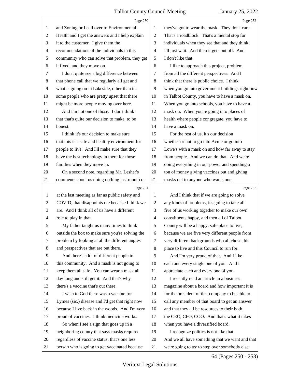<span id="page-64-0"></span>

|                | Page 250                                        |                | Page 252                                        |
|----------------|-------------------------------------------------|----------------|-------------------------------------------------|
| $\mathbf{1}$   | and Zoning or I call over to Environmental      | $\mathbf{1}$   | they've got to wear the mask. They don't care.  |
| 2              | Health and I get the answers and I help explain | 2              | That's a roadblock. That's a mental stop for    |
| 3              | it to the customer. I give them the             | 3              | individuals when they see that and they think   |
| $\overline{4}$ | recommendations of the individuals in this      | $\overline{4}$ | I'll just wait. And then it gets put off. And   |
| 5              | community who can solve that problem, they get  | 5              | I don't like that.                              |
| 6              | it fixed, and they move on.                     | 6              | I like to approach this project, problem        |
| 7              | I don't quite see a big difference between      | $\tau$         | from all the different perspectives. And I      |
| $8\,$          | that phone call that we regularly all get and   | 8              | think that there is public choice. I think      |
| $\overline{9}$ | what is going on in Lakeside, other than it's   | 9              | when you go into government buildings right now |
| 10             | some people who are pretty upset that there     | 10             | in Talbot County, you have to have a mask on.   |
| 11             | might be more people moving over here.          | 11             | When you go into schools, you have to have a    |
| 12             | And I'm not one of those. I don't think         | 12             | mask on. When you're going into places of       |
| 13             | that that's quite our decision to make, to be   | 13             | health where people congregate, you have to     |
| 14             | honest.                                         | 14             | have a mask on.                                 |
| 15             | I think it's our decision to make sure          | 15             | For the rest of us, it's our decision           |
| 16             | that this is a safe and healthy environment for | 16             | whether or not to go into Acme or go into       |
| 17             | people to live. And I'll make sure that they    | 17             | Lowe's with a mask on and how far away to stay  |
| 18             | have the best technology in there for those     | 18             | from people. And we can do that. And we're      |
| 19             | families when they move in.                     | 19             | doing everything in our power and spending a    |
| 20             | On a second note, regarding Mr. Lesher's        | 20             | ton of money giving vaccines out and giving     |
| 21             | comments about us doing nothing last month or   | 21             | masks out to anyone who wants one.              |
|                | Page 251                                        |                | Page 253                                        |
| $\mathbf{1}$   | at the last meeting as far as public safety and | $\mathbf{1}$   | And I think that if we are going to solve       |
| $\overline{2}$ | COVID, that disappoints me because I think we   | $\overline{2}$ | any kinds of problems, it's going to take all   |
| 3              | are. And I think all of us have a different     | 3              | five of us working together to make our own     |
| 4              | role to play in that.                           | $\overline{4}$ | constituents happy, and then all of Talbot      |
| 5              | My father taught us many times to think         | 5              | County will be a happy, safe place to live,     |
| 6              | outside the box to make sure you're solving the | 6              | because we are five very different people from  |
| 7              | problem by looking at all the different angles  | 7              | very different backgrounds who all chose this   |
| 8              | and perspectives that are out there.            | 8              | place to live and this Council to run for.      |
| 9              | And there's a lot of different people in        | 9              | And I'm very proud of that. And I like          |
| 10             |                                                 |                |                                                 |
| 11             | this community. And a mask is not going to      | 10             | each and every single one of you. And I         |
|                | keep them all safe. You can wear a mask all     | 11             | appreciate each and every one of you.           |
| 12             | day long and still get it. And that's why       | 12             | I recently read an article in a business        |
| 13             | there's a vaccine that's out there.             | 13             | magazine about a board and how important it is  |
| 14             | I wish to God there was a vaccine for           | 14             | for the president of that company to be able to |
| 15             | Lymes (sic.) disease and I'd get that right now | 15             | call any member of that board to get an answer  |
| 16             | because I live back in the woods. And I'm very  | 16             | and that they all be resources to their both    |
| 17             | proud of vaccines. I think medicine works.      | 17             | the CEO, CFO, COO. And that's what it takes     |
| 18             | So when I see a sign that goes up in a          | 18             | when you have a diversified board.              |
| 19             | neighboring county that says masks required     | 19             | I recognize politics is not like that.          |
| 20             | regardless of vaccine status, that's one less   | 20             | And we all have something that we want and that |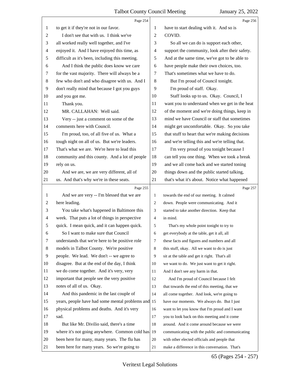<span id="page-65-0"></span>

|                | Page 254                                           |                | Page 256                                        |  |
|----------------|----------------------------------------------------|----------------|-------------------------------------------------|--|
| 1              | to get it if they're not in our favor.             | 1              | have to start dealing with it. And so is        |  |
| 2              | I don't see that with us. I think we've            | $\overline{2}$ | COVID.                                          |  |
| 3              | all worked really well together, and I've          | 3              | So all we can do is support each other,         |  |
| 4              | enjoyed it. And I have enjoyed this time, as       | $\overline{4}$ | support the community, look after their safety. |  |
| 5              | difficult as it's been, including this meeting.    | 5              | And at the same time, we've got to be able to   |  |
| 6              | And I think the public does know we care           | 6              | have people make their own choices, too.        |  |
| 7              | for the vast majority. There will always be a      | $\tau$         | That's sometimes what we have to do.            |  |
| $\,8\,$        | few who don't and who disagree with us. And I      | 8              | But I'm proud of Council tonight.               |  |
| 9              | don't really mind that because I got you guys      | 9              | I'm proud of staff. Okay.                       |  |
| 10             | and you got me.                                    | 10             | Staff looks up to us. Okay. Council, I          |  |
| 11             | Thank you.                                         | 11             | want you to understand when we get in the heat  |  |
| 12             | MR. CALLAHAN: Well said.                           | 12             | of the moment and we're doing things, keep in   |  |
| 13             | Very -- just a comment on some of the              | 13             | mind we have Council or staff that sometimes    |  |
| 14             | comments here with Council.                        | 14             | might get uncomfortable. Okay. So you take      |  |
| 15             | I'm proud, too, of all five of us. What a          | 15             | that stuff to heart that we're making decisions |  |
| 16             | tough night on all of us. But we're leaders.       | 16             | and we're telling this and we're telling that.  |  |
| 17             | That's what we are. We're here to lead this        | 17             | I'm very proud of you tonight because I         |  |
| 18             | community and this county. And a lot of people     | 18             | can tell you one thing. When we took a break    |  |
| 19             | rely on us.                                        | 19             | and we all come back and we started toning      |  |
| 20             | And we are, we are very different, all of          | 20             | things down and the public started talking,     |  |
| 21             | us. And that's why we're in these seats.           | 21             | that's what it's about. Notice what happened    |  |
|                |                                                    |                |                                                 |  |
|                | Page 255                                           |                | Page 257                                        |  |
| 1              | And we are very -- I'm blessed that we are         | 1              | towards the end of our meeting. It calmed       |  |
| $\overline{c}$ | here leading.                                      | 2              | down. People were communicating. And it         |  |
| 3              | You take what's happened in Baltimore this         | 3              | started to take another direction. Keep that    |  |
| 4              | week. That puts a lot of things in perspective     | 4              | in mind.                                        |  |
| 5              | quick. I mean quick, and it can happen quick.      | 5              | That's my whole point tonight to try to         |  |
| 6              | So I want to make sure that Council                | 6              | get everybody at the table, get it all, all     |  |
| 7              | understands that we're here to be positive role    | 7              | these facts and figures and numbers and all     |  |
| 8              | models in Talbot County. We're positive            | 8              | this stuff, okay. All we want to do is just     |  |
| 9              | people. We lead. We don't -- we agree to           | 9              | sit at the table and get it right. That's all   |  |
| 10             | disagree. But at the end of the day, I think       | 10             | we want to do. We just want to get it right.    |  |
| 11             | we do come together. And it's very, very           | 11             | And I don't see any harm in that.               |  |
| 12             | important that people see the very positive        | 12             | And I'm proud of Council because I felt         |  |
| 13             | notes of all of us. Okay.                          | 13             | that towards the end of this meeting, that we   |  |
| 14             | And this pandemic in the last couple of            | 14             | all come together. And look, we're going to     |  |
| 15             | years, people have had some mental problems and 15 |                | have our moments. We always do. But I just      |  |
| 16             | physical problems and deaths. And it's very        | 16             | want to let you know that I'm proud and I want  |  |
| 17             | sad.                                               | 17             | you to look back on this meeting and it come    |  |
| 18             | But like Mr. Divilio said, there's a time          | $18\,$         | around. And it come around because we were      |  |
| 19             | where it's not going anywhere. Common cold has     | 19             | communicating with the public and communicating |  |
| 20             | been here for many, many years. The flu has        | 20             | with other elected officials and people that    |  |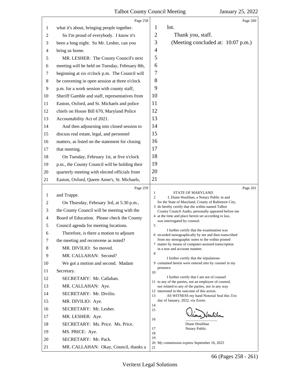<span id="page-66-0"></span>

|                          | Page 258                                                      |                                                                                                          |
|--------------------------|---------------------------------------------------------------|----------------------------------------------------------------------------------------------------------|
| 1                        | what it's about, bringing people together.                    | Page 260<br>lot.<br>1                                                                                    |
| 2                        | So I'm proud of everybody. I know it's                        | $\overline{2}$<br>Thank you, staff.                                                                      |
| 3                        | been a long night. So Mr. Lesher, can you                     | 3<br>(Meeting concluded at: 10:07 p.m.)                                                                  |
| $\overline{\mathcal{A}}$ | bring us home.                                                | $\overline{4}$                                                                                           |
| 5                        | MR. LESHER: The County Council's next                         | 5                                                                                                        |
| 6                        | meeting will be held on Tuesday, February 8th,                | 6                                                                                                        |
| 7                        | beginning at six o'clock p.m. The Council will                | 7                                                                                                        |
| 8                        | be convening in open session at three o'clock                 | 8                                                                                                        |
| 9                        | p.m. for a work session with county staff,                    | 9                                                                                                        |
| 10                       | Sheriff Gamble and staff, representatives from                | 10                                                                                                       |
| 11                       | Easton, Oxford, and St. Michaels and police                   | 11                                                                                                       |
| 12                       | chiefs on House Bill 670, Maryland Police                     | 12                                                                                                       |
| 13                       | Accountability Act of 2021.                                   | 13                                                                                                       |
| 14                       | And then adjourning into closed session to                    | 14                                                                                                       |
| 15                       | discuss real estate, legal, and personnel                     | 15                                                                                                       |
| 16                       | matters, as listed on the statement for closing               | 16                                                                                                       |
| 17                       | that meeting.                                                 | 17                                                                                                       |
| 18                       | On Tuesday, February 1st, at five o'clock                     | 18                                                                                                       |
| 19                       | p.m., the County Council will be holding their                | 19                                                                                                       |
| 20                       | quarterly meeting with elected officials from                 | 20                                                                                                       |
| 21                       | Easton, Oxford, Queen Anne's, St. Michaels,                   | 21                                                                                                       |
|                          | Page 259                                                      | Page 261                                                                                                 |
| 1                        | and Trappe.                                                   | <b>STATE OF MARYLAND</b><br>1<br>$\overline{c}$<br>I, Diane Houlihan, a Notary Public in and             |
| $\overline{c}$           | On Thursday, February 3rd, at 5:30 p.m.,                      | for the State of Maryland, County of Baltimore City,                                                     |
| 3                        | the County Council will be meeting with the                   | 3 do hereby certify that the within named Talbot<br>County Council Audio, personally appeared before me  |
| 4                        | Board of Education. Please check the County                   | 4 at the time and place herein set according to law,<br>was interrogated by counsel.                     |
| 5                        | Council agenda for meeting locations.                         | 5                                                                                                        |
| 6                        | Therefore, is there a motion to adjourn                       | I further certify that the examination was<br>6 recorded stenographically by me and then transcribed     |
| 7                        | the meeting and reconvene as noted?                           | from my stenographic notes to the within printed<br>7 matter by means of computer-assisted transcription |
| 8                        | MR. DIVILIO: So moved.                                        | in a true and accurate manner.                                                                           |
| 9                        | MR. CALLAHAN: Second?                                         | 8<br>I further certify that the stipulations                                                             |
| 10                       | We got a motion and second. Madam                             | 9 contained herein were entered into by counsel in my<br>presence.                                       |
| 11                       | Secretary.                                                    | 10                                                                                                       |
| 12                       | SECRETARY: Mr. Callahan.                                      | I further certify that I am not of counsel<br>11 to any of the parties, not an employee of counsel,      |
| 13                       | MR. CALLAHAN: Aye.                                            | nor related to any of the parties, nor in any way<br>12 interested in the outcome of this action.        |
| 14                       | SECRETARY: Mr. Divilio.                                       | 13<br>AS WITNESS my hand Notorial Seal this 31st                                                         |
| 15                       | MR. DIVILIO: Aye.                                             | day of January, 2022, via Zoom.<br>14                                                                    |
| 16                       | SECRETARY: Mr. Lesher.                                        | 15                                                                                                       |
|                          |                                                               |                                                                                                          |
| 17                       | MR. LESHER: Aye.                                              | Healtha<br>16                                                                                            |
| 18                       | SECRETARY: Ms. Price. Ms. Price.                              | Diane Houlihan                                                                                           |
| 19                       | MS. PRICE: Aye.                                               | 17<br>Notary Public<br>18                                                                                |
| 20<br>21                 | SECRETARY: Mr. Pack.<br>MR. CALLAHAN: Okay, Council, thanks a | 19<br>20 My commission expires September 16, 2025                                                        |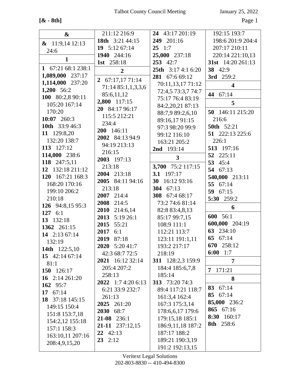**[& - 8th]** Page 1

| $\boldsymbol{\&}$     | 211:12 216:9        | 24 43:17 201:19           | 192:15 193:7            |
|-----------------------|---------------------|---------------------------|-------------------------|
| $\& 11:9,1412:13$     | 18th 3:21 44:15     | 249 201:16                | 198:6 201:9 204:4       |
| 24:6                  | 19 5:12 67:14       | $25 \t1:7$                | 207:17 210:11           |
|                       | 1940 244:16         | 25,000 237:18             | 220:14 221:10,13        |
| $\mathbf{1}$          | 1st 258:18          | 253 42:7                  | 31st 14:20 261:13       |
| 1 67:21 68:1 238:1    | $\overline{2}$      | <b>25th</b> 3:17 4:1 6:20 | 38 42:9                 |
| 1,089,000 237:17      | 2 $67:17,1771:14$   | 281 67:6 69:12            | 3rd 259:2               |
| 1,114,000 237:20      | 71:14 85:1,1,3,3,6  | 70:11,13,17 71:12         | $\overline{\mathbf{4}}$ |
| 1,200 56:2            |                     | 72:4,5 73:3,7 74:7        | 44 67:14                |
| 100 80:2,8 90:11      | 85:6,11,12          | 75:17 76:4 83:19          |                         |
| 105:20 167:14         | 2,800 117:15        | 84:2,20,21 87:13          | 5                       |
| 170:20                | 20 84:17 96:17      | 88:7,9 89:2,6,10          | 50 146:11 215:20        |
| 10:07 $260:3$         | 115:5 212:21        | 89:16,17 91:15            | 216:6                   |
| <b>10th</b> 33:9 46:3 | 234:4               | 97:3 98:20 99:9           | <b>50th</b> 52:21       |
| 11 129:8,20           | 200 146:11          | 99:12 116:10              | 51 222:13 225:6         |
| 132:20 138:7          | 2002 84:13 94:9     | 163:21 205:2              | 226:1                   |
| 113 127:12            | 94:19 213:13        | 2nd 193:14                | 513 197:16              |
| 114,000 238:6         | 216:15              | 3                         | 52 225:11               |
| 118 247:5,11          | 2003 197:13         |                           | 45:4<br>53              |
| 12 132:18 211:12      | 213:18              | 3,700 75:2 117:15         | 54 67:13                |
| 120 167:21 168:3      | 2004 213:18         | 3.1 197:17                | 540,000 213:11          |
| 168:20 170:16         | 2005 84:11 94:16    | 30<br>16:12 93:16         | 55 67:14                |
| 199:10 206:2          | 213:18              | 304 67:13                 | 59 $67:15$              |
| 210:18                | 2007 214:4          | 308 67:4 68:17            | 5:30 259:2              |
| 126 94:8,15 95:3      | 2008 214:5          | 73:2 74:6 81:14           | 6                       |
| 127 $6:1$             | 2010 214:6,14       | 82:8 83:4,8,13            |                         |
| 13 132:18             | 2013 5:19 26:1      | 85:17 99:7,15             | 600 56:1                |
| 1362 261:15           | 2015<br>55:21       | 108:9 111:1               | 600,000 204:19          |
| 14 2:13 67:14         | 2017<br>6:1         | 112:21 113:7              | 63 234:10               |
| 132:19                | 2019 87:18          | 123:11 191:1,11           | 65 67:14                |
| 14th 122:5,10         | 2020 5:20 41:7      | 193:2 217:17              | 670 258:12              |
| 15 42:14 67:14        | 42:3 68:7 72:5      | 218:19                    | 6:00 1:7                |
| 81:1                  | 2021 16:12 32:14    | 311 128:2,3 159:9         | $\overline{7}$          |
| 150 126:17            | 205:4 207:2         | 184:4 185:6,7,8           | 7 171:21                |
| 16 $2:14\,261:20$     | 258:13              | 185:14                    | 8                       |
| 162 95:7              | 2022 1:7 4:20 6:13  | 313 73:20 74:3            |                         |
| 17 $67:14$            | 6:21 33:9 232:7     | 89:4 117:21 118:7         | 83 67:14                |
| 18 37:18 145:15       | 261:13              | 161:3,4 162:4             | 85 67:14                |
| 149:15 150:4          | 2025 261:20         | 167:3 175:3,14            | 85,000 236:2            |
| 151:8 153:7,18        | <b>2030</b><br>68:7 | 178:6,6,17 179:6          | 865 67:16               |
| 154:2,12 155:18       | $21-08$ 236:1       | 179:15,18 185:1           | 160:17<br>8:30          |
| 157:1 158:3           | 21-11 237:12,15     | 186:9,11,18 187:2         | <b>8th</b> 258:6        |
| 163:10,11 207:16      | $22 \quad 42:13$    | 187:17 188:2              |                         |
| 208:4,9,15,20         | $23 \quad 2:12$     | 189:21 190:3,19           |                         |
|                       |                     | 191:2 192:13,15           |                         |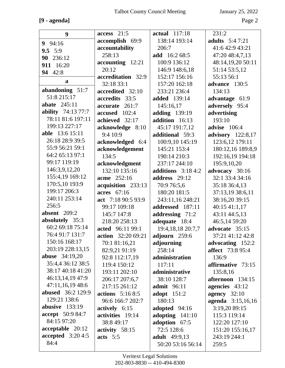# **[9 - agenda]** Page 2

|                           | $access$ 21:5      |                      | 231:2                   |
|---------------------------|--------------------|----------------------|-------------------------|
| 9                         |                    | actual 117:18        |                         |
| $9 \t94:16$               | accomplish 69:9    | 138:14 193:14        | <b>adults</b> 5:47:21   |
| 9.5 $5:9$                 | accountability     | 206:7                | 41:6 42:9 43:21         |
| 90 236:12                 | 258:13             | add 16:2 68:5        | 47:20 48:4,7,13         |
| 911 16:20                 | accounting 12:21   | 100:9 136:12         | 48:14,19,20 50:11       |
| 94 42:8                   | 20:12              | 146:9 148:6,18       | 51:14 53:5,12           |
| a                         | accreditation 32:9 | 152:17 156:16        | 55:13 56:1              |
| abandoning 51:7           | 32:18 33:1         | 157:20 162:18        | advance 130:5           |
| 51:8 215:17               | accredited 32:10   | 233:21 236:4         | 134:13                  |
| abate $245:11$            | accredits 33:5     | <b>added</b> 139:14  | advantage 61:9          |
| <b>ability</b> 74:13 77:7 | accurate 261:7     | 145:16,17            | adversely 95:4          |
| 78:11 81:6 197:11         | accused 102:4      | adding 139:19        | advertising             |
| 199:13 227:17             | achieved 32:17     | addition 16:13       | 193:10                  |
| able 13:6 15:11           | acknowledge 8:10   | 45:17 191:7,12       | advise 106:4            |
|                           | 9:4 10:9           | additional 59:3      | advisory 122:8,17       |
| 26:18 28:9 39:5           | acknowledged 6:4   | 100:9,10 145:19      | 123:6,12 179:11         |
| 55:9 56:21 59:1           | acknowledgement    | 145:21 153:4         | 180:12,16 189:8,9       |
| 64:2 65:13 97:1           | 134:5              | 190:14 210:3         | 192:16,19 194:18        |
| 99:17 119:19              | acknowledgment     | 237:17 244:10        | 195:9,10,20             |
| 146:3,9,12,20             | 132:10 135:16      | additions $3:184:2$  | advocacy 30:16          |
| 155:4,19 169:12           | acme 252:16        | address 29:12        | 32:1 33:4 34:16         |
| 170:5,10 193:9            | acquisition 233:13 | 70:9 76:5,6          | 35:18 36:4,13           |
| 199:17 206:3              | acres 67:16        | 180:20 181:5         | 37:13,19 38:6,11        |
| 240:11 253:14             | act 7:18 90:5 93:9 | 243:11,16 248:21     | 38:16,20 39:15          |
| 256:5                     | 99:17 109:18       | addressed 187:11     | 40:15 41:1,17           |
| absent $209:2$            | 145:7 147:8        | addressing 71:2      | 43:11 44:5,13           |
| absolutely 35:3           | 218:20 258:13      | adequate 18:4        | 46:5,14 59:20           |
| 60:2 69:18 75:14          | acted 96:11 99:1   | 19:4, 18, 18 20:7, 7 | advocate 35:15          |
| 76:4 91:7 131:7           | action 32:20 69:21 | adjourn 259:6        | 37:21 41:12 42:8        |
| 150:16 168:17             | 70:1 81:16,21      | adjourning           | advocating 152:2        |
| 203:19 228:13,15          | 82:9,21 91:19      | 258:14               | <b>affect</b> 73:8 95:4 |
| <b>abuse</b> 34:19,20     | 92:8 112:17,19     | administration       | 136:9                   |
| 35:4,4 36:12 38:5         | 119:4 150:12       | 117:11               | affirmative 73:15       |
| 38:17 40:18 41:20         | 193:11 202:10      | administrative       | 135:8,16                |
| 46:13,14,19 47:9          | 206:17 207:6,7     | 38:10 128:7          | afternoon 134:15        |
| 47:11,16,19 48:6          | 217:15 261:12      | <b>admit</b> 96:11   | agencies 43:12          |
| <b>abused</b> 36:2 129:9  | actions $5:168:5$  | <b>adopt</b> 151:2   | agency $32:10$          |
| 129:21 138:6              | 96:6 166:7 202:7   | 180:13               | agenda 3:15,16,16       |
| abusive $133:19$          | actively 6:15      | adopted 94:16        | 3:19,20 89:15           |
| <b>accept</b> 50:9 84:7   | activities 19:14   | adopting $141:10$    | 115:3 119:14            |
| 84:15 97:20               | 38:8 49:17         | adoption 67:5        | 122:20 127:10           |
| acceptable 20:12          | activity 58:15     | 72:5 128:6           | 151:20 155:16,17        |
| accepted $3:204:5$        | acts $5:5$         | <b>adult</b> 49:9,13 | 243:19 244:1            |
| 84:4                      |                    | 50:20 53:16 56:14    | 259:5                   |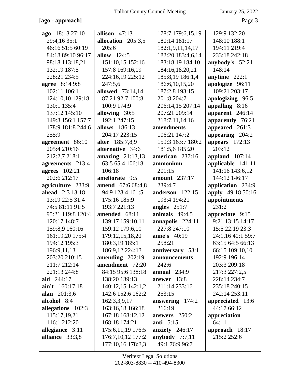#### **[ago - approach]** Page 3

| ago 18:13 27:10                 | allison $47:13$                        | 178:7 179:6,15,19                  | 129:9 132:20      |
|---------------------------------|----------------------------------------|------------------------------------|-------------------|
| 29:4,16 35:1                    | allocation 205:3,5                     | 180:14 181:17                      | 148:10 188:1      |
| 46:16 51:5 60:19                | 205:6                                  | 182:1,9,11,14,17                   | 194:11 219:4      |
| 84:18 89:10 96:17               | <b>allow</b> 124:5                     | 182:20 183:4,6,14                  | 233:18 242:18     |
| 98:18 113:18,21                 | 151:10,15 152:16                       | 183:18,19 184:10                   | anybody's 52:21   |
| 132:19 187:5                    | 157:8 169:16,19                        | 184:16,18,20,21                    | 148:14            |
| 228:21 234:5                    | 224:16,19 225:12                       | 185:8,19 186:1,4                   | anytime $222:1$   |
| <b>agree</b> 8:14 9:8           | 247:5,6                                | 186:6, 10, 15, 20                  | apologize 96:11   |
| 102:11 106:1                    | <b>allowed</b> 73:14,14                | 187:2,8 193:15                     | 109:21 203:17     |
| 124:10,10 129:18                | 87:21 92:7 100:8                       | 201:8 204:7                        | apologizing 96:5  |
| 130:1 135:4                     | 100:9 174:9                            | 206:14,15 207:14                   | appalling 8:16    |
| 137:12 145:10                   | allowing 30:5                          | 207:21 209:14                      | apparent 246:14   |
| 149:3 156:1 157:7               | 192:1 247:15                           | 218:7,11,14,16                     | apparently 76:21  |
| 178:9 181:8 244:6               | allows 186:13                          | amendments                         | appeared 261:3    |
| 255:9                           | 204:17 223:15                          | 106:21 147:2                       | appearing 204:2   |
| agreement 86:10                 | alter 185:7,8,9                        | 159:3 163:7 180:2                  | appears $172:13$  |
| 205:4 210:16                    | alternative 34:6                       | 181:5,6 185:20                     | 203:12            |
| 212:2,7 218:1                   | amazing $21:13,13$                     | american 237:16                    | applaud $107:14$  |
| agreements 213:4                | 63:5 65:4 106:18                       | ammonium                           | applicable 141:11 |
| <b>agrees</b> 102:21            | 106:18                                 | 201:15                             | 141:16 143:6,12   |
| 202:6 212:17                    | ameliorate 9:5                         | <b>amount</b> 237:17               | 144:12 146:17     |
| agriculture 233:9               | amend 67:6 68:4,8                      | 239:4,7                            | application 234:9 |
|                                 | 94:9 128:4 161:5                       | anderson 122:15                    | apply 49:18 50:16 |
| <b>ahead</b> 2:3 13:18          |                                        |                                    |                   |
| 13:19 22:5 31:4                 | 175:16 185:9                           | 193:4 194:21                       | appointments      |
| 74:5 81:11 91:5                 | 193:7 221:13                           | angles $251:7$                     | 231:2             |
| 95:21 119:8 120:4               | amended 68:11                          | animals $49:4,5$                   | appreciate 9:15   |
| 120:17 148:7                    | 139:17 159:10,11                       | annapolis 224:11                   | 9:21 13:15 14:17  |
| 159:8,9 160:16                  | 159:12 179:6,10                        | 227:8 247:10                       | 15:5 22:19 23:3   |
| 161:19,20 175:4                 | 179:12,15,18,20                        | <b>anne's</b> 40:19                | 24:1,16 40:1 59:7 |
| 194:12 195:3                    | 180:3,19 185:1                         | 258:21                             | 63:15 64:5 66:13  |
| 196:9,11,13                     | 186:9,12 224:13                        | anniversary 53:1                   | 66:15 109:10,10   |
| 203:20 210:15                   | amending $202:19$                      | announcements                      | 192:9 196:14      |
| 211:7 212:14                    | amendment 72:20                        | 242:6                              | 203:3 209:18      |
| 221:13 244:8                    | 84:15 95:6 138:18                      | annual $234:9$                     | 217:3 227:2,5     |
| aid $244:17$                    | 138:20 139:13                          | answer $13:8$                      | 228:14 234:7      |
| $\text{ain}'\text{t}$ 160:17,18 | 140:12,15 142:1,2                      | 211:14 233:16                      | 235:18 240:15     |
| alan $201:3,6$                  | 142:6 152:6 162:2                      | 253:15                             | 242:14 253:11     |
| alcohol 8:4                     | 162:3,3,9,17                           | answering $174:2$                  | appreciated 13:6  |
| allegations 102:3               | 163:16,18 166:18                       | 216:19                             | 44:17 66:12       |
| 115:17,19,21                    | 167:18 168:12,12                       | answers $250:2$                    | appreciation      |
| 116:1 212:20                    | 168:18 174:21                          | <b>anti</b> 5:15                   | 64:11             |
| allegiance $3:11$               | 175:6, 11, 19 176: 5                   | anxiety 246:17                     | approach $18:17$  |
| alliance 33:3,8                 | 176:7,10,12 177:2<br>177:10,16 178:3,3 | anybody $7:7,11$<br>49:1 76:9 96:7 | 215:2 252:6       |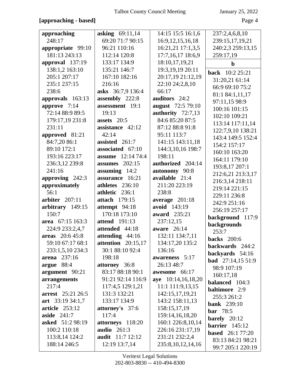## **[approaching - based]** Page 4

|                         | asking 69:11,14         | 14:15 15:5 16:1,6     | 237:2,4,6,8,10            |
|-------------------------|-------------------------|-----------------------|---------------------------|
| approaching<br>248:17   | 69:20 71:7 90:15        |                       |                           |
|                         | 96:21 110:16            | 16:9, 12, 15, 16, 18  | 239:15,17,19,21           |
| appropriate 99:10       |                         | 16:21,21 17:1,3,5     | 240:2,3 259:13,15         |
| 181:13 243:13           | 112:14 120:8            | 17:7,16,17 18:6,9     | 259:17,19                 |
| approval 137:19         | 133:17 134:9            | 18:10,17,19,21        | $\mathbf b$               |
| 138:1,2 163:10          | 135:21 146:7            | 19:3, 19, 19 20: 11   | <b>back</b> 10:2 25:21    |
| 205:1 207:17            | 167:10 182:16           | 20:17,19 21:12,19     | 31:20,21 61:14            |
| 235:1 237:15            | 216:16                  | 22:10 24:2,8,10       | 66:9 69:10 75:2           |
| 238:6                   | asks 36:7,9 136:4       | 66:17                 | 81:1 84:1,11,17           |
| approvals 163:13        | assembly 222:8          | auditors 24:2         | 97:11,15 98:9             |
| approve 7:14            | assessment 19:1         | august 72:5 79:10     | 100:16 101:15             |
| 72:14 88:9 89:5         | 19:13                   | authority 72:7,13     | 102:10 109:21             |
| 179:17,19 231:8         | assets 20:5             | 84:6 85:20 87:5       | 113:14 117:11,14          |
| 231:11                  | assistance 42:12        | 87:12 88:8 91:8       | 122:7,9,10 138:21         |
| approved 81:21          | 42:14                   | 95:11 113:7           | 143:4 149:5 152:4         |
| 84:7,20 86:1            | assisted 261:7          | 141:15 143:11,18      | 154:2 157:17              |
| 89:10 172:1             | associated 67:10        | 144:3,10,16 198:7     | 160:10 163:20             |
| 193:16 223:17           | 12:14 74:4<br>assume    | 198:11                | 164:11 179:10             |
| 236:3,12 239:8          | assumes $202:15$        | authorized 204:14     | 193:8,17 207:1            |
| 241:16                  | assuming 14:2           | autonomy 90:8         | 212:6,21 213:3,17         |
| approving 242:3         | assurance 16:21         | available 21:4        | 216:3,14 218:11           |
| approximately           | athletes 236:10         | 211:20 223:19         | 219:14 221:15             |
| 56:1                    | athletic 236:1          | 238:8                 | 229:11 236:8              |
| arbiter $207:11$        | <b>attach</b> 179:15    | average 201:18        | 242:9 251:16              |
| arbitrary 149:15        | attempt 94:18           | avoid 143:19          | 256:19 257:17             |
| 150:7                   | 170:18 173:10           | award 235:21          | background 117:9          |
| area 67:15 163:3        | <b>attend</b> 191:13    | 237:12,15             | backgrounds               |
| 224:9 233:2,4,7         | attended 44:18          | aware $26:14$         | 253:7                     |
| areas 20:6 45:8         | attending 44:16         | 132:11 134:7,11       | <b>backs</b> 200:6        |
| 59:10 67:17 68:1        | attention $20:15,17$    | 134:17,20 135:2       | backwards 244:2           |
| 233:1,5,10 234:3        | 30:1 88:10 92:4         | 136:16                | backyards 54:16           |
| arena $237:16$          | 198:18                  | awareness 5:17        | <b>bad</b> $27:14,1551:9$ |
| argue 88:4              | attorney 36:8           | 26:13 48:7            | 98:9 107:19               |
| argument 90:21          | 83:17 88:18 90:1        | awesome 66:17         | 160:17,18                 |
| arrangements            | 91:21 92:14 116:9       | aye 10:14,16,18,20    | <b>balanced</b> 104:3     |
| 217:4                   | 117:4,5 129:1,21        | 11:1 111:9,13,15      | <b>baltimore</b> 2:9      |
| arrest 25:21 26:5       | 131:3 132:21            | 142:15,17,19,21       | 255:3 261:2               |
| art $33:1934:1,7$       | 133:17 134:9            | 143:2 158:11,13       | <b>bank</b> 239:10        |
| <b>article</b> 253:12   | attorney's 37:6         | 158:15,17,19          | <b>bar</b> 78:5           |
| aside $241:7$           | 117:4                   | 159:14,16,18,20       | barely $20:12$            |
| <b>asked</b> 51:2 98:19 | attorneys 118:20        | 160:1 226:8,10,14     | barrier $145:12$          |
| 100:2 110:18            | <b>audio</b> 261:3      | 226:16 231:17,19      | <b>based</b> 26:1 77:20   |
| 113:8,14 124:2          | <b>audit</b> 11:7 12:12 | 231:21 232:2,4        | 83:13 84:21 98:21         |
| 188:14 246:5            | 12:19 13:7,14           | 235:8, 10, 12, 14, 16 | 99:7 205:1 220:19         |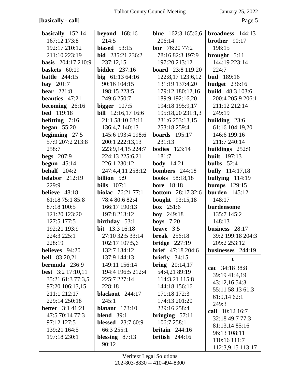#### **[basically - call]** Page 5

| basically 152:14          | beyond $168:16$           | <b>blue</b> 162:3 165:6,6 | broadness $144:13$      |
|---------------------------|---------------------------|---------------------------|-------------------------|
| 167:12 173:8              | 214:5                     | 206:14                    | brother 90:17           |
| 192:17 210:12             | biased $53:15$            | <b>bnr</b> $76:2077:2$    | 198:15                  |
| 211:10 223:19             | bid 235:21 236:2          | 78:16 82:3 197:9          | brought $5:11$          |
| <b>basis</b> 204:17 210:9 | 237:12,15                 | 197:20 213:12             | 144:19 223:14           |
| baskets 60:19             | <b>bidder</b> 237:16      | <b>board</b> 23:8 119:20  | 224:7                   |
| <b>battle</b> 244:15      | big $61:1364:16$          | 122:8,17 123:6,12         | <b>bud</b> 189:16       |
| bay $201:7$               | 90:16 104:15              | 131:19 137:4,20           | <b>budget</b> 236:16    |
| <b>bear</b> 221:8         | 198:15 223:5              | 179:12 180:12,16          | <b>build</b> 48:3 103:6 |
| <b>beauties</b> 47:21     | 249:6 250:7               | 189:9 192:16,20           | 200:4 205:9 206:1       |
| becoming 26:16            | bigger $107:5$            | 194:18 195:9,17           | 211:12 212:14           |
| <b>bed</b> 119:18         | <b>bill</b> 12:16,17 16:6 | 195:18,20 231:1,3         | 249:19                  |
| <b>befitting</b> $7:16$   | 21:1 58:10 63:11          | 231:6 253:13,15           | building $23:6$         |
| began $55:20$             | 136:4,7 140:13            | 253:18 259:4              | 61:16 104:19,20         |
| beginning 27:5            | 145:6 193:4 198:6         | <b>boards</b> 195:17      | 146:6 199:16            |
| 57:9 207:2 213:8          | 200:1 222:13,13           | 231:13                    | 211:7 240:14            |
| 258:7                     | 223:9,14,15 224:7         | <b>bodies</b> 123:14      | buildings 252:9         |
| <b>begs</b> 207:9         | 224:13 225:6,21           | 181:7                     | <b>built</b> 197:13     |
| begun $45:14$             | 226:1 230:12              | <b>body</b> 14:21         | bulbs $52:4$            |
| behalf $204:2$            | 247:4,4,11 258:12         | bombers 244:18            | <b>bully</b> 114:17,18  |
| <b>belabor</b> 212:19     | <b>billion</b> 5:9        | <b>books</b> 58:18,18     | bullying 114:19         |
| 229:9                     | bills $107:1$             | <b>bore</b> 18:18         | <b>bumps</b> 129:15     |
| believe 48:18             | biolac 76:21 77:1         | <b>bottom</b> 28:17 32:6  | <b>burden</b> 145:12    |
| 61:18 75:1 85:8           | 78:4 80:6 82:4            | <b>bought</b> 93:15,18    | 148:17                  |
| 87:18 100:5               | 166:17 190:13             | <b>box</b> 251:6          | burdensome              |
| 121:20 123:20             | 197:8 213:12              | <b>boy</b> $249:18$       | 135:7 145:2             |
| 127:5 177:5               | birthday $53:1$           | <b>boys</b> $7:20$        | 148:13                  |
| 192:21 193:9              | <b>bit</b> 13:3 16:18     | brave $3:5$               | business 28:17          |
| 224:3 225:1               | 27:10 32:5 33:14          | <b>break</b> 256:18       | 39:2 199:18 204:3       |
| 228:19                    | 102:17 107:5,6            | bridge $227:19$           | 209:2 253:12            |
| believes 94:20            | 132:7 134:12              | <b>brief</b> 47:18 204:6  | businesses 244:19       |
| <b>bell</b> 83:20,21      | 137:9 144:13              | briefly $34:15$           |                         |
| bermuda 236:9             | 149:11 156:14             | <b>bring</b> $20:14,17$   | $\mathbf c$             |
| <b>best</b> 3:2 17:10,11  | 194:4 196:5 212:4         | 54:4,21 89:19             | cac 34:18 38:8          |
| 35:21 61:3 77:3,5         | 225:7 227:14              | 114:3,21 115:8            | 39:19 41:4,19           |
| 97:20 106:13,15           | 228:18                    | 144:18 156:16             | 43:12,16 54:3           |
| 211:1 212:17              | blackout 244:17           | 171:18 172:3              | 55:11 58:13 61:3        |
| 229:14 250:18             | 245:1                     | 174:13 201:20             | 61:9,14 62:1            |
| <b>better</b> $3:141:21$  | blatant $173:10$          | 229:16 258:4              | 249:3                   |
| 47:5 70:14 77:3           | <b>blend</b> 39:1         | bringing $57:11$          | call 10:12 16:7         |
| 97:12 127:5               | <b>blessed</b> 23:7 60:9  | 106:7 258:1               | 32:18 49:7 77:3         |
| 139:21 164:5              | 66:3 255:1                | <b>britain</b> $244:16$   | 81:13,14 85:16          |
|                           |                           |                           | 96:13 108:11            |
| 197:18 230:1              | blessing $87:13$          | <b>british</b> $244:16$   | 110:16 111:7            |
|                           | 90:12                     |                           | 112:3,9,15 113:17       |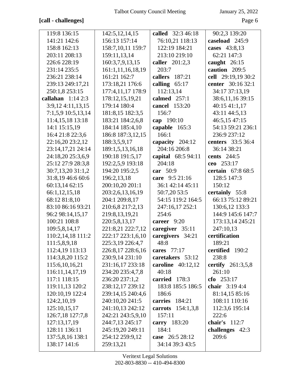# **[call - challenges]** Page 6

| 119:8 136:15       | 142:5, 12, 14, 15 | called 32:3 46:18   | 90:2,3 139:20      |
|--------------------|-------------------|---------------------|--------------------|
| 141:21 142:6       | 156:13 157:14     | 76:10,21 118:13     | caseload 245:9     |
| 158:8 162:13       | 158:7,10,11 159:7 | 122:19 184:21       | cases 43:8,13      |
| 203:11 208:13      | 159:11,13,14      | 213:10 219:10       | 62:21 147:3        |
| 226:6 228:19       | 160:3,7,9,13,15   | caller 201:2,3      | caught $26:15$     |
| 231:14 235:5       | 161:1,11,16,18,19 | 203:7               | caution 209:5      |
| 236:21 238:14      | 161:21 162:7      | callers 187:21      | cell 29:19,19 30:2 |
| 239:13 249:17,21   | 173:18,21 176:6   | calling $65:17$     | center 30:16 32:1  |
| 250:1,8 253:15     | 177:4,11,17 178:9 | 112:13,14           | 34:17 37:13,19     |
| callahan $1:142:3$ | 178:12,15,19,21   | calmed 257:1        | 38:6,11,16 39:15   |
| 3:9,124:11,13,15   | 179:14 180:4      | cancel 153:20       | 40:1541:1,17       |
| 7:1,5,9 10:5,13,14 | 181:8,15 182:3,5  | 156:7               | 43:11 44:5,13      |
| 11:4,15,18 13:18   | 183:21 184:2,6,8  | cap 190:10          | 46:5,15 47:15      |
| 14:1 15:15,19      | 184:14 185:4,10   | capable 165:3       | 54:13 59:21 236:1  |
| 16:4 21:8 22:3,6   | 186:8 187:3,12,15 | 166:1               | 236:9 237:12       |
| 22:16,20 23:2,12   | 188:3,5,9,17      | capacity 204:12     | centers 33:5 36:4  |
| 23:14,17,21 24:14  | 189:1,5,13,16,18  | 204:16 206:8        | 36:14 38:21        |
| 24:18,20 25:3,6,9  | 190:18 191:5,17   | capital 68:5 94:11  | <b>cents</b> 244:5 |
| 25:12 27:9 28:3,8  | 192:2,5,9 193:18  | 204:18              | ceo 253:17         |
| 30:7,13,20 31:1,2  | 194:20 195:2,5    | car 50:9            | certain 67:8 68:5  |
| 31:8,19 46:6 60:6  | 196:2,13,18       | care 9:5 21:16      | 128:5 147:3        |
| 60:13,14 62:15     | 200:10,20 201:1   | 36:1 42:14 45:11    | 150:12             |
| 66:1,12,15,18      | 203:2,6,13,16,19  | 50:7,20 53:5        | certainly 55:8     |
| 68:12 81:8,10      | 204:1 209:8,17    | 54:15 119:2 164:5   | 66:13 75:12 89:21  |
| 83:10 86:16 93:21  | 210:6,8 217:2,13  | 247:16,17 252:1     | 130:6,12 133:3     |
| 96:2 98:14,15,17   | 219:8,13,19,21    | 254:6               | 144:9 145:6 147:7  |
| 100:21 108:8       | 220:5,8,13,17     | career 9:20         | 173:13,14 245:21   |
| 109:5,8,14,17      | 221:8,21 222:7,12 | caregiver 35:11     | 247:10,13          |
| 110:2,14,18 111:2  | 222:17 223:1,6,10 | caregivers 34:21    | certification      |
| 111:5,8,9,18       | 225:3,19 226:4,7  | 48:8                | 189:21             |
| 112:4,19 113:13    | 226:8,17 228:6,16 | cares 77:17         | certified 190:2    |
| 114:3,8,20 115:2   | 230:9,14 231:10   | caretakers 53:12    | 238:8              |
| 115:6, 10, 16, 21  | 231:16,17 233:18  | caroline $40:12,12$ | certify 261:3,5,8  |
| 116:11,14,17,19    | 234:20 235:4,7,8  | 40:18               | 261:10             |
| 117:1 118:15       | 236:20 237:1,2    | carried 178:3       | cfo $253:17$       |
| 119:11,13 120:2    | 238:12,17 239:12  | 183:8 185:5 186:5   | chair $3:194:4$    |
| 120:10,19 122:4    | 239:14,15 240:4,6 | 186:6               | 81:14,15 85:16     |
| 124:2,10,19        | 240:10,20 241:5   | carries 184:21      | 108:11 110:16      |
| 125:10,15,17       | 241:10,13 242:12  | carrots $154:1,3,8$ | 112:3,6 195:14     |
| 126:7,18 127:7,8   | 242:21 243:5,9,10 | 157:11              | 222:6              |
| 127:13,17,19       | 244:7,13 245:17   | carry $183:20$      | chair's $112:7$    |
| 128:11 136:11      | 245:19,20 249:11  | 184:1               | challenges 42:3    |
| 137:5,8,16 138:1   | 254:12 259:9,12   | case 26:5 28:12     | 209:6              |
| 138:17 141:6       | 259:13,21         | 34:14 39:3 43:5     |                    |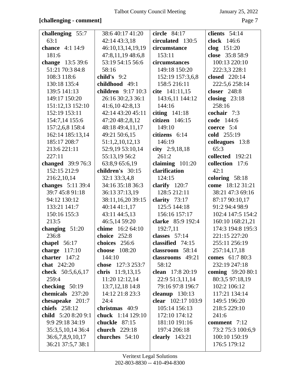## **[challenging - comment]** Page 7

| challenging 55:7    | 38:6 40:17 41:20         | circle 84:17       | clients $54:14$      |
|---------------------|--------------------------|--------------------|----------------------|
| 63:1                | 42:14 43:3,18            | circulated 130:5   | clock 146:6          |
| chance 4:1 14:9     | 46:10,13,14,19,19        | circumstance       | clog $151:20$        |
| 181:6               | 47:8,11,19 48:6,8        | 153:11             | close 35:8 58:9      |
| change 13:5 39:6    | 53:19 54:15 56:6         | circumstances      | 100:13 220:10        |
| 51:21 70:3 84:8     | 58:16                    | 149:18 150:20      | 222:3,3 228:1        |
| 108:3 118:6         | child's $9:2$            | 152:19 157:3,6,8   | <b>closed</b> 220:14 |
| 130:18 135:4        | childhood 49:1           | 158:5 216:11       | 222:5,6 258:14       |
| 139:5 141:13        | children 9:17 10:3       | cite 141:11,15     | <b>closer</b> 248:8  |
| 149:17 150:20       | 26:16 30:2,3 36:1        | 143:6,11 144:12    | closing $23:18$      |
| 151:12,13 152:10    | 41:6,10 42:8,13          | 144:16             | 258:16               |
| 152:19 153:11       | 42:14 43:20 45:11        | citing $141:18$    | cochair 7:3          |
| 154:7,14 155:6      | 47:20 48:2,8,12          | citizen 146:15     | code 144:6           |
| 157:2,6,8 158:4     | 48:18 49:4,11,17         | 149:10             | coerce 5:4           |
| 162:14 185:13,14    | 49:21 50:6,15            | citizens 6:14      | cold 255:19          |
| 185:17 208:7        | 51:1,2,10,12,13          | 146:19             | colleagues 13:8      |
| 213:6 221:11        | 52:9,19 53:10,14         | city 2:9,18,18     | 65:3                 |
| 227:11              | 55:13,19 56:2            | 261:2              | collected 192:21     |
| changed 39:9 76:3   | 63:8,9 65:6,19           | claiming $101:20$  | collection 17:6      |
| 152:15 212:9        | children's 30:15         | clarification      | 42:1                 |
| 216:2,10,14         | 32:1 33:3,4,8            | 124:15             | coloring 58:18       |
| changes 5:11 39:4   | 34:16 35:18 36:3         | clarify $120:7$    | come 18:12 31:21     |
| 39:7 45:8 91:18     | 36:13 37:13,19           | 128:5 212:11       | 38:21 47:3 69:16     |
| 94:12 130:12        | 38:11,16,20 39:15        | clarity $73:17$    | 87:17 90:10,17       |
| 133:21 141:7        | 40:14 41:1,17            | 125:5 144:18       | 91:2 94:4 98:9       |
| 150:16 155:3        | 43:11 44:5,13            | 156:16 157:17      | 102:4 147:5 154:2    |
| 213:5               | 46:5,14 59:20            | clarke 85:9 192:4  | 160:10 168:21,21     |
| changing $51:20$    | chime 16:2 64:10         | 192:7,11           | 174:3 194:8 195:3    |
| 236:8               | choice 252:8             | classes $57:14$    | 221:15 227:20        |
| chapel $56:17$      | choices 256:6            | classified 74:15   | 255:11 256:19        |
| charge $117:10$     | choose 108:20            | classroom 58:14    | 257:14,17,18         |
| charter $147:2$     | 144:10                   | classrooms 49:21   | comes 61:7 80:3      |
| chat 242:20         | chose 127:3 253:7        | 58:12              | 232:19 247:18        |
| check 50:5,6,6,17   | chris 11:9,13,15         | clean 17:8 20:19   | coming 59:20 80:1    |
| 259:4               | 11:20 12:12,14           | 22:9 51:3,11,14    | 80:3,5 97:18,19      |
| checking $50:19$    | $13:7,12,18$ 14:8        | 79:16 97:8 196:7   | 102:2 106:12         |
| chemicals 237:20    | 14:12 21:8 23:3          | cleanup 130:13     | 117:21 134:14        |
| chesapeake 201:7    | 24:4                     | clear 102:17 103:9 | 149:5 196:20         |
| chiefs 258:12       | christmas 40:9           | 105:14 156:13      | 218:5 229:10         |
| child 5:20 8:20 9:1 | <b>chuck</b> 1:14 129:10 | 172:10 174:12      | 241:6                |
| 9:9 29:18 34:19     | chuckle 87:15            | 181:10 191:16      | comment 7:12         |
| 35:3,5,10,14 36:4   | church 229:18            | 197:4 206:18       | 73:2 75:3 100:6,9    |
| 36:6,7,8,9,10,17    | churches 54:10           | clearly $143:21$   | 100:10 150:19        |
| 36:21 37:5,7 38:1   |                          |                    | 176:5 179:12         |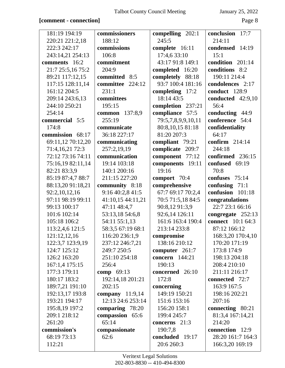## **[comment - connection]** Page 8

| 181:19 194:19<br>220:21 221:2,18 | commissioners<br>188:12 | compelling 202:1<br>245:5 | conclusion 17:7<br>214:11 |
|----------------------------------|-------------------------|---------------------------|---------------------------|
| 222:3 242:17                     | commissions             | complete 16:11            | condensed 14:19           |
| 243:14,21 254:13                 | 106:8                   | 17:4,6 33:10              | 15:1                      |
| comments 16:2                    | commitment              | 43:17 91:8 149:1          | condition 201:14          |
| 21:7 25:5,16 75:2                | 204:9                   | completed 16:20           | conditions 8:2            |
| 89:21 117:12,15                  | committed 8:5           | completely 88:18          | 190:11 214:4              |
| 117:15 128:11,14                 | committee 224:12        | 93:7 100:4 181:16         | condolences 2:17          |
| 161:12 204:5                     | 231:1                   | completing $17:2$         | conduct 128:9             |
| 209:14 243:6,13                  | committees              | 18:14 43:5                | conducted 42:9,10         |
| 244:10 250:21                    | 195:15                  | completion 237:21         | 56:4                      |
| 254:14                           | common 137:8,9          | compliance 57:5           | conducting 44:9           |
| commercial 5:5                   | 255:19                  | 79:5,7,8,9,9,10,11        | conference 54:4           |
| 174:8                            | communicate             | 80:8,10,15 81:18          | confidentiality           |
| commission 68:17                 | 36:18 227:17            | 81:20 207:3               | 64:17                     |
| 69:11,12 70:12,20                | communicating           | compliant 79:21           | confirm $214:14$          |
| 71:4,16,21 72:3                  | 257:2,19,19             | complicate 209:7          | 244:18                    |
| 72:12 73:16 74:11                | communication           | component 77:12           | confirmed 236:15          |
| 75:16,19 82:11,14                | 19:14 103:18            | components 19:11          | confused 69:19            |
| 82:21 83:3,9                     | 140:1 200:16            | 19:16                     | 70:8                      |
| 85:19 87:4,7 88:7                | 211:15 227:20           | comport $70:4$            | confuses 75:14            |
| 88:13,20 91:18,21                | community 8:18          | comprehensive             | confusing $71:1$          |
| 92:2,10,12,16                    | 9:16 40:2,8 41:5        | 67:7 69:17 70:2,4         | confusion 101:18          |
| 97:11 98:19 99:11                | 41:10,15 44:11,21       | 70:5 71:5,18 84:5         | congratulations           |
| 99:13 100:17                     | 47:11 48:4,7            | 90:8,12 91:3,9            | 22:7 23:1 66:16           |
| 101:6 102:14                     | 53:13,18 54:6,8         | 92:6,14 126:11            | congregate 252:13         |
| 105:18 106:2                     | 54:11 55:1,13           | 161:6 163:4 190:4         | <b>connect</b> 10:1 64:3  |
| 113:2,4,6 121:5                  | 58:3,5 67:19 68:1       | 213:14 233:8              | 87:12 166:12              |
| 121:12,12,16                     | 116:20 236:1,9          | compromise                | 168:3,20 170:4,10         |
| 122:3,7 123:9,19                 | 237:12 246:7,21         | 138:16 210:12             | 170:20 171:19             |
| 124:7 125:12                     | 249:7 250:5             | computer 261:7            | 173:8 174:9               |
| 126:2 163:20                     | 251:10 254:18           | <b>concern</b> 144:21     | 198:13 204:18             |
| 167:1,4 175:15                   | 256:4                   | 190:13                    | 208:4 210:10              |
| 177:3 179:11                     | comp 69:13              | concerned 26:10           | 211:11 216:17             |
| 180:17 183:2                     | 192:14,18 201:21        | 172:8                     | connected 72:7            |
| 189:7,21 191:10                  | 202:15                  | concerning                | 163:9 167:5               |
| 192:13,17 193:8                  | company $11:9,14$       | 149:19 150:21             | 198:16 202:21             |
| 193:21 194:17                    | 12:13 24:6 253:14       | 151:6 153:16              | 207:16                    |
| 195:8,19 197:2                   | comparing 78:20         | 156:20 158:1              | connecting 80:21          |
| 209:1 218:12                     | compassion 65:6         | 199:4 245:7               | 81:3,4 167:14,21          |
| 261:20                           | 65:14                   | concerns 21:3             | 214:20                    |
| commission's                     | compassionate           | 190:7,8                   | connection 12:9           |
| 68:19 73:13                      | 62:6                    | concluded 19:17           | 28:20 161:7 164:3         |
| 112:21                           |                         | 20:6 260:3                | 166:3,20 169:19           |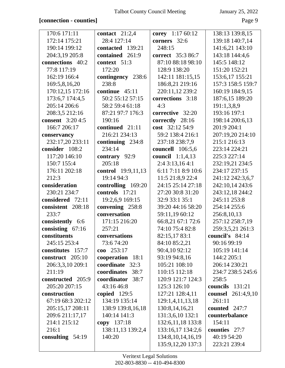## [connection - counties]

January 25, 2022

Page 9

| 170:6 171:11            | contact $21:2,4$          | corey 1:17 60:12        | 138:13 139:8,15    |
|-------------------------|---------------------------|-------------------------|--------------------|
| 172:14 175:21           | 28:4 127:14               | corners 32:6            | 139:18 140:7,14    |
| 190:14 199:12           | contacted 139:21          | 248:15                  | 141:6,21 143:10    |
| 204:3,19 205:8          | contained 261:9           | correct 35:3 86:7       | 143:18 144:4,6     |
| connections 40:2        | context 51:3              | 87:10 88:18 98:10       | 145:5 148:12       |
| 77:8 117:19             | 172:20                    | 128:9 138:20            | 151:20 152:21      |
| 162:19 166:4            | contingency 238:6         | 142:11 181:15,15        | 153:6,17 155:21    |
| 169:5,8,16,20           | 238:8                     | 186:8,21 219:16         | 157:3 158:5 159:7  |
| 170:12,15 172:16        | continue $45:11$          | 220:11,12 239:2         | 160:19 184:9,15    |
| 173:6,7 174:4,5         | 50:2 55:12 57:15          | corrections 3:18        | 187:6,15 189:20    |
| 205:14 206:6            | 58:2 59:4 61:18           | 4:3                     | 191:1,3,8,9        |
| 208:3,5 212:16          | 87:21 97:7 176:3          | corrective 32:20        | 193:16 197:1       |
| <b>consent</b> 3:20 4:5 | 190:16                    | correctly 28:16         | 198:14 200:6,13    |
| 166:7 206:17            | continued 21:11           | cost 32:12 54:9         | 201:9 204:1        |
| conservancy             | 216:21 234:13             | 59:2 138:4 216:1        | 207:19,20 214:10   |
| 232:17,20 233:11        | continuing 234:8          | 237:18 238:7,9          | 215:1 216:13       |
| consider 108:2          | 234:14                    | <b>councell</b> 106:5,6 | 223:14 224:21      |
| 117:20 146:10           | contrary 92:9             | council 1:1,4,13        | 225:3 227:14       |
| 150:7 155:4             | 205:18                    | 2:4 3:13,16 4:1         | 232:19,21 234:5    |
| 176:11 202:18           | <b>control</b> 19:9,11,13 | 6:11 7:11 8:9 10:6      | 234:17 237:15      |
| 212:3                   | 19:14 94:3                | 11:5 21:8,9 22:4        | 241:12 242:3,6,7   |
| consideration           | controlling 169:20        | 24:15 25:14 27:18       | 242:10,14 243:6    |
| 230:21 234:7            | controls 17:21            | 27:20 30:8 31:20        | 243:12,18 244:2    |
| considered 72:11        | 19:2,6,9 169:15           | 32:9 33:1 35:1          | 245:11 253:8       |
| consistent 208:18       | convening 258:8           | 39:20 44:16 58:20       | 254:14 255:6       |
| 233:7                   | conversation              | 59:11,19 60:12          | 256:8,10,13        |
| consistently 6:6        | 171:15 216:20             | 66:8,21 67:1 72:6       | 257:12 258:7,19    |
| consisting 67:16        | 257:21                    | 74:10 75:4 82:8         | 259:3,5,21 261:3   |
| constituents            | conversations             | 82:15,17 83:1           | council's 84:14    |
| 245:15 253:4            | 73:674:20                 | 84:10 85:2,21           | 90:16 99:19        |
| constitutes 157:7       | $\cos 253:17$             | 90:4,10 92:12           | 105:19 141:14      |
| construct 205:10        | cooperation 18:1          | 93:19 94:8,16           | 144:2 205:1        |
| 206:3,3,10 209:1        | coordinate 32:3           | 105:21 108:10           | 206:14 230:21      |
| 211:19                  | coordinates 38:7          | 110:15 112:18           | 234:7 238:5 245:6  |
| constructed 205:9       | coordinator 38:7          | 120:9 121:7 124:3       | 258:5              |
| 205:20 207:15           | 43:16 46:8                | 125:3 126:10            | councils 131:21    |
| construction            | copied $129:5$            | 127:21 128:4,11         | counsel 261:4,9,10 |
| 67:19 68:3 202:12       | 134:19 135:14             | 129:1,4,11,13,18        | 261:11             |
| 205:15,17 208:11        | 138:9 139:8,16,18         | 130:8, 14, 16, 21       | counted $247:7$    |
| 209:6 211:17,17         | 140:14 141:3              | 131:3,6,10 132:1        | counterbalance     |
| 214:1 215:12            | copy 137:18               | 132:6, 11, 18 133:8     | 154:11             |
| 216:1                   | 138:11,13 139:2,4         | 133:16,17 134:2,6       | counties 27:7      |
| consulting $54:19$      | 140:20                    | 134:8, 10, 14, 16, 19   | 40:19 54:20        |
|                         |                           | 135:9, 12, 20 137:3     | 223:21 239:4       |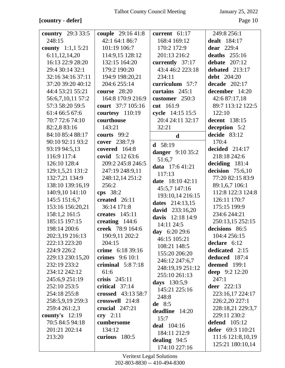## [country - defer]

January 25, 2022

| <b>country</b> 29:3 33:5  | couple 29:16 41:8   | current 61:17      | 249:8 256:1          |
|---------------------------|---------------------|--------------------|----------------------|
| 248:15                    | 42:1 64:1 86:7      | 168:4 169:12       | <b>dealt</b> 184:17  |
| <b>county</b> $1:1,15:21$ | 101:19 106:7        | 170:2 172:9        | <b>dear</b> 229:4    |
| 6:11,12,14,20             | 114:9,15 128:12     | 201:13 216:2       | deaths $255:16$      |
| 16:13 22:9 28:20          | 132:15 164:20       | currently 37:17    | debate $207:12$      |
| 29:4 30:14 32:1           | 179:2 190:20        | 43:4 46:2 223:18   | debated 213:17       |
| 32:16 34:16 37:11         | 194:9 198:20,21     | 234:11             | <b>debt</b> 204:20   |
| 37:20 39:20 40:12         | 204:6 255:14        | curriculum 57:7    | decade $202:17$      |
| 44:4 53:21 55:21          | <b>course</b> 28:20 | curtains $245:1$   | december 14:20       |
| 56:6,7,10,11 57:2         | 164:8 170:9 216:9   | customer 250:3     | 42:6 87:17,18        |
| 57:3 58:20 59:5           | court 37:7 105:16   | cut 161:9          | 89:7 113:12 122:5    |
| 61:4 66:5 67:6            | courtesy 110:19     | cycle 14:15 15:5   | 122:10               |
| 70:7 72:6 74:10           | courthouse          | 20:4 24:11 32:17   | <b>decent</b> 138:15 |
| 82:2,8 83:16              | 143:21              | 32:21              | deception 5:2        |
| 84:10 85:4 88:17          | courts 99:2         |                    | decide 83:12         |
| 90:10 92:11 93:2          | cover 238:7,9       | $\mathbf d$        | 170:4                |
| 93:19 94:5,13             | covered 164:8       | <b>d</b> $58:19$   | decided 214:17       |
| 116:9 117:4               | covid $5:1263:6$    | danger 9:10 35:2   | 218:18 242:6         |
| 126:10 128:4              | 209:2 245:8 246:5   | 51:6,7             | deciding $181:4$     |
| 129:1,5,21 131:2          | 247:19 248:9,11     | data 17:6 41:21    | decision $75:6,10$   |
| 132:7,21 134:9            | 248:12,14 251:2     | 117:13             | 77:20 82:15 83:9     |
| 138:10 139:16,19          | 256:2               | date 18:10 42:11   | 89:1,6,7 106:1       |
|                           |                     | 45:5,7 147:16      | 112:8 122:3 124:8    |
| 140:9,10 141:10           | cps 38:2            | 193:10,14 216:15   |                      |
| 145:5 151:6,7             | created 26:11       | dates 214:13,15    | 126:11 170:7         |
| 153:16 156:20,21          | 36:14 171:8         | david 233:16,20    | 175:15 199:9         |
| 158:1,2 161:5             | creates $145:11$    | davis 12:18 14:9   | 234:6 244:21         |
| 185:15 197:15             | creating 144:6      | 14:11 24:5         | 250:13,15 252:15     |
| 198:14 200:6              | creek 78:9 164:6    | day 6:20 29:6      | decisions 86:5       |
| 202:3,19 216:13           | 190:9,11 202:2      | 46:15 105:21       | 104:4 256:15         |
| 222:13 223:20             | 204:15              | 108:21 148:5       | declare 6:12         |
| 224:9 226:2               | crime 6:18 39:16    | 155:20 206:20      | dedicated 2:15       |
| 229:13 230:15,20          | crimes $9:610:1$    | 246:12 247:6,7     | deduced 187:4        |
| 232:19 233:2              | criminal $5:87:18$  | 248:19,19 251:12   | deemed 199:1         |
| 234:12 242:12             | 61:6                | 255:10 261:13      | deep 9:2 12:20       |
| 245:6,9 251:19            | crisis $245:11$     | days 130:5,9       | 247:1                |
| 252:10 253:5              | critical 37:14      | 145:21 225:16      | <b>deer</b> 222:13   |
| 254:18 255:8              | crossed 43:13 58:7  | 248:8              | 223:16,17 224:17     |
| 258:5,9,19 259:3          | crosswell 214:8     | de $8:5$           | 226:2,20 227:1       |
| 259:4 261:2,3             | crucial $247:21$    | deadline 14:20     | 228:18,21 229:3,7    |
| county's $12:19$          | cry $2:11$          | 15:7               | 229:11 230:2         |
| 70:5 84:5 94:18           | cumbersome          | <b>deal</b> 104:16 | <b>defend</b> 105:12 |
| 201:21 202:14             | 134:12              | 184:11 212:9       | defer $69:3 110:21$  |
| 213:20                    | curious 180:5       | dealing $94:5$     | 111:6 121:8,10,19    |
|                           |                     | 174:10 227:16      | 125:21 180:10,14     |
|                           |                     |                    |                      |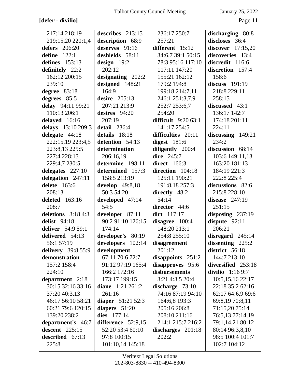# **[defer - divilio]** Page 11

| 217:14 218:19       | describes 213:15    | 236:17 250:7         | discharging 80:8    |
|---------------------|---------------------|----------------------|---------------------|
| 219:15,20 220:1,4   | description 68:9    | 257:21               | discloses 36:4      |
| defers 206:20       | deserves 91:16      | different 15:12      | discover $17:15,20$ |
| define $122:1$      | deshields 58:11     | 34:6,7 39:1 50:15    | discoveries 13:4    |
| defines $153:13$    | design $19:2$       | 78:3 95:16 117:10    | discredit 116:6     |
| definitely 22:2     | 202:12              | 117:11 147:20        | discretion 157:4    |
| 162:12 200:15       | designating 202:2   | 155:21 162:12        | 158:6               |
| 239:10              | designed 148:21     | 179:2 194:8          | discuss $191:19$    |
| degree $83:18$      | 164:9               | 199:18 214:7,11      | 218:8 229:11        |
| degrees 85:5        | desire $205:13$     | 246:1 251:3,7,9      | 258:15              |
| delay 94:11 99:21   | 207:21 213:9        | 252:7 253:6,7        | discussed 43:1      |
| 110:13 206:1        | desires $94:20$     | 254:20               | 136:17 142:7        |
| delayed 16:16       | 207:19              | difficult $9:2063:1$ | 174:18 201:11       |
| delays 13:10 209:3  | detail $236:4$      | 141:17 254:5         | 224:11              |
| delegate 44:18      | details 18:18       | difficulties 20:11   | discussing 149:21   |
| 222:15,19 223:4,5   | detention 54:13     | digest $181:6$       | 234:2               |
| 223:8,13 225:5      | determination       | diligently 200:4     | discussion 68:14    |
| 227:4 228:13        | 206:16,19           | <b>dire</b> 245:7    | 103:6 149:11,13     |
| 229:4,7 230:5       | determine 198:11    | direct $166:3$       | 163:20 181:13       |
| delegates $227:10$  | determined 157:3    | direction 104:18     | 184:19 221:3        |
| delegation 247:11   | 158:5 213:19        | 125:11 190:21        | 222:8 225:4         |
| delete 163:6        | develop $49:8,18$   | 191:8,18 257:3       | discussions 82:6    |
| 208:13              | 50:3 54:20          | directly 48:2        | 215:8 228:10        |
| deleted 163:16      | developed 47:14     | 54:14                | disease $247:19$    |
| 208:7               | 54:5                | director 44:6        | 251:15              |
| deletions $3:184:3$ | developer 87:11     | dirt 117:17          | disposing $237:19$  |
| <b>delist</b> 94:18 | 90:2 91:10 126:15   | disagree 100:4       | dispute 92:11       |
| deliver 54:9 59:1   | 174:14              | 148:20 213:1         | 206:21              |
| delivered 54:13     | developer's 80:19   | 254:8 255:10         | disregard $245:14$  |
| 56:1 57:19          | developers 102:14   | disagreement         | dissenting $225:2$  |
| delivery 39:8 55:9  | development         | 201:12               | district 56:18      |
| demonstration       | 67:11 70:6 72:7     | disappoints $251:2$  | 144:7 213:10        |
| 157:2 158:4         | 91:12 97:19 165:4   | disapproves 95:6     | diversified 253:18  |
| 224:10              | 166:2 172:16        | disbursements        | divilio 1:16 9:7    |
| department 2:18     | 173:17 199:15       | 3:21 4:3,5 20:4      | 10:5,15,16 22:17    |
| 30:15 32:16 33:16   | diane $1:21\,261:2$ | discharge 73:10      | 22:18 35:2 62:16    |
| 37:20 40:3,13       | 261:16              | 74:16 87:19 94:10    | 62:17 64:6,9 69:6   |
| 46:17 56:10 58:21   | diaper $51:2152:3$  | 164:6,8 193:3        | 69:8,19 70:8,11     |
| 60:21 79:6 120:15   | diapers 51:20       | 205:16 206:8         | 71:15,20 75:14      |
| 139:20 238:2        | dies 177:14         | 208:10 211:16        | 76:5,13 77:14,19    |
| department's 46:7   | difference 52:9,15  | 214:1 215:7 216:2    | 79:1,14,21 80:12    |
| descent $225:15$    | 52:20 53:4 60:10    | discharges $201:18$  | 80:14 96:3,8,10     |
| described 67:13     | 97:8 100:15         | 202:2                | 98:5 100:4 101:7    |
| 225:8               | 101:10,14 145:18    |                      | 102:7 104:12        |
|                     |                     |                      |                     |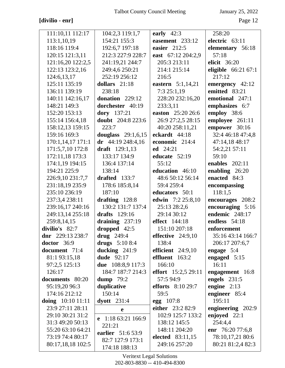# ${\bf [divilio \textbf{-} enr]}$

January 25, 2022

| 111:10,11 112:17    | 104:2,3 119:1,7          | early $42:3$         | 258:20               |
|---------------------|--------------------------|----------------------|----------------------|
| 113:1,10,19         | 154:21 155:3             | easement 233:12      | electric 63:11       |
| 118:16 119:4        | 192:6,7 197:18           | easier 212:5         | elementary 56:18     |
| 120:15 121:3,11     | 212:3 227:9 228:7        | east 67:12 204:2,9   | 57:18                |
| 121:16,20 122:2,5   | 241:19,21 244:7          | 205:3 213:11         | elicit 36:20         |
| 122:13 123:2,16     | 249:4,6 250:21           | 214:1 215:14         | eligible $66:2167:1$ |
| 124:6,13,17         | 252:19 256:12            | 216:5                | 217:12               |
| 125:11 135:19       | dollars $21:18$          | eastern 5:1,14,21    | emergency 42:12      |
| 136:11 139:19       | 238:18                   | 7:3 25:1,19          | emitted 83:21        |
| 140:11 142:16,17    | donation 229:12          | 228:20 232:16,20     | emotional 247:1      |
| 148:21 149:3        | dorchester 40:19         | 233:3,11             | emphasizes 6:7       |
| 152:20 153:13       | dory 137:21              | easton 25:20 26:6    | employ 38:6          |
| 155:14 156:4,18     | <b>doubt</b> 204:8 223:6 | 26:9 27:2,5 28:15    | employee 261:11      |
| 158:12,13 159:15    | 223:7                    | 40:20 258:11,21      | empower 30:16        |
| 159:16 169:3        | douglass $29:1,6,15$     | eckardt 44:18        | 32:4 46:18 47:4,8    |
| 170:1,14,17 171:1   | $dr$ 44:19 248:4,16      | economic 214:4       | 47:14,18 48:17       |
| 171:5,7,10 172:8    | draft 129:1,13           | ed $24:21$           | 54:2,21 57:11        |
| 172:11,18 173:3     | 133:17 134:9             | educate 52:19        | 59:10                |
| 174:1,19 194:15     | 136:4 137:14             | 55:12                | enables $202:11$     |
| 194:21 225:9        | 138:14                   | education 46:10      | enabling 26:20       |
| 226:9,10 231:7,7    | drafted $133:7$          | 48:6 50:12 56:14     | enacted 84:3         |
| 231:18,19 235:9     | 178:6 185:8,14           | 59:4 259:4           | encompassing         |
| 235:10 236:19       | 187:10                   | educators 50:1       | 118:1,5              |
| 237:3,4 238:11      | drafting 128:8           | edwin 7:2 25:8,10    | encourages 208:2     |
| 239:16,17 240:16    | 130:2 131:7 137:4        | 25:13 28:2,6         | encouraging 5:16     |
| 249:13,14 255:18    | drafts 129:16            | 29:14 30:12          | endemic 248:17       |
| 259:8,14,15         | draining $237:19$        | <b>effect</b> 144:18 | endless 54:18        |
| divilio's 82:7      | dropped 42:5             | 151:10 207:18        | enforcement          |
| dnr 229:13 238:7    | drug $249:4$             | effective $24:9,10$  | 35:16 43:14 166:7    |
| $doctor \quad 36:9$ | drugs 5:10 8:4           | 138:4                | 206:17 207:6,7       |
| document 71:4       | ducking $241:9$          | efficient $24:9,10$  | engage $5:4$         |
| 81:1 93:15,18       | <b>dude</b> 92:17        | effluent 163:2       | engaged 5:15         |
| 97:2,5 125:13       | due 108:8,9 117:3        | 166:10               | 16:11                |
| 126:17              | 184:7 187:7 214:3        | effort 15:2,5 29:11  | engagement 16:8      |
| documents 80:20     | dump $79:2$              | 57:5 94:9            | engels $231:5$       |
| 95:19,20 96:3       | duplicative              | efforts $8:10\,29:7$ | engine $2:13$        |
| 174:16 212:12       | 150:14                   | 59:5                 | engineer 85:4        |
| doing $10:10$ 11:11 | $dyott$ 231:4            | $egg \ 107:8$        | 195:11               |
| 23:9 27:11 28:11    | $\mathbf e$              | either 23:2 82:9     | engineering 202:9    |
| 29:10 30:21 31:2    | e $1:1863:21166:9$       | 102:9 125:7 133:2    | enjoyed 22:1         |
| 31:3 49:20 50:13    | 221:21                   | 138:12 145:5         | 254:4,4              |
| 55:20 63:10 64:21   | earlier 51:6 53:9        | 148:11 204:20        | enr 76:20 77:6,8     |
| 73:19 74:4 80:17    | 82:7 127:9 173:1         | elected 83:11,15     | 78:10,17,21 80:6     |
| 80:17,18,18 102:5   | 174:18 188:13            | 249:16 257:20        | 80:21 81:2,4 82:3    |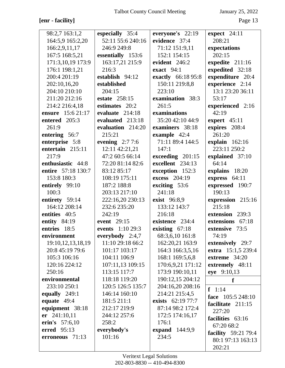# [enr - facility]

January 25, 2022

| 98:2,7 163:1,2        | especially 35:4      | everyone's 22:19    | expect 24:11               |
|-----------------------|----------------------|---------------------|----------------------------|
| 164:5,9 165:2,20      | 52:11 55:6 240:16    | evidence 37:4       | 208:21                     |
| 166:2,9,11,17         | 246:9 249:8          | 71:12 151:9,11      | expectations               |
| 167:5 168:5,21        | essentially 153:6    | 152:1 154:15        | 202:15                     |
| 171:3,10,19 173:9     | 163:17,21 215:9      | evident 246:2       | expedite 211:16            |
| 176:1 198:1,21        | 216:3                | exact 94:1          | expedited 32:18            |
| 200:4 201:19          | establish 94:12      | exactly 66:18 95:8  | expenditure 20:4           |
| 202:10,16,20          | established          | 150:11 219:8,8      | experience 2:14            |
| 204:10 210:10         | 204:15               | 223:10              | 13:1 23:20 36:11           |
| 211:20 212:16         | <b>estate</b> 258:15 | examination 38:3    | 53:17                      |
| 214:2 216:4,18        | estimates 20:2       | 261:5               | experienced 2:16           |
| ensure 15:6 21:17     | evaluate $214:18$    | examinations        | 42:19                      |
| entered 205:3         | evaluated 213:18     | 35:20 42:10 44:9    | expert $45:11$             |
| 261:9                 | evaluation 214:20    | examiners 38:18     | expires 208:4              |
| entering 56:7         | 215:21               | example 42:4        | 261:20                     |
| enterprise 5:8        | evening $2:77:6$     | 71:11 89:4 144:5    | explain $162:16$           |
| entertain 215:11      | 12:11 42:21,21       | 147:1               | 223:11 250:2               |
| 217:9                 | 47:2 60:5 66:14      | exceeding 201:15    | explained 37:10            |
| enthusiastic 44:8     | 72:20 81:14 82:6     | excellent 234:13    | 64:14                      |
| entire 57:18 130:7    | 83:12 85:17          | exception 152:3     | explains 18:20             |
| 153:8 180:3           | 108:19 175:11        | excess 204:19       | express 64:11              |
| entirely 99:10        | 187:2 188:8          | exciting 53:6       | expressed 190:7            |
| 100:3                 | 203:13 217:10        | 241:18              | 190:13                     |
| entirety 59:14        | 222:16,20 230:13     | <b>exist</b> 96:8,9 | expression 215:16          |
| 164:12 208:14         | 232:6 235:20         | 133:12 143:7        | 215:18                     |
| entities 40:5         | 242:19               | 216:18              | extension 239:3            |
| entity 84:19          | event 29:15          | existence 234:4     | extensions 67:18           |
| entries 18:5          | events 1:10 29:3     | existing $67:18$    | extensive 73:5             |
| environment           | everybody 2:4,7      | 68:3,6,10 161:8     | 74:19                      |
| 19:10, 12, 13, 18, 19 | 11:10 29:18 66:2     | 162:20,21 163:9     | extensively 29:7           |
| 20:8 45:19 79:6       | 101:17 103:17        | 164:3 166:3,5,16    | extra 15:1,5 239:4         |
| 105:3 106:16          | 104:11 106:9         | 168:1 169:5,6,8     | extreme 34:20              |
| 120:16 224:12         | 107:11,13 109:15     | 170:6,9,21 171:12   | extremely 48:11            |
| 250:16                | 113:15 117:7         | 173:9 190:10,11     | eye 9:10,13                |
| environmental         | 118:18 119:20        | 190:12,15 204:12    | f                          |
| 233:10 250:1          | 120:5 126:5 135:7    | 204:16,20 208:16    | $f \quad 1:14$             |
| equally 249:1         | 146:14 160:10        | 214:21 215:4,5      | face 105:5 248:10          |
| equate $49:4$         | 181:5 211:1          | exists 62:19 77:7   | facilitate 211:15          |
| equipment 38:18       | 212:17 219:9         | 87:14 98:2 172:4    | 227:20                     |
| er 241:10,11          | 244:12 257:6         | 172:5 174:16,17     | facilities 63:16           |
| erin's 57:6,10        | 258:2                | 176:1               | 67:20 68:2                 |
| erred 95:13           | everybody's          | expand 144:9,9      | <b>facility</b> 59:21 79:4 |
| erroneous 71:13       | 101:16               | 234:5               | 80:1 97:13 163:13          |
|                       |                      |                     | 202:21                     |
|                       |                      |                     |                            |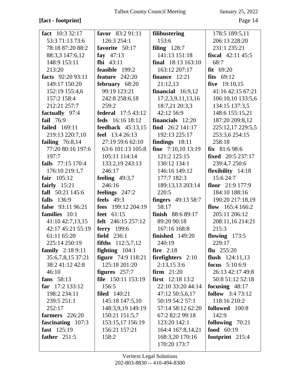# **[fact - footprint]** Page 14

| fact $10:332:17$         | favor 83:2 91:11           | <b>filibustering</b>        | 178:5 189:5,11              |
|--------------------------|----------------------------|-----------------------------|-----------------------------|
| 53:3 71:13 73:6          | 126:3 254:1                | 153:6                       | 206:13 228:20               |
| 78:18 87:20 88:2         | favorite 50:17             | filing $128:7$              | 231:1 235:21                |
| 88:3,3 147:6,12          | fay $47:13$                | 141:13 151:18               | <b>fiscal</b> $42:11\,45:5$ |
| 148:9 153:11             | fbi $43:11$                | final 18:13 163:10          | 68:7                        |
| 213:20                   | feasible 199:2             | 163:12 207:17               | fit 69:20                   |
| facts 92:20 93:11        | feature $242:20$           | finance $12:21$             | fits $69:12$                |
| 149:17 150:20            | february 68:20             | 21:12,13                    | five $19:10,15$             |
| 152:19 155:4,6           | 99:19 123:21               | financial $16:9,12$         | 41:16 42:15 67:21           |
| 157:2 158:4              | 242:8 258:6,18             | 17:2,3,9,11,13,16           | 106:10,10 133:5,6           |
| 212:21 257:7             | 259:2                      | 18:7,21 20:3,3              | 134:15 137:3,5              |
| factually 97:4           | <b>federal</b> 17:5 43:12  | 42:12 56:9                  | 148:6 155:15,21             |
| fail 76:9                | feds 16:16 18:12           | financials $12:20$          | 187:20 209:8,12             |
| <b>failed</b> 169:11     | feedback $45:13,15$        | find $26:2$ 141:17          | 225:12,17 229:5,5           |
| 219:13 220:7,10          | <b>feel</b> 13:4 26:13     | 192:13 225:17               | 253:3,6 254:15              |
| failing $76:8,14$        | 27:19 59:6 62:10           | findings $18:11$            | 258:18                      |
| 77:20 80:16 197:6        | 63:6 101:13 105:8          | <b>fine</b> $7:10,10$ 13:19 | fix $81:698:6$              |
| 197:7                    | 105:11 114:14              | 121:2 125:15                | fixed 20:5 237:17           |
| fails 77:15 170:4        | 133:2,19 243:13            | 130:12 134:1                | 239:4,7 250:6               |
| 176:10 219:1,7           | 246:17                     | 146:16 149:12               | flexibility 14:18           |
| fair $105:12$            | feeling $49:3,7$           | 177:7 182:3                 | 15:6 24:7                   |
| fairly $15:21$           | 246:16                     | 189:13,13 203:14            | floor $21:9$ 177:9          |
| fall 50:21 145:6         | feelings 247:2             | 220:5                       | 184:10 188:16               |
| falls 136:9              | feels $49:3$               | <b>fingers</b> 49:13 58:7   | 190:20 217:18,19            |
| false 93:11 96:21        | fees 199:12 204:19         | 58:17                       | flow $165:4166:2$           |
| families 10:1            | feet 61:15                 | finish $88:689:17$          | 205:11 206:12               |
| 41:10 42:7,13,15         | <b>felt</b> 246:15 257:12  | 89:20 90:18                 | 208:11,16 214:21            |
| 42:17 45:21 55:19        | ferry 199:6                | 167:16 168:8                | 215:3                       |
| 61:11 65:20              | field $236:1$              | finished $149:20$           | flowing $173:5$             |
| 225:14 250:19            | <b>fifths</b> $112:5,7,12$ | 240:19                      | 229:17                      |
| <b>family</b> $2:189:11$ | fighting $104:1$           | fire $2:18$                 | flu $255:20$                |
| 35:6,7,8,15 37:21        | <b>figure</b> 74:9 118:21  | firefighters $2:10$         | flush $124:11,13$           |
| 38:241:1242:8            | 125:18 201:20              | 2:13,153:6                  | <b>focus</b> $5:106:9$      |
| 46:10                    | figures $257:7$            | <b>firm</b> $21:20$         | 26:13 42:17 49:8            |
| fans 58:13               | file 150:11 153:19         | <b>first</b> $12:18\ 13:2$  | 50:8 51:12 52:18            |
| far $17:2 133:12$        | 156:5                      | 22:10 33:20 44:14           | focusing $48:17$            |
| 198:2 234:11             | <b>filed</b> 140:21        | 47:12 50:5,6,17             | follow 3:4 73:12            |
| 239:5 251:1              | 145:18 147:5,10            | 50:19 54:2 57:1             | 118:16 210:2                |
| 252:17                   | 148:3,9,19 149:19          | 57:14 58:12 62:20           | followed 100:8              |
| farmers 226:20           | 150:21 151:5,7             | 67:2 82:2 99:18             | 142:9                       |
| fascinating 107:3        | 153:15,17 156:19           | 123:20 142:1                | following 70:21             |
| fast 125:19              | 156:21 157:21              | 164:4 167:8,14,21           | food 60:19                  |
| father $251:5$           | 158:2                      | 168:3,20 170:16             | footprint 215:4             |
|                          |                            | 170:20 173:7                |                             |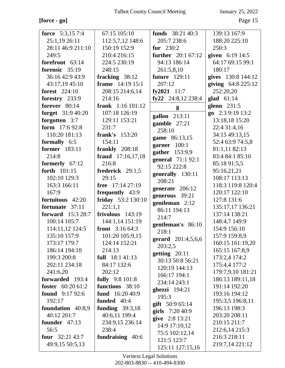$[force - go] \centering% \begin{tabular}{cc} \includegraphics[width=0.8\columnwidth]{figures/cross-2} & \includegraphics[width=0.8\columnwidth]{figures/cross-2} & \includegraphics[width=0.8\columnwidth]{figures/cross-2} & \includegraphics[width=0.8\columnwidth]{figures/cross-2} & \includegraphics[width=0.8\columnwidth]{figures/cross-2} & \includegraphics[width=0.8\columnwidth]{figures/cross-2} & \includegraphics[width=0.8\columnwidth]{figures/cross-2} & \includegraphics[width=0.8\columnwidth]{figures/cross-2} & \includegraphics[width=0.8\columnwidth]{figures/cross-2} & \includegraphics[width=0.8\columnwidth]{figures/cross-2} & \includegraphics$ 

| force $5:3,157:4$        | 67:15 105:10               | funds $38:2140:3$         | 139:13 167:9        |
|--------------------------|----------------------------|---------------------------|---------------------|
| 25:1,19 26:11            | 112:5,7,12 148:6           | 205:7 238:6               | 188:20 225:10       |
| 28:11 46:9 211:10        | 150:19 152:9               | fur $230:2$               | 250:3               |
| 249:5                    | 210:4 216:15               | <b>further</b> 20:1 67:12 | given 6:19 14:5     |
| forefront 63:14          | 224:5 230:19               | 94:13 186:14              | 64:17 69:15 99:1    |
| forensic 35:19           | 248:15                     | 261:5,8,10                | 180:17              |
| 36:16 42:9 43:9          | fracking 38:12             | <b>future</b> 129:11      | gives 130:8 144:12  |
| 43:17,19 45:10           | frame 14:19 15:1           | 207:12                    | giving $64:8225:12$ |
| <b>forest</b> 224:10     | 208:15 214:6,14            | fy2021 $11:7$             | 252:20,20           |
| forestry 233:9           | 214:16                     | fy22 24:8,12 238:4        | glad $61:14$        |
| forever $80:14$          | <b>frank</b> $1:16 101:12$ | g                         | glenn $231:5$       |
| forget 31:9 40:20        | 107:18 126:19              |                           | go 2:3 9:19 13:2    |
| forgotten 3:7            | 129:11 153:21              | gallon 213:11             | 13:18,18 15:20      |
| form 17:6 92:8           | 231:7                      | gamble 27:21              | 22:4 31:4,16        |
| 110:20 181:13            | <b>frank's</b> 153:20      | 258:10                    | 34:15 49:13,15      |
| formally 6:5             | 154:11                     | game 86:13,15             | 52:4 63:9 74:5,8    |
| former 183:11            | frankly 208:18             | garner 100:1              | 81:1,11 82:13       |
| 214:8                    | fraud 17:16,17,18          | gather 153:9,9            | 83:4 84:1 85:10     |
| formerly 67:12           | 216:8                      | general 71:1 92:1         | 85:18 91:5,5        |
| forth 101:15             | frederick 29:1,5           | 92:15 222:8               | 95:16,21,21         |
| 102:10 129:3             | 29:15                      | generally 130:11          | 108:17 113:13       |
| 163:3 166:11             | free 17:14 27:19           | 208:21                    | 118:3 119:8 120:4   |
| 167:9                    | frequently 43:9            | generate 206:12           | 120:17 122:10       |
| fortuitous 42:20         | friday 53:2 130:10         | generous 39:21            | 127:8 131:6         |
| fortunate 37:11          | 221:1,1                    | gentleman $2:12$          | 135:17,17 136:21    |
| <b>forward</b> 15:3 28:7 | frivolous 143:19           | 86:11 194:13              | 137:14 138:21       |
| 100:14 105:7             | 144:1,14 151:19            | 214:7                     | 148:4,7 149:9       |
| 114:11,12 124:5          | <b>front</b> $3:1664:3$    | gentleman's 86:10         | 154:9 156:10        |
| 135:10 157:9             | 101:20 105:9,15            | 218:1                     | 157:9 159:8,9       |
| 173:17 179:7             | 124:14 152:21              | gerard 201:4,5,6,6        | 160:15 161:19,20    |
| 186:14 194:10            | 214:13                     | 203:2,5                   | 165:15 167:8,9      |
| 199:3 200:8              | full $18:141:13$           | getting 20:11             | 173:2,4 174:2       |
| 202:11 234:18            | 84:17 132:6                | 30:13 50:8 56:21          | 175:4,4 177:2       |
| 241:6,20                 | 202:12                     | 120:19 144:13             | 179:7,9,10 181:21   |
| forwarded 193:4          | <b>fully</b> 9:8 101:8     | 166:17 194:1              | 186:13 189:11,18    |
| foster $60:2061:2$       | functions 38:10            | 234:14 243:1              | 191:14 192:20       |
| <b>found</b> 9:17 92:6   | fund 16:20 40:9            | ghezzi $194:21$           | 193:16 194:12       |
| 192:17                   | funded 40:4                | 195:3                     | 195:3,5 196:8,11    |
| foundation 40:8,9        | funding $39:3,18$          | gift $50:965:14$          | 196:13 198:3        |
| 40:12 201:7              | 40:6,11 199:4              | girls $7:2040:9$          | 203:20 208:11       |
| founder $47:13$          | 234:9,15 236:14            | give 2:8 13:21            | 210:15 211:7        |
| 56:5                     | 238:4                      | 14:9 17:10,12             | 212:6,14 215:3      |
| four $32:2143:7$         | fundraising 40:6           | 75:5 102:12,14            | 216:3 218:11        |
| 49:9,15 50:5,13          |                            | 121:5 123:7               | 219:7,14 221:12     |
|                          |                            | 125:11 127:15,16          |                     |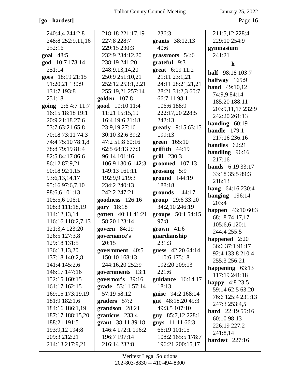# **[go - hardest]** Page 16

| 240:4,4 244:2,8    | 218:18 221:17,19    | 236:3               | 211:5,12 228:4            |
|--------------------|---------------------|---------------------|---------------------------|
| 248:8 252:9,11,16  | 227:8 228:7         | grants 38:12,13     | 229:10 254:9              |
| 252:16             | 229:15 230:3        | 40:6                | gymnasium                 |
| goal 48:5          | 232:9 234:12,20     | grassroots 54:6     | 241:21                    |
| god 10:7 178:14    | 238:19 241:20       | grateful 9:3        | h                         |
| 251:14             | 248:9,13,14,20      | great 6:19 11:2     | half 98:18 103:7          |
| goes 18:19 21:15   | 250:9 251:10,21     | 21:11 23:1,21       | halfway $165:9$           |
| 91:20,21 130:9     | 252:12 253:1,2,21   | 24:11 28:21,21,21   | hand 49:10,12             |
| 131:7 193:8        | 255:19,21 257:14    | 28:21 31:2,3 60:7   | 74:9,9 84:14              |
| 251:18             | <b>golden</b> 107:8 | 66:7,11 98:1        | 185:20 188:11             |
| going 2:6 4:7 11:7 | good 10:10 11:4     | 106:6 188:9         | 203:9,11,17 232:9         |
| 16:15 18:18 19:1   | 11:21 15:15,19      | 222:17,20 228:5     | 242:20 261:13             |
| 20:9 21:18 27:6    | 16:4 19:6 21:18     | 242:13              | handing $60:19$           |
| 53:7 63:21 65:8    | 23:9,19 27:16       | greatly 9:15 63:15  | handle $179:1$            |
| 70:18 73:11 74:3   | 30:10 32:6 39:2     | 199:13              | 217:16 236:16             |
| 74:4 75:10 78:1,8  | 47:2 51:8 60:16     | green 165:10        | handles $62:21$           |
| 78:8 79:19 81:4    | 62:5 68:13 77:3     | $griffith$ 44:19    | handling 96:16            |
| 82:5 84:17 86:6    | 96:14 101:16        | grill 230:3         | 217:16                    |
| 86:12 87:9,21      | 106:9 130:6 142:3   | groomed $107:13$    | hands 6:19 33:17          |
| 90:18 92:1,15      | 149:13 161:11       | grossing 5:9        | 33:18 35:5 89:3           |
| 93:6,13,14,17      | 192:9,9 219:3       | ground 144:19       | 218:13                    |
| 95:16 97:6,7,10    | 234:2 240:13        | 188:18              | hang 64:16 230:4          |
| 98:6,6 101:13      | 242:2 247:21        | grounds $144:17$    | hanging $196:14$          |
| 105:5,6 106:1      | goodness 126:16     | group 29:6 33:20    | 203:4                     |
| 108:3 111:18,19    | gory 18:18          | 34:2,10 246:19      | <b>happen</b> $43:1060:3$ |
| 114:12,13,14       | gotten 40:11 41:21  | groups 50:1 54:15   | 68:18 74:17,17            |
| 116:16 118:2,7,13  | 58:20 123:14        | 97:8                | 105:6,6 120:1             |
| 121:3,4 123:20     | govern 84:19        | grown $41:6$        | 244:4 255:5               |
| 126:5 127:3,8      | governance's        | guardianship        | happened $2:20$           |
| 129:18 131:5       | 20:15               | 231:3               | 36:6 37:1 91:17           |
| 136:13,13,20       | government 40:5     | guess 42:20 64:14   | 92:4 133:8 210:4          |
| 137:18 140:2,8     | 150:10 168:13       | 110:6 175:18        | 255:3 256:21              |
| 141:4 145:2,6      | 244:16,20 252:9     | 192:20 209:13       | happening $63:13$         |
| 146:17 147:16      | governments 13:1    | 221:6               | 117:19 241:18             |
| 152:15 160:15      | governor's 39:16    | guidance $16:14,17$ | <b>happy</b> $4:823:5$    |
| 161:17 162:15      | grade 53:11 57:14   | 18:13               | 59:14 62:5 63:20          |
| 169:15 173:19,19   | 57:19 58:12         | guise 94:2 168:14   | 76:6 125:4 231:13         |
| 181:9 182:1,6      | graders 57:2        | gut 48:18,20 49:3   | 247:3 253:4,5             |
| 184:16 186:1,19    | grandson 28:21      | 49:3,5 107:10       | <b>hard</b> $22:1955:16$  |
| 187:17 188:15,20   | granicus 233:4      | guy 85:7,12 228:1   | 60:10 98:13               |
| 188:21 191:5       | grant 38:11 39:18   | guys 11:11 66:3     | 226:19 227:2              |
| 193:9,12 194:8     | 146:4 172:1 196:2   | 66:19 101:15        | 241:8,14                  |
| 209:3 212:21       | 196:7 197:14        | 108:2 165:5 178:7   | hardest 227:16            |
| 214:13 217:9,21    | 216:14 232:8        | 196:21 200:15,17    |                           |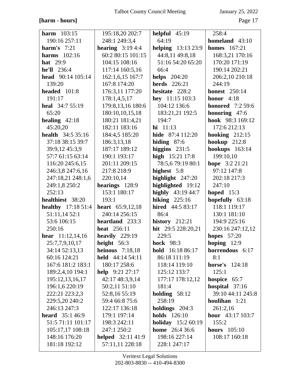# [harm - hours]

January 25, 2022

| <b>harm</b> $103:15$      | 195:18,20 202:7           | helpful $45:19$           | 258:4                   |
|---------------------------|---------------------------|---------------------------|-------------------------|
| 190:16 257:11             | 248:1 249:3,4             | 64:19                     | homeland $43:10$        |
| harm's $7:21$             | <b>hearing</b> $3:194:4$  | <b>helping</b> 13:13 23:9 | <b>homes</b> 167:21     |
| harms $102:16$            | 60:2 80:15 101:15         | 44:8,11 49:8,18           | 168:3,21 170:16         |
| <b>hat</b> 29:9           | 104:15 108:16             | 51:16 54:20 65:20         | 170:20 171:19           |
| he'll 236:4               | 117:14 160:5,16           | 66:4                      | 190:14 202:21           |
| head $90:14$ 105:14       | 162:1,6,15 167:7          | <b>helps</b> 204:20       | 206:2,10 210:18         |
| 139:20                    | 167:8 174:20              | <b>herds</b> 226:21       | 244:19                  |
| headed 101:8              | 176:3,11 177:20           | hesitate 228:2            | <b>honest</b> 250:14    |
| 191:17                    | 178:1,4,5,17              | hey 11:15 103:3           | honor $4:18$            |
| heal 34:7 55:19           | 179:8,13,16 180:6         | 104:12 136:6              | <b>honored</b> 7:2 59:6 |
| 65:20                     | 180:10,10,15,18           | 183:21,21 192:5           | honoring 47:6           |
| healing $42:18$           | 180:21 181:4,21           | 194:7                     | hook 98:3 169:12        |
| 45:20,20                  | 182:11 183:16             | $hi 11:13$                | 172:6 212:13            |
| <b>health</b> 34:5 35:16  | 184:4,5 185:20            | hide 87:4 112:20          | hooking $212:15$        |
| 37:18 38:15 39:7          | 186:3,13,18               | hiding $87:6$             | hookup $212:8$          |
| 39:9,12 45:3,9            | 187:17 189:12             | higgins $231:5$           | <b>hookups</b> 163:14   |
| 57:7 61:15 63:14          | 190:1 193:17              | high 15:21 17:8           | 199:10,10               |
| 116:20 245:6,15           | 201:11 209:15             | 78:5,679:19 80:1          | hope 3:2 21:21          |
| 246:3,8 247:6,16          | 217:8 218:9               | highest 5:8               | 97:12 147:8             |
| 247:18,21 248:1,6         | 220:10,14                 | highlight 247:20          | 202:18 217:3            |
| 249:1,8 250:2             | hearings 128:9            | highlighted 19:12         | 247:10                  |
| 252:13                    | 153:1 180:17              | highly 43:19 44:7         | hoped $15:3$            |
| healthiest 38:20          | 193:1                     | hiking $225:16$           | hopefully 63:18         |
| <b>healthy</b> 17:18 51:4 | heart 65:9,12,18          | hired 44:5 83:17          | 118:1 119:17            |
| 51:11,14 52:1             | 240:14 256:15             | 86:4                      | 130:1 181:10            |
| 53:6 106:15               | heartland 233:3           | history $212:21$          | 194:9 225:16            |
| 250:16                    | heat 256:11               | hit $29:5 228:20,21$      | 230:16 247:12,12        |
| <b>hear</b> $11:12,14,16$ | heavily $229:19$          | 229:5                     | <b>hopes</b> 57:20      |
| 25:7,7,9,10,17            | height $56:3$             | <b>hock</b> 98:3          | hoping $12:9$           |
| 34:14 52:13,13            | heinous $7:18,18$         | hold 16:18 86:17          | horrendous 6:17         |
| 60:16 124:21              | held $44:1454:11$         | 86:18 111:19              | 8:1                     |
| 167:6 181:2 183:1         | 180:17 258:6              | 118:14 119:10             | <b>horse's</b> 124:18   |
| 189:2,4,10 194:1          | help $9:21\,27:17$        | 125:12 133:7              | 125:1                   |
| 195:12,13,16,17           | 42:17 48:3,9,14           | 177:17 178:12,12          | hospice 65:7            |
| 196:1,6 220:19            | 50:2,11 51:10             | 181:4                     | hospital 37:16          |
| 222:21 223:2,3            | 52:8,16 55:19             | holding $58:12$           | 39:10 44:11 245:8       |
| 229:5,20 240:2            | 59:4 66:8 75:6            | 258:19                    | houlihan 1:21           |
| 246:13 247:3              | 122:17 136:18             | holdings $204:3$          | 261:2,16                |
| <b>heard</b> $35:146:9$   | 179:1 197:14              | <b>holds</b> 126:10       | hour 43:17 103:7        |
| 51:5 71:11 101:17         | 198:3 242:11              | <b>holiday</b> 15:2 60:19 | 155:2                   |
| 105:17,17 108:18          | 247:1 250:2               | home 26:4 36:6            | hours $105:10$          |
| 148:16 176:20             | <b>helped</b> $32:1141:9$ | 198:16 227:14             | 108:17 160:18           |
| 181:18 192:12             | 57:11,11 228:18           | 228:1 247:17              |                         |
|                           |                           |                           |                         |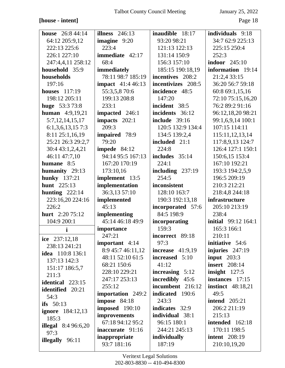# $[house\text{-}\text{intent}]$

January 25, 2022

| house $26:844:14$          | illness $246:13$                      | inaudible 18:17                     | individuals 9:18                   |
|----------------------------|---------------------------------------|-------------------------------------|------------------------------------|
| 64:12 205:9,12             | imagine 9:20                          | 93:20 98:21                         | 34:7 62:9 225:13                   |
| 222:13 225:6               | 223:4                                 | 121:13 122:13                       | 225:15 250:4                       |
| 226:1 227:10               | immediate 42:17                       | 131:14 150:9                        | 252:3                              |
| 247:4,4,11 258:12          | 68:4                                  | 156:3 157:10                        | <b>indoor</b> 245:10               |
| household 35:9             | immediately                           | 185:15 190:18,19                    | information 19:14                  |
| households                 | 78:11 98:7 185:19                     | incentives 208:2                    | 21:2,4 33:15                       |
| 197:16                     | <b>impact</b> 41:4 46:13              | incentivizes 208:5                  | 36:20 56:7 59:18                   |
| houses $117:19$            | 55:3,5,8 70:6                         | incidence 48:5                      | 60:8 69:1,15,16                    |
| 198:12 205:11              | 199:13 208:8                          | 147:20                              | 72:10 75:15,16,20                  |
| huge 53:3 73:8             | 233:1                                 | incident 38:5                       | 76:2 89:2 91:16                    |
| <b>human</b> 4:9,19,21     | impacted 246:1                        | incidents 36:12                     | 96:12,18,20 98:21                  |
| 5:7, 12, 14, 15, 17        | impacts 202:1                         | <b>include</b> 39:16                | 99:1,6,9,14 100:1                  |
| $6:1,3,6,13,15$ 7:3        | 209:3                                 | 120:5 132:9 134:4                   | 107:15 114:11                      |
| 8:11 25:1,16,19            | impaired 78:9                         | 134:5 139:2,4                       | 115:11,12,13,14                    |
| 25:21 26:3 29:2,7          | 79:20                                 | included 21:1                       | 117:8,9,13 124:7                   |
| 30:4 43:1,2,4,21           | impede $84:12$                        | 224:8                               | 126:4 127:1 150:1                  |
| 46:11 47:7,10              | 94:14 95:5 167:13                     | includes 35:14                      | 150:6,15 153:4                     |
| humane 8:5                 | 167:20 170:19                         | 224:1                               | 167:10 192:21                      |
| humanity 29:13             | 173:10,16                             | including $237:19$                  | 193:3 194:2,5,9                    |
| <b>hunky</b> 137:21        | implement 13:5                        | 254:5                               | 196:5 209:19                       |
| hunt 225:13                | implementation                        | inconsistent                        | 210:3 212:21                       |
| hunting $222:14$           | 36:3,13 57:10                         | 128:10 163:7                        | 218:4,8 244:18                     |
| 223:16,20 224:16           | implemented                           | 190:3 192:13,18                     | infrastructure                     |
| 226:2                      | 45:13                                 | incorporated 57:6                   | 205:10 213:19                      |
| hurt 2:20 75:12            | implementing                          | 84:5 198:9                          | 238:4                              |
| 104:9 200:1                | 45:14 46:18 49:9                      | incorporating                       | <b>initial</b> 99:12 164:1         |
| i                          | importance                            | 159:3                               | 165:3 166:1                        |
| ice 237:12,18              | 247:21                                | incorrect 89:18                     | 210:11                             |
| 238:13 241:21              | <b>important</b> $4:14$               | 97:3                                | initiative 54:6                    |
| <b>idea</b> 110:8 136:1    | 8:9 45:7 46:11,12                     | increase $41:9,19$                  | injuries $247:19$                  |
| 137:13 142:3               | 48:11 52:10 61:5                      | increased 5:10                      | input $203:3$                      |
| 151:17 186:5,7             | 68:21 150:6<br>228:10 229:21          | 41:12                               | <b>insert</b> 208:14               |
| 211:3                      |                                       | increasing $5:12$                   | insight $127:5$<br>instances 17:15 |
| <b>identical</b> 223:15    | 247:17 253:13<br>255:12               | incredibly 45:6<br>incumbent 216:12 |                                    |
| <b>identified</b> 20:21    |                                       | indicated 190:6                     | <b>instinct</b> 48:18,21<br>49:5   |
| 54:3                       | importation 249:2<br>impose 84:18     | 243:3                               | <b>intend</b> 205:21               |
| ifs $50:13$                |                                       | indicates 32:9                      | 206:2 211:19                       |
| <b>ignore</b> 184:12,13    | <b>imposed</b> 190:10<br>improvements | individual 38:1                     | 215:13                             |
| 185:3                      | 67:18 94:12 95:2                      | 96:15 180:1                         | intended 162:18                    |
| <b>illegal</b> 8:4 96:6,20 | <b>inaccurate</b> 91:16               | 244:21 245:13                       | 170:11 198:5                       |
| 97:3                       | inappropriate                         | individually                        | <b>intent</b> 208:19               |
| <b>illegally</b> 96:11     | 93:7 181:16                           | 187:19                              | 210:10,19,20                       |
|                            |                                       |                                     |                                    |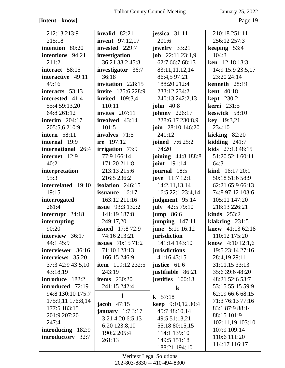# **[intent - know]** Page 19

| 212:13 213:9           | invalid $82:21$                       | jessica $31:11$                        | 210:18 251:11                       |
|------------------------|---------------------------------------|----------------------------------------|-------------------------------------|
| 215:18                 | <b>invent</b> 97:12,17                | 201:6                                  | 256:12 257:3                        |
| intention 80:20        | invested 229:7                        | jewelry 33:21                          | keeping $53:4$                      |
| intentions 94:21       | investigation                         | <b>job</b> $22:11\,23:1,9$             | 104:3                               |
| 211:2                  | 36:21 38:2 45:8                       | 62:7 66:7 68:13                        | ken 12:18 13:3                      |
| interact 58:15         | investigator 36:7                     | 83:11,11,12,14                         | 14:9 15:9 23:5,17                   |
| interactive 49:11      | 36:18                                 | 86:4,5 97:21                           | 23:20 24:14                         |
| 49:16                  | invitation 228:15                     | 188:20 212:4                           | kenneth $28:19$                     |
| interacts 53:13        | invite 125:6 228:9                    | 233:12 234:2                           | <b>kent</b> 40:18                   |
| interested 41:4        | <b>invited</b> 109:3,4                | 240:13 242:2,13                        | <b>kept</b> 230:2                   |
| 55:4 59:13,20          | 110:11                                | john $40:8$                            | <b>kerri</b> 231:5                  |
| 64:8 261:12            | invites $207:11$                      | <b>johnny</b> 226:17                   | keswick 58:10                       |
| interim $204:17$       | involved 43:14                        | 228:6,17 230:8,9                       | key 19:3,21                         |
| 205:5,6 210:9          | 101:5                                 | join 28:10 146:20                      | 234:10                              |
| <b>intern</b> 58:11    | involves 71:5                         | 241:12                                 | kicking $82:20$                     |
| internal 19:9          | ire 197:12                            | <b>joined</b> 7:6 25:2                 | kidding $241:7$                     |
| international 26:4     | <b>irrigation</b> 73:9                | 74:20                                  | <b>kids</b> $27:1348:15$            |
| internet 12:9          | 77:9 166:14                           | joining 44:8 188:8                     | 51:20 52:1 60:11                    |
| 40:21                  | 171:20 211:8                          | <b>joint</b> 191:14                    | 64:3                                |
| interpretation         | 213:13 215:6                          | journal 18:5                           | kind 16:17 20:1                     |
| 95:3                   | 216:5 236:2                           | <b>joye</b> 11:7 12:1                  | 50:18 51:6 58:9                     |
| interrelated 19:10     | isolation 246:15                      | 14:2,11,13,14                          | 62:21 65:9 66:13                    |
| 19:15                  | issuance 16:17                        | 16:5 22:1 23:4,14                      | 74:8 97:12 103:6                    |
| interrogated           | 163:12 211:16                         | judgment 95:14                         | 105:11 147:20                       |
| 261:4                  | <b>issue</b> 93:3 132:2               | july $42:579:10$                       | 218:13 226:21                       |
| interrupt 24:18        | 141:19 187:8                          | <b>jump</b> 86:6                       | kinds $253:2$                       |
| interrupting<br>90:20  | 249:17,20<br><b>issued</b> $17:872:9$ | <b>jumping</b> 147:11                  | klakring 231:5<br>knew $41:1362:18$ |
| interview 36:17        | 74:16 213:21                          | <b>june</b> 5:19 16:12<br>jurisdiction | 110:12 175:20                       |
| 44:1 45:9              | issues $70:1571:2$                    | 141:14 143:10                          | <b>know</b> 4:10 12:1,6             |
| interviewer 36:16      | 71:10 128:13                          | jurisdictions                          | 19:5 23:14 27:16                    |
| interviews 35:20       | 166:15 246:9                          | 41:16 43:15                            | 28:4,19 29:11                       |
| 37:3 42:9 43:5,10      | <b>item</b> $119:12232:5$             | justice $61:6$                         | 31:11,15 33:13                      |
| 43:18,19               | 243:19                                | justifiable 86:21                      | 35:6 39:6 48:20                     |
| <b>introduce</b> 182:2 | items $230:20$                        | justifies 100:18                       | 48:21 52:6 53:7                     |
| introduced 72:19       | 241:15 242:4                          | $\bf k$                                | 53:15 55:15 59:9                    |
| 94:8 130:10 175:7      |                                       |                                        | 62:19 66:6 68:15                    |
| 175:9,11 176:8,14      | j                                     | <b>k</b> $57:18$                       | 71:3 76:13 77:16                    |
| 177:5 183:15           | $\mathbf{jacob}$ 47:15                | <b>keep</b> $9:10,1230:4$              | 83:1 87:9 88:14                     |
| 201:9 207:20           | january $1:73:17$                     | 45:7 48:10,14                          | 88:15 101:9                         |
| 247:4                  | 3:21 4:20 6:5,13                      | 49:5 51:13,21                          | 102:11,19 103:10                    |
| introducing 182:9      | 6:20 123:8,10                         | 55:18 80:15,15                         | 107:9 109:14                        |
| introductory 32:7      | 190:2 205:4                           | 114:1 139:10                           | 110:6 111:20                        |
|                        | 261:13                                | 149:5 151:18                           | 114:17 116:17                       |
|                        |                                       | 188:21 194:10                          |                                     |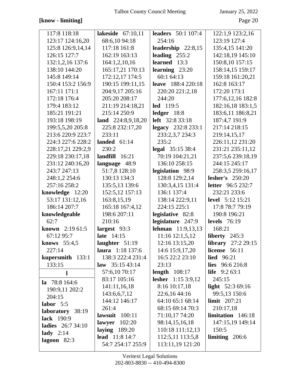# [know - limiting]

January 25, 2022

Page 20

| 117:8 118:18             | lakeside $67:10,11$     | <b>leaders</b> 50:1 107:4 | 122:1,9 123:2,16        |
|--------------------------|-------------------------|---------------------------|-------------------------|
| 123:17 124:16,20         | 68:6,10 94:18           | 254:16                    | 123:19 127:4            |
| 125:8 126:9,14,14        | 117:18 161:8            | leadership $22:8,15$      | 135:4,15 141:20         |
| 126:15 127:7             | 162:19 163:13           | leading $255:2$           | 142:18,19 145:10        |
| 132:1,2,16 137:6         | 164:1,2,10,16           | learned $13:3$            | 150:8,10 157:15         |
| 138:10 144:20            | 165:17,21 170:13        | learning $23:20$          | 158:14,15 159:17        |
| 145:8 149:14             | 172:12,17 174:5         | 60:1 64:13                | 159:18 161:20,21        |
| 150:4 153:2 156:9        | 190:15 199:11,15        | <b>leave</b> 188:4 220:18 | 162:8 163:17            |
| 167:11 171:1             | 204:9,17 205:16         | 220:20 221:2,18           | 172:20 173:1            |
| 172:18 176:4             | 205:20 208:17           | 244:20                    | 177:6, 12, 16 182:8     |
| 179:4 183:12             | 211:19 214:18,21        | <b>led</b> 119:5          | 182:16,18 183:1,5       |
| 185:21 191:21            | 215:14 250:9            | ledger $18:8$             | 183:6,11 186:8,21       |
| 193:18 198:19            | land $224:8,9,18,20$    | <b>left</b> 32:8 33:18    | 187:4,7 191:9           |
| 199:5,5,20 205:8         | 225:8 232:17,20         | legacy 232:8 233:1        | 217:14 218:15           |
| 213:6 220:9 223:7        | 233:11                  | 233:2,3,7 234:3           | 219:14,15,17            |
| 224:3 227:6 228:2        | landed $61:14$          | 235:2                     | 226:11,12 231:20        |
| 228:17,21 229:2,9        | 230:2                   | legal 35:15 38:4          | 231:21 235:11,12        |
| 229:18 230:17,18         | landfill $16:21$        | 70:19 104:21,21           | 237:5,6 239:18,19       |
| 231:12 240:16,20         | language 48:9           | 136:10 258:15             | 244:15 245:17           |
| 243:7 247:13             | 51:7,8 128:10           | legislation 98:9          | 258:3,5 259:16,17       |
| 248:1,2 254:6            | 130:13 134:3            | 128:8 129:2,14            | lesher's $250:20$       |
| 257:16 258:2             | 135:5,13 139:6          | 130:3,4,15 131:4          | letter 96:5 232:7       |
| knowledge 12:20          | 152:5,12 157:13         | 136:1 137:4               | 232:21 233:6            |
| 53:17 131:12,16          | 163:8,15,19             | 138:14 222:9,11           | <b>level</b> 5:12 15:21 |
| 186:14 207:7             | 165:18 167:4,12         | 224:15 225:1              | 17:8 78:7 79:19         |
| knowledgeable            | 198:6 207:11            | legislative 82:8          | 190:8 196:21            |
| 62:7                     | 210:16                  | legislature 247:9         | <b>levels</b> 76:19     |
| <b>known</b> $2:1961:5$  | largest $93:3$          | <b>lehman</b> 11:9,13,13  | 168:21                  |
| 67:12 95:7               | late $14:15$            | 11:16 12:1,5,12           | liberty 245:3           |
| knows 55:4,5             | laughter $51:19$        | 12:16 13:15,20            | library $27:229:15$     |
| 227:14                   | <b>laura</b> 1:18 137:6 | 14:6 15:9,17,20           | license 56:11           |
| kupersmith 133:1         | 138:3 222:4 231:4       | 16:5 22:2 23:10           | <b>lied</b> 96:21       |
| 133:15                   | law $35:1543:14$        | 23:13                     | lies 96:6 216:8         |
| l                        | 57:6,10 70:17           | length $108:17$           | <b>life</b> $9:263:1$   |
| la $78:8164:6$           | 83:17 105:16            | <b>lesher</b> 1:15 3:9,12 | 245:15                  |
| 190:9,11 202:2           | 141:11,16,18            | 8:16 10:17,18             | light 52:3 69:16        |
| 204:15                   | 143:6,6,7,12            | 22:6,16 44:16             | 99:5,13 150:6           |
| labor 5:5                | 144:12 146:17           | 64:10 65:1 68:14          | limit $207:21$          |
| laboratory 38:19         | 261:4                   | 68:15 69:14 70:3          | 210:17,18               |
| lack 190:9               | lawsuit $100:11$        | 71:10,17 74:20            | limitation 146:18       |
| <b>ladies</b> 26:7 34:10 | lawyer $102:20$         | 98:14,15,16,18            | 147:15,19 149:14        |
| lady $2:14$              | laying $189:20$         | 110:18 111:12,13          | 150:5                   |
| lagoon $82:3$            | <b>lead</b> 11:8 14:7   | 112:5,11 113:5,8          | limiting $206:6$        |
|                          | 54:7 254:17 255:9       | 113:11,19 121:20          |                         |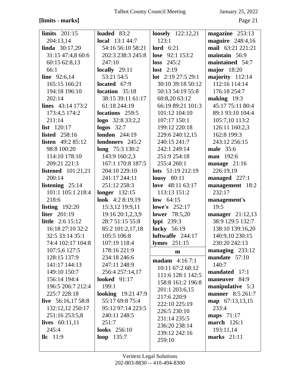# **[limits - marks]** Page 21

| limits $201:15$           | loaded 83:2            | <b>loosely</b> 122:12,21  | magazine $253:13$       |
|---------------------------|------------------------|---------------------------|-------------------------|
| 204:13,14                 | <b>local</b> 13:1 44:7 | 123:1                     | maguire 248:4,16        |
| <b>linda</b> $30:17,20$   | 54:16 56:10 58:21      | lord $6:21$               | mail 63:21 221:21       |
| 31:15 47:4,8 60:6         | 202:3 238:3 245:8      | lose $92:1 153:2$         | maintain 56:9           |
| 60:15 62:8,13             | 247:10                 | loss $245:2$              | maintained 54:7         |
| 66:1                      | locally $29:11$        | lost $2:19$               | <b>major</b> 18:20      |
| <b>line</b> $92:6,14$     | 53:21 54:5             | <b>lot</b> 2:19 27:5 29:1 | majority $112:14$       |
| 165:15 166:21             | located 67:9           | 30:10 39:18 50:12         | 112:16 114:14           |
| 194:18 196:10             | location $35:18$       | 50:13 54:19 55:8          | 176:18 254:7            |
| 202:14                    | 38:15 39:11 61:17      | 60:8,20 63:12             | making $19:3$           |
| lines $43:14$ 173:2       | 61:18 244:19           | 66:19 89:21 101:3         | 45:17 75:11 80:4        |
| 173:4,5 174:2             | locations 259:5        | 101:12 104:10             | 89:1 93:10 104:4        |
| 211:14                    | $logo$ 32:8 33:2,2     | 107:17 150:1              | 105:7,10 113:2          |
| <b>list</b> $120:17$      | $logos$ 32:7           | 199:12 220:18             | 126:11 160:2,3          |
| <b>listed</b> 258:16      | <b>london</b> 244:19   | 229:6 240:12,15           | 162:8 199:3             |
| <b>listen</b> $49:285:12$ | londoners 245:2        | 240:15 241:7              | 243:12 256:15           |
| 98:8 100:20               | long $75:3130:2$       | 242:1 249:14              | <b>male</b> 35:6        |
| 114:10 178:10             | 143:9 160:2,3          | 251:9 254:18              | <b>man</b> 192:6        |
| 209:21 221:3              | 167:1 170:8 187:5      | 255:4 260:1               | manage $21:16$          |
| listened $101:21,21$      | 204:10 229:10          | lots $51:19212:19$        | 226:19,19               |
| 200:14                    | 241:17 244:11          | lousy $80:11$             | managed 227:1           |
| listening $25:14$         | 251:12 258:3           | love 48:11 63:17          | management 18:2         |
| 101:1 105:1 218:4         | <b>longer</b> 132:15   | 113:13 151:2              | 232:17                  |
| 218:6                     | look $4:28:19,19$      | low $64:15$               | management's            |
| listing $192:20$          | 15:3,12 19:9,11        | <b>lowe's</b> $252:17$    | 19:5                    |
| <b>liter</b> 201:19       | 19:16 20:1,2,3,9       | <b>lower</b> 78:5,20      | manager $21:12,13$      |
| <b>little</b> 2:6 15:12   | 28:7 51:15 55:8        | <b>lppi</b> 239:3         | 38:9 129:5 132:7        |
| 16:18 27:10 32:2          | 85:2 101:2,17,18       | <b>lucky</b> 56:19        | 138:10 139:16,20        |
| 32:5 33:14 35:1           | 105:5 106:8            | luftwaffe 244:17          | 140:9,10 230:15         |
| 74:4 102:17 104:8         | 107:19 118:4           | <b>lymes</b> 251:15       | 230:20 242:13           |
| 107:5,6 127:5             | 178:16 221:9           | m                         | managing 233:12         |
| 128:15 137:9              | 234:18 246:6           | <b>madam</b> 4:167:1      | mandate 57:10           |
| 141:17 144:13             | 247:11 248:9           | 10:11 67:2 68:12          | 140:7                   |
| 149:10 150:7              | 256:4 257:14,17        | 111:6 128:1 142:5         | mandated 17:1           |
| 156:14 194:4              | <b>looked</b> 91:17    | 158:8 161:2 196:8         | maneuver 84:9           |
| 196:5 206:7 212:4         | 199:1                  | 201:1 203:6,15            | manipulative 5:3        |
| 225:7 228:18              | looking 19:21 47:9     | 217:6 220:9               | <b>manner</b> 8:5 261:7 |
| live $56:16,1758:8$       | 55:17 69:8 75:4        | 222:10 225:19             | map 67:13,13,15         |
| 132:12,12 250:17          | 95:12 97:14 223:5      | 226:5 230:10              | 233:4                   |
| 251:16 253:5,8            | 240:11 248:5           | 231:14 235:5              | <b>maps</b> 71:17       |
| lives $60:11,11$          | 251:7                  | 236:20 238:14             | <b>march</b> 126:1      |
| 245:4                     | <b>looks</b> 256:10    | 239:12 242:16             | 193:11,14               |
| $\text{llc}$ 11:9         | loop 135:7             | 259:10                    | marks $21:11$           |
|                           |                        |                           |                         |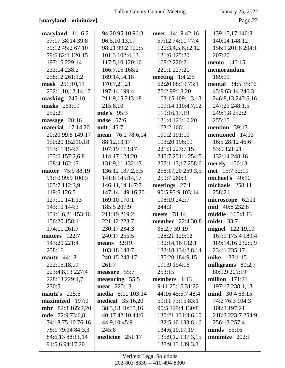## [maryland - minimize]

January 25, 2022

Page 22

| maryland $1:16:2$        | 94:20 95:10 96:3         | meet 14:19 42:16        | 139:15,17 140:8          |
|--------------------------|--------------------------|-------------------------|--------------------------|
| 37:17 38:14 39:8         | 96:5,10,13,17            | 57:12 74:11 77:4        | 140:14 148:12            |
| 39:12 45:2 67:10         | 98:21 99:2 100:5         | 120:3,4,5,6,12,12       | 156:1 201:8 204:1        |
| 79:6 82:1 120:15         | 101:3 102:4,13           | 121:6 125:20            | 207:20                   |
| 197:15 229:14            | 117:5,10 120:16          | 168:2 220:21            | memo 146:15              |
| 233:14 238:2             | 166:7,15 168:2           | 221:1 227:21            | memorandum               |
| 258:12 261:1,2           | 169:14,14,18             | meeting $1:42:5$        | 189:19                   |
| mask 251:10,11           | 170:7,21,21              | 62:20 68:19 73:1        | <b>mental</b> 34:5 35:16 |
| 252:1,10,12,14,17        | 197:14 199:4             | 75:2 99:18,20           | 45:9 63:14 246:3         |
| masking $245:10$         | 211:9,15 213:18          | 103:15 109:1,3,13       | 246:8,13 247:6,16        |
| masks 251:19             | 215:8,10                 | 109:14 110:4,7,12       | 247:21 248:1,5           |
| 252:21                   | <b>mde's</b> 95:3        | 119:16,17,19            | 249:1,8 252:2            |
| massage 28:16            | <b>mdse</b> 57:6         | 121:4 123:10,20         | 255:15                   |
| <b>material</b> 17:14,20 | <b>mdt</b> 45:7          | 163:2 166:11            | mention 39:13            |
| 20:20 99:8 149:17        | mean 76:2 78:6,14        | 190:2 191:10            | mentioned 14:13          |
| 150:20 152:10,18         | 88:12,13,17              | 193:20 196:19           | 16:5 28:12 46:6          |
| 153:11 154:7             | 107:19 113:17            | 221:3 227:7,15          | 53:9 121:21              |
| 155:6 157:2,6,8          | 114:17 124:20            | 245:7 251:1 254:5       | 132:14 248:16            |
| 158:4 162:13             | 131:9,11 132:13          | 257:1,13,17 258:6       | <b>merely</b> 150:13     |
| <b>matter</b> 75:9 88:19 | 136:12 137:2,5,5         | 258:17,20 259:3,5       | met 15:7 32:19           |
| 91:10 99:9 100:3         | 141:8 145:14,17          | 259:7 260:3             | michael's $40:10$        |
| 105:7 112:3,9            | 146:11,14 147:7          | meetings $27:1$         | michaels 258:11          |
| 119:6 126:5              | 147:14 149:16,20         | 90:5 93:9 103:14        | 258:21                   |
| 127:11 141:13            | 169:10 170:1             | 198:19 242:7            | microscope 62:11         |
| 143:10 144:3             | 185:5 207:9              | 244:3                   | <b>mid</b> 40:8 232:8    |
| 151:1,6,21 153:16        | 211:19 219:2             | meets 78:14             | <b>middle</b> 165:8,13   |
| 156:20 158:1             | 221:12 223:7             | <b>member</b> 22:4 30:8 | $midst$ 33:7             |
| 174:11 261:7             | 230:17 234:3             | 35:2,7 59:19            | miguel 122:19,19         |
| matters $122:7$          | 240:17 255:5             | 128:21 129:12           | 167:9 175:4 189:4        |
| 143:20 221:4             | means $32:19$            | 130:14,16 132:1         | 189:14,16 232:6,9        |
| 258:16                   | 103:18 148:7             | 132:18 134:2,8,14       | 234:1 235:17             |
| mautz $44:18$            | 240:15 248:17            | 135:20 184:9,15         | mike 133:1,15            |
| 222:15,18,19             | 261:7                    | 191:9 194:16            | milligrams $80:2,7$      |
| 223:4,8,13 227:4         | measure 55:7             | 253:15                  | 80:9,9 201:19            |
| 228:13 229:4,7           | measuring 55:5           | members $1:13$          | million $171:21$         |
| 230:5                    | <b>meat</b> 225:13       | 9:11 25:15 31:20        | 197:17 238:1,18          |
| mautz's $225:6$          | <b>media</b> 5:11 103:14 | 44:16 45:5,7 48:4       | <b>mind</b> 30:4 63:15   |
| maximized 197:9          | <b>medical</b> 35:16,20  | 59:11 73:15 83:1        | 74:2 76:3 104:3          |
| mbr 82:3 165:2,20        | 38:3,18 40:15,16         | 90:5 129:4 130:8        | 108:3 197:21             |
| <b>mde</b> 72:9 73:6,8   | 40:17 42:10 44:6         | 130:21 131:4,6,10       | 218:3 223:7 254:9        |
| 74:18 75:10 76:16        | 44:9,10 45:9             | 132:5,10 133:8,16       | 256:13 257:4             |
| 78:1 79:14 84:3,3        | 245:8                    | 134:6, 10, 17, 19       | minds $55:16$            |
| 84:6,13 88:11,14         | medicine $251:17$        | 135:9,12 137:3,15       | minimize 202:1           |
| 91:5,6 94:17,20          |                          | 138:9,13 139:3,8        |                          |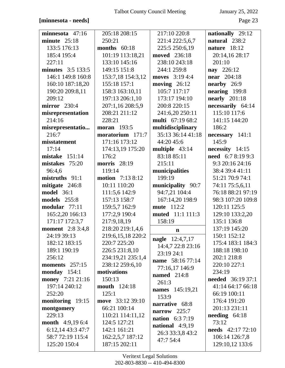## [minnesota - needs]

January 25, 2022

Page 23

| minnesota $47:16$       | 205:18 208:15           | 217:10 220:8            | nationally 29:12         |
|-------------------------|-------------------------|-------------------------|--------------------------|
| minute $25:18$          | 250:21                  | 221:4 222:5,6,7         | natural 238:2            |
| 133:5 176:13            | months $60:18$          | 225:5 250:6,19          | nature $18:12$           |
| 185:4 195:4             | 101:19 113:18,21        | moved 236:18            | 20:14,16 28:17           |
| 227:11                  | 133:10 145:16           | 238:10 243:18           | 201:10                   |
| minutes $3:5$ 133:5     | 149:15 151:8            | 244:1 259:8             | nay 226:12               |
| 146:1 149:8 160:8       | 153:7,18 154:3,12       | moves 3:19 4:4          | <b>near</b> 204:18       |
| 160:10 187:18,20        | 155:18 157:1            | moving $26:12$          | nearby $26:9$            |
| 190:20 209:8,11         | 158:3 163:10,11         | 105:7 117:17            | nearing 199:8            |
| 209:12                  | 197:13 206:1,10         | 173:17 194:10           | <b>nearly</b> 201:18     |
| <b>mirror</b> 230:4     | 207:1,16 208:5,9        | 200:8 220:15            | necessarily 64:14        |
| misrepresentation       | 208:21 211:12           | 241:6,20 250:11         | 115:10 117:6             |
| 214:16                  | 228:21                  | multi 67:19 68:2        | 141:15 144:20            |
| misrepresentatio        | <b>moran</b> 193:5      | multidisciplinary       | 186:2                    |
| 216:7                   | moratorium 171:7        | 35:13 36:14 41:18       | necessary 141:1          |
| misstatement            | 171:16 173:12           | 44:20 45:6              | 145:9                    |
| 17:14                   | 174:13,19 175:20        | multiple 43:14          | $necessity$ 14:15        |
| mistake $151:14$        | 176:2                   | 83:18 85:11             | need 6:7 8:19 9:3        |
| mistakes 75:20          | <b>morris</b> 28:19     | 215:11                  | 9:3 20:16 24:16          |
| 96:4,6                  | 119:14                  | municipalities          | 38:4 39:4 41:11          |
| mistruths $91:1$        | <b>motion</b> 7:13 8:12 | 199:19                  | 51:21 70:9 74:1          |
| mitigate 246:8          | 10:11 110:20            | municipality 90:7       | 74:11 75:5,6,11          |
| <b>model</b> 36:1       | 111:5,6 142:9           | 94:7,21 104:4           | 76:18 88:21 97:19        |
| <b>models</b> 255:8     | 157:13 158:7            | 167:14,20 198:9         | 98:3 107:20 109:8        |
| modular 77:11           | 159:5,7 162:9           | mute 112:2              | 120:11 125:5             |
| 165:2,20 166:13         | 177:2,9 190:4           | muted 11:1 111:3        | 129:10 133:2,20          |
| 171:17 172:3,7          | 217:9,18,19             | 158:19                  | 135:1 136:8              |
| <b>moment</b> 2:8 3:4,8 | 218:20 219:1,4,6        | $\mathbf n$             | 137:19 145:20            |
| 24:19 39:13             | 219:6,15,18 220:2       |                         | 150:1 152:12             |
| 182:12 183:15           | 220:7 225:20            | <b>nagle</b> 12:4,7,17  | 175:4 183:1 184:3        |
| 189:1 190:19            | 226:5 231:8,10          | 14:4,7 22:8 23:16       | 188:18 198:10            |
| 256:12                  | 234:19,21 235:1,4       | 23:19 24:1              | 202:1 218:8              |
| moments $257:15$        | 238:12 259:6,10         | name 58:16 77:14        | 220:10 227:1             |
| monday $154:1$          | motivations             | 77:16,17 146:9          | 234:19                   |
| money 7:21 21:16        | 150:13                  | <b>named</b> 214:8      | <b>needed</b> 36:19 37:1 |
| 197:14 240:12           | <b>mouth</b> 124:18     | 261:3                   | 41:14 64:17 66:18        |
| 252:20                  | 125:1                   | <b>names</b> 145:19,21  | 66:19 100:11             |
| monitoring 19:15        | move 33:12 39:10        | 153:9                   | 176:4 191:20             |
| montgomery              | 66:21 100:14            | narrative 68:8          | 201:13 231:11            |
| 229:13                  | 110:21 114:11,12        | narrow $225:7$          | needing $64:18$          |
| <b>month</b> 4:9,19 6:4 | 124:5 127:21            | <b>nation</b> $6:37:19$ | 73:12                    |
| 6:12,14 43:3 47:7       | 142:1 161:21            | national $4:9,19$       | <b>needs</b> 42:17 72:10 |
| 58:7 72:19 115:4        | 162:2,5,7 187:12        | 26:3 33:3,8 43:2        | 106:14 126:7,8           |
| 125:20 150:4            | 187:15 202:11           | 47:7 54:4               | 129:10,12 133:6          |
|                         |                         |                         |                          |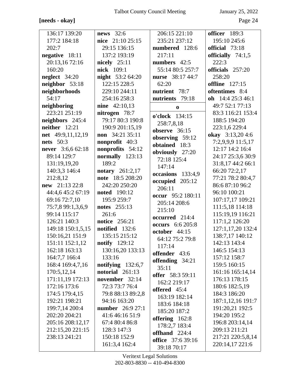## [needs - okay]

January 25, 2022

Page 24

| 136:17 139:20            | <b>news</b> 32:6         | 206:15 221:10               | officer 189:3     |
|--------------------------|--------------------------|-----------------------------|-------------------|
| 177:2 184:18             | nice $21:10\,25:15$      | 235:21 237:12               | 195:10 245:6      |
| 202:7                    | 29:15 136:15             | numbered 128:6              | official 73:18    |
| negative 18:11           | 137:2 193:19             | 217:11                      | officially 74:1,5 |
| 20:13,16 72:16           | nicely $25:11$           | numbers 42:5                | 222:3             |
| 160:20                   | nick 109:1               | 55:14 80:5 257:7            | officials 257:20  |
| neglect 34:20            | <b>night</b> 53:2 64:20  | nurse 38:17 44:7            | 258:20            |
| neighbor 53:18           | 122:15 228:5             | 62:20                       | offline $127:15$  |
| neighborhoods            | 229:10 244:11            | nutrient 78:7               | oftentimes 8:4    |
| 54:17                    | 254:16 258:3             | nutrients 79:18             | oh $14:425:346:1$ |
| neighboring              | <b>nine</b> 42:10,13     | $\bf{0}$                    | 49:7 52:1 77:13   |
| 223:21 251:19            | nitrogen 78:7            | o'clock 134:15              | 83:3 116:21 153:4 |
| neighbors 245:4          | 79:17 80:3 190:8         |                             | 188:5 194:20      |
| neither $12:21$          | 190:9 201:15,19          | 258:7,8,18<br>observe 36:15 | 223:1,6 229:4     |
| net 49:9,11,12,19        | non 34:21 35:11          | observing 59:12             | okay 3:13,204:6   |
| <b>nets</b> 50:3         | <b>nonprofit</b> 40:3    | obtained 18:3               | 7:2,9,9,9 11:5,17 |
| <b>never</b> 3:6,6 62:18 | nonprofits 54:12         | obviously 27:20             | 12:17 14:2 16:4   |
| 89:14 129:7              | normally $123:13$        | 72:18 125:4                 | 24:17 25:3,6 30:9 |
| 131:19,19,20             | 189:2                    | 147:14                      | 31:8,17 44:2 66:1 |
| 140:3,3 146:4            | <b>notary</b> $261:2,17$ | occasions 133:4,9           | 66:20 72:2,17     |
| 212:8,12                 | note 18:5 208:20         | occupied 205:12             | 77:21 78:2 80:4,7 |
| new 21:13 22:8           | 242:20 250:20            | 206:11                      | 86:6 87:10 96:2   |
| 44:4,6 45:2 67:19        | <b>noted</b> 190:12      | occur 95:2 180:11           | 96:10 100:21      |
| 69:16 72:7,10            | 195:9 259:7              | 205:14 208:6                | 107:17,17 109:21  |
| 75:7,8 99:1,3,6,9        | <b>notes</b> 255:13      | 215:10                      | 111:5,18 114:18   |
| 99:14 115:17             | 261:6                    | occurred 214:4              | 115:19,19 116:21  |
| 126:21 140:3             | <b>notice</b> 256:21     | <b>occurs</b> 6:6 205:8     | 117:1,2 126:20    |
| 149:18 150:1,5,15        | notified 132:6           | october 44:15               | 127:1,17,20 132:4 |
| 150:16,21 151:9          | 135:15 215:12            | 64:12 75:2 79:8             | 138:7,17 140:12   |
| 151:11 152:1,12          | notify $129:12$          | 117:14                      | 142:13 143:4      |
| 162:18 163:13            | 130:16,20 133:13         | offender 43:6               | 146:5 154:13      |
| 164:7,7 166:4            | 133:16                   | offending 34:21             | 157:12 158:7      |
| 168:4 169:4,7,16         | notifying $132:6,7$      | 35:11                       | 159:5 160:15      |
| 170:5,12,14              | notorial $261:13$        | <b>offer</b> 58:3 59:11     | 161:16 165:14,14  |
| 171:11,19 172:13         | november 32:14           | 162:2 219:17                | 176:13 178:15     |
| 172:16 173:6             | 72:3 73:7 76:4           | offered 45:4                | 180:6 182:5,19    |
| 174:5 179:4,15           | 79:8 88:13 89:2,8        | 163:19 182:14               | 184:3 186:20      |
| 192:21 198:21            | 94:16 163:20             | 183:6 184:18                | 187:1,12,16 191:7 |
| 199:7,14 200:4           | <b>number</b> 26:9 27:1  | 185:20 187:2                | 191:20,21 192:5   |
| 202:20 204:21            | 41:6 46:16 51:9          | offering 162:8              | 194:20 195:2      |
| 205:16 208:12,17         | 67:4 80:4 86:8           | 178:2,7 183:4               | 196:8 203:14,14   |
| 212:15,20 221:15         | 128:3 147:3              | offhand 224:4               | 209:13 211:21     |
| 238:13 241:21            | 150:18 152:9             | <b>office</b> 37:6 39:16    | 217:21 220:5,8,14 |
|                          | 161:3,4 162:4            | 39:18 70:17                 | 220:14,17 221:6   |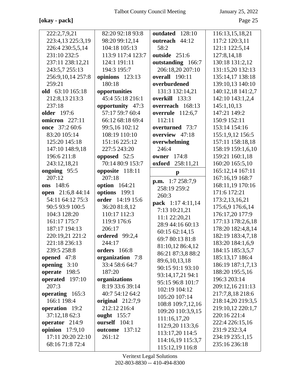[okay - pack]

January 25, 2022

Page 25

| 222:2,7,9,21             | 82:20 92:18 93:8      | outdated<br>128:10                    | 116:13,15,18,21   |
|--------------------------|-----------------------|---------------------------------------|-------------------|
| 223:4,13 225:3,19        | 98:20 99:12,14        | outreach 44:12                        | 117:2 120:3,11    |
| 226:4 230:5,5,14         | 104:18 105:13         | 58:2                                  | 121:1 122:5,14    |
| 231:10 232:5             | 113:9 117:4 123:7     | outside 251:6                         | 127:8,14,18       |
| 237:11 238:12,21         | 124:1 191:11          | outstanding 166:7                     | 130:18 131:2,12   |
| 243:5,7 255:13           | 194:3 195:7           | 206:18,20 207:10                      | 131:15,20 132:13  |
| 256:9,10,14 257:8        | opinions 123:13       | overall 190:11                        | 135:14,17 138:18  |
| 259:21                   | 180:18                | overburdened                          | 139:10,13 140:10  |
| old 63:10 165:18         | opportunities         | 131:3 132:14,21                       | 140:12,18 141:2,7 |
| 212:8,13 213:3           | 45:4 55:18 216:1      | overkill 133:3                        | 142:10 143:1,2,4  |
| 237:18                   | opportunity 47:3      | overreach 168:13                      | 145:1,10,13       |
| <b>older</b> 197:6       | 57:17 59:7 60:4       | <b>overrule</b> 112:6,7               | 147:21 149:2      |
| omicron 227:11           | 66:12 68:18 69:4      | 112:11                                | 150:9 152:11      |
| once 37:2 60:6           | 99:5,16 102:12        | overturned 73:7                       | 153:14 154:16     |
| 83:20 105:14             | 108:19 110:10         | overview 47:18                        | 155:1,9,12 156:5  |
| 125:20 145:18            | 151:16 225:12         | overwhelming                          | 157:11 158:18,18  |
| 147:10 148:9,18          | 227:5 243:20          | 246:4                                 | 158:19 159:1,6,10 |
| 196:6 211:8              | opposed 52:5          | 174:8<br>owner                        | 159:21 160:1,18   |
| 243:12,18,21             | 70:14 80:9 153:7      | 258:11,21<br>oxford                   | 160:20 165:5,10   |
| ongoing 95:5             | opposite 118:11       | $\mathbf{p}$                          | 165:12,14 167:11  |
| 207:12                   | 207:18                |                                       | 167:16,19 168:7   |
| ons 148:6                | <b>option</b> 164:21  | <b>p.m.</b> $1:7258:7,9$              | 168:11,19 170:16  |
| <b>open</b> 21:6,8 44:14 | options 199:1         | 258:19 259:2<br>260:3                 | 171:6 172:21      |
| 54:11 64:12 75:3         | order 14:19 15:6      |                                       | 173:2,13,16,21    |
| 90:5 93:9 100:5          | 36:20 81:8,12         | pack 1:17 4:11,14                     | 175:6,9 176:6,14  |
| 104:3 128:20             | 110:17 112:3          | 7:13 10:21,21                         | 176:17,20 177:9   |
| 161:17 175:7             | 119:9 176:6           | 11:1 22:20,21<br>28:9 44:16 60:13     | 177:13 178:2,6,18 |
| 187:17 194:13            | 206:17                |                                       | 178:20 182:4,8,14 |
| 220:19,21 221:2          | ordered 99:2,4        | 60:15 62:14,15<br>69:7 80:13 81:8     | 182:19 183:4,7,18 |
| 221:18 236:13            | 244:17                |                                       | 183:20 184:1,6,9  |
| 239:5 258:8              | orders 166:8          | 81:10,12 86:4,12<br>86:21 87:3,8 88:2 | 184:15 185:3,5,7  |
| opened $47:8$            | organization 7:8      | 89:6,10,13,18                         | 185:13,17 186:4   |
| opening $3:10$           | 33:4 58:6 64:7        | 90:15 91:1 93:10                      | 186:19 187:1,7,13 |
| operate 198:5            | 187:20                | 93:14,17,21 94:1                      | 188:20 195:5,16   |
| operated 197:10          | organizations         | 95:15 96:8 101:7                      | 196:3 203:14      |
| 207:3                    | 8:19 33:6 39:14       | 102:19 104:12                         | 209:12,16 211:13  |
| operating 165:3          | 40:7 54:12 64:2       | 105:20 107:14                         | 217:7,8,18 218:6  |
| 166:1 198:4              | original $212:7,9$    | 108:8 109:7,12,16                     | 218:14,20 219:3,5 |
| operation 19:2           | 212:12 216:4          | 109:20 110:3,9,15                     | 219:10,12 220:1,7 |
| 37:12,1862:3             | ought $155:7$         | 111:16,17,20                          | 220:16 221:4      |
| operator 214:9           | ourself 104:1         | 112:9,20 113:3,6                      | 222:4 226:15,16   |
| <b>opinion</b> 17:9,10   | <b>outcome</b> 137:12 | 113:17,20 114:5                       | 231:9 232:3,4     |
| 17:11 20:20 22:10        | 261:12                | 114:16,19 115:3,7                     | 234:19 235:1,15   |
| 68:16 71:8 72:4          |                       | 115:12,19 116:8                       | 235:16 236:18     |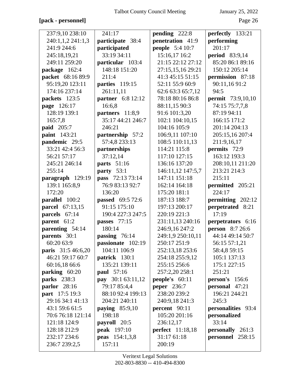## **[pack - personnel]** Page 26

| 237:9,10 238:10     | 241:17                   | pending 222:8           | perfectly 133:21          |
|---------------------|--------------------------|-------------------------|---------------------------|
| 240:1,1,2 241:1,3   | participate 38:4         | penetration 41:9        | performing                |
| 241:9 244:6         | participated             | <b>people</b> 5:4 10:7  | 201:17                    |
| 245:18,19,21        | 33:19 34:11              | 15:16,17 16:2           | <b>period</b> 83:9,14     |
| 249:11 259:20       | particular 103:4         | 21:15 22:12 27:12       | 85:20 86:1 89:16          |
| package 162:4       | 148:18 151:20            | 27:15,15,16 29:21       | 150:12 205:14             |
| packet 68:16 89:9   | 211:4                    | 41:3 45:15 51:15        | permission 87:18          |
| 95:19,20 123:11     | parties 119:15           | 52:11 55:9 60:9         | 90:11,1691:2              |
| 174:16 237:14       | 261:11,11                | 62:6 63:3 65:7,12       | 94:5                      |
| packets 123:5       | <b>partner</b> 6:8 12:12 | 78:18 80:16 86:8        | <b>permit</b> 73:9,10,10  |
| page 126:17         | 16:6,8                   | 88:11,15 90:3           | 74:15 75:7,7,8            |
| 128:19 139:1        | partners 11:8,9          | 91:6 101:3,20           | 87:19 94:11               |
| 165:7,8             | 35:17 44:21 246:7        | 102:1 104:10,15         | 166:15 171:2              |
| <b>paid</b> 205:7   | 246:21                   | 104:16 105:9            | 201:14 204:13             |
| paint 143:21        | partnership 57:2         | 106:9,11 107:10         | 205:15,16 207:4           |
| pandemic 29:5       | 57:4,8 233:13            | 108:5 110:11,13         | 211:9,16,17               |
| 33:21 42:4 56:3     | partnerships             | 114:21 115:8            | <b>permits</b> 72:9       |
| 56:21 57:17         | 37:12,14                 | 117:10 127:15           | 163:12 193:3              |
| 245:21 246:14       | <b>parts</b> 51:16       | 136:16 137:20           | 208:10,11 211:20          |
| 255:14              | party 53:1               | 146:11,12 147:5,7       | 213:21 214:3              |
| paragraph 129:19    | pass 72:13 73:14         | 147:11 151:18           | 215:11                    |
| 139:1 165:8,9       | 76:9 83:13 92:7          | 162:14 164:18           | permitted 205:21          |
| 172:20              | 136:20                   | 175:20 181:1            | 224:17                    |
| parallel 100:2      | passed 69:5 72:6         | 187:13 188:7            | permitting 202:12         |
| parcel 67:13,15     | 91:15 175:10             | 197:13 200:17           | perpetrated 8:21          |
| parcels 67:14       | 190:4 227:3 247:5        | 220:19 221:3            | 17:19                     |
| parent 61:2         | passes 77:15             | 231:11,13 240:16        | perpetrators 6:16         |
| parenting 54:14     | 180:14                   | 246:9,16 247:2          | <b>person</b> 8:7 26:6    |
| <b>parents</b> 30:1 | passing $76:14$          | 249:1,9 250:10,11       | 44:14 49:14 50:7          |
| 60:20 63:9          | passionate 102:19        | 250:17 251:9            | 56:15 57:1,21             |
| paris 31:5 46:6,20  | 104:11 106:9             | 252:13,18 253:6         | 58:4,8 59:15              |
| 46:21 59:17 60:7    | patrick 130:1            | 254:18 255:9,12         | 105:1 137:13              |
| 60:16,18 66:6       | 135:21 139:11            | 255:15 256:6            | 175:1 227:15              |
| parking $60:20$     | <b>paul</b> 57:16        | 257:2,20 258:1          | 251:21                    |
| <b>parks</b> 238:3  | pay 30:1 63:11,12        | people's $60:11$        | person's 156:6            |
| parlor $28:16$      | 79:17 85:4,4             | <b>peper</b> 236:7      | personal 47:21            |
| part 17:5 19:3      | 88:10 92:4 199:13        | 238:20 239:2            | 196:21 244:21             |
| 29:16 34:1 41:13    | 204:21 240:11            | 240:9,18 241:3          | 245:3                     |
| 43:1 59:6 61:5      | paying $85:9,10$         | percent 90:11           | <b>personalities</b> 93:4 |
| 70:6 76:18 121:14   | 198:18                   | 105:20 201:16           | personalized              |
| 121:18 124:9        | payroll 20:5             | 236:12,17               | 33:14                     |
| 128:18 212:9        | <b>peak</b> 197:10       | <b>perfect</b> 11:18,18 | <b>personally</b> 261:3   |
| 232:17 234:6        | <b>peas</b> 154:1,3,8    | 31:17 61:18             | personnel 258:15          |
| 236:7 239:2,5       | 157:11                   | 200:19                  |                           |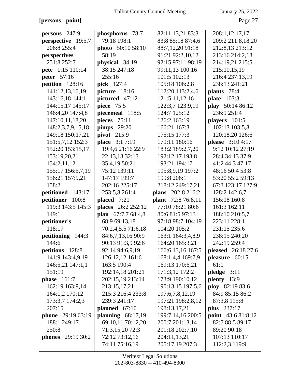## **[persons - point]** Page 27

| persons 247:9             | phosphorus 78:7     | 82:11,13,21 83:3    | 208:1,12,17,17            |
|---------------------------|---------------------|---------------------|---------------------------|
| perspective 19:5,7        | 79:18 198:1         | 83:8 85:18 87:4,6   | 209:2 211:8,18,20         |
| 206:8 255:4               | photo 50:10 58:10   | 88:7,12,20 91:18    | 212:8,13 213:12           |
| perspectives              | 58:19               | 91:21 92:2,10,12    | 213:16 214:2,18           |
| 251:8 252:7               | physical 34:19      | 92:15 97:11 98:19   | 214:19,21 215:5           |
| <b>pete</b> 1:15 110:14   | 38:15 247:18        | 99:11,13 100:16     | 215:10,15,19              |
| <b>peter</b> 57:16        | 255:16              | 101:5 102:13        | 216:4 237:13,19           |
| petition 128:16           | pick 127:4          | 105:18 106:2,8      | 238:13 241:21             |
| 141:12,13,16,19           | picture 18:16       | 112:20 113:2,4,6    | plants 78:4               |
| 143:16,18 144:1           | pictured 47:12      | 121:5,11,12,16      | <b>plate</b> 103:3        |
| 144:15,17 145:17          | piece 75:5          | 122:3,7 123:9,19    | play 50:14 86:12          |
| 146:4,20 147:4,8          | piecemeal 118:5     | 124:7 125:12        | 236:9 251:4               |
| 147:10,11,18,20           | pieces 75:11        | 126:2 163:19        | players 101:5             |
| 148:2,3,7,9,15,18         | <b>pimps</b> 29:20  | 166:21 167:3        | 102:13 103:5,8            |
| 149:18 150:17,21          | pivot 215:9         | 175:15 177:3        | 120:18,20 126:6           |
| 151:5,7,12 152:3          | place 3:17:19       | 179:11 180:16       | please 3:10 4:17          |
| 152:20 153:15,17          | 19:4,6 21:16 22:9   | 183:2 189:2,7,20    | 9:12 10:12 27:19          |
| 153:19,20,21              | 22:13,13 32:13      | 192:12,17 193:8     | 28:4 34:13 37:9           |
| 154:2,11,12               | 35:4,19 50:21       | 193:21 194:17       | 41:2 44:3 47:17           |
| 155:17 156:5,7,19         | 75:12 139:11        | 195:8,9,19 197:2    | 48:16 50:4 53:8           |
| 156:21 157:9,21           | 147:17 199:7        | 199:8 206:1         | 53:20 55:2 59:13          |
| 158:2                     | 202:16 225:17       | 218:12 249:17,21    | 67:3 123:17 127:9         |
| petitioned 143:17         | 253:5,8 261:4       | plans 202:8 216:2   | 128:2 142:6,7             |
| petitioner 100:8          | placed $7:21$       | plant 72:8 76:8,11  | 156:18 160:8              |
| 119:3 143:5 145:3         | places 26:2 252:12  | 77:10 78:21 80:6    | 161:3 162:11              |
| 149:1                     | plan 67:7,7 68:4,8  | 80:681:597:13       | 188:10 210:5,7            |
| petitioner's              | 68:9 69:13,18       | 97:18 98:7 104:19   | 223:11 228:1              |
| 118:17                    | 70:2,4,5,5 71:6,18  | 104:20 105:2        | 231:15 235:6              |
| petitioning 144:3         | 84:6,7,13,16 90:9   | 163:1 164:3,4,8,9   | 238:15 240:20             |
| 144:6                     | 90:13 91:3,9 92:6   | 164:20 165:3,21     | 242:19 259:4              |
| petitions 128:8           | 92:14 94:6,9,19     | 166:6, 13, 16 167:5 | <b>pleased</b> 26:18 27:6 |
| 141:9 143:4,9,19          | 126:12,12 161:6     | 168:1,4,4 169:7,9   | pleasure 60:15            |
| 146:5,21 147:1,1          | 163:5 190:4         | 169:13 170:6,21     | 61:1                      |
| 151:19                    | 192:14,18 201:21    | 171:3,12 172:2      | $pledge$ 3:11             |
| phase $161:7$             | 202:15,19 213:14    | 173:9 190:10,12     | plenty 13:9               |
| 162:19 163:9,14           | 213:15,17,21        | 190:13,15 197:5,6   | ploy 82:19 83:6           |
| 164:1,2 170:12            | 215:3 216:4 233:8   | 197:6,7,8,12,19     | 84:9 85:15 86:2           |
| 173:3,7 174:2,3           | 239:3 241:17        | 197:21 198:2,8,12   | 87:3,8 115:8              |
| 207:15                    | planned $67:10$     | 198:13,17,21        | plus 237:17               |
| phone 29:19 63:19         | planning $68:17,19$ | 199:7,14,16 200:5   | point 43:6 81:8,12        |
| 188:1 249:17              | 69:10,11 70:12,20   | 200:7 201:13,14     | 82:7 88:5 89:17           |
| 250:8                     | 71:3,15,20 72:3     | 201:18 202:7,10     | 89:20 90:18               |
| <b>phones</b> $29:1930:2$ | 72:12 73:12,16      | 204:11,13,21        | 107:13 110:17             |
|                           | 74:11 75:16,19      | 205:17,19 207:3     | 112:2,3 119:9             |
|                           |                     |                     |                           |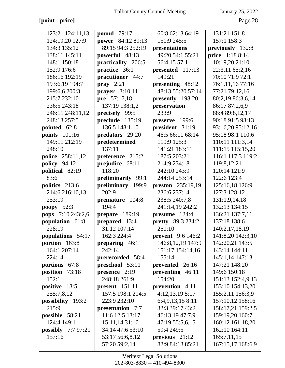# **[point - price]** Page 28

| pound 79:17                                          | 60:8 62:13 64:19                                                                                                                                                                                                                                                                                                                                                                                         | 131:21 151:8                                                                                                                                                                                                                                                                                                                                                                                                |
|------------------------------------------------------|----------------------------------------------------------------------------------------------------------------------------------------------------------------------------------------------------------------------------------------------------------------------------------------------------------------------------------------------------------------------------------------------------------|-------------------------------------------------------------------------------------------------------------------------------------------------------------------------------------------------------------------------------------------------------------------------------------------------------------------------------------------------------------------------------------------------------------|
| <b>power</b> 84:12 89:13                             | 151:9 245:5                                                                                                                                                                                                                                                                                                                                                                                              | 157:1 158:3                                                                                                                                                                                                                                                                                                                                                                                                 |
| 89:15 94:3 252:19                                    | presentations                                                                                                                                                                                                                                                                                                                                                                                            | previously 132:8                                                                                                                                                                                                                                                                                                                                                                                            |
| powerful 48:13                                       | 49:20 54:1 55:21                                                                                                                                                                                                                                                                                                                                                                                         | price 1:18 8:14                                                                                                                                                                                                                                                                                                                                                                                             |
| practicality 206:5                                   | 56:4,15 57:1                                                                                                                                                                                                                                                                                                                                                                                             | 10:19,20 21:10                                                                                                                                                                                                                                                                                                                                                                                              |
| practice 36:1                                        | presented 117:13                                                                                                                                                                                                                                                                                                                                                                                         | 22:3,11 65:2,16                                                                                                                                                                                                                                                                                                                                                                                             |
| practitioner 44:7                                    | 149:21                                                                                                                                                                                                                                                                                                                                                                                                   | 70:10 71:9 72:1                                                                                                                                                                                                                                                                                                                                                                                             |
| $\begin{bmatrix} \textbf{pray} & 2:21 \end{bmatrix}$ | presenting 48:12                                                                                                                                                                                                                                                                                                                                                                                         | 76:1,11,16 77:16                                                                                                                                                                                                                                                                                                                                                                                            |
| prayer $3:10,11$                                     | 48:13 55:20 57:14                                                                                                                                                                                                                                                                                                                                                                                        | 77:21 79:12,16                                                                                                                                                                                                                                                                                                                                                                                              |
| pre 57:17,18                                         | presently 198:20                                                                                                                                                                                                                                                                                                                                                                                         | 80:2,19 86:3,6,14                                                                                                                                                                                                                                                                                                                                                                                           |
| 137:19 138:1,2                                       | preservation                                                                                                                                                                                                                                                                                                                                                                                             | 86:17 87:2,6,9                                                                                                                                                                                                                                                                                                                                                                                              |
| precisely 99:5                                       | 233:9                                                                                                                                                                                                                                                                                                                                                                                                    | 88:4 89:8,12,17                                                                                                                                                                                                                                                                                                                                                                                             |
| preclude 135:19                                      | preserve 199:6                                                                                                                                                                                                                                                                                                                                                                                           | 90:18 91:5 93:13                                                                                                                                                                                                                                                                                                                                                                                            |
| 136:5 148:1,10                                       | president 31:19                                                                                                                                                                                                                                                                                                                                                                                          | 93:16,20 95:12,16                                                                                                                                                                                                                                                                                                                                                                                           |
| predators 29:20                                      | 46:5 66:11 68:14                                                                                                                                                                                                                                                                                                                                                                                         | 95:18 98:1 110:6                                                                                                                                                                                                                                                                                                                                                                                            |
| $\bf{predetermined}$                                 | 119:9 125:3                                                                                                                                                                                                                                                                                                                                                                                              | 110:11 111:3,14                                                                                                                                                                                                                                                                                                                                                                                             |
| 137:11                                               | 141:21 183:11                                                                                                                                                                                                                                                                                                                                                                                            | 111:15 115:15,20                                                                                                                                                                                                                                                                                                                                                                                            |
| preference 215:2                                     | 187:5 203:21                                                                                                                                                                                                                                                                                                                                                                                             | 116:1 117:3 119:2                                                                                                                                                                                                                                                                                                                                                                                           |
| prejudice 68:11                                      | 214:9 234:18                                                                                                                                                                                                                                                                                                                                                                                             | 119:8,12,21                                                                                                                                                                                                                                                                                                                                                                                                 |
| 118:20                                               | 242:10 243:9                                                                                                                                                                                                                                                                                                                                                                                             | 120:14 121:9                                                                                                                                                                                                                                                                                                                                                                                                |
| preliminarily 99:1                                   | 244:14 253:14                                                                                                                                                                                                                                                                                                                                                                                            | 122:6 123:4                                                                                                                                                                                                                                                                                                                                                                                                 |
|                                                      | preston 235:19,19                                                                                                                                                                                                                                                                                                                                                                                        | 125:16,18 126:9                                                                                                                                                                                                                                                                                                                                                                                             |
|                                                      |                                                                                                                                                                                                                                                                                                                                                                                                          | 127:3 128:12                                                                                                                                                                                                                                                                                                                                                                                                |
|                                                      |                                                                                                                                                                                                                                                                                                                                                                                                          | 131:1,9,14,18                                                                                                                                                                                                                                                                                                                                                                                               |
|                                                      |                                                                                                                                                                                                                                                                                                                                                                                                          | 132:13 134:15                                                                                                                                                                                                                                                                                                                                                                                               |
|                                                      |                                                                                                                                                                                                                                                                                                                                                                                                          | 136:21 137:7,11                                                                                                                                                                                                                                                                                                                                                                                             |
|                                                      |                                                                                                                                                                                                                                                                                                                                                                                                          | 137:18 138:6                                                                                                                                                                                                                                                                                                                                                                                                |
|                                                      |                                                                                                                                                                                                                                                                                                                                                                                                          | 140:2,17,18,19                                                                                                                                                                                                                                                                                                                                                                                              |
|                                                      |                                                                                                                                                                                                                                                                                                                                                                                                          | 141:8,20 142:3,10                                                                                                                                                                                                                                                                                                                                                                                           |
|                                                      |                                                                                                                                                                                                                                                                                                                                                                                                          | 142:20,21 143:5                                                                                                                                                                                                                                                                                                                                                                                             |
|                                                      |                                                                                                                                                                                                                                                                                                                                                                                                          | 143:14 144:11                                                                                                                                                                                                                                                                                                                                                                                               |
|                                                      |                                                                                                                                                                                                                                                                                                                                                                                                          | 145:1,14 147:13                                                                                                                                                                                                                                                                                                                                                                                             |
|                                                      |                                                                                                                                                                                                                                                                                                                                                                                                          | 147:21 148:20                                                                                                                                                                                                                                                                                                                                                                                               |
|                                                      |                                                                                                                                                                                                                                                                                                                                                                                                          | 149:6 150:18                                                                                                                                                                                                                                                                                                                                                                                                |
|                                                      |                                                                                                                                                                                                                                                                                                                                                                                                          | 151:13 152:4,9,13                                                                                                                                                                                                                                                                                                                                                                                           |
|                                                      |                                                                                                                                                                                                                                                                                                                                                                                                          | 153:10 154:13,20                                                                                                                                                                                                                                                                                                                                                                                            |
|                                                      |                                                                                                                                                                                                                                                                                                                                                                                                          | 155:2,11 156:3,9                                                                                                                                                                                                                                                                                                                                                                                            |
|                                                      |                                                                                                                                                                                                                                                                                                                                                                                                          | 157:10,12 158:16                                                                                                                                                                                                                                                                                                                                                                                            |
|                                                      |                                                                                                                                                                                                                                                                                                                                                                                                          | 158:17,21 159:2,5                                                                                                                                                                                                                                                                                                                                                                                           |
|                                                      |                                                                                                                                                                                                                                                                                                                                                                                                          | 159:19,20 160:7                                                                                                                                                                                                                                                                                                                                                                                             |
|                                                      |                                                                                                                                                                                                                                                                                                                                                                                                          | 160:12 161:18,20                                                                                                                                                                                                                                                                                                                                                                                            |
|                                                      |                                                                                                                                                                                                                                                                                                                                                                                                          | 162:10 164:11                                                                                                                                                                                                                                                                                                                                                                                               |
|                                                      |                                                                                                                                                                                                                                                                                                                                                                                                          | 165:7,11,15                                                                                                                                                                                                                                                                                                                                                                                                 |
|                                                      |                                                                                                                                                                                                                                                                                                                                                                                                          | 167:15,17 168:6,9                                                                                                                                                                                                                                                                                                                                                                                           |
|                                                      | preliminary 199:9<br>202:9<br>premature 104:8<br>194:4<br>prepare 189:19<br>prepared 13:4<br>31:12 107:14<br>162:3 224:4<br>preparing $46:1$<br>242:14<br>prerecorded 58:4<br>preschool 53:11<br>presence 2:19<br>248:18 261:9<br>$present$ 151:11<br>157:5 198:1 204:5<br>223:9 232:10<br>presentation 7:7<br>11:6 12:5 13:17<br>15:11,14 31:10<br>34:14 47:6 53:10<br>53:17 56:6,8,12<br>57:20 59:2,14 | 236:6 237:14<br>238:5 240:7,8<br>241:14,19 242:2<br>presume 124:4<br><b>pretty</b> 89:3 234:2<br>250:10<br>prevent 9:6 146:2<br>146:8, 12, 19 147:9<br>151:17 154:14,16<br>155:14<br>prevented 26:16<br>preventing 46:11<br>154:20<br>prevention 4:11<br>4:12,13,19 5:17<br>6:4,9,13,15 8:11<br>32:3 39:17 43:2<br>46:13,19 47:7,9<br>47:19 55:5,6,15<br>59:4 249:5<br>previous $21:12$<br>82:9 84:13 85:21 |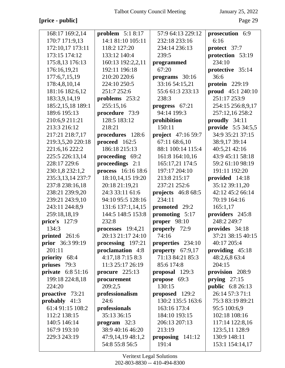# **[price - public]** Page 29

| 168:17 169:2,14      | problem $5:18:17$   | 57:9 64:13 229:12   | prosecution 6:9           |
|----------------------|---------------------|---------------------|---------------------------|
| 170:7 171:9,13       | 14:1 81:10 105:11   | 232:18 233:16       | 6:16                      |
| 172:10,17 173:11     | 118:2 127:20        | 234:14 236:13       | protect 37:7              |
| 173:15 174:12        | 133:12 140:4        | 239:5               | protection 53:19          |
| 175:8,13 176:13      | 160:13 192:2,2,11   | programmed          | 234:10                    |
| 176:16,19,21         | 192:11 196:18       | 67:20               | protective 35:14          |
| 177:6,7,15,19        | 210:20 220:6        | programs 30:16      | 36:6                      |
| 178:4,8,10,14        | 224:10 250:5        | 33:16 54:15,21      | protein 229:19            |
| 181:16 182:6,12      | 251:7 252:6         | 55:6 61:3 233:13    | proud $45:1240:10$        |
| 183:3,9,14,19        | problems 253:2      | 238:3               | 251:17 253:9              |
| 185:2,15,18 189:1    | 255:15,16           | progress 67:21      | 254:15 256:8,9,17         |
| 189:6 195:13         | procedure 73:9      | 94:14 199:3         | 257:12,16 258:2           |
| 210:6,9 211:21       | 128:5 183:12        | prohibition         | proudly 34:11             |
| 213:3 216:12         | 218:21              | 150:11              | <b>provide</b> 5:5 34:5,5 |
| 217:21 218:7,17      | procedures 128:6    | project 47:16 59:7  | 34:9 35:21 37:15          |
| 219:3,5,20 220:18    | proceed $162:5$     | 67:11 68:6,10       | 38:9,17 39:14             |
| 221:6,16 222:2       | 186:18 215:13       | 88:1 100:14 115:4   | 40:5,21 42:16             |
| 225:5 226:13,14      | proceeding 69:2     | 161:8 164:10,16     | 43:9 45:11 58:18          |
| 228:17 229:6         | proceedings 2:1     | 165:17,21 174:5     | 59:2 61:10 98:19          |
| 230:1,8 232:1,2      | process 16:16 18:6  | 197:17 204:10       | 191:11 192:20             |
| 235:3,13,14 237:7    | 18:10,14,15 19:20   | 213:8 215:17        | provided 14:18            |
| 237:8 238:16,18      | 20:18 21:19,21      | 237:21 252:6        | 35:12 39:11,20            |
| 238:21 239:9,20      | 24:3 33:11 61:6     | projects $46:868:5$ | 42:12 45:2 66:14          |
| 239:21 243:9,10      | 94:10 95:5 128:16   | 234:11              | 70:19 164:16              |
| 243:11 244:8,9       | 131:6 137:1,14,15   | promoted 29:2       | 165:1,17                  |
| 259:18,18,19         | 144:5 148:5 153:8   | promoting 5:17      | providers 245:8           |
| <b>price's</b> 127:9 | 232:8               | proper 98:10        | 248:2 249:7               |
| 134:3                | processes $19:4,21$ | properly 72:9       | provides 34:18            |
| printed 261:6        | 20:13 21:17 24:10   | 74:16               | 37:21 38:15 40:15         |
| prior 36:3 99:19     | processing $197:21$ | properties 234:10   | 40:17 205:4               |
| 201:11               | proclamation 4:8    | property 67:9,17    | providing 45:18           |
| priority 68:4        | 4:17,187:158:3      | 71:13 84:21 85:3    | 48:2,6,8 63:4             |
| priuses 79:3         | 11:3 25:17 26:19    | 85:6 174:8          | 204:15                    |
| private 6:8 51:16    | procure $225:13$    | proposal 129:3      | provision 208:9           |
| 199:18 224:8,18      | procurement         | propose 69:3        | prying $27:15$            |
| 224:20               | 209:2,5             | 130:15              | <b>public</b> 6:8 26:13   |
| proactive 73:21      | professionalism     | proposed $129:2$    | 26:14 57:3 71:1           |
| probably $41:3$      | 24:6                | 130:2 135:5 163:6   | 75:3 83:19 89:21          |
| 61:4 91:15 108:2     | professionals       | 163:16 173:4        | 95:5 100:6,9              |
| 112:2 138:15         | 35:13 36:15         | 184:10 193:15       | 102:18 108:16             |
| 140:5 146:14         | program $32:3$      | 206:13 207:13       | 117:14 122:8,16           |
| 167:9 193:10         | 38:9 40:16 46:20    | 213:19              | 123:5,11 128:9            |
| 229:3 243:19         | 47:9,14,19 48:1,2   | proposing $141:12$  | 130:9 148:11              |
|                      | 54:8 55:8 56:5      | 191:4               | 153:1 154:14,17           |
|                      |                     |                     |                           |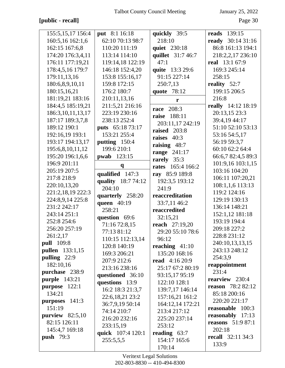# [public - recall]

January 25, 2022

Page 30

| 155:5, 15, 17 156:4    | <b>put</b> 8:1 16:18           | quickly 39:5                            | <b>reads</b> 139:15       |
|------------------------|--------------------------------|-----------------------------------------|---------------------------|
| 160:5,16 162:1,6       | 62:10 70:13 98:7               | 218:10                                  | ready 30:14 31:16         |
| 162:15 167:6,8         | 110:20 111:19                  | quiet 230:18                            | 86:8 161:13 194:1         |
| 174:20 176:3,4,11      | 113:14 114:10                  | quillet 31:7 46:7                       | 218:2,2,17 236:10         |
| 176:11 177:19,21       | 119:14,18 122:19               | 47:1                                    | real 13:1 67:9            |
| 178:4,5,16 179:7       | 146:18 152:4,20                | quite 13:3 29:6                         | 169:3 245:14              |
| 179:11,13,16           | 153:8 155:16,17                | 91:15 227:14                            | 258:15                    |
| 180:6,8,9,10,11        | 159:8 172:15                   | 250:7,13                                | reality 52:7              |
| 180:15,16,21           | 176:2 180:7                    | quote 78:12                             | 199:15 206:5              |
| 181:19,21 183:16       | 210:11,13,16                   | r                                       | 216:8                     |
| 184:4,5 185:19,21      | 211:5,21 216:16                |                                         | really 14:12 18:19        |
| 186:3, 10, 11, 13, 17  | 223:19 230:16                  | 208:3<br>race<br>raise                  | 20:13,15 23:3             |
| 187:17 189:3,7,8       | 238:13 252:4                   | 188:11                                  | 39:4,19 44:17             |
| 189:12 190:1           | puts 65:18 73:17               | 203:11,17 242:19                        | 51:10 52:10 53:13         |
| 192:16,19 193:1        | 153:21 255:4                   | raised 203:8                            | 53:16 54:5,17             |
| 193:17 194:13,17       | putting 150:4                  | raises 40:3                             | 56:19 59:3,7              |
| 195:6,8,10,11,12       | 199:6 210:1                    | raising $48:7$                          | 60:10 62:2 64:4           |
| 195:20 196:1,6,6       | <b>pwab</b> 123:15             | range 241:17                            | 66:6,7 82:4,5 89:3        |
| 196:9 201:11           | $\boldsymbol{q}$               | rarely 35:3<br><b>rates</b> 165:4 166:2 | 101:9,16 103:1,15         |
| 205:19 207:5           |                                |                                         | 103:16 104:20             |
| 217:8 218:9            | qualified 147:3                | ray 85:9 189:8                          | 106:11 107:20,21          |
| 220:10,13,20           | quality 18:7 74:12<br>204:10   | 192:3,5 193:12                          | 108:1,1,6 113:13          |
| 221:2,18,19 222:3      |                                | 241:9                                   | 119:2 124:16              |
| 224:8,9,14 225:8       | quarterly 258:20               | reaccreditation                         | 129:19 130:13             |
| 231:2 242:17           | queen 40:19                    | 33:7,11 46:2                            | 136:14 148:21             |
| 243:14 251:1           | 258:21                         | reaccredited                            | 152:1,12 181:18           |
| 252:8 254:6            | question 69:6                  | 32:15,21                                | 193:19 194:4              |
| 256:20 257:19          | 71:16 72:8,15                  | <b>reach</b> 27:19,20                   | 209:18 227:2              |
| 261:2,17               | 77:13 81:12                    | 29:20 55:10 78:6                        | 228:8 231:12              |
| <b>pull</b> 109:8      | 110:15 112:13,14               | 96:12                                   | 240:10,13,13,15           |
| <b>pullen</b> 133:1,15 | 120:8 140:19                   | reaching $41:10$<br>135:20 168:16       | 243:13 248:12             |
| pulling 22:9           | 169:3 206:21                   | <b>read</b> 4:16 20:9                   | 254:3,9                   |
| 182:10,16              | 207:9 212:6                    | 25:17 67:2 80:19                        | reappointment             |
| purchase 238:9         | 213:16 238:16                  | 93:15,17 95:19                          | 231:4                     |
| <b>purple</b> 143:21   | questioned 36:10               | 122:10 128:1                            | rearview 230:4            |
| purpose 122:1          | questions 13:9                 |                                         | reason 78:2 82:12         |
| 134:21                 | 16:2 18:3 21:3,7               | 139:7,17 146:14                         | 85:18 200:16              |
| purposes 141:3         | 22:6,18,21 23:2                | 157:16,21 161:2                         | 220:20 221:17             |
| 151:19                 | 36:7,9,19 50:14<br>74:14 210:7 | 164:12,14 172:21<br>213:4 217:12        | reasonable 100:3          |
| purview $82:5,10$      | 216:20 232:16                  | 225:20 237:14                           | reasonably 17:13          |
| 82:15 126:11           |                                |                                         | <b>reasons</b> $51:987:1$ |
| 145:4,7 169:18         | 233:15,19                      | 253:12                                  | 202:18                    |
| <b>push</b> 79:3       | quick 107:4 120:1              | reading $63:7$                          | recall $32:11\,34:3$      |
|                        | 255:5,5,5                      | 154:17 165:6                            | 133:9                     |
|                        |                                | 170:14                                  |                           |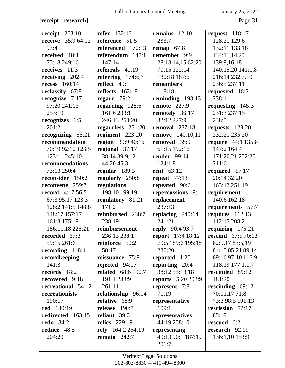## **[receipt - research]** Page 31

| receipt $208:10$          | <b>refer</b> 132:16       | remains $12:10$           | request $118:17$          |
|---------------------------|---------------------------|---------------------------|---------------------------|
| <b>receive</b> 35:9 64:12 | reference 51:5            | 233:7                     | 128:21 129:6              |
| 97:4                      | referenced 170:13         | remap $67:8$              | 132:11 133:18             |
| received 18:1             | referendum $147:1$        | remember 9:9              | 134:11,14,20              |
| 75:18 249:16              | 147:14                    | 28:13,14,15 62:20         | 139:9,16,18               |
| receives 11:3             | referrals $41:19$         | 70:15 122:14              | 140:15,20 141:1,8         |
| receiving $202:4$         | referring $174:6,7$       | 130:18 187:6              | 216:14 232:7,10           |
| <b>recess</b> 160:14      | reflect 49:1              | remembers                 | 236:5 237:11              |
| reclassify 67:8           | reflects 163:18           | 118:18                    | requested 18:2            |
| recognize $7:17$          | regard $79:2$             | reminding 193:13          | 238:1                     |
| 97:20 241:13              | regarding 128:6           | remote $227:9$            | requesting 145:3          |
| 253:19                    | 161:6 233:1               | remotely 36:17            | 231:3 237:15              |
| recognizes 6:5            | 246:13 250:20             | 82:12 227:9               | 238:5                     |
| 201:21                    | regardless 251:20         | <b>removal</b> 237:18     | requests 128:20           |
| recognizing $65:21$       | regiment 223:20           | <b>remove</b> 140:10,11   | 232:21 235:20             |
| recommendation            | region 39:9 40:16         | removed 35:9              | <b>require</b> 44:1 135:8 |
| 70:19 92:10 123:5         | regional 37:17            | 61:15 192:16              | 147:2 164:4               |
| 123:11 245:10             | 38:14 39:9,12             | <b>render</b> 99:14       | 171:20,21 202:20          |
| recommendations           | 44:20 45:3                | 124:1,8                   | 211:6                     |
| 73:13 250:4               | regular 189:3             | <b>rent</b> 63:12         | required 17:17            |
| reconsider 150:2          | regularly 250:8           | repeat $77:13$            | 20:14 32:20               |
| reconvene 259:7           | regulations               | repeated 90:6             | 163:12 251:19             |
| <b>record</b> 4:17 56:5   | 198:10 199:19             | repercussions 9:1         | requirement               |
| 67:3 95:17 123:3          | regulatory 81:21          | replacement               | 140:6 162:18              |
| 128:2 141:5 148:8         | 171:2                     | 237:13                    | requirements 57:7         |
| 148:17 157:17             | reimbursed 238:7          | replacing $240:14$        | requires $112:13$         |
| 161:3 175:19              | 238:19                    | 241:21                    | 112:15 208:2              |
| 186:11,18 225:21          | reimbursement             | reply 90:4 93:7           | requiring 175:21          |
| recorded 37:3             | 236:13 238:1              | report 17:4 18:12         | <b>rescind</b> 67:5 70:13 |
| 59:15 261:6               | reinforce 50:2            | 79:5 189:6 195:18         | 82:9,17 83:5,19           |
| recording 148:4           | 58:17                     | 230:20                    | 84:13 85:21 89:14         |
| recordkeeping             | reissuance 75:9           | <b>reported</b> 1:20      | 89:16 97:10 116:9         |
| 141:3                     | rejected $94:17$          | reporting 20:4            | 118:19 177:1,1,7          |
| records 18:2              | <b>related</b> 68:6 190:7 | 38:12 55:13,18            | rescinded 89:12           |
| recovered 9:18            | 191:1 233:9               | <b>reports</b> 5:20 202:9 | 181:20                    |
| recreational 54:12        | 261:11                    | represent 7:8             | rescinding $69:12$        |
| recreationists            | relationship 96:14        | 71:19                     | 70:11,17 71:8             |
| 190:17                    | relative 68:9             | representative            | 73:3 98:5 101:13          |
| <b>red</b> 130:19         | release 190:8             | 109:1                     | rescission 72:17          |
| redirected 163:15         | reliant 39:3              | representatives           | 85:19                     |
| <b>redo</b> 84:2          | <b>relies</b> 229:19      | 44:19 258:10              | rescued 6:2               |
| reduce 48:5               | rely 164:2 254:19         | representing              | research 92:19            |
| 204:20                    | remain $242:7$            | 49:13 90:1 187:19         | 136:1,10 153:9            |
|                           |                           | 201:7                     |                           |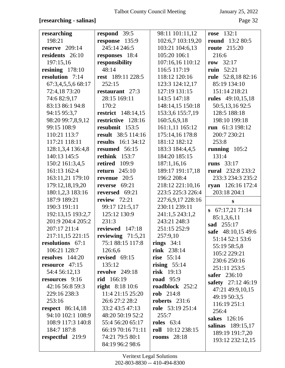# **[researching - salinas]** Page 32

| researching             | respond 39:5              | 98:11 101:11,12     | <b>rose</b> 132:1        |
|-------------------------|---------------------------|---------------------|--------------------------|
| 198:21                  | response 135:9            | 102:6,7 103:19,20   | <b>round</b> 13:2 80:5   |
| reserve $209:14$        | 245:14 246:5              | 103:21 104:6,13     | <b>route</b> 215:20      |
| residents 26:10         | responses 18:4            | 105:20 106:1        | 216:6                    |
| 197:15,16               | responsibility            | 107:16,16 110:12    | row $32:17$              |
| resining $178:10$       | 48:14                     | 116:5 117:19        | ruin $52:21$             |
| resolution 7:14         | rest 189:11 228:5         | 118:12 120:16       | rule 52:8,18 82:16       |
| 67:3,4,5,5,6 68:17      | 252:15                    | 123:3 124:12,17     | 85:19 134:10             |
| 72:4,1873:20            | restaurant 27:3           | 127:19 131:15       | 151:14 218:21            |
| 74:6 82:9,17            | 28:15 169:11              | 143:5 147:18        | <b>rules</b> 49:10,15,18 |
| 83:13 86:1 94:8         | 170:2                     | 148:14,15 150:18    | 50:5,13,1692:5           |
| 94:15 95:3,7            | <b>restrict</b> 148:14,15 | 153:3,6 155:7,19    | 128:5 188:18             |
| 98:20 99:7,8,9,12       | restrictive 128:16        | 160:5,6,9,18        | 198:10 199:18            |
| 99:15 108:9             | resubmit 153:5            | 161:1,11 165:12     | run 61:3 198:12          |
| 110:21 113:7            | result 38:5 114:16        | 175:14,16 178:8     | 200:7 230:21             |
| 117:21 118:11           | <b>results</b> 16:1 34:12 | 181:12 182:12       | 253:8                    |
| 128:1,3,4 136:4,8       | resumed 56:15             | 183:3 184:4,4,5     | running $105:2$          |
| 140:13 145:5            | rethink 153:7             | 184:20 185:15       | 131:4                    |
| 150:2 161:3,4,5         | retired 109:9             | 187:1,16,16         | runs $33:17$             |
| 161:13 162:4            | return $245:10$           | 189:17 191:17,18    | <b>rural</b> 232:8 233:2 |
| 163:11,21 179:10        | revenue 20:5              | 196:2 208:4         | 233:3 234:3 235:2        |
| 179:12,18,19,20         | 69:21<br>reverse          | 218:12 221:10,16    | 126:16 172:4<br>ryan     |
| 180:1,2,3 183:16        | reversed 69:21            | 223:5 225:3 226:4   | 203:18 204:1             |
| 187:9 189:21            | review $72:21$            | 227:6,9,17 228:16   | S                        |
| 190:3 191:11            | 99:17 121:5,17            | 230:11 239:11       |                          |
| 192:13,15 193:2,7       | 125:12 130:9              | 241:1,5 243:1,2     | $\, 67:17,2171:14$       |
| 201:9 204:4 205:2       | 231:3                     | 243:21 248:3        | 85:1,3,6,11              |
| 207:17 211:4            | reviewed 147:18           | 251:15 252:9        | sad 255:17               |
| 217:11,15 221:15        | reviewing 71:5,21         | 257:9,10            | safe 48:10,15 49:6       |
| resolutions 67:1        | 75:1 88:15 117:8          | rings $34:1$        | 51:14 52:1 53:6          |
| 106:21 128:7            | 126:6,6                   | <b>rink</b> 238:14  | 55:19 58:5,8             |
| resolves $144:20$       | revised $69:15$           | rise $55:14$        | 105:2 229:21             |
| resource $47:15$        | 135:12                    | rising $55:14$      | 230:6 250:16             |
| 54:4 56:12,13           | <b>revolve</b> 249:18     | <b>risk</b> 19:13   | 251:11 253:5             |
| resources 9:16          | rid 166:19                | <b>road</b> 95:9    | safer 236:10             |
| 42:16 56:8 59:3         | <b>right</b> 8:18 10:6    | roadblock 252:2     | safety 27:12 46:19       |
| 229:16 238:3            | 11:4 21:15 25:20          | rob 214:8           | 47:21 49:9,10,15         |
| 253:16                  | 26:6 27:2 28:2            | roberts $231:6$     | 49:19 50:3,5             |
| <b>respect</b> 86:14,18 | 33:2 43:5 47:13           | role 53:19 251:4    | 116:19 251:1             |
| 94:10 102:1 108:9       | 48:20 50:19 52:2          | 255:7               | 256:4                    |
| 108:9 117:3 140:8       | 55:4 56:20 65:17          | <b>roles</b> 63:4   | sakes 126:16             |
| 184:7 187:8             | 66:19 70:16 71:11         | roll $10:12$ 238:15 | salinas 189:15,17        |
| respectful 219:9        | 74:21 79:5 80:1           | rooms $28:18$       | 189:19 191:7,20          |
|                         | 84:19 96:2 98:6           |                     | 193:12 232:12,15         |
|                         |                           |                     |                          |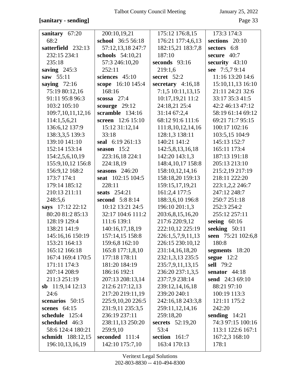## [sanitary - sending]

January 25, 2022

| sanitary $67:20$   | 200:10,19,21        | 175:12 176:8,15         | 173:3 174:3        |
|--------------------|---------------------|-------------------------|--------------------|
| 68:2               | school 36:5 56:18   | 176:21 177:4,6,13       | sections 20:10     |
| satterfield 232:13 | 57:12,13,18 247:7   | 182:15,21 183:7,8       | sectors 6:8        |
| 232:15 234:1       | schools 54:10,21    | 187:10                  | secure 40:7        |
| 235:18             | 57:3 246:10,20      | seconds $93:16$         | security 43:10     |
| saving $245:3$     | 252:11              | 219:1,6                 | see 7:5,7 9:14     |
| saw 55:11          | sciences 45:10      | secret 52:2             | 11:16 13:20 14:6   |
| saying $72:16$     | scope 16:10 145:4   | secretary $4:16,18$     | 15:10,11,13 16:10  |
| 75:19 80:12,16     | 168:16              | 7:1,5 10:11,13,15       | 21:11 24:21 32:6   |
| 91:11 95:8 96:3    | $scossa$ 27:4       | 10:17,19,21 11:2        | 33:17 35:3 41:5    |
| 103:2 105:10       | scourge $29:12$     | 24:18,21 25:4           | 42:2 46:13 47:12   |
| 109:7,10,11,12,16  | scramble 134:16     | 31:1467:2,4             | 58:19 61:14 69:12  |
| 114:1,5,6,21       | screen 12:6 15:10   | 68:12 91:6 111:6        | 69:21 71:7 95:15   |
| 136:6,12 137:9     | 15:12 31:12,14      | 111:8, 10, 12, 14, 16   | 100:17 102:16      |
| 138:3,3,5 139:3    | 33:18               | 128:1,3 138:11          | 103:5,15 104:9     |
| 139:10 141:10      | seal 6:19 261:13    | 140:21 141:2            | 145:13 152:7       |
| 152:14 153:14      | season $15:2$       | 142:5,8,13,16,18        | 165:11 173:4       |
| 154:2,5,6,10,19    | 223:16,18 224:1     | 142:20 143:1,3          | 187:13 191:18      |
| 155:9,10,12 156:8  | 224:18,19           | 148:4,10,17 158:8       | 205:13 213:10      |
| 156:9,12 168:2     | seasons $246:20$    | 158:10,12,14,16         | 215:2,19 217:19    |
| 173:7 174:1        | seat 102:15 104:5   | 158:18,20 159:13        | 218:11 222:20      |
| 179:14 185:12      | 228:11              | 159:15,17,19,21         | 223:1,2,2 246:7    |
| 210:13 211:11      | <b>seats</b> 254:21 | 161:2,4 177:5           | 247:12 248:7       |
| 248:5,6            | second 5:8 8:14     | 188:3,6,10 196:8        | 250:7 251:18       |
| says 17:12 22:12   | 10:12 13:21 24:5    | 196:10 201:1,3          | 252:3 254:2        |
| 80:20 81:2 85:13   | 32:17 104:6 111:2   | 203:6,8,15,16,20        | 255:12 257:11      |
| 128:19 129:4       | 111:6 139:1         | 217:6 220:9,12          | seeing $60:16$     |
| 138:21 141:9       | 140:16,17,18,19     | 222:10,12 225:19        | seeking 50:11      |
| 145:16,16 150:19   | 157:14,15 158:8     | 226:1,5,7,9,11,13       | seen 75:21 102:6,8 |
| 153:21 164:13      | 159:6,8 162:10      | 226:15 230:10,12        | 180:8              |
| 165:12 166:18      | 165:8 177:1,8,10    | 231:14,16,18,20         | segments 18:20     |
| 167:4 169:4 170:5  | 177:18 178:11       | 232:1,3,13 235:5        | segue $12:2$       |
| 171:11 174:3       | 181:20 184:19       | 235:7,9,11,13,15        | <b>sell</b> 79:2   |
| 207:14 208:9       | 186:16 192:1        | 236:20 237:1,3,5        | senator $44:18$    |
| 211:3 251:19       | 207:13 208:13,14    | 237:7,9 238:14          | send 24:3 69:10    |
| sb $11:9,1412:13$  | 212:6 217:12,13     | 239:12,14,16,18         | 88:21 97:10        |
| 24:6               | 217:20 219:11,19    | 239:20 240:1            | 100:19 113:3       |
| scenarios 50:15    | 225:9,10,20 226:5   | 242:16,18 243:3,8       | 121:11 175:2       |
| scenes $64:15$     | 231:9,11 235:3,5    | 259:11,12,14,16         | 242:20             |
| schedule 125:4     | 236:19 237:11       | 259:18,20               | sending $14:21$    |
| scheduled 46:3     | 238:11,13 250:20    | <b>secrets</b> 52:19,20 | 74:3 97:15 100:16  |
| 58:6 124:4 180:21  | 259:9,10            | 53:4                    | 113:1 122:6 167:1  |
| schmidt 188:12,15  | seconded 111:4      | section 161:7           | 167:2,3 168:10     |
| 196:10,13,16,19    | 142:10 175:7,10     | 163:4 170:13            | 178:1              |
|                    |                     |                         |                    |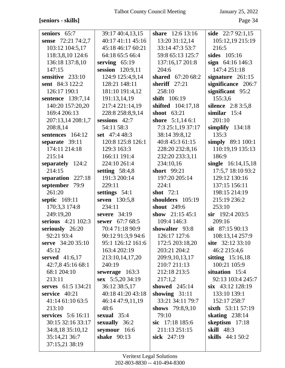[seniors - skills]

January 25, 2022

Page 34

| seniors 65:7         | 39:17 40:4,13,15  | <b>share</b> 12:6 13:16 | side $22:792:1,15$      |
|----------------------|-------------------|-------------------------|-------------------------|
| sense 72:21 74:2,7   | 40:17 41:11 45:16 | 13:20 31:12,14          | 105:12,19 215:19        |
| 103:12 104:5,17      | 45:18 46:17 60:21 | 33:14 47:3 53:7         | 216:5                   |
| 118:3,8,10 124:6     | 64:18 65:5 66:4   | 59:8 65:13 125:7        | sides 105:16            |
| 136:18 137:8,10      | serving $65:19$   | 137:16,17 201:8         | sign $64:16$ 146:3      |
| 147:15               | session 120:9,11  | 204:6                   | 147:4 251:18            |
| sensitive 233:10     | 124:9 125:4,9,14  | shared 67:20 68:2       | signature $261:15$      |
| sent 84:3 122:2      | 128:21 148:11     | sheriff $27:21$         | significance 206:7      |
| 126:17 190:1         | 181:10 191:4,12   | 258:10                  | significant 95:2        |
| sentence 139:7,14    | 191:13,14,19      | shift 106:19            | 155:3,6                 |
| 140:20 157:20,20     | 217:4 221:14,19   | shifted 104:17,18       | silence 2:8 3:5,8       |
| 169:4 206:13         | 228:8 258:8,9,14  | shoot $63:21$           | similar $15:4$          |
| 207:13,14 208:1,7    | sessions $42:7$   | shore $5:1,146:1$       | 201:10                  |
| 208:8,14             | 54:11 58:3        | 7:3 25:1,19 37:17       | simplify $134:18$       |
| sentences 164:12     | set 47:4 48:3     | 38:14 39:8,12           | 135:3                   |
| separate 39:11       | 120:8 125:8 126:1 | 40:8 45:3 61:15         | simply 89:1 100:1       |
| 174:11 214:18        | 129:3 163:3       | 228:20 232:8,16         | 110:19,19 135:13        |
| 215:14               | 166:11 191:4      | 232:20 233:3,11         | 186:9                   |
| separately 124:2     | 224:10 261:4      | 234:10,16               | single 16:14,15,18      |
| 214:15               | setting $58:4,8$  | short 99:21             | 17:5,7 18:10 93:2       |
| separation 227:18    | 191:3 200:14      | 197:20 205:14           | 129:12 130:16           |
| september 79:9       | 229:11            | 224:1                   | 137:15 156:11           |
| 261:20               | settings 54:1     | shot $72:1$             | 198:15 214:19           |
| <b>septic</b> 169:11 | seven 130:5,8     | shoulders 105:19        | 215:19 236:2            |
| 170:3,3 174:8        | 234:11            | shout 249:6             | 253:10                  |
| 249:19,20            | severe $34:19$    | show $21:1545:1$        | $\sin$ 192:4 203:5      |
| serious 4:21 102:3   | sewer 67:7 68:5   | 109:4 146:3             | 209:16                  |
| seriously 26:20      | 70:4 71:18 90:9   | showalter 93:8          | sit 87:15 90:13         |
| 92:21 93:4           | 90:12 91:3,9 94:6 | 126:17 127:6            | 108:13,14 257:9         |
| serve 34:20 35:10    | 95:1 126:12 161:6 | 172:5 203:18,20         | site 32:12 33:10        |
| 45:12                | 163:4 202:19      | 203:21 204:2            | 46:2 215:4,6            |
| served 41:6,17       | 213:10,14,17,20   | 209:9,10,13,17          | sitting $15:16,18$      |
| 42:7,8 45:16 68:1    | 240:19            | 210:7 211:13            | 100:21 105:9            |
| 68:1 204:10          | sewerage $163:3$  | 212:18 213:5            | situation 15:4          |
| 213:11               | sex 5:5,20 34:19  | 217:1,2                 | 92:13 103:4 245:7       |
| serves 61:5 134:21   | 36:12 38:5,17     | showed $245:14$         | $\sin$ 43:12 128:19     |
| service $40:21$      | 40:18 41:20 43:18 | showing $31:11$         | 133:10 139:1            |
| 41:14 61:10 63:5     | 46:14 47:9,11,19  | 33:21 34:11 79:7        | 152:17 258:7            |
| 213:10               | 48:6              | shows 79:8,9,10         | sixth 53:11 57:19       |
| services 5:6 16:11   | sexual $35:4$     | 79:10                   | skating $238:14$        |
| 30:15 32:16 33:17    | sexually 36:2     | sic 17:18 185:6         | skeptism 17:18          |
| 34:8,18 35:10,12     | seymour 16:6      | 211:13 251:15           | <b>skill</b> 48:3       |
| 35:14,21 36:7        | shake 90:13       | sick 247:19             | <b>skills</b> 44:1 50:2 |
| 37:15,21 38:19       |                   |                         |                         |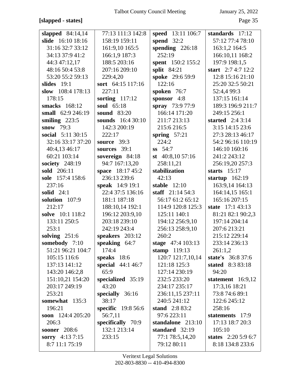## **[slapped - states]** Page 35

| slapped $84:14,14$  | 77:13 111:3 142:8  | speed 13:11 106:7   | standards 17:12         |
|---------------------|--------------------|---------------------|-------------------------|
| slide 16:10 18:16   | 158:19 159:11      | spend $32:2$        | 57:12 77:4 78:10        |
| 31:16 32:7 33:12    | 161:9,10 165:5     | spending $226:18$   | 163:1,2 164:5           |
| 34:13 37:9 41:2     | 166:1,9 187:3      | 252:19              | 166:10,11 168:2         |
| 44:3 47:12,17       | 188:5 203:16       | spent 150:2 155:2   | 197:9 198:1,5           |
| 48:16 50:4 53:8     | 207:16 209:10      | split 84:21         | start $2:74:712:2$      |
| 53:20 55:2 59:13    | 229:4,20           | spoke 29:6 59:9     | 12:8 15:16 21:10        |
| slides $19:1$       | sort 64:15 117:16  | 122:16              | 25:20 32:5 50:21        |
| slow $108:4$ 178:13 | 227:11             | spoken 76:7         | 52:4,4 99:3             |
| 178:15              | sorting $117:12$   | sponsor 4:8         | 137:15 161:14           |
| smacks 168:12       | soul 65:18         | spray 73:9 77:9     | 189:3 196:9 211:7       |
| small 62:9 246:19   | <b>sound</b> 83:20 | 166:14 171:20       | 249:15 256:1            |
| smiling $223:5$     | sounds 16:4 30:10  | 211:7 213:13        | started $2:43:14$       |
| snow $79:3$         | 142:3 200:19       | 215:6 216:5         | 3:15 14:15 23:6         |
| social 5:11 30:15   | 222:17             | spring $57:21$      | 27:3 28:13 46:17        |
| 32:16 33:17 37:20   | source $39:3$      | 224:2               | 54:2 96:16 110:19       |
| 40:4,13 46:17       | sources 39:1       | $ss$ 54:7           | 146:10 160:16           |
| 60:21 103:14        | sovereign 84:18    | st $40:8,1057:16$   | 241:2 243:12            |
| society 248:19      | 94:7 167:13,20     | 258:11,21           | 256:19,20 257:3         |
| sold 206:11         | space 18:17 45:2   | stabilization       | starts $15:17$          |
| sole 157:4 158:6    | 236:13 239:6       | 42:13               | startup $162:19$        |
| 237:16              | speak 14:9 19:1    | stable $12:10$      | 163:9,14 164:13         |
| solid $24:1$        | 22:4 37:5 136:16   | staff $21:14\,54:3$ | 164:14,15 165:1         |
| solution 107:9      | 181:1 187:18       | 56:17 61:2 65:12    | 165:16 207:15           |
| 212:17              | 188:10,14 192:1    | 114:9 120:8 125:3   | state 17:1 43:13        |
| solve 10:1 118:2    | 196:12 203:9,10    | 125:11 140:1        | 81:21 82:1 90:2,3       |
| 133:11 250:5        | 203:18 239:10      | 194:12 256:9,10     | 197:14 204:14           |
| 253:1               | 242:19 243:4       | 256:13 258:9,10     | 207:6 213:21            |
| solving $251:6$     | speakers 203:12    | 260:2               | 215:12 229:14           |
| somebody 7:10       | speaking $64:7$    | stage $47:4103:13$  | 233:14 236:13           |
| 51:21 96:21 104:7   | 174:4              | stamp $119:13$      | 261:1,2                 |
| 105:15 116:6        | speaks $18:6$      | 120:7 121:7,10,14   | state's 36:8 37:6       |
| 137:13 141:12       | special 44:1 46:7  | 121:18 125:3        | <b>stated</b> 8:3 83:18 |
| 143:20 146:2,8      | 65:9               | 127:14 230:19       | 94:20                   |
| 151:10,21 154:20    | specialized 35:19  | 232:5 233:20        | statement $16:9,12$     |
| 203:17 249:19       | 43:20              | 234:17 235:17       | 17:3,16 18:21           |
| 253:21              | specially $36:16$  | 236:11,15 237:11    | 73:8 74:6 89:1          |
| somewhat 135:3      | 38:17              | 240:5 241:12        | 122:6 245:12            |
| 196:21              | specific 19:8 56:6 | stand $2:883:2$     | 258:16                  |
| soon $124:4205:20$  | 56:7,11            | 97:6 223:11         | statements 17:9         |
| 206:3               | specifically 70:9  | standalone 213:10   | 17:13 18:7 20:3         |
| <b>sooner</b> 208:6 | 132:1 213:14       | standard $32:19$    | 105:10                  |
| sorry 4:13 7:15     | 233:15             | 77:1 78:5,14,20     | states $2:205:96:7$     |
| 8:7 11:1 75:19      |                    | 79:12 80:11         | 8:18 134:8 233:6        |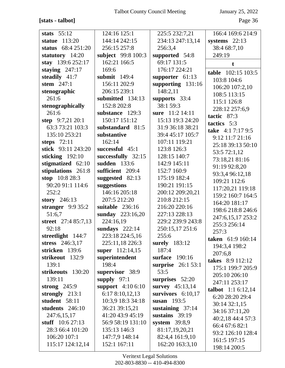# **[stats - talbot]** Page 36

| stats $55:12$       | 124:16 125:1                   | 225:5 232:7,21      | 166:4 169:6 214:9           |
|---------------------|--------------------------------|---------------------|-----------------------------|
| 113:20<br>statue    | 144:14 242:15                  | 234:13 247:13,14    | systems $22:13$             |
| status 68:4 251:20  | 256:15 257:8                   | 256:3,4             | 38:4 68:7,10                |
| statutory 14:20     | subject 99:8 100:3             | supported 54:8      | 249:19                      |
| stay 139:6 252:17   | 162:21 166:5                   | 69:17 131:5         | t                           |
| staying $247:17$    | 169:6                          | 176:17 224:21       | table 102:15 103:5          |
| steadily 41:7       | submit 149:4                   | supporter $61:13$   | 103:8 104:6                 |
| stem $247:1$        | 156:11 202:9                   | supporting 131:16   | 106:20 107:2,10             |
| stenographic        | 206:15 239:1                   | 148:2,11            | 108:5 113:15                |
| 261:6               | submitted 134:13               | supports 33:4       | 115:1 126:8                 |
| stenographically    | 152:8 202:8                    | 38:1 59:3           | 228:12 257:6,9              |
| 261:6               | substance 129:3                | sure 11:2 14:11     | tactic 87:3                 |
| step 9:7,21 20:1    | 150:17 151:12                  | 15:13 19:3 24:20    | tactics 5:3                 |
| 63:3 73:21 103:3    | substandard 81:5               | 31:9 36:18 38:21    | take 4:1 7:17 9:5           |
| 135:10 253:21       | substantive                    | 39:4 45:17 105:7    | 9:12 11:7 21:16             |
| steps $72:11$       | 162:14                         | 107:11 119:21       |                             |
| stick 93:11 243:20  | successful 45:1                | 123:8 126:3         | 25:18 39:13 50:10           |
| sticking $192:10$   | successfully 32:15             | 128:15 140:7        | 53:5 72:1,12                |
| stigmatized 62:10   | sudden 133:6                   | 142:9 145:11        | 73:18,21 81:16              |
| stipulations 261:8  | sufficient 209:4               | 152:7 160:9         | 91:19 92:8,20               |
| stop 10:8 28:3      | suggested $82:13$              | 175:19 182:4        | 93:3,4 96:12,18             |
| 90:20 91:1 114:6    | suggestions                    | 190:21 191:15       | 109:21 112:6                |
| 252:2               | 146:16 205:18                  | 200:12 209:20,21    | 117:20,21 119:18            |
| story $246:13$      | 207:5 212:20                   | 210:8 212:15        | 159:2 160:7 164:5           |
| stranger $9:935:2$  | suitable 236:16                | 216:20 220:16       | 164:20 181:17               |
| 51:6,7              | sunday 223:16,20               | 227:13 228:13       | 198:6 218:8 246:6           |
| street 27:4 85:7,13 | 224:16,19                      | 229:2 239:9 243:8   | 247:6,15,17 253:2           |
| 92:18               | sundays $222:14$               | 250:15,17 251:6     | 255:3 256:14                |
| streetlight 144:7   | 223:18 224:5,16                | 255:6               | 257:3                       |
| stress 246:3,17     | 225:11,18 226:3                | surely 183:12       | taken 61:9 160:14           |
| stricken 139:6      | super 112:14,15                | 187:4               | 194:3,4 198:2               |
| strikeout 132:9     | superintendent                 | surface 190:16      | 207:6,8                     |
| 139:1               | 198:4                          | surprise 26:1 53:1  | takes 8:9 112:12            |
| strikeouts 130:20   | supervisor 38:9                | 53:5                | 175:1 199:7 205:9           |
| 139:11              | supply $97:1$                  | surprises $52:20$   | 205:10 206:10               |
| strong $245:9$      | support $4:106:10$             | survey 45:13,14     | 247:11 253:17               |
| strongly 213:1      | 6:178:10,12,13                 | survivors $6:10,17$ | <b>talbot</b> $1:1 6:12,14$ |
| student 58:11       | 10:3,9 18:3 34:18              | susan $193:5$       | 6:20 28:20 29:4             |
| students 246:10     | 36:21 39:15,21                 | sustaining $37:14$  | 30:1432:1,15                |
| 247:6,15,17         | 41:20 43:9 45:19               | sustains 39:19      | 34:16 37:11,20              |
| stuff $10:627:13$   | 56:9 58:19 131:10              | system $39:8,9$     | 40:2,18 44:4 57:3           |
| 28:3 66:4 101:20    | 135:13 146:3                   | 81:17,19,20,21      | 66:4 67:6 82:1              |
| 106:20 107:1        |                                | 82:4,4 161:9,10     | 93:2 126:10 128:4           |
|                     | 147:7,9 148:14<br>152:1 167:11 |                     | 161:5 197:15                |
| 115:17 124:12,14    |                                | 162:20 163:3,10     | 198:14 200:5                |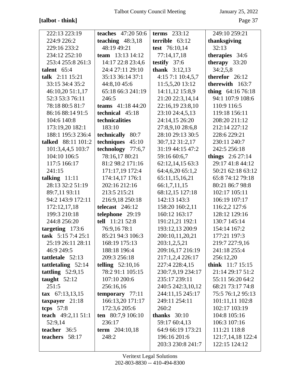# **[talbot - think]** Page 37

| 222:13 223:19              | teaches $47:2050:6$ | terms $233:12$         | 249:10 259:21      |
|----------------------------|---------------------|------------------------|--------------------|
| 224:9 226:2                | teaching $48:3,18$  | terrible $63:12$       | thanksgiving       |
| 229:16 233:2               | 48:19 49:21         | test 76:10,14          | 32:13              |
| 234:12 252:10              | team 13:13 14:12    | 77:14,17,18            | therapies 34:6     |
| 253:4 255:8 261:3          | 14:17 22:8 23:4,6   | testify $37:6$         | therapy $33:20$    |
| talent $65:4$              | 24:4 27:11 29:10    | <b>thank</b> $3:12,13$ | 34:2,5,8           |
| talk 2:11 15:21            | 35:13 36:14 37:1    | 4:15 7:1 10:4,5,7      | therefor 26:12     |
| 33:15 34:4 35:2            | 44:8,1045:6         | 11:5,5,20 13:12        | therewith 163:7    |
| 46:10,20 51:1,17           | 65:18 66:3 241:19   | 14:11,12 15:8,9        | thing $64:1676:18$ |
| 52:3 53:3 76:11            | 246:5               | 21:20 22:3,14,14       | 94:1 107:9 108:6   |
| 78:18 80:5 81:7            | teams $41:1844:20$  | 22:16,19 23:8,10       | 110:9 116:5        |
| 86:16 88:14 91:5           | technical 45:18     | 23:10 24:4,5,13        | 119:18 156:11      |
| 104:6 140:8                | technicalities      | 24:14,15 26:20         | 208:20 211:12      |
| 173:19,20 182:1            | 183:10              | 27:8,9,10 28:6,8       | 212:14 227:12      |
| 188:1 195:3 236:4          | technically 80:7    | 28:10 29:13 30:5       | 228:6 229:21       |
| talked 88:11 101:2         | techniques 45:10    | 30:7,12 31:2,17        | 230:11 240:7       |
| 101:3,4,4,5 103:7          | technology 77:6,7   | 31:19 44:15 47:2       | 242:5 256:18       |
| 104:10 106:5               | 78:16,17 80:21      | 59:16 60:6,7           | things $2:627:14$  |
| 117:5 166:17               | 81:2 98:2 171:16    | 62:12,14,15 63:3       | 29:17 41:8 44:12   |
| 241:15                     | 171:17,19 172:4     | 64:4,6,20 65:1,2       | 50:21 62:18 63:12  |
| talking $11:11$            | 174:14,17 176:1     | 65:11,15,16,21         | 65:8 74:12 79:18   |
| 28:13 32:2 51:19           | 202:16 212:16       | 66:1,7,11,15           | 80:21 86:7 98:8    |
| 89:7,11 93:11              | 213:5 215:21        | 68:12,15 127:18        | 102:17 105:11      |
| 94:2 143:9 172:11          | 216:9,18 250:18     | 142:13 143:3           | 106:19 107:17      |
| 172:12,17,18               | telecast $246:12$   | 158:20 160:2,11        | 116:2,2 127:6      |
| 199:3 210:18               | telephone 29:19     | 160:12 163:17          | 128:12 129:16      |
| 244:8 256:20               | tell 11:21 52:8     | 191:21,21 192:1        | 130:7 145:14       |
| targeting 173:6            | 76:9,16 78:1        | 193:12,13 200:9        | 154:14 167:2       |
| task 5:15 7:4 25:1         | 85:21 94:3 106:3    | 200:10,11,20,21        | 177:21 197:3       |
| 25:19 26:11 28:11          | 168:19 175:13       | 203:1,2,5,21           | 219:7 227:9,16     |
| 46:9 249:5                 | 188:18 196:4        | 209:16,17 216:19       | 241:18 255:4       |
| tattletale 52:13           | 209:3 256:18        | 217:1,2,4 226:17       | 256:12,20          |
| tattletaling $52:14$       | telling $52:10,16$  | 227:4 228:4,15         | think $11:7 15:15$ |
| tattling $52:9,15$         | 78:2 91:1 105:15    | 230:7,9,19 234:17      | 21:14 29:17 51:2   |
| taught $52:12$             | 107:10 200:6        | 235:17 239:11          | 55:11 56:20 64:2   |
| 251:5                      | 256:16,16           | 240:5 242:3,10,12      | 68:21 73:17 74:8   |
| $\textbf{tax}$ 67:13,13,15 | temporary 77:11     | 244:11,15 245:17       | 75:5 76:1,2 95:13  |
| taxpayer $21:18$           | 166:13,20 171:17    | 249:11 254:11          | 101:11,11 102:8    |
| tcps $57:8$                | 172:3,6 205:6       | 260:2                  | 102:17 103:19      |
| teach 49:2,11 51:1         | ten 80:7,9 106:10   | thanks $30:10$         | 104:8 105:16       |
| 52:9,14                    | 236:17              | 59:17 60:4,13          | 106:3 107:16       |
| teacher 36:5               | term $204:10,18$    | 64:9 66:19 173:21      | 111:21 118:8       |
| teachers 58:17             | 248:2               | 196:16 201:6           | 121:7,14,18 122:4  |
|                            |                     | 203:3 230:8 241:7      | 122:15 124:12      |
|                            |                     |                        |                    |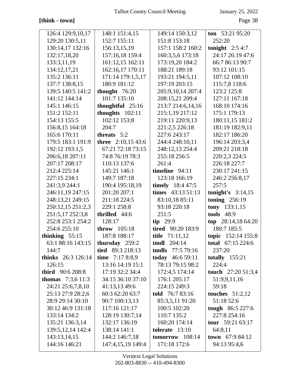# **[think - town]** Page 38

| 126:4 129:9,10,17         | 148:1 151:4,15      | 149:14 150:3,12      | ton $53:2195:20$        |
|---------------------------|---------------------|----------------------|-------------------------|
| 129:20 130:5,11           | 152:7 155:11        | 151:8 153:18         | 252:20                  |
| 130:14,17 132:16          | 156:13,15,19        | 157:1 158:2 160:2    | tonight $2:54:7$        |
| 132:17,18,20              | 157:16,18 159:4     | 160:3,5,6 173:18     | 24:17 26:19 47:6        |
| 133:3,11,19               | 161:12,15 162:11    | 173:19,20 184:2      | 66:7 86:13 90:7         |
| 134:12,17,21              | 162:16,17 170:11    | 188:21 189:18        | 93:12 101:15            |
| 135:2 136:11              | 171:14 179:1,5,17   | 193:21 194:5,11      | 107:12 108:10           |
| 137:7 138:8,15            | 180:9 181:12        | 197:19 203:15        | 115:7,8 118:6           |
| 139:5 140:5 141:2         | thought $76:20$     | 205:9,10,14 207:4    | 123:2 125:8             |
| 141:12 144:14             | 101:7 135:10        | 208:15,21 209:4      | 127:11 167:18           |
| 145:1 146:15              | thoughtful $25:16$  | 213:7 214:6,14,16    | 168:10 174:16           |
| 151:2 152:11              | thoughts $102:11$   | 215:1,19 217:12      | 175:1 179:13            |
| 154:13 155:5              | 102:12 153:8        | 219:11 220:9,13      | 180:11,15 181:2         |
| 156:8,15 164:18           | 204:7               | 221:2,5 226:18       | 181:19 182:9,11         |
| 165:6 170:11              | threats $5:2$       | 227:6 243:17         | 182:17 186:20           |
| 179:5 183:1 191:9         | three $2:10,1543:6$ | 244:4 248:10,11      | 196:14 203:3,4          |
| 192:12 193:1,5            | 67:21 72:18 73:15   | 248:12,13 254:4      | 209:21 218:18           |
| 206:6,18 207:11           | 74:8 76:19 78:3     | 255:18 256:5         | 220:2,3 224:5           |
| 207:17 208:17             | 110:13 137:6        | 261:4                | 226:18 227:7            |
| 212:4 225:14              | 145:21 146:1        | timeline 94:11       | 230:17 241:15           |
| 227:15 234:1              | 149:7 187:18        | 123:18 166:19        | 246:2 256:8,17          |
| 241:3,9 244:1             | 190:4 195:18,19     | timely $18:447:5$    | 257:5                   |
| 246:11,19 247:15          | 201:20 207:1        | times $43:13\ 51:13$ | tonight's $3:14,15$     |
| 248:13,21 249:15          | 211:18 224:5        | 83:10,18 85:11       | toning $256:19$         |
| 250:12,15 251:2,3         | 229:1 258:8         | 93:18 220:18         | tony $133:1,15$         |
| 251:5,17 252:3,8          | thrilled 44:6       | 251:5                | <b>tools</b> 48:9       |
| 252:8 253:1 254:2         | 128:17              | $tip$ 29:9           | top 28:14,18 64:20      |
| 254:6 255:10              | throw $105:18$      | tired 90:20 183:9    | 180:7 185:5             |
| thinking $55:15$          | 187:8 188:17        | title 71:11,12       | topic 152:14 155:8      |
| 63:1 88:16 143:15         | thursday 259:2      | <b>tmdl</b> 204:14   | total $67:15224:6$      |
| 144:7                     | tied 89:3 218:13    | tmdls 77:5 79:16     | 237:20                  |
| <b>thinks</b> 26:3 126:14 | time $7:178:.9$     | today $46:659:11$    | totally $155:21$        |
| 126:15                    | 13:16 14:19 15:1    | 78:13 79:15 98:2     | 224:4                   |
| <b>third</b> 90:6 208:8   | 17:19 32:2 34:4     | 172:4,5 174:14       | touch $27:2051:3,4$     |
| <b>thomas</b> $7:3,611:3$ | 34:15 36:10 37:10   | 176:1 205:17         | 51:9,9,11,16            |
| 24:21 25:6,7,8,10         | 41:13,13 49:6       | 224:15 249:3         | 59:18                   |
| 25:13 27:9 28:2,6         | 60:3 62:20 63:7     | told 76:7 83:16      | touches $51:2,12$       |
| 28:9 29:14 30:10          | 90:7 100:13,13      | 85:3,5,11 91:20      | 51:18 52:6              |
| 30:12 46:9 131:18         | 117:16 121:17       | 100:5 102:20         | tough 86:5 227:6        |
| 133:14 134:2              | 128:19 130:7,14     | 110:7 135:2          | 227:8 254:16            |
| 135:21 136:3,14           | 132:17 136:19       | 160:20 174:14        | tour $59:2163:17$       |
| 139:5, 12, 14 14 2:4      | 138:14 141:1        | tolerate $13:10$     | 64:8,11                 |
| 143:13,14,15              | 144:2 146:7,18      | tomorrow 108:14      | <b>town</b> $67:984:12$ |
| 144:16 146:21             | 147:4,15,19 149:4   | 171:18 172:6         | 94:13 95:4,6            |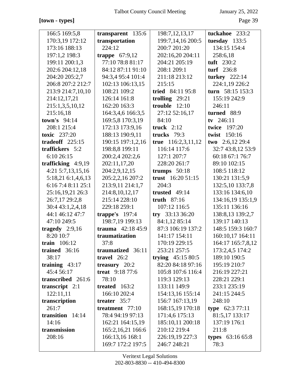## **[town - types]** Page 39

| transparent 135:6 | 198:7, 12, 13, 17                                                                                                                                                                                                                                                                                                                           | tuckahoe 233:2                                                                                                                                                                                                                                                                                                                                                               |
|-------------------|---------------------------------------------------------------------------------------------------------------------------------------------------------------------------------------------------------------------------------------------------------------------------------------------------------------------------------------------|------------------------------------------------------------------------------------------------------------------------------------------------------------------------------------------------------------------------------------------------------------------------------------------------------------------------------------------------------------------------------|
| transportation    | 199:7,14,16 200:5                                                                                                                                                                                                                                                                                                                           | tuesday $133:5$                                                                                                                                                                                                                                                                                                                                                              |
| 224:12            | 200:7 201:20                                                                                                                                                                                                                                                                                                                                | 134:15 154:4                                                                                                                                                                                                                                                                                                                                                                 |
| trappe $67:9,12$  | 202:16,20 204:11                                                                                                                                                                                                                                                                                                                            | 258:6,18                                                                                                                                                                                                                                                                                                                                                                     |
| 77:10 78:8 81:17  | 204:21 205:19                                                                                                                                                                                                                                                                                                                               | tuft 230:2                                                                                                                                                                                                                                                                                                                                                                   |
| 84:12 87:11 91:10 | 208:1 209:1                                                                                                                                                                                                                                                                                                                                 | turf 236:8                                                                                                                                                                                                                                                                                                                                                                   |
| 94:3,4 95:4 101:4 | 211:18 213:12                                                                                                                                                                                                                                                                                                                               | turkey 222:14                                                                                                                                                                                                                                                                                                                                                                |
| 102:13 106:13,15  | 215:15                                                                                                                                                                                                                                                                                                                                      | 224:1,19 226:2                                                                                                                                                                                                                                                                                                                                                               |
| 108:21 109:2      | tried 84:11 95:8                                                                                                                                                                                                                                                                                                                            | turn 58:15 153:3                                                                                                                                                                                                                                                                                                                                                             |
| 126:14 161:8      | trolling $29:21$                                                                                                                                                                                                                                                                                                                            | 155:19 242:9                                                                                                                                                                                                                                                                                                                                                                 |
| 162:20 163:3      | trouble $12:10$                                                                                                                                                                                                                                                                                                                             | 246:11                                                                                                                                                                                                                                                                                                                                                                       |
| 164:3,4,6 166:3,5 | 27:12 52:16,17                                                                                                                                                                                                                                                                                                                              | turned 88:9                                                                                                                                                                                                                                                                                                                                                                  |
| 169:5,8 170:3,19  | 84:10                                                                                                                                                                                                                                                                                                                                       | tv $246:11$                                                                                                                                                                                                                                                                                                                                                                  |
| 172:13 173:9,16   | truck $2:12$                                                                                                                                                                                                                                                                                                                                | twice 197:20                                                                                                                                                                                                                                                                                                                                                                 |
| 188:13 190:9,11   | trucks $79:3$                                                                                                                                                                                                                                                                                                                               | twist 150:16                                                                                                                                                                                                                                                                                                                                                                 |
| 190:15 197:1,2,16 | true $116:2,3,11,12$                                                                                                                                                                                                                                                                                                                        | two $2:6,12\,29:4$                                                                                                                                                                                                                                                                                                                                                           |
| 198:8,8 199:11    | 116:14 117:6                                                                                                                                                                                                                                                                                                                                | 32:7 43:8,12 53:9                                                                                                                                                                                                                                                                                                                                                            |
| 200:2,4 202:2,6   | 127:1 207:7                                                                                                                                                                                                                                                                                                                                 | 60:18 67:1 76:7                                                                                                                                                                                                                                                                                                                                                              |
| 202:11,17,20      | 228:20 261:7                                                                                                                                                                                                                                                                                                                                | 89:10 102:15                                                                                                                                                                                                                                                                                                                                                                 |
| 204:2,9,12,15     | trumps $50:18$                                                                                                                                                                                                                                                                                                                              | 108:5 118:12                                                                                                                                                                                                                                                                                                                                                                 |
| 205:2,2,16 207:2  | trust 16:20 51:15                                                                                                                                                                                                                                                                                                                           | 130:21 131:5,9                                                                                                                                                                                                                                                                                                                                                               |
| 213:9,11 214:1,7  | 204:3                                                                                                                                                                                                                                                                                                                                       | 132:5,10 133:7,8                                                                                                                                                                                                                                                                                                                                                             |
| 214:8, 10, 12, 17 | trusted 49:14                                                                                                                                                                                                                                                                                                                               | 133:16 134:6,10                                                                                                                                                                                                                                                                                                                                                              |
| 215:14 228:10     | truth $87:16$                                                                                                                                                                                                                                                                                                                               | 134:16,19 135:1,9                                                                                                                                                                                                                                                                                                                                                            |
| 229:18 259:1      |                                                                                                                                                                                                                                                                                                                                             | 135:11 136:16                                                                                                                                                                                                                                                                                                                                                                |
| trappe's $197:4$  |                                                                                                                                                                                                                                                                                                                                             | 138:8,13 139:2,7                                                                                                                                                                                                                                                                                                                                                             |
|                   |                                                                                                                                                                                                                                                                                                                                             | 139:17 140:13                                                                                                                                                                                                                                                                                                                                                                |
|                   |                                                                                                                                                                                                                                                                                                                                             | 148:5 159:3 160:7                                                                                                                                                                                                                                                                                                                                                            |
|                   |                                                                                                                                                                                                                                                                                                                                             | 160:10,17 164:11                                                                                                                                                                                                                                                                                                                                                             |
|                   |                                                                                                                                                                                                                                                                                                                                             | 164:17 165:7,8,12                                                                                                                                                                                                                                                                                                                                                            |
|                   |                                                                                                                                                                                                                                                                                                                                             | 173:2,4,5 174:2                                                                                                                                                                                                                                                                                                                                                              |
|                   |                                                                                                                                                                                                                                                                                                                                             | 189:10 190:5                                                                                                                                                                                                                                                                                                                                                                 |
|                   |                                                                                                                                                                                                                                                                                                                                             | 195:19 210:7                                                                                                                                                                                                                                                                                                                                                                 |
|                   |                                                                                                                                                                                                                                                                                                                                             | 216:19 227:21                                                                                                                                                                                                                                                                                                                                                                |
|                   |                                                                                                                                                                                                                                                                                                                                             | 228:21 229:1                                                                                                                                                                                                                                                                                                                                                                 |
|                   |                                                                                                                                                                                                                                                                                                                                             | 233:1 235:19                                                                                                                                                                                                                                                                                                                                                                 |
|                   |                                                                                                                                                                                                                                                                                                                                             | 241:15 244:5                                                                                                                                                                                                                                                                                                                                                                 |
|                   |                                                                                                                                                                                                                                                                                                                                             | 248:10                                                                                                                                                                                                                                                                                                                                                                       |
|                   |                                                                                                                                                                                                                                                                                                                                             | type $62:377:11$                                                                                                                                                                                                                                                                                                                                                             |
|                   |                                                                                                                                                                                                                                                                                                                                             | 81:5,17 133:17                                                                                                                                                                                                                                                                                                                                                               |
|                   |                                                                                                                                                                                                                                                                                                                                             | 137:19 176:1                                                                                                                                                                                                                                                                                                                                                                 |
|                   |                                                                                                                                                                                                                                                                                                                                             | 211:8                                                                                                                                                                                                                                                                                                                                                                        |
|                   |                                                                                                                                                                                                                                                                                                                                             | <b>types</b> $63:1665:8$                                                                                                                                                                                                                                                                                                                                                     |
|                   |                                                                                                                                                                                                                                                                                                                                             | 78:3                                                                                                                                                                                                                                                                                                                                                                         |
|                   | 198:7,19 199:13<br>trauma $42:1845:9$<br>traumatization<br>37:8<br>traumatized 36:11<br>travel $26:2$<br>treasury $20:2$<br><b>treat</b> 9:18 77:6<br>78:10<br>treated $163:2$<br>166:10 202:4<br>treater 35:7<br>treatment $77:10$<br>78:4 94:19 97:13<br>162:21 164:15,19<br>165:2, 16, 21 166: 6<br>166:13,16 168:1<br>169:7 172:2 197:5 | 107:12 116:5<br>try $33:1336:20$<br>84:1,12 85:14<br>87:3 106:19 137:2<br>141:17 154:11<br>170:19 229:15<br>253:21 257:5<br>trying $45:1580:5$<br>82:20 84:18 97:16<br>105:8 107:6 116:4<br>119:3 129:13<br>133:11 149:9<br>154:13,16 155:14<br>156:7 167:13,19<br>168:15,19 170:18<br>171:4,6 175:13<br>185:10,11 200:18<br>210:12 219:4<br>226:19,19 227:3<br>246:7 248:21 |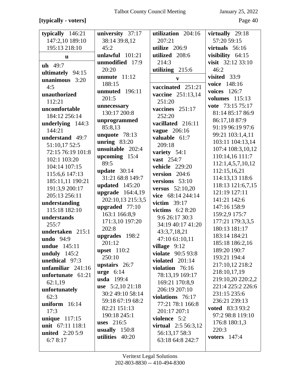# [typically - voters]

| typically $146:21$  | university 37:17   | utilization 204:16           | virtually 29:18        |
|---------------------|--------------------|------------------------------|------------------------|
| 147:2,10 189:10     | 38:14 39:8,12      | 207:21                       | 57:20 59:15            |
|                     |                    |                              |                        |
| 195:13 218:10       | 45:2               | utilize 206:9                | virtuals $56:16$       |
| u                   | unlawful $101:21$  | utilized 208:6               | visibility $64:15$     |
|                     | unmodified 17:9    | 214:3                        | visit 32:12 33:10      |
| $uh 49:7$           | 20:20              | utilizing 215:6              | 46:2                   |
| ultimately 94:15    |                    |                              |                        |
| unanimous $3:20$    | unmute $11:12$     | V                            | visited 33:9           |
| 4:5                 | 188:15             | vaccinated 251:21            | voice 148:16           |
|                     | unmuted 196:11     |                              | voices 126:7           |
| unauthorized        | 201:5              | vaccine 251:13,14            | <b>volumes</b> 115:13  |
| 112:21              |                    | 251:20                       |                        |
| uncomfortable       | unnecessary        | vaccines $251:17$            | vote 73:15 75:17       |
| 184:12 256:14       | 130:17 200:8       | 252:20                       | 81:14 85:17 86:9       |
|                     | unprogrammed       |                              | 86:17,18 87:9          |
| underlying 144:3    | 85:8,13            | vacillated 216:11            | 91:19 96:19 97:6       |
| 144:21              | unquote 78:13      | <b>vague</b> 206:16          | 99:21 103:1,4,11       |
| understand 49:7     |                    | valuable 61:7                |                        |
| 51:10,17 52:5       | unring $83:20$     | 209:18                       | 103:11 104:13,14       |
| 72:15 76:19 101:8   | unsuitable 202:4   | variety 54:1                 | 107:4 108:3,10,12      |
|                     | upcoming 15:4      |                              | 110:14,16 111:7        |
| 102:1 103:20        | 89:5               | vast 254:7                   | 112:1,4,5,7,10,12      |
| 104:14 107:15       |                    | <b>vehicle</b> 229:20        |                        |
| 115:6,6 147:13      | update $30:14$     | version 204:6                | 112:15,16,21           |
| 185:11,11 190:21    | 31:21 68:8 149:7   | versions $53:10$             | 114:13,13 118:6        |
| 191:3,9 200:17      | updated 145:20     | <b>versus</b> 52:10,20       | 118:13 121:6,7,15      |
| 205:13 256:11       | upgrade $164:4,19$ | vice 68:14 244:14            | 121:19 127:11          |
|                     | 202:10,13 215:3,5  |                              | 141:21 142:6           |
| understanding       | upgraded 77:10     | victim $39:17$               | 147:16 158:9           |
| 115:18 182:10       | 163:1 166:8,9      | victims $6:28:20$            | 159:2,9 175:7          |
| understands         |                    | 9:6 26:17 30:3               |                        |
| 255:7               | 171:3,10 197:20    | 34:19 40:17 41:20            | 177:21 179:3,3,5       |
| undertaken 215:1    | 202:8              | 43:3,7,18,21                 | 180:13 181:17          |
| <b>undo</b> 94:9    | upgrades 198:2     | 47:10 61:10,11               | 183:14 184:21          |
| <b>undue</b> 145:11 | 201:12             |                              | 185:18 186:2,16        |
|                     | upset $110:2$      | village $9:12$               | 189:20 190:7           |
| unduly $145:2$      | 250:10             | <b>violate</b> 90:5 93:8     | 193:21 194:4           |
| unethical 97:3      | upstairs 26:7      | violated $201:14$            | 217:10,12 218:2        |
| unfamiliar $241:16$ |                    | violation $76:16$            |                        |
| unfortunate $61:21$ | $urge 6:14$        | 78:13,19 169:17              | 218:10,17,19           |
| 62:1,19             | <b>usda</b> 199:4  | 169:21 170:8,9               | 219:10,20 220:2,2      |
| unfortunately       | use $5:2,1021:18$  | 206:19 207:10                | 221:4 225:2 226:6      |
|                     | 30:2 49:10 58:14   |                              | 231:15 235:6           |
| 62:3                | 59:18 67:19 68:2   | violations 76:17             | 236:21 239:13          |
| uniform $16:14$     | 82:21 151:13       | 77:21 78:1 166:8             | <b>voted</b> 83:3 93:2 |
| 17:3                |                    | 201:17 207:1                 |                        |
| unique $117:15$     | 190:18 245:1       | violence 5:2                 | 97:2 98:8 119:10       |
| unit 67:11 118:1    | <b>uses</b> 216:5  | <b>virtual</b> $2:5 56:3,12$ | 176:8 180:1,3          |
| united $2:205:9$    | usually $150:8$    | 56:13,17 58:3                | 220:3                  |
|                     | utilities 40:20    |                              | voters 147:4           |
| 6:7 8:17            |                    | 63:18 64:8 242:7             |                        |
|                     |                    |                              |                        |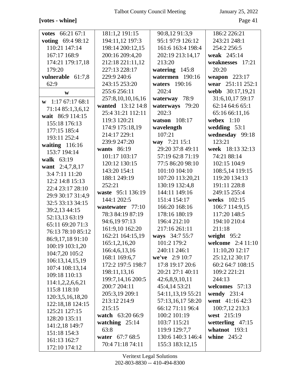# **[votes - whine]** Page 41

| <b>votes</b> 66:21 67:1      | 181:1,2 191:15    | 90:8,12 91:3,9     | 186:2 226:21        |
|------------------------------|-------------------|--------------------|---------------------|
| voting 69:4 98:12            | 194:11,12 197:3   | 95:1 97:9 126:12   | 243:21 248:1        |
| 110:21 147:14                | 198:14 200:12,15  | 161:6 163:4 198:4  | 254:2 256:5         |
| 167:17 168:9                 | 200:16 209:4,20   | 202:19 213:14,17   | weak 245:14         |
| 174:21 179:17,18             | 212:18 221:11,12  | 213:20             | weaknesses 17:21    |
| 179:20                       | 227:13 228:17     | watering 145:8     | 20:20               |
| vulnerable 61:7,8            | 229:9 240:6       | watermen 190:16    | weapon 223:17       |
| 62:9                         | 243:15 253:20     | waters 190:16      | wear 251:11 252:1   |
| W                            | 255:6 256:11      | 202:4              | webb 30:17,19,21    |
| $\mathbf{w}$ 1:17 67:17 68:1 | 257:8,10,10,16,16 | waterway 78:9      | 31:6, 10, 17 59: 17 |
| 71:14 85:1,3,6,12            | wanted 13:12 14:8 | waterways<br>79:20 | 62:14 64:6 65:1     |
| wait 86:9 114:15             | 25:4 31:21 112:11 | 202:3              | 65:16 66:11,16      |
| 155:18 176:13                | 119:3 120:21      | watson 108:17      | webex $1:10$        |
| 177:15 185:4                 | 174:9 175:18,19   | wavelength         | wedding $53:1$      |
| 193:11 252:4                 | 214:17 229:1      | 107:21             | wednesday 99:18     |
| waiting $116:16$             | 239:9 247:20      | way 7:21 15:1      | 123:21              |
| 153:7 194:14                 | wants 86:19       | 29:20 37:8 49:11   | week 18:13 32:13    |
| walk 63:19                   | 101:17 103:17     | 57:19 62:8 71:19   | 74:21 88:14         |
| want 2:4,7,8,17              | 120:12 130:15     | 77:5 86:20 98:10   | 102:15 104:9        |
| 3:4 7:11 11:20               | 143:20 154:1      | 101:10 104:10      | 108:5,14 119:15     |
| 12:2 14:8 15:13              | 188:1 249:19      | 107:20 113:20,21   | 119:20 134:13       |
| 22:4 23:17 28:10             | 252:21            | 130:19 132:4,8     | 191:11 228:8        |
| 29:9 30:17 31:4,9            | waste 95:1 136:19 | 144:11 149:16      | 249:15 255:4        |
| 32:5 33:13 34:15             | 144:1 202:5       | 151:4 154:17       | weeks 102:15        |
| 39:2,13 44:15                | wastewater 77:10  | 166:20 168:16      | 106:7 114:9,15      |
| 52:13,13 63:19               | 78:3 84:19 87:19  | 178:16 180:19      | 117:20 148:5        |
| 65:11 69:20 71:3             | 94:6,19 97:13     | 196:4 212:10       | 194:10 210:4        |
| 76:13 78:10 85:12            | 161:9,10 162:20   | 217:16 261:11      | 211:18              |
| 86:9,17,18 91:10             | 162:21 164:15,19  | ways 34:7 55:7     | weight $95:2$       |
| 100:19 103:1,20              | 165:1,2,16,20     | 101:2 179:2        | welcome 2:4 11:10   |
| 104:7,20 105:2               | 166:4,6,13,16     | 240:11 246:1       | 11:10,20 12:17      |
| 106:13,14,15,19              | 168:1 169:6,7     | we've $2:910:7$    | 25:12,12 30:17      |
| 107:4 108:13,14              | 172:2 197:5 198:7 | 17:8 19:17 20:6    | 60:2 64:7 108:15    |
| 109:18 110:13                | 198:11,13,16      | 20:21 27:1 40:11   | 109:2 221:21        |
| 114:1,2,2,6,6,21             | 199:7,14,16 200:5 | 42:6,8,9,10,11     | 244:13              |
| 115:8 118:10                 | 200:7 204:11      | 45:4,14 53:21      | welcomes 57:13      |
| 120:3,5,16,18,20             | 205:3,19 209:1    | 54:11,13,19 55:21  | wendy $231:4$       |
| 122:18,18 124:15             | 213:12 214:9      | 57:13,16,17 58:20  | went 41:16 42:3     |
| 125:21 127:15                | 215:15            | 66:12 71:11 96:4   | 100:7,12 213:3      |
| 128:20 135:11                | watch 63:20 66:9  | 100:2 101:19       | west 215:19         |
| 141:2,18 149:7               | watching $25:14$  | 103:7 115:21       | wetterling $47:15$  |
| 151:18 154:3                 | 63:8              | 119:9 129:7,7      | whatnot $193:1$     |
| 161:13 162:7                 | water 67:7 68:5   | 130:6 140:3 146:4  | whine $245:2$       |
| 172:10 174:12                | 70:4 71:18 74:11  | 155:3 183:12,15    |                     |